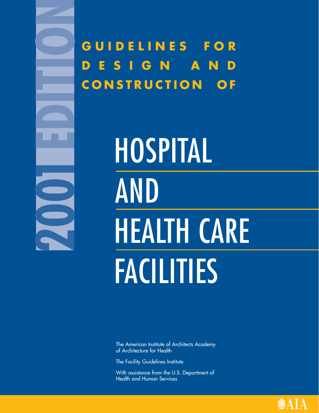

**GUIDELINES FOR DESIGN AND CONSTRUCTION OF**

> HOSPITAL AND HEALTH CARE FACILITIES

The American Institute of Architects Academy of Architecture for Health

The Facility Guidelines Institute

With assistance from the U.S. Department of Health and Human Services

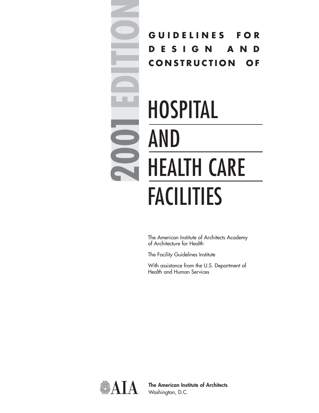

**GUIDELINES FOR DESIGN AND CONSTRUCTION OF**

# **2001BELINES**<br>
CONSTRUCTION<br>
2001BE S I G N<br>
2001BELINES<br>
2001BELINES AND HEALTH CARE **FACILITIES**

The American Institute of Architects Academy of Architecture for Health

The Facility Guidelines Institute

With assistance from the U.S. Department of Health and Human Services



**The American Institute of Architects** Washington, D.C.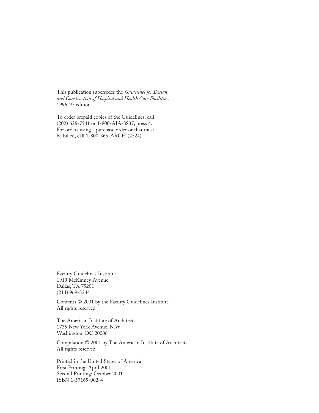This publication supersedes the *Guidelines for Design and Construction of Hospital and Health Care Facilities*, 1996-97 edition.

To order prepaid copies of the Guidelines, call (202) 626-7541 or 1-800-AIA-3837, press 4. For orders using a purchase order or that must be billed, call 1-800-365-ARCH (2724).

Facility Guidelines Institute 1919 McKinney Avenue Dallas, TX 75201 (214) 969-3344

Contents © 2001 by the Facility Guidelines Institute All rights reserved

The American Institute of Architects 1735 New York Avenue, N.W. Washington, DC 20006

Compilation © 2001 by The American Institute of Architects All rights reserved

Printed in the United States of America First Printing: April 2001 Second Printing: October 2001 ISBN 1-57165-002-4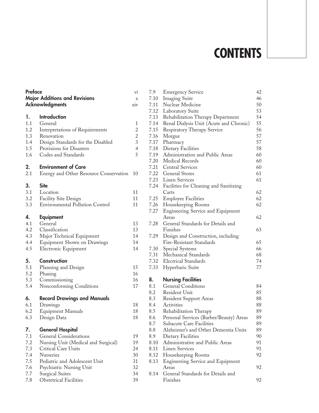## **CONTENTS**

| Preface                                                        |                                           | $\overline{vi}$ | 7.9  | <b>Emergency Service</b>                     |    |
|----------------------------------------------------------------|-------------------------------------------|-----------------|------|----------------------------------------------|----|
| <b>Major Additions and Revisions</b><br><b>Acknowledgments</b> |                                           | $\mathbf X$     |      | 7.10 Imaging Suite                           | 46 |
|                                                                |                                           | xiv             |      | 7.11 Nuclear Medicine                        | 50 |
|                                                                |                                           |                 |      | 7.12 Laboratory Suite                        | 53 |
| 1.                                                             | <b>Introduction</b>                       |                 |      | 7.13 Rehabilitation Therapy Department       | 54 |
| 1.1                                                            | General                                   | $\mathbf{1}$    |      | 7.14 Renal Dialysis Unit (Acute and Chronic) | 55 |
| 1.2                                                            | Interpretations of Requirements           | $\mathfrak{2}$  |      | 7.15 Respiratory Therapy Service             | 56 |
| 1.3                                                            | Renovation                                | $\overline{2}$  |      | 7.16 Morgue                                  | 57 |
| 1.4                                                            | Design Standards for the Disabled         | $\mathfrak{Z}$  |      | 7.17 Pharmacy                                | 57 |
| 1.5                                                            | Provisions for Disasters                  | $\overline{4}$  |      | 7.18 Dietary Facilities                      | 58 |
| 1.6                                                            | Codes and Standards                       | 5               |      | 7.19 Administration and Public Areas         | 60 |
|                                                                |                                           |                 |      | 7.20 Medical Records                         | 60 |
| 2.                                                             | <b>Environment of Care</b>                |                 |      | 7.21 Central Services                        | 60 |
| 2.1                                                            | Energy and Other Resource Conservation 10 |                 |      | 7.22 General Stores                          | 61 |
|                                                                |                                           |                 |      | 7.23 Linen Services                          | 61 |
| 3.                                                             | <b>Site</b>                               |                 |      | 7.24 Facilities for Cleaning and Sanitizing  |    |
| 3.1                                                            | Location                                  | 11              |      | Carts                                        | 62 |
| 3.2                                                            | <b>Facility Site Design</b>               | 11              |      | 7.25 Employee Facilities                     | 62 |
| 3.3                                                            | <b>Environmental Pollution Control</b>    | 11              |      | 7.26 Housekeeping Rooms                      | 62 |
|                                                                |                                           |                 | 7.27 | Engineering Service and Equipment            |    |
| 4.                                                             | <b>Equipment</b>                          |                 |      | Areas                                        | 62 |
| 4.1                                                            | General                                   | 13              | 7.28 | General Standards for Details and            |    |
| 4.2                                                            | Classification                            | 13              |      | Finishes                                     | 63 |
| 4.3                                                            | Major Technical Equipment                 | 14              |      | 7.29 Design and Construction, including      |    |
| 4.4                                                            | Equipment Shown on Drawings               | 14              |      | Fire-Resistant Standards                     | 65 |
| 4.5                                                            | Electronic Equipment                      | 14              |      | 7.30 Special Systems                         | 66 |
|                                                                |                                           |                 |      | 7.31 Mechanical Standards                    | 68 |
| 5.                                                             | Construction                              |                 |      | 7.32 Electrical Standards                    | 74 |
| 5.1                                                            | Planning and Design                       | 15              |      | 7.33 Hyperbaric Suite                        | 77 |
| 5.2                                                            | Phasing                                   | 16              |      |                                              |    |
| 5.3                                                            | Commissioning                             | 16              | 8.   | <b>Nursing Facilities</b>                    |    |
| 5.4                                                            | Nonconforming Conditions                  | 17              | 8.1  | General Conditions                           | 84 |
|                                                                |                                           |                 | 8.2  | Resident Unit                                | 85 |
| 6.                                                             | <b>Record Drawings and Manuals</b>        |                 | 8.3  | Resident Support Areas                       | 88 |
| 6.1                                                            | Drawings                                  | 18              | 8.4  | Activities                                   | 88 |
| 6.2                                                            | <b>Equipment Manuals</b>                  | 18              | 8.5  | Rehabilitation Therapy                       | 89 |
| 6.3                                                            | Design Data                               | 18              | 8.6  | Personal Services (Barber/Beauty) Areas      | 89 |
|                                                                |                                           |                 | 8.7  | <b>Subacute Care Facilities</b>              | 89 |
| 7.                                                             | <b>General Hospital</b>                   |                 | 8.8  | Alzheimer's and Other Dementia Units         | 89 |
| 7.1                                                            | <b>General Considerations</b>             | 19              | 8.9  | <b>Dietary Facilities</b>                    | 90 |
| 7.2                                                            | Nursing Unit (Medical and Surgical)       | 19              | 8.10 | Administrative and Public Areas              | 91 |
| 7.3                                                            | Critical Care Units                       | 24              | 8.11 | Linen Services                               | 91 |
| 7.4                                                            | Nurseries                                 | 30              | 8.12 | Housekeeping Rooms                           | 92 |
| 7.5                                                            | Pediatric and Adolescent Unit             | 31              | 8.13 | Engineering Service and Equipment            |    |
| 7.6                                                            | Psychiatric Nursing Unit                  | 32              |      | Areas                                        | 92 |
| 7.7                                                            | <b>Surgical Suites</b>                    | 34              | 8.14 | General Standards for Details and            |    |
| 7.8                                                            | <b>Obstetrical Facilities</b>             | 39              |      | Finishes                                     | 92 |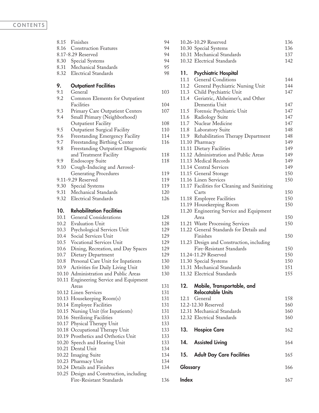#### **CONTENTS**

| 8.15 | Finishes                                 | 94  |
|------|------------------------------------------|-----|
| 8.16 | <b>Construction Features</b>             | 94  |
|      | 8.17-8.29 Reserved                       | 94  |
| 8.30 | Special Systems                          | 94  |
| 8.31 | Mechanical Standards                     | 95  |
| 8.32 | <b>Electrical Standards</b>              | 98  |
|      |                                          |     |
| 9.   | <b>Outpatient Facilities</b>             |     |
| 9.1  | General                                  | 103 |
| 9.2  | Common Elements for Outpatient           |     |
|      | Facilities                               | 104 |
| 9.3  | Primary Care Outpatient Centers          | 107 |
| 9.4  | Small Primary (Neighborhood)             |     |
|      | Outpatient Facility                      | 108 |
| 9.5  | <b>Outpatient Surgical Facility</b>      | 110 |
| 9.6  | Freestanding Emergency Facility          | 114 |
| 9.7  | Freestanding Birthing Center             | 116 |
| 9.8  | Freestanding Outpatient Diagnostic       |     |
|      | and Treatment Facility                   | 118 |
| 9.9  | <b>Endoscopy Suite</b>                   | 118 |
| 9.10 | Cough-Inducing and Aerosol-              |     |
|      | <b>Generating Procedures</b>             | 119 |
|      | 9.11-9.29 Reserved                       | 119 |
| 9.30 | Special Systems                          | 119 |
| 9.31 | Mechanical Standards                     | 120 |
| 9.32 | <b>Electrical Standards</b>              | 126 |
|      |                                          |     |
| 10.  | <b>Rehabilitation Facilities</b>         |     |
| 10.1 | <b>General Considerations</b>            | 128 |
| 10.2 | <b>Evaluation Unit</b>                   | 128 |
| 10.3 | Psychological Services Unit              | 129 |
| 10.4 | Social Services Unit                     | 129 |
| 10.5 | Vocational Services Unit                 | 129 |
| 10.6 | Dining, Recreation, and Day Spaces       | 129 |
| 10.7 | Dietary Department                       | 129 |
| 10.8 | Personal Care Unit for Inpatients        | 130 |
| 10.9 | Activities for Daily Living Unit         | 130 |
|      | 10.10 Administration and Public Areas    | 130 |
|      | 10.11 Engineering Service and Equipment  |     |
|      | Areas                                    | 131 |
|      | 10.12 Linen Services                     | 131 |
|      | 10.13 Housekeeping Room(s)               | 131 |
|      | 10.14 Employee Facilities                | 131 |
|      | 10.15 Nursing Unit (for Inpatients)      | 131 |
|      | 10.16 Sterilizing Facilities             | 133 |
|      | 10.17 Physical Therapy Unit              | 133 |
|      | 10.18 Occupational Therapy Unit          | 133 |
|      | 10.19 Prosthetics and Orthotics Unit     | 133 |
|      | 10.20 Speech and Hearing Unit            | 133 |
|      | 10.21 Dental Unit                        | 134 |
|      | 10.22 Imaging Suite                      | 134 |
|      | 10.23 Pharmacy Unit                      | 134 |
|      | 10.24 Details and Finishes               | 134 |
|      | 10.25 Design and Construction, including |     |
|      | Fire-Resistant Standards                 | 136 |

| 94              |          | 10.26-10.29 Reserved                                                       | 136        |
|-----------------|----------|----------------------------------------------------------------------------|------------|
| 94              |          | 10.30 Special Systems                                                      | 136        |
| $\overline{4}$  |          | 10.31 Mechanical Standards                                                 | 137        |
| $\overline{4}$  |          | 10.32 Electrical Standards                                                 | 142        |
| 95              |          |                                                                            |            |
| 98              | 11.      | <b>Psychiatric Hospital</b>                                                |            |
|                 | 11.1     | General Conditions                                                         | 144        |
|                 | 11.2     | General Psychiatric Nursing Unit                                           | 144        |
| $3\overline{3}$ | 11.3     | Child Psychiatric Unit                                                     | 147        |
|                 | 11.4     | Geriatric, Alzheimer's, and Other                                          |            |
| $\overline{)4}$ |          | Dementia Unit                                                              | 147        |
| )7              | 11.5     | Forensic Psychiatric Unit                                                  | 147        |
|                 |          | 11.6 Radiology Suite                                                       | 147        |
| )8              |          | 11.7 Nuclear Medicine                                                      | 147        |
| $\overline{10}$ |          | 11.8 Laboratory Suite                                                      | 148        |
| $\sqrt{4}$      |          | 11.9 Rehabilitation Therapy Department                                     | 148        |
| 16              |          | 11.10 Pharmacy                                                             | 149        |
|                 |          | 11.11 Dietary Facilities                                                   | 149        |
| 18              |          | 11.12 Administration and Public Areas                                      | 149        |
| 18              |          | 11.13 Medical Records                                                      | 149        |
|                 |          | 11.14 Central Services                                                     | 149        |
| 19              |          | 11.15 General Storage                                                      | 150        |
| 19              |          | 11.16 Linen Services                                                       | 150        |
| 19              |          | 11.17 Facilities for Cleaning and Sanitizing                               |            |
| $20\,$          |          | Carts                                                                      | 150        |
| 26              |          | 11.18 Employee Facilities                                                  | 150        |
|                 |          | 11.19 Housekeeping Room                                                    | 150        |
|                 |          | 11.20 Engineering Service and Equipment<br>Area                            |            |
| 28<br>28        |          |                                                                            | 150<br>150 |
| 29              |          | 11.21 Waste Processing Services<br>11.22 General Standards for Details and |            |
| 29              |          | Finishes                                                                   | 150        |
| 29              |          | 11.23 Design and Construction, including                                   |            |
| 29              |          | Fire-Resistant Standards                                                   | 150        |
| 29              |          | 11.24-11.29 Reserved                                                       | 150        |
| 30 <sup>°</sup> |          | 11.30 Special Systems                                                      | 150        |
| 30 <sup>°</sup> |          | 11.31 Mechanical Standards                                                 | 151        |
| 30 <sup>°</sup> |          | 11.32 Electrical Standards                                                 | 155        |
|                 |          |                                                                            |            |
| 31              | 12.      | Mobile, Transportable, and                                                 |            |
| 31              |          | <b>Relocatable Units</b>                                                   |            |
| 31              | 12.1     | General                                                                    | 158        |
| 31              |          | 12.2-12.30 Reserved                                                        | 160        |
| 31              |          | 12.31 Mechanical Standards                                                 | 160        |
| 33              |          | 12.32 Electrical Standards                                                 | 160        |
| 33              |          |                                                                            |            |
| 33              | 13.      | <b>Hospice Care</b>                                                        | 162        |
| 33              |          |                                                                            |            |
| 33              | 14.      | <b>Assisted Living</b>                                                     | 164        |
| $\frac{34}{3}$  |          |                                                                            |            |
| $\frac{34}{3}$  | 15.      | <b>Adult Day Care Facilities</b>                                           | 165        |
| $\frac{34}{3}$  |          |                                                                            |            |
| $\frac{34}{3}$  | Glossary |                                                                            | 166        |
|                 |          |                                                                            |            |

**Index** 167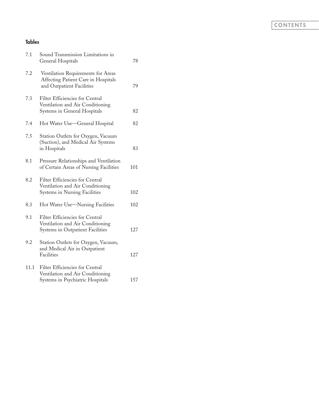#### **Tables**

| 7.1  | Sound Transmission Limitations in<br>General Hospitals                                                      | 78  |
|------|-------------------------------------------------------------------------------------------------------------|-----|
| 7.2  | Ventilation Requirements for Areas<br>Affecting Patient Care in Hospitals<br>and Outpatient Facilities      | 79  |
| 7.3  | Filter Efficiencies for Central<br>Ventilation and Air Conditioning<br>Systems in General Hospitals         | 82  |
| 7.4  | Hot Water Use-General Hospital                                                                              | 82  |
| 7.5  | Station Outlets for Oxygen, Vacuum<br>(Suction), and Medical Air Systems<br>in Hospitals                    | 83  |
| 8.1  | Pressure Relationships and Ventilation<br>of Certain Areas of Nursing Facilities                            | 101 |
| 8.2  | Filter Efficiencies for Central<br>Ventilation and Air Conditioning<br><b>Systems in Nursing Facilities</b> | 102 |
| 8.3  | Hot Water Use-Nursing Facilities                                                                            | 102 |
| 9.1  | Filter Efficiencies for Central<br>Ventilation and Air Conditioning<br>Systems in Outpatient Facilities     | 127 |
| 9.2  | Station Outlets for Oxygen, Vacuum,<br>and Medical Air in Outpatient<br>Facilities                          | 127 |
| 11.1 | Filter Efficiencies for Central<br>Ventilation and Air Conditioning<br>Systems in Psychiatric Hospitals     | 157 |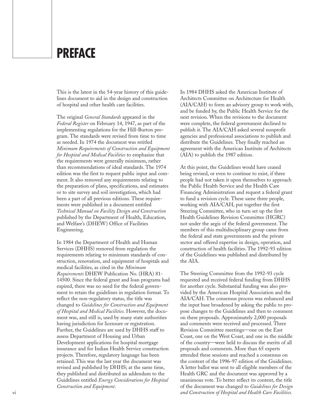### **PREFACE**

This is the latest in the 54-year history of this guidelines document to aid in the design and construction of hospital and other health care facilities.

The original *General Standards* appeared in the *Federal Register* on February 14, 1947, as part of the implementing regulations for the Hill-Burton program. The standards were revised from time to time as needed. In 1974 the document was retitled *Minimum Requirements of Construction and Equipment for Hospital and Medical Facilities* to emphasize that the requirements were generally minimum, rather than recommendations of ideal standards. The 1974 edition was the first to request public input and comment. It also removed any requirements relating to the preparation of plans, specifications, and estimates or to site survey and soil investigation, which had been a part of all previous editions. These requirements were published in a document entitled *Technical Manual on Facility Design and Construction* published by the Department of Health, Education, and Welfare's (DHEW) Office of Facilities Engineering.

In 1984 the Department of Health and Human Services (DHHS) removed from regulation the requirements relating to minimum standards of construction, renovation, and equipment of hospitals and medical facilities, as cited in the *Minimum Requirements* DHEW Publication No. (HRA) 81- 14500. Since the federal grant and loan programs had expired, there was no need for the federal government to retain the guidelines in regulation format. To reflect the non-regulatory status, the title was changed to *Guidelines for Construction and Equipment of Hospital and Medical Facilities.* However, the document was, and still is, used by many state authorities having jurisdiction for licensure or registration. Further, the Guidelines are used by DHHS staff to assess Department of Housing and Urban Development applications for hospital mortgage insurance and for Indian Health Service construction projects. Therefore, regulatory language has been retained. This was the last year the document was revised and published by DHHS; at the same time, they published and distributed an addendum to the Guidelines entitled *Energy Considerations for Hospital Construction and Equipment*.

In 1984 DHHS asked the American Institute of Architects Committee on Architecture for Health (AIA/CAH) to form an advisory group to work with, and be funded by, the Public Health Service for the next revision. When the revisions to the document were complete, the federal government declined to publish it. The AIA/CAH asked several nonprofit agencies and professional associations to publish and distribute the Guidelines*.* They finally reached an agreement with the American Institute of Architects (AIA) to publish the 1987 edition.

At this point, the Guidelines would have ceased being revised, or even to continue to exist, if three people had not taken it upon themselves to approach the Public Health Service and the Health Care Financing Administration and request a federal grant to fund a revision cycle. These same three people, working with AIA/CAH, put together the first Steering Committee, who in turn set up the first Health Guidelines Revision Committee (HGRC) not under the aegis of the federal government. The members of this multidisciplinary group came from the federal and state governments and the private sector and offered expertise in design, operation, and construction of health facilities. The 1992-93 edition of the Guidelines was published and distributed by the AIA.

The Steering Committee from the 1992-93 cycle requested and received federal funding from DHHS for another cycle. Substantial funding was also provided by the American Hospital Association and the AIA/CAH. The consensus process was enhanced and the input base broadened by asking the public to propose changes to the Guidelines and then to comment on these proposals. Approximately 2,000 proposals and comments were received and processed. Three Revision Committee meetings—one on the East Coast, one on the West Coast, and one in the middle of the country—were held to discuss the merits of all proposals and comments. More than 65 experts attended these sessions and reached a consensus on the content of the 1996-97 edition of the Guidelines. A letter ballot was sent to all eligible members of the Health GRC and the document was approved by a unanimous vote. To better reflect its content, the title of the document was changed to *Guidelines for Design and Construction of Hospital and Health Care Facilities.*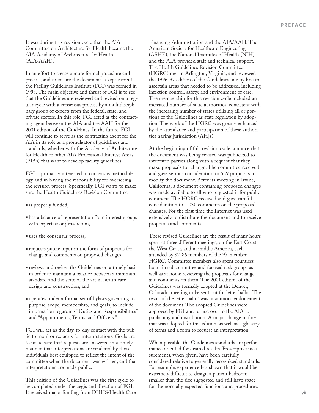It was during this revision cycle that the AlA Committee on Architecture for Health became the AIA Academy of Architecture for Health (AIA/AAH).

In an effort to create a more formal procedure and process, and to ensure the document is kept current, the Facility Guidelines Institute (FGI) was formed in 1998. The main objective and thrust of FGI is to see that the Guidelines are reviewed and revised on a regular cycle with a consensus process by a multidisciplinary group of experts from the federal, state, and private sectors. In this role, FGI acted as the contracting agent between the AIA and the AAH for the 2001 edition of the Guidelines. In the future, FGI will continue to serve as the contracting agent for the AlA in its role as a promulgator of guidelines and standards, whether with the Academy of Architecture for Health or other AIA Professional Interest Areas (PIAs) that want to develop facility guidelines.

FGI is primarily interested in consensus methodology and in having the responsibility for overseeing the revision process. Specifically, FGI wants to make sure the Health Guidelines Revision Committee

- is properly funded,
- has a balance of representation from interest groups with expertise or jurisdiction,
- uses the consensus process,
- requests public input in the form of proposals for change and comments on proposed changes,
- reviews and revises the Guidelines on a timely basis in order to maintain a balance between a minimum standard and the state of the art in health care design and construction, and
- operates under a formal set of bylaws governing its purpose, scope, membership, and goals, to include information regarding "Duties and Responsibilities" and "Appointments, Terms, and Officers."

FGI will act as the day-to-day contact with the public to monitor requests for interpretations. Goals are to make sure that requests are answered in a timely manner, that interpretations are rendered by those individuals best equipped to reflect the intent of the committee when the document was written, and that interpretations are made public.

This edition of the Guidelines was the first cycle to be completed under the aegis and direction of FGI. It received major funding from DHHS/Health Care Financing Administration and the AIA/AAH. The American Society for Healthcare Engineering (ASHE), the National Institutes of Health (NIH), and the AIA provided staff and technical support. The Health Guidelines Revision Committee (HGRC) met in Arlington, Virginia, and reviewed the 1996-97 edition of the Guidelines line by line to ascertain areas that needed to be addressed, including infection control, safety, and environment of care. The membership for this revision cycle included an increased number of state authorities, consistent with the increasing number of states utilizing all or portions of the Guidelines as state regulation by adoption. The work of the HGRC was greatly enhanced by the attendance and participation of these authorities having jurisdiction (AHJs).

At the beginning of this revision cycle, a notice that the document was being revised was publicized to interested parties along with a request that they make proposals for change. The committee received and gave serious consideration to 539 proposals to modify the document. After its meeting in Irvine, California, a document containing proposed changes was made available to all who requested it for public comment. The HGRC received and gave careful consideration to 1,030 comments on the proposed changes. For the first time the Internet was used extensively to distribute the document and to receive proposals and comments.

These revised Guidelines are the result of many hours spent at three different meetings, on the East Coast, the West Coast, and in middle America, each attended by 82-86 members of the 97-member HGRC. Committee members also spent countless hours in subcommittee and focused task groups as well as at home reviewing the proposals for change and comments on them. The 2001 edition of the Guidelines was formally adopted at the Denver, Colorado, meeting to be sent out for letter ballot. The result of the letter ballot was unanimous endorsement of the document. The adopted Guidelines were approved by FGI and turned over to the AIA for publishing and distribution. A major change in format was adopted for this edition, as well as a glossary of terms and a form to request an interpretation.

When possible, the Guidelines standards are performance oriented for desired results. Prescriptive measurements, when given, have been carefully considered relative to generally recognized standards. For example, experience has shown that it would be extremely difficult to design a patient bedroom smaller than the size suggested and still have space for the normally expected functions and procedures.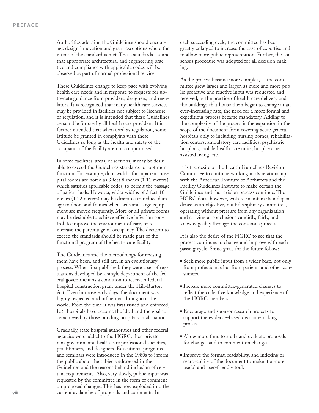Authorities adopting the Guidelines should encourage design innovation and grant exceptions where the intent of the standard is met. These standards assume that appropriate architectural and engineering practice and compliance with applicable codes will be observed as part of normal professional service.

These Guidelines change to keep pace with evolving health care needs and in response to requests for upto-date guidance from providers, designers, and regulators. It is recognized that many health care services may be provided in facilities not subject to licensure or regulation, and it is intended that these Guidelines be suitable for use by all health care providers. It is further intended that when used as regulation, some latitude be granted in complying with these Guidelines so long as the health and safety of the occupants of the facility are not compromised.

In some facilities, areas, or sections, it may be desirable to exceed the Guidelines standards for optimum function. For example, door widths for inpatient hospital rooms are noted as 3 feet 8 inches (1.11 meters), which satisfies applicable codes, to permit the passage of patient beds. However, wider widths of 3 feet 10 inches (1.22 meters) may be desirable to reduce damage to doors and frames when beds and large equipment are moved frequently. More or all private rooms may be desirable to achieve effective infection control, to improve the environment of care, or to increase the percentage of occupancy. The decision to exceed the standards should be made part of the functional program of the health care facility.

The Guidelines and the methodology for revising them have been, and still are, in an evolutionary process. When first published, they were a set of regulations developed by a single department of the federal government as a condition to receive a federal hospital construction grant under the Hill-Burton Act. Even in those early days, the document was highly respected and influential throughout the world. From the time it was first issued and enforced, U.S. hospitals have become the ideal and the goal to be achieved by those building hospitals in all nations.

Gradually, state hospital authorities and other federal agencies were added to the HGRC, then private, non-governmental health care professional societies, practitioners, and designers. Educational programs and seminars were introduced in the 1980s to inform the public about the subjects addressed in the Guidelines and the reasons behind inclusion of certain requirements. Also, very slowly, public input was requested by the committee in the form of comment on proposed changes. This has now exploded into the current avalanche of proposals and comments. In

each succeeding cycle, the committee has been greatly enlarged to increase the base of expertise and to allow more public representation. Further, the consensus procedure was adopted for all decision-making.

As the process became more complex, as the committee grew larger and larger, as more and more public proactive and reactive input was requested and received, as the practice of health care delivery and the buildings that house them began to change at an ever-increasing rate, the need for a more formal and expeditious process became mandatory. Adding to the complexity of the process is the expansion in the scope of the document from covering acute general hospitals only to including nursing homes, rehabilitation centers, ambulatory care facilities, psychiatric hospitals, mobile health care units, hospice care, assisted living, etc.

It is the desire of the Health Guidelines Revision Committee to continue working in its relationship with the American Institute of Architects and the Facility Guidelines Institute to make certain the Guidelines and the revision process continue. The HGRC does, however, wish to maintain its independence as an objective, multidisciplinary committee, operating without pressure from any organization and arriving at conclusions candidly, fairly, and knowledgeably through the consensus process.

It is also the desire of the HGRC to see that the process continues to change and improve with each passing cycle. Some goals for the future follow:

- Seek more public input from a wider base, not only from professionals but from patients and other consumers.
- Prepare more committee-generated changes to reflect the collective knowledge and experience of the HGRC members.
- Encourage and sponsor research projects to support the evidence-based decision-making process.
- Allow more time to study and evaluate proposals for changes and to comment on changes.
- Improve the format, readability, and indexing or searchability of the document to make it a more useful and user-friendly tool.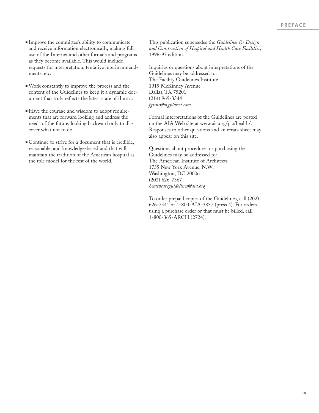- Improve the committee's ability to communicate and receive information electronically, making full use of the Internet and other formats and programs as they become available. This would include requests for interpretation, tentative interim amendments, etc.
- Work constantly to improve the process and the content of the Guidelines to keep it a dynamic document that truly reflects the latest state of the art.
- Have the courage and wisdom to adopt requirements that are forward looking and address the needs of the future, looking backward only to discover what not to do.
- Continue to strive for a document that is credible, reasonable, and knowledge-based and that will maintain the tradition of the American hospital as the role model for the rest of the world.

This publication supersedes the *Guidelines for Design and Construction of Hospital and Health Care Facilities*, 1996-97 edition.

Inquiries or questions about interpretations of the Guidelines may be addressed to: The Facility Guidelines Institute 1919 McKinney Avenue Dallas, TX 75201 (214) 969-3344 *fgiinc@bigplanet.com*

Formal interpretations of the Guidelines are posted on the AIA Web site at www.aia.org/pia/health/. Responses to other questions and an errata sheet may also appear on this site.

Questions about procedures or purchasing the Guidelines may be addressed to: The American Institute of Architects 1735 New York Avenue, N.W. Washington, DC 20006 (202) 626-7367 *healthcareguidelines@aia.org*

To order prepaid copies of the Guidelines, call (202) 626-7541 or 1-800-AIA-3837 (press 4). For orders using a purchase order or that must be billed, call 1-800-365-ARCH (2724).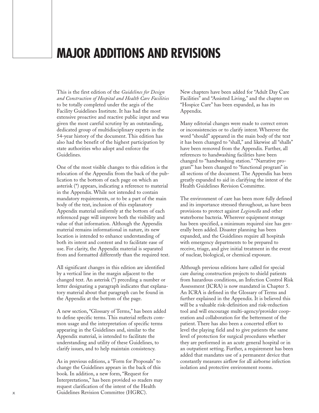## **MAJOR ADDITIONS AND REVISIONS**

This is the first edition of the *Guidelines for Design and Construction of Hospital and Health Care Facilities* to be totally completed under the aegis of the Facility Guidelines Institute. It has had the most extensive proactive and reactive public input and was given the most careful scrutiny by an outstanding, dedicated group of multidisciplinary experts in the 54-year history of the document. This edition has also had the benefit of the highest participation by state authorities who adopt and enforce the Guidelines.

One of the most visible changes to this edition is the relocation of the Appendix from the back of the publication to the bottom of each page on which an asterisk (\*) appears, indicating a reference to material in the Appendix. While not intended to contain mandatory requirements, or to be a part of the main body of the text, inclusion of this explanatory Appendix material uniformly at the bottom of each referenced page will improve both the visibility and value of that information. Although the Appendix material remains informational in nature, its new location is intended to enhance understanding of both its intent and content and to facilitate ease of use. For clarity, the Appendix material is separated from and formatted differently than the required text.

All significant changes in this edition are identified by a vertical line in the margin adjacent to the changed text. An asterisk (\*) preceding a number or letter designating a paragraph indicates that explanatory material about that paragraph can be found in the Appendix at the bottom of the page.

A new section, "Glossary of Terms," has been added to define specific terms. This material reflects common usage and the interpretation of specific terms appearing in the Guidelines and, similar to the Appendix material, is intended to facilitate the understanding and utility of these Guidelines, to clarify issues, and to help maintain consistency.

As in previous editions, a "Form for Proposals" to change the Guidelines appears in the back of this book. In addition, a new form, "Request for Interpretations," has been provided so readers may request clarification of the intent of the Health Guidelines Revision Committee (HGRC).

New chapters have been added for "Adult Day Care Facilities" and "Assisted Living," and the chapter on "Hospice Care" has been expanded, as has its Appendix.

Many editorial changes were made to correct errors or inconsistencies or to clarify intent. Wherever the word "should" appeared in the main body of the text it has been changed to "shall," and likewise all "shalls" have been removed from the Appendix. Further, all references to handwashing facilities have been changed to "handwashing station." "Narrative program"' has been changed to "functional program" in all sections of the document. The Appendix has been greatly expanded to aid in clarifying the intent of the Health Guidelines Revision Committee.

The environment of care has been more fully defined and its importance stressed throughout, as have been provisions to protect against *Legionella* and other waterborne bacteria. Wherever equipment storage has been specified, a minimum required size has generally been added. Disaster planning has been expanded, and the Guidelines require all hospitals with emergency departments to be prepared to receive, triage, and give initial treatment in the event of nuclear, biological, or chemical exposure.

Although previous editions have called for special care during construction projects to shield patients from hazardous conditions, an Infection Control Risk Assessment (ICRA) is now mandated in Chapter 5. An ICRA is defined in the Glossary of Terms and further explained in the Appendix. It is believed this will be a valuable risk-definition and risk-reduction tool and will encourage multi-agency/provider cooperation and collaboration for the betterment of the patient. There has also been a concerted effort to level the playing field and to give patients the same level of protection for surgical procedures whether they are performed in an acute general hospital or in an outpatient setting. Further, a requirement has been added that mandates use of a permanent device that constantly measures airflow for all airborne infection isolation and protective environment rooms.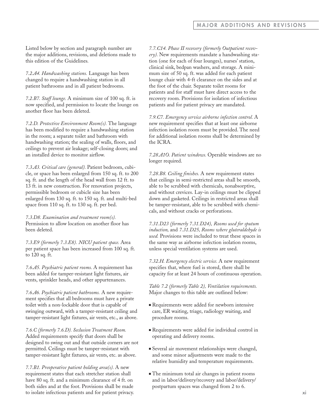Listed below by section and paragraph number are the major additions, revisions, and deletions made to this edition of the Guidelines*.*

*7.2.A4. Handwashing stations.* Language has been changed to require a handwashing station in all patient bathrooms and in all patient bedrooms.

*7.2.B7. Staff lounge.* A minimum size of 100 sq. ft. is now specified, and permission to locate the lounge on another floor has been deleted.

*7.2.D. Protective Environment Room(s).* The language has been modified to require a handwashing station in the room; a separate toilet and bathroom with handwashing station; the sealing of walls, floors, and ceilings to prevent air leakage; self-closing doors; and an installed device to monitor airflow.

*7.3.A3. Critical care (general).* Patient bedroom, cubicle, or space has been enlarged from 150 sq. ft. to 200 sq. ft. and the length of the head wall from 12 ft. to 13 ft. in new construction. For renovation projects, permissible bedroom or cubicle size has been enlarged from 130 sq. ft. to 150 sq. ft. and multi-bed space from 110 sq. ft. to 130 sq. ft. per bed.

*7.3.D8. Examination and treatment room(s).* Permission to allow location on another floor has been deleted.

*7.3.E9 (formerly 7.3.E8). NICU patient space.* Area per patient space has been increased from 100 sq. ft. to 120 sq. ft.

*7.6.A5. Psychiatric patient rooms.* A requirement has been added for tamper-resistant light fixtures, air vents, sprinkler heads, and other appurtenances.

*7.6.A6. Psychiatric patient bathrooms.* A new requirement specifies that all bedrooms must have a private toilet with a non-lockable door that is capable of swinging outward, with a tamper-resistant ceiling and tamper-resistant light fixtures, air vents, etc., as above.

*7.6.C (formerly 7.6.D). Seclusion Treatment Room.* Added requirements specify that doors shall be designed to swing out and that outside corners are not permitted. Ceilings must be tamper-resistant with tamper-resistant light fixtures, air vents, etc. as above.

*7.7.B1. Preoperative patient holding area(s).* A new requirement states that each stretcher station shall have 80 sq. ft. and a minimum clearance of 4 ft. on both sides and at the foot. Provisions shall be made to isolate infectious patients and for patient privacy. *7.7.C14. Phase II recovery (formerly Outpatient recovery).* New requirements mandate a handwashing station (one for each of four lounges), nurses' station, clinical sink, bedpan washers, and storage. A minimum size of 50 sq. ft. was added for each patient lounge chair with 4-ft clearance on the sides and at the foot of the chair. Separate toilet rooms for patients and for staff must have direct access to the recovery room. Provisions for isolation of infectious patients and for patient privacy are mandated.

*7.9.C7. Emergency service airborne infection control.* A new requirement specifies that at least one airborne infection isolation room must be provided. The need for additional isolation rooms shall be determined by the ICRA.

*7.28.A1O. Patient windows.* Operable windows are no longer required.

*7.28.B8. Ceiling finishes.* A new requirement states that ceilings in semi-restricted areas shall be smooth, able to be scrubbed with chemicals, nonabsorptive, and without crevices. Lay-in ceilings must be clipped down and gasketed. Ceilings in restricted areas shall be tamper-resistant, able to be scrubbed with chemicals, and without cracks or perforations.

*7.31.D23 (formerly 7.31.D24), Rooms used for sputum induction,* and *7.31.D25, Rooms where gluteraldehyde is used.* Provisions were included to treat these spaces in the same way as airborne infection isolation rooms, unless special ventilation systems are used.

*7.32.H. Emergency electric service.* A new requirement specifies that, where fuel is stored, there shall be capacity for at least 24 hours of continuous operation.

*Table 7.2 (formerly Table 2), Ventilation requirements.* Major changes to this table are outlined below:

- Requirements were added for newborn intensive care, ER waiting, triage, radiology waiting, and procedure rooms.
- Requirements were added for individual control in operating and delivery rooms.
- Several air movement relationships were changed, and some minor adjustments were made to the relative humidity and temperature requirements.
- The minimum total air changes in patient rooms and in labor/delivery/recovery and labor/delivery/ postpartum spaces was changed from 2 to 6.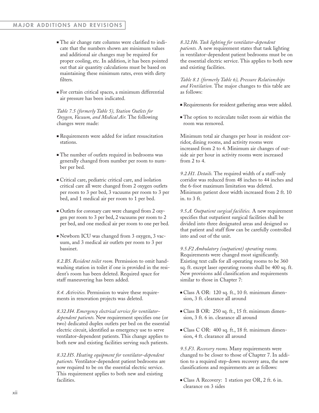- The air change rate columns were clarified to indicate that the numbers shown are minimum values and additional air changes may be required for proper cooling, etc. In addition, it has been pointed out that air quantity calculations must be based on maintaining these minimum rates, even with dirty filters.
- For certain critical spaces, a minimum differential air pressure has been indicated.

*Table 7.5 (formerly Table 5), Station Outlets for Oxygen, Vacuum, and Medical Air.* The following changes were made:

- Requirements were added for infant resuscitation stations.
- The number of outlets required in bedrooms was generally changed from number per room to number per bed.
- Critical care, pediatric critical care, and isolation critical care all were changed from 2 oxygen outlets per room to 3 per bed, 3 vacuums per room to 3 per bed, and 1 medical air per room to 1 per bed.
- Outlets for coronary care were changed from 2 oxygen per room to 3 per bed, 2 vacuums per room to 2 per bed, and one medical air per room to one per bed.
- Newborn ICU was changed from 3 oxygen, 3 vacuum, and 3 medical air outlets per room to 3 per bassinet.

*8.2.B5. Resident toilet room.* Permission to omit handwashing station in toilet if one is provided in the resident's room has been deleted. Required space for staff maneuvering has been added.

*8.4. Activities.* Permission to waive these requirements in renovation projects was deleted.

*8.32.H4. Emergency electrical service for ventilatordependent patients.* New requirement specifies one (or two) dedicated duplex outlets per bed on the essential electric circuit, identified as emergency use to serve ventilator-dependent patients. This change applies to both new and existing facilities serving such patients.

*8.32.H5. Heating equipment for ventilator-dependent patients.* Ventilator-dependent patient bedrooms are now required to be on the essential electric service. This requirement applies to both new and existing facilities.

#### *8.32.H6. Task lighting for ventilator-dependent*

*patients.* A new requirement states that task lighting in ventilator-dependent patient bedrooms must be on the essential electric service. This applies to both new and existing facilities.

*Table 8.1 (formerly Table 6), Pressure Relationships and Ventilation.* The major changes to this table are as follows:

- Requirements for resident gathering areas were added.
- The option to recirculate toilet room air within the room was removed.

Minimum total air changes per hour in resident corridor, dining rooms, and activity rooms were increased from 2 to 4. Minimum air changes of outside air per hour in activity rooms were increased from 2 to 4.

*9.2.H1. Details.* The required width of a staff-only corridor was reduced from 48 inches to 44 inches and the 6-foot maximum limitation was deleted. Minimum patient door width increased from 2 ft. 10 in. to 3 ft.

*9.5.A. Outpatient surgical facilities.* A new requirement specifies that outpatient surgical facilities shall be divided into three designated areas and designed so that patient and staff flow can be carefully controlled into and out of the unit.

*9.5.F2 Ambulatory (outpatient) operating rooms.* Requirements were changed most significantly. Existing text calls for all operating rooms to be 360 sq. ft. except laser operating rooms shall be 400 sq. ft. New provisions add classification and requirements similar to those in Chapter 7:

- Class A OR: 120 sq. ft., 10 ft. minimum dimension, 3 ft. clearance all around
- Class B OR: 250 sq. ft., 15 ft. minimum dimension, 3 ft. 6 in. clearance all around
- Class C OR: 400 sq. ft., 18 ft. minimum dimension, 4 ft. clearance all around

*9.5.F3. Recovery rooms.* Many requirements were changed to be closer to those of Chapter 7. In addition to a required step-down recovery area, the new classifications and requirements are as follows:

■ Class A Recovery: 1 station per OR, 2 ft. 6 in. clearance on 3 sides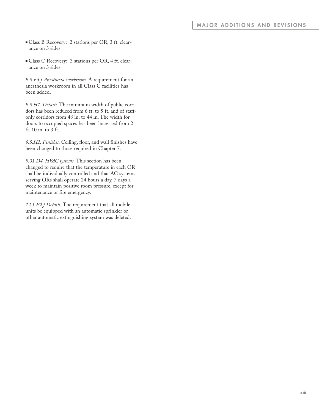- Class B Recovery: 2 stations per OR, 3 ft. clearance on 3 sides
- Class C Recovery: 3 stations per OR, 4 ft. clearance on 3 sides

*9.5.F5.f Anesthesia workroom.* A requirement for an anesthesia workroom in all Class C facilities has been added.

*9.5.H1. Details.* The minimum width of public corridors has been reduced from 6 ft. to 5 ft. and of staffonly corridors from 48 in. to 44 in. The width for doors to occupied spaces has been increased from 2 ft. 10 in. to 3 ft.

*9.5.H2. Finishes.* Ceiling, floor, and wall finishes have been changed to those required in Chapter 7.

*9.31.D4. HVAC systems.* This section has been changed to require that the temperature in each OR shall be individually controlled and that AC systems serving ORs shall operate 24 hours a day, 7 days a week to maintain positive room pressure, except for maintenance or fire emergency.

*12.1.E2.f Details.* The requirement that all mobile units be equipped with an automatic sprinkler or other automatic extinguishing system was deleted.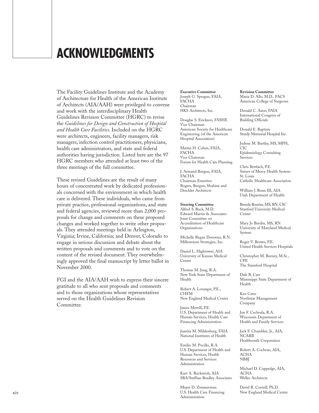## **ACKNOWLEDGMENTS**

The Facility Guidelines Institute and the Academy of Architecture for Health of the American Institute of Architects (AIA/AAH) were privileged to convene and work with the interdisciplinary Health Guidelines Revision Committee (HGRC) to revise the *Guidelines for Design and Construction of Hospital and Health Care Facilities*. Included on the HGRC were architects, engineers, facility managers, risk managers, infection control practitioners, physicians, health care administrators, and state and federal authorities having jurisdiction. Listed here are the 97 HGRC members who attended at least two of the three meetings of the full committee.

These revised Guidelines are the result of many hours of concentrated work by dedicated professionals concerned with the environment in which health care is delivered. These individuals, who came from private practice, professional organizations, and state and federal agencies, reviewed more than 2,000 proposals for change and comments on these proposed changes and worked together to write other proposals. They attended meetings held in Arlington, Virginia; Irvine, California; and Denver, Colorado to engage in serious discussion and debate about the written proposals and comments and to vote on the content of the revised document. They overwhelmingly approved the final manuscript by letter ballot in November 2000.

FGI and the AIA/AAH wish to express their sincere gratitude to all who sent proposals and comments and to those organizations whose representatives served on the Health Guidelines Revision Committee.

**Executive Committee** Joseph G. Sprague, FAIA, FACHA Chairman HKS Architects, Inc.

Douglas S. Erickson, FASHE Vice Chairman American Society for Healthcare Engineering (of the American Hospital Association)

Martin H. Cohen, FAIA, FACHA Vice Chairman Forum for Health Care Planning

J. Armand Burgun, FAIA, FACHA Chairman Emeritus Rogers, Burgun, Shahine and Deschler Architects

#### **Steering Committee**

Alfred S. Buck, M.D. Edward Martin & Associates Joint Committee on Accreditation of Healthcare **Organizations** 

Michelle Regan Donovan, R.N. Millennium Strategies, Inc.

Daniel L. Hightower, AIA University of Kansas Medical Center

Thomas M. Jung, R.A. New York State Department of Health

Robert A. Loranger, P.E., CHFM New England Medical Center

James Merrill, P.E. U.S. Department of Health and Human Services, Health Care Financing Administration

Juanita M. Mildenberg, FAIA National Institutes of Health

Emilio M. Pucillo, R.A. U.S. Department of Health and Human Services, Health Resources and Services Administration

Kurt A. Rockstroh, AIA SBA/Steffian Bradley Associates

Mayer D. Zimmerman U.S. Health Care Financing Administration

**Revision Committee** Maria D. Allo, M.D., FACS American College of Surgeons

Donald C. Axon, FAIA International Congress of Building Officials

Donald E. Baptiste Sturdy Memorial Hospital Inc.

Judene M. Bartley, MS, MPH, CIC Epidemiology Consulting **Services** 

Chris Bettlach, P.E. Sisters of Mercy Health System-St. Louis Catholic Healthcare Association

William J. Bonn III, AIA Utah Department of Health

Brenda Bouvier, MS, RN, CIC Stanford University Medical Center

Mary Jo Breslin, MS, RN University of Maryland Medical System

Roger V. Brown, P.E. United Health Services Hospitals

Christopher M. Burney, M.Sc., CPE The Stamford Hospital

Dale B. Carr Mississippi State Department of Health

Ken Cates Northstar Management Company

Jon F. Cechvala, R.A. Wisconsin Department of Health and Family Services

Jack F. Chamblee, Jr., AIA, NCARB Healthsouth Corporation

Robert A. Cochran, AIA, ACHA NBBJ

Michael D. Coppedge, AIA, ACHA Weller Architects

David R. Cornell, Ph.D. New England Medical Center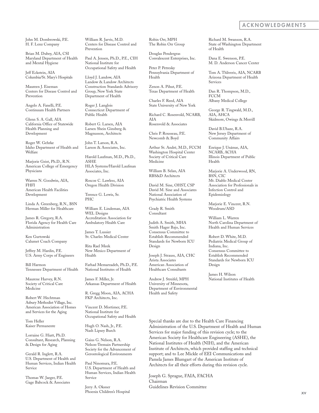#### **ACKNOWLEDGMENTS**

John M. Dombrowski, P.E. H. F. Lenz Company

Brian M. Dubey, AIA, CSI Maryland Department of Health and Mental Hygiene

Jeff Eckstein, AIA Columbia/St. Mary's Hospitals

Maureen J. Eiseman Centers for Disease Control and Prevention

Angelo A. Fanelli, P.E. Continuum Health Partners

Glenn S. A. Gall, AIA California Office of Statewide Health Planning and Development

Roger W. Gehrke Idaho Department of Health and Welfare

Marjorie Geist, Ph.D., R.N. American College of Emergency Physicians

Warren N. Goodwin, AIA, FHFI American Health Facilities Development

Linda A. Greenberg, R.N., BSN Herman Miller for Healthcare

James R. Gregory, R.A. Florida Agency for Health Care Administration

Ken Gurtowski Calumet Coach Company

Jeffrey M. Hardin, P.E. U.S. Army Corps of Engineers

Bill Harmon Tennessee Department of Health

Maurene Harvey, R.N. Society of Critical Care Medicine

Robert W. Hechtman Asbury Methodist Village, Inc. American Association of Homes and Services for the Aging

Tom Heller Kaiser Permanente

Lorraine G. Hiatt, Ph.D. Consultant, Research, Planning & Design for Aging

Gerald R. Inglett, R.A. U.S. Department of Health and Human Services, Indian Health Service

Thomas W. Jaeger, P.E. Gage Babcock & Associates William R. Jarvis, M.D. Centers for Disease Control and Prevention

Paul A. Jensen, Ph.D., P.E., CIH National Institute for Occupational Safety and Health

Lloyd J. Landow, AIA Landow & Landow Architects Construction Standards Advisory Group, New York State Department of Health

Roger J. Langlois Connecticut Department of Public Health

Robert G. Larsen, AIA Larsen Shein Ginsberg & Magnusson, Architects

John T. Larson, R.A. Larson & Associates, Inc.

Harold Laufman, M.D., Ph.D., ASHE HLA Systems/Harold Laufman Associates, Inc.

Roscoe C. Lawless, AIA Oregon Health Division

Terence G. Lewis, Sr. PHC

William E. Lindeman, AIA WEL Designs Accreditation Association for Ambulatory Health Care

James T. Lussier St. Charles Medical Center

Rita Rael Meek New Mexico Department of Health

Farhad Memarzadeh, Ph.D., P.E. National Institutes of Health

James F. Miller, Jr. Arkansas Department of Health

R. Gregg Moon, AIA, ACHA FKP Architects, Inc.

Vincent D. Mortimer, P.E. National Institute for Occupational Safety and Health

Hugh O. Nash, Jr., P.E. Nash Lipsey Burch

Gaius G. Nelson, R.A. Nelson-Tremain Partnership Society for the Advancement of Gerontological Environments

Paul Ninomura, P.E. U.S. Department of Health and Human Services, Indian Health Service

Jerry A. Oksner Phoenix Children's Hospital Robin Orr, MPH The Robin Orr Group

Douglas Pendergras Convalescent Enterprises, Inc.

Peter P. Petresky Pennsylvania Department of Health

Zenon A. Pihut, P.E. Texas Department of Health

Charles F. Reed, AIA State University of New York

Richard C. Rosenvold, NCARB, AIA

Rosenvold & Associates

Chris P. Rousseau, P.E. Newcomb & Boyd

Arthur St. André, M.D., FCCM Washington Hospital Center Society of Critical Care Medicine

William B. Selan, AIA RBS&D Architects

David M. Sine, OHST, CSP David M. Sine and Associates National Association of Psychiatric Health Systems

Grady R. Smith Consultant

Judith A. Smith, MHA Smith Hager Bajo, Inc. Consensus Committee to Establish Recommended Standards for Newborn ICU Design

Joseph J. Strauss, AIA, CHC Arista Associates American Association of Healthcare Consultants

Andrew J. Streifel, MPH University of Minnesota, Department of Environmental Health and Safety

Richard M. Swanson, R.A. State of Washington Department of Health

Dana E. Swenson, P.E. M. D. Anderson Cancer Center

Tom A. Thliveris, AIA, NCARB Arizona Department of Health Services

Dan R. Thompson, M.D., FCCM Albany Medical College

George R. Tingwald, M.D., AIA, AHCA Skidmore, Owings & Merrill

David B.Uhaze, R.A. New Jersey Department of Community Affairs

Enrique J. Unánue, AIA, NCARB, ACHA Illinois Department of Public Health

Marjorie A. Underwood, RN, BSN, CIC Mt. Diablo Medical Center Association for Professionals in Infection Control and Epidemiology

Marjorie E. Vincent, R.N. Woodrum/ASD

William L. Warren North Carolina Department of Health and Human Services

Robert D. White, M.D. Pediatrix Medical Group of Indiana, Inc. Consensus Committee to Establish Recommended Standards for Newborn ICU Design

James H. Wilson National Institutes of Health

Special thanks are due to the Health Care Financing Administration of the U.S. Department of Health and Human Services for major funding of this revision cycle; to the American Society for Healthcare Engineering (ASHE), the National Institutes of Health (NIH), and the American Institute of Architects, which provided staffing and technical support; and to Lee Mickle of EEI Communications and Pamela James Blumgart of the American Institute of Architects for all their efforts during this revision cycle.

Joseph G. Sprague, FAIA, FACHA Chairman Guidelines Revision Committee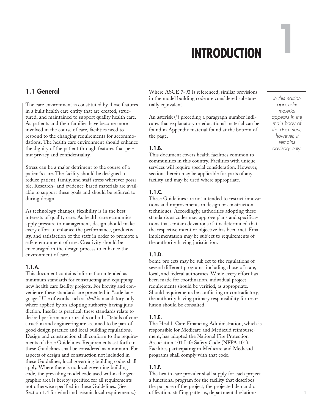## **INTRODUCTION**



#### **1.1 General**

The care environment is constituted by those features in a built health care entity that are created, structured, and maintained to support quality health care. As patients and their families have become more involved in the course of care, facilities need to respond to the changing requirements for accommodations. The health care environment should enhance the dignity of the patient through features that permit privacy and confidentiality.

Stress can be a major detriment to the course of a patient's care. The facility should be designed to reduce patient, family, and staff stress wherever possible. Research- and evidence-based materials are available to support these goals and should be referred to during design.

As technology changes, flexibility is in the best interests of quality care. As health care economics apply pressure to management, design should make every effort to enhance the performance, productivity, and satisfaction of the staff in order to promote a safe environment of care. Creativity should be encouraged in the design process to enhance the environment of care.

#### **1.1.A.**

This document contains information intended as minimum standards for constructing and equipping new health care facility projects. For brevity and convenience these standards are presented in "code language." Use of words such as *shall* is mandatory only where applied by an adopting authority having jurisdiction. Insofar as practical, these standards relate to desired performance or results or both. Details of construction and engineering are assumed to be part of good design practice and local building regulations. Design and construction shall conform to the requirements of these Guidelines. Requirements set forth in these Guidelines shall be considered as minimum. For aspects of design and construction not included in these Guidelines, local governing building codes shall apply. Where there is no local governing building code, the prevailing model code used within the geographic area is hereby specified for all requirements not otherwise specified in these Guidelines. (See Section 1.4 for wind and seismic local requirements.)

Where ASCE 7-93 is referenced, similar provisions in the model building code are considered substantially equivalent.

An asterisk (\*) preceding a paragraph number indicates that explanatory or educational material can be found in Appendix material found at the bottom of the page.

#### **1.1.B.**

This document covers health facilities common to communities in this country. Facilities with unique services will require special consideration. However, sections herein may be applicable for parts of any facility and may be used where appropriate.

#### **1.1.C.**

These Guidelines are not intended to restrict innovations and improvements in design or construction techniques. Accordingly, authorities adopting these standards as codes may approve plans and specifications that contain deviations if it is determined that the respective intent or objective has been met. Final implementation may be subject to requirements of the authority having jurisdiction.

#### **1.1.D.**

Some projects may be subject to the regulations of several different programs, including those of state, local, and federal authorities. While every effort has been made for coordination, individual project requirements should be verified, as appropriate. Should requirements be conflicting or contradictory, the authority having primary responsibility for resolution should be consulted.

#### **1.1.E.**

The Health Care Financing Administration, which is responsible for Medicare and Medicaid reimbursement, has adopted the National Fire Protection Association 101 Life Safety Code (NFPA 101). Facilities participating in Medicare and Medicaid programs shall comply with that code.

#### **1.1.F.**

The health care provider shall supply for each project a functional program for the facility that describes the purpose of the project, the projected demand or utilization, staffing patterns, departmental relation-

In this edition appendix material appears in the main body of the document; however, it remains advisory only.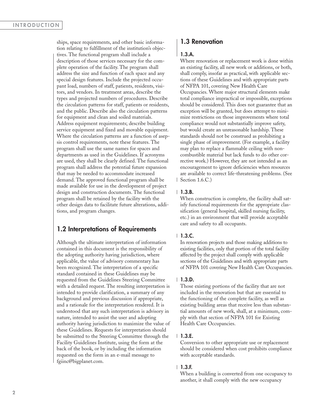ships, space requirements, and other basic information relating to fulfillment of the institution's objectives. The functional program shall include a description of those services necessary for the complete operation of the facility. The program shall address the size and function of each space and any special design features. Include the projected occupant load, numbers of staff, patients, residents, visitors, and vendors. In treatment areas, describe the types and projected numbers of procedures. Describe the circulation patterns for staff, patients or residents, and the public. Describe also the circulation patterns for equipment and clean and soiled materials. Address equipment requirements; describe building service equipment and fixed and movable equipment. Where the circulation patterns are a function of asepsis control requirements, note these features. The program shall use the same names for spaces and departments as used in the Guidelines. If acronyms are used, they shall be clearly defined. The functional program shall address the potential future expansion that may be needed to accommodate increased demand. The approved functional program shall be made available for use in the development of project design and construction documents. The functional program shall be retained by the facility with the other design data to facilitate future alterations, additions, and program changes.

#### **1.2 Interpretations of Requirements**

Although the ultimate interpretation of information contained in this document is the responsibility of the adopting authority having jurisdiction, where applicable, the value of advisory commentary has been recognized. The interpretation of a specific standard contained in these Guidelines may be requested from the Guidelines Steering Committee with a detailed request. The resulting interpretation is intended to provide clarification, a summary of any background and previous discussion if appropriate, and a rationale for the interpretation rendered. It is understood that any such interpretation is advisory in nature, intended to assist the user and adopting authority having jurisdiction to maximize the value of these Guidelines. Requests for interpretation should be submitted to the Steering Committee through the Facility Guidelines Institute, using the form at the back of the book, or by including the information requested on the form in an e-mail message to fgiinc@bigplanet.com.

#### **1.3 Renovation**

#### **1.3.A.**

Where renovation or replacement work is done within an existing facility, all new work or additions, or both, shall comply, insofar as practical, with applicable sections of these Guidelines and with appropriate parts of NFPA 101, covering New Health Care Occupancies. Where major structural elements make total compliance impractical or impossible, exceptions should be considered. This does not guarantee that an exception will be granted, but does attempt to minimize restrictions on those improvements where total compliance would not substantially improve safety, but would create an unreasonable hardship. These standards should not be construed as prohibiting a single phase of improvement. (For example, a facility may plan to replace a flammable ceiling with noncombustible material but lack funds to do other corrective work.) However, they are not intended as an encouragement to ignore deficiencies when resources are available to correct life-threatening problems. (See Section 1.6.C.)

#### **1.3.B.**

When construction is complete, the facility shall satisfy functional requirements for the appropriate classification (general hospital, skilled nursing facility, etc.) in an environment that will provide acceptable care and safety to all occupants.

#### **1.3.C.**

In renovation projects and those making additions to existing facilities, only that portion of the total facility affected by the project shall comply with applicable sections of the Guidelines and with appropriate parts of NFPA 101 covering New Health Care Occupancies.

#### **1.3.D.**

Those existing portions of the facility that are not included in the renovation but that are essential to the functioning of the complete facility, as well as existing building areas that receive less than substantial amounts of new work, shall, at a minimum, comply with that section of NFPA 101 for Existing Health Care Occupancies.

#### **1.3.E.**

Conversion to other appropriate use or replacement should be considered when cost prohibits compliance with acceptable standards.

#### **1.3.F.**

When a building is converted from one occupancy to another, it shall comply with the new occupancy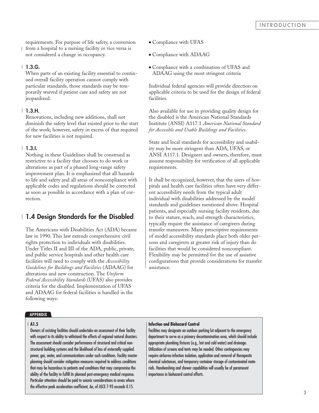requirements. For purpose of life safety, a conversion

from a hospital to a nursing facility or vice versa is not considered a change in occupancy.

#### **1.3.G.**

When parts of an existing facility essential to continued overall facility operation cannot comply with particular standards, those standards may be temporarily waived if patient care and safety are not jeopardized.

#### **1.3.H.**

Renovations, including new additions, shall not diminish the safety level that existed prior to the start of the work; however, safety in excess of that required for new facilities is not required.

#### **1.3.I.**

Nothing in these Guidelines shall be construed as restrictive to a facility that chooses to do work or alterations as part of a phased long-range safety improvement plan. It is emphasized that all hazards to life and safety and all areas of noncompliance with applicable codes and regulations should be corrected as soon as possible in accordance with a plan of correction.

#### **1.4 Design Standards for the Disabled**

The Americans with Disabilities Act (ADA) became law in 1990. This law extends comprehensive civil rights protection to individuals with disabilities. Under Titles II and III of the ADA, public, private, and public service hospitals and other health care facilities will need to comply with the *Accessibility Guidelines for Buildings and Facilities* (ADAAG) for alterations and new construction. The *Uniform Federal Accessibility Standards* (UFAS) also provides criteria for the disabled. Implementation of UFAS and ADAAG for federal facilities is handled in the following ways:

#### **APPENDIX**

#### **A1.5**

Owners of existing facilities should undertake an assessment of their facility with respect to its ability to withstand the effects of regional natural disasters. The assessment should consider performance of structural and critical nonstructural building systems and the likelihood of loss of externally supplied power, gas, water, and communications under such conditions. Facility master planning should consider mitigation measures required to address conditions that may be hazardous to patients and conditions that may compromise the ability of the facility to fulfill its planned post-emergency medical response. Particular attention should be paid to seismic considerations in areas where the effective peak acceleration coefficient, Aa, of ASCE 7-93 exceeds 0.15.

- Compliance with UFAS
- Compliance with ADAAG
- Compliance with a combination of UFAS and ADAAG using the most stringent criteria

Individual federal agencies will provide direction on applicable criteria to be used for the design of federal facilities.

Also available for use in providing quality design for the disabled is the American National Standards Institute (ANSI) A117.1 *American National Standard for Accessible and Usable Buildings and Facilities*.

State and local standards for accessibility and usability may be more stringent than ADA, UFAS, or ANSI A117.1. Designers and owners, therefore, must assume responsibility for verification of all applicable requirements.

It shall be recognized, however, that the users of hospitals and health care facilities often have very different accessibility needs from the typical adult individual with disabilities addressed by the model standards and guidelines mentioned above. Hospital patients, and especially nursing facility residents, due to their stature, reach, and strength characteristics, typically require the assistance of caregivers during transfer maneuvers. Many prescriptive requirements of model accessibility standards place both older persons and caregivers at greater risk of injury than do facilities that would be considered noncompliant. Flexibility may be permitted for the use of assistive configurations that provide considerations for transfer assistance.

#### **Infection and Biohazard Control**

Facilities may designate an outdoor parking lot adjacent to the emergency department to serve as a primary decontamination area, which should include appropriate plumbing fixtures (e.g., hot and cold water) and drainage. Utilization of screens and tents may be needed. Other contingencies may require airborne infection isolation, application and removal of therapeutic chemical substances, and temporary container storage of contaminated materials. Handwashing and shower capabilities will usually be of paramount importance in biohazard control efforts.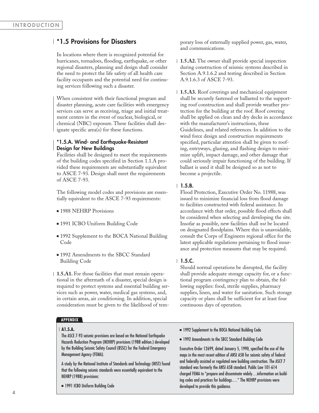#### **\*1.5 Provisions for Disasters**

In locations where there is recognized potential for hurricanes, tornadoes, flooding, earthquake, or other regional disasters, planning and design shall consider the need to protect the life safety of all health care facility occupants and the potential need for continuing services following such a disaster.

When consistent with their functional program and disaster planning, acute care facilities with emergency services can serve as receiving, triage and initial treatment centers in the event of nuclear, biological, or chemical (NBC) exposure. These facilities shall designate specific area(s) for these functions.

#### **\*1.5.A. Wind- and Earthquake-Resistant Design for New Buildings**

Facilities shall be designed to meet the requirements of the building codes specified in Section 1.1.A provided these requirements are substantially equivalent to ASCE 7-93. Design shall meet the requirements of ASCE 7-93.

The following model codes and provisions are essentially equivalent to the ASCE 7-93 requirements:

- 1988 NEHRP Provisions
- 1991 ICBO Uniform Building Code
- 1992 Supplement to the BOCA National Building Code
- 1992 Amendments to the SBCC Standard Building Code
- **1.5.A1.** For those facilities that must remain operational in the aftermath of a disaster, special design is required to protect systems and essential building services such as power, water, medical gas systems, and, in certain areas, air conditioning. In addition, special consideration must be given to the likelihood of tem-

#### **APPENDIX**

#### **A1.5.A.**

The ASCE 7-93 seismic provisions are based on the National Earthquake Hazards Reduction Program (NEHRP) provisions (1988 edition.) developed by the Building Seismic Safety Council (BSSC) for the Federal Emergency Management Agency (FEMA).

A study by the National Institute of Standards and Technology (NIST) found that the following seismic standards were essentially equivalent to the NEHRP (1988) provisions:

■ 1991 ICBO Uniform Building Code

porary loss of externally supplied power, gas, water, and communications.

- **1.5.A2.** The owner shall provide special inspection during construction of seismic systems described in Section A.9.1.6.2 and testing described in Section A.9.1.6.3 of ASCE 7-93.
- **1.5.A3.** Roof coverings and mechanical equipment shall be securely fastened or ballasted to the supporting roof construction and shall provide weather protection for the building at the roof. Roof covering shall be applied on clean and dry decks in accordance with the manufacturer's instructions, these Guidelines, and related references. In addition to the wind force design and construction requirements specified, particular attention shall be given to roofing, entryways, glazing, and flashing design to minimize uplift, impact damage, and other damage that could seriously impair functioning of the building. If ballast is used it shall be designed so as not to become a projectile.

#### **1.5.B.**

Flood Protection, Executive Order No. 11988, was issued to minimize financial loss from flood damage to facilities constructed with federal assistance. In accordance with that order, possible flood effects shall be considered when selecting and developing the site. Insofar as possible, new facilities shall *not* be located on designated floodplains. Where this is unavoidable, consult the Corps of Engineers regional office for the latest applicable regulations pertaining to flood insurance and protection measures that may be required.

#### **1.5.C.**

Should normal operations be disrupted, the facility shall provide adequate storage capacity for, or a functional program contingency plan to obtain, the following supplies: food, sterile supplies, pharmacy supplies, linen, and water for sanitation. Such storage capacity or plans shall be sufficient for at least four continuous days of operation.

- 1992 Supplement to the BOCA National Building Code
- 1992 Amendments to the SBCC Standard Building Code

Executive Order 12699, dated January 5, 1990, specified the use of the maps in the most recent edition of ANSI A58 for seismic safety of federal and federally assisted or regulated new building construction. The ASCF 7 standard was formerly the ANSI A58 standard. Public Law 101-614 charged FEMA to "prepare and disseminate widely...information on building codes and practices for buildings.…" The NEHRP provisions were developed to provide this guidance.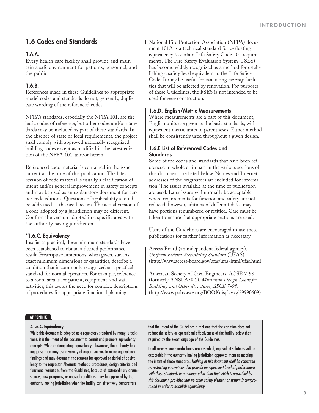#### **1.6 Codes and Standards**

#### **1.6.A.**

Every health care facility shall provide and maintain a safe environment for patients, personnel, and the public.

#### **1.6.B.**

References made in these Guidelines to appropriate model codes and standards do not, generally, duplicate wording of the referenced codes.

NFPA's standards, especially the NFPA 101, are the basic codes of reference; but other codes and/or standards may be included as part of these standards. In the absence of state or local requirements, the project shall comply with approved nationally recognized building codes except as modified in the latest edition of the NFPA 101, and/or herein.

Referenced code material is contained in the issue current at the time of this publication. The latest revision of code material is usually a clarification of intent and/or general improvement in safety concepts and may be used as an explanatory document for earlier code editions. Questions of applicability should be addressed as the need occurs. The actual version of a code adopted by a jurisdiction may be different. Confirm the version adopted in a specific area with the authority having jurisdiction.

#### **\*1.6.C. Equivalency**

Insofar as practical, these minimum standards have been established to obtain a desired performance result. Prescriptive limitations, when given, such as exact minimum dimensions or quantities, describe a condition that is commonly recognized as a practical standard for normal operation. For example, reference to a room area is for patient, equipment, and staff activities; this avoids the need for complex descriptions of procedures for appropriate functional planning.

National Fire Protection Association (NFPA) document 101A is a technical standard for evaluating equivalency to certain Life Safety Code 101 requirements. The Fire Safety Evaluation System (FSES) has become widely recognized as a method for establishing a safety level equivalent to the Life Safety Code. It may be useful for evaluating *existing* facilities that will be affected by renovation. For purposes of these Guidelines, the FSES is not intended to be used for *new* construction.

#### **1.6.D. English/Metric Measurements**

Where measurements are a part of this document, English units are given as the basic standards, with equivalent metric units in parentheses. Either method shall be consistently used throughout a given design.

#### **1.6.E List of Referenced Codes and Standards**

Some of the codes and standards that have been referenced in whole or in part in the various sections of this document are listed below. Names and Internet addresses of the originators are included for information. The issues available at the time of publication are used. Later issues will normally be acceptable where requirements for function and safety are not reduced; however, editions of different dates may have portions renumbered or retitled. Care must be taken to ensure that appropriate sections are used.

Users of the Guidelines are encouraged to use these publications for further information as necessary.

Access Board (an independent federal agency). *Uniform Federal Accessibility Standard* (UFAS). (http://www.access-board.gov/ufas/ufas-html/ufas.htm)

American Society of Civil Engineers. ACSE 7-98 (formerly ANSI A58.1). *Minimum Design Loads for Buildings and Other Structures, ASCE 7-98*. (http://www.pubs.asce.org/BOOKdisplay.cgi?9990609)

#### **APPENDIX**

#### **A1.6.C. Equivalency**

While this document is adopted as a regulatory standard by many jurisdictions, it is the intent of the document to permit and promote equivalency concepts. When contemplating equivalency allowances, the authority having jurisdiction may use a variety of expert sources to make equivalency findings and may document the reasons for approval or denial of equivalency to the requestor. Alternate methods, procedures, design criteria, and functional variations from the Guidelines, because of extraordinary circumstances, new programs, or unusual conditions, may be approved by the authority having jurisdiction when the facility can effectively demonstrate

that the intent of the Guidelines is met and that the variation does not reduce the safety or operational effectiveness of the facility below that required by the exact language of the Guidelines.

In all cases where specific limits are described, equivalent solutions will be acceptable if the authority having jurisdiction approves them as meeting the intent of these standards. Nothing in this document shall be construed as restricting innovations that provide an equivalent level of performance with these standards in a manner other than that which is prescribed by this document, provided that no other safety element or system is compromised in order to establish equivalency.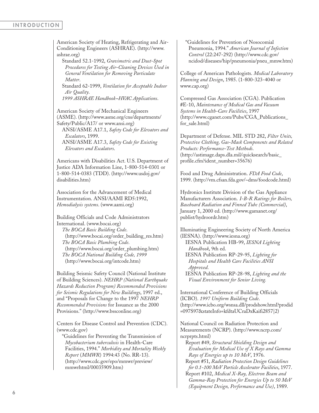#### **INTRODUCTION**

American Society of Heating, Refrigerating and Air-Conditioning Engineers (ASHRAE). (http://www. ashrae.org)

Standard 52.1-1992, *Gravimetric and Dust-Spot Procedures for Testing Air-Cleaning Devices Used in General Ventilation for Removing Particulate Matter*.

Standard 62-1999, *Ventilation for Acceptable Indoor Air Quality*.

*1999 ASHRAE Handbook*−*HVAC Applications*.

American Society of Mechanical Engineers (ASME). (http://www.asme.org/cns/departments/ Safety/Public/A17/ or www.ansi.org) ANSI/ASME A17.1, *Safety Code for Elevators and*

*Escalators*, 1999. ANSI/ASME A17.3, *Safety Code for Existing Elevators and Escalators*.

Americans with Disabilities Act. U.S. Department of Justice ADA Information Line, 1-800-514-0301 or 1-800-514-0383 (TDD). (http://www.usdoj.gov/ disabilities.htm)

Association for the Advancement of Medical Instrumentation. ANSI/AAMI RD5:1992, *Hemodialysis systems*. (www.aami.org)

Building Officials and Code Administrators International. (www.bocai.org)

*The BOCA Basic Building Code*. (http://www.bocai.org/order\_building\_res.htm) *The BOCA Basic Plumbing Code*. (http://www.bocai.org/order\_plumbing.htm) *The BOCA National Building Code, 1999* (http://www.bocai.org/intcode.htm)

Building Seismic Safety Council (National Institute of Building Sciences). *NEHRP (National Earthquake Hazards Reduction Program) Recommended Provisions for Seismic Regulations for New Buildings*, 1997 ed., and "Proposals for Change to the 1997 *NEHRP Recommended Provisions* for Issuance as the 2000 Provisions." (http://www.bssconline.org)

Centers for Disease Control and Prevention (CDC). (www.cdc.gov)

"Guidelines for Preventing the Transmission of *Mycobacterium tuberculosis* in Health-Care Facilities, 1994." *Morbidity and Mortality Weekly Report* (*MMWR*) 1994:43 (No. RR-13). (http://www.cdc.gov/epo/mmwr/preview/ mmwrhtml/00035909.htm)

"Guidelines for Prevention of Nosocomial Pneumonia, 1994." *American Journal of Infection Control* (22:247-292) (http://www.cdc.gov/ ncidod/diseases/hip/pneumonia/pneu\_mmw.htm)

College of American Pathologists. *Medical Laboratory Planning and Design*, 1985. (1-800-323-4040 or www.cap.org)

Compressed Gas Association (CGA). Publication #E-10, *Maintenance of Medical Gas and Vacuum Systems in Health-Care Facilities*, 1997 (http://www.cganet.com/Pubs/CGA\_Publications\_ for\_sale.html)

Department of Defense. MIL STD 282, *Filter Units, Protective Clothing, Gas-Mask Components and Related Products: Performance-Test Methods*. (http://astimage.daps.dla.mil/quicksearch/basic\_ profile.cfm?ident\_number=35676)

Food and Drug Administration. *FDA Food Code*, 1999. (http://vm.cfsan.fda.gov/~dms/foodcode.html)

Hydronics Institute Division of the Gas Appliance Manufacturers Association. *I-B-R Ratings for Boilers, Baseboard Radiation and Finned Tube (Commercial)*, January 1, 2000 ed. (http://www.gamanet.org/ publist/hydroordr.htm)

Illuminating Engineering Society of North America (IESNA). (http://www.iesna.org) IESNA Publication HB-99, *IESNA Lighting Handbook*, 9th ed. IESNA Publication RP-29-95, *Lighting for Hospitals and Health Care Facilities ANSI Approved*. IESNA Publication RP-28-98, *Lighting and the Visual Environment for Senior Living.*

International Conference of Building Officials (ICBO). *1997 Uniform Building Code*. (http://www.icbo.org/wsnsa.dll/prodshow.html?prodid =097S97&stateInfo=kfdtaUCraDxKaifi2857|2)

National Council on Radiation Protection and Measurements (NCRP). (http://www.ncrp.com/ ncrprpts.html)

Report #49, *Structural Shielding Design and Evaluation for Medical Use of X Rays and Gamma Rays of Energies up to 10 MeV*, 1976.

Report #51, *Radiation Protection Design Guidelines for 0.1-100 MeV Particle Accelerator Facilities*, 1977. Report #102, *Medical X-Ray, Electron Beam and Gamma-Ray Protection for Energies Up to 50 MeV (Equipment Design, Performance and Use)*, 1989.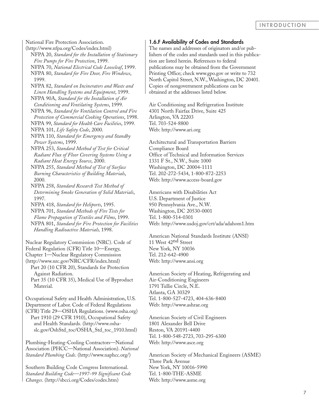National Fire Protection Association. (http://www.nfpa.org/Codes/index.html) NFPA 20, *Standard for the Installation of Stationary Fire Pumps for Fire Protection*, 1999. NFPA 70, *National Electrical Code Looseleaf*, 1999. NFPA 80, *Standard for Fire Door, Fire Windows*, 1999. NFPA 82, *Standard on Incinerators and Waste and Linen Handling Systems and Equipment*, 1999. NFPA 90A, *Standard for the Installation of Air Conditioning and Ventilating Systems*, 1999. NFPA 96, *Standard for Ventilation Control and Fire Protection of Commercial Cooking Operations*, 1998. NFPA 99, *Standard for Health Care Facilities*, 1999. NFPA 101, *Life Safety Code*, 2000. NFPA 110, *Standard for Emergency and Standby Power Systems*, 1999. NFPA 253, *Standard Method of Test for Critical Radiant Flux of Floor Covering Systems Using a Radiant Heat Energy Source*, 2000. NFPA 255, *Standard Method of Test of Surface Burning Characteristics of Building Materials*, 2000. NFPA 258, *Standard Research Test Method of Determining Smoke Generation of Solid Materials*, 1997.

NFPA 418, *Standard for Heliports*, 1995. NFPA 701, *Standard Methods of Fire Tests for Flame Propagation of Textiles and Films*, 1999. NFPA 801, *Standard for Fire Protection for Facilities Handling Radioactive Materials,* 1998.

Nuclear Regulatory Commission (NRC). Code of Federal Regulation (CFR) Title 10—Energy, Chapter 1—Nuclear Regulatory Commission (http://www.nrc.gov/NRC/CFR/index.html)

Part 20 (10 CFR 20), Standards for Protection Against Radiation. Part 35 (10 CFR 35), Medical Use of Byproduct

Material.

Occupational Safety and Health Administration, U.S. Department of Labor. Code of Federal Regulations (CFR) Title 29—OSHA Regulations. (www.osha.org) Part 1910 (29 CFR 1910), Occupational Safety and Health Standards. (http://www.osha-

slc.gov/OshStd\_toc/OSHA\_Std\_toc\_1910.html)

Plumbing-Heating-Cooling Contractors—National Association (PHCC—National Association). *National Standard Plumbing Code*. (http://www.naphcc.org/)

Southern Building Code Congress International. *Standard Building Code—1997-99 Significant Code Changes*. (http://sbcci.org/Codes/codes.htm)

#### **1.6.F Availability of Codes and Standards**

The names and addresses of originators and/or publishers of the codes and standards used in this publication are listed herein. References to federal publications may be obtained from the Government Printing Office; check www.gpo.gov or write to 732 North Capitol Street, N.W., Washington, DC 20401. Copies of nongovernment publications can be obtained at the addresses listed below.

Air Conditioning and Refrigeration Institute 4301 North Fairfax Drive, Suite 425 Arlington, VA 22203 Tel. 703-524-8800 Web: http://www.ari.org

Architectural and Transportation Barriers Compliance Board Office of Technical and Information Services 1331 F St., N.W., Suite 1000 Washington, DC 20004-1111 Tel. 202-272-5434, 1-800-872-2253 Web: http://www.access-board.gov

Americans with Disabilities Act U.S. Department of Justice 950 Pennsylvania Ave., N.W. Washington, DC 20530-0001 Tel. 1-800-514-0301 Web: http://www.usdoj.gov/crt/ada/adahom1.htm

American National Standards Institute (ANSI) 11 West 42<sup>nd</sup> Street New York, NY 10036 Tel. 212-642-4900 Web: http://www.ansi.org

American Society of Heating, Refrigerating and Air-Conditioning Engineers 1791 Tullie Circle, N.E. Atlanta, GA 30329 Tel. 1-800-527-4723, 404-636-8400 Web: http://www.ashrae.org

American Society of Civil Engineers 1801 Alexander Bell Drive Reston, VA 20191-4400 Tel. 1-800-548-2723, 703-295-6300 Web: http://www.asce.org

American Society of Mechanical Engineers (ASME) Three Park Avenue New York, NY 10016-5990 Tel. 1-800-THE-ASME Web: http://www.asme.org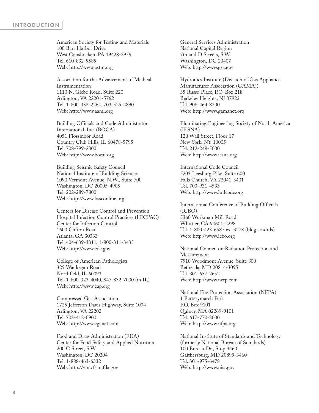#### **INTRODUCTION**

American Society for Testing and Materials 100 Barr Harbor Drive West Conshocken, PA 19428-2959 Tel. 610-832-9585 Web: http://www.astm.org

Association for the Advancement of Medical Instrumentation 1110 N. Glebe Road, Suite 220 Arlington, VA 22201-5762 Tel. 1-800-332-2264, 703-525-4890 Web: http://www.aami.org

Building Officials and Code Administrators International, Inc. (BOCA) 4051 Flossmoor Road Country Club Hills, IL 60478-5795 Tel. 708-799-2300 Web: http://www.bocai.org

Building Seismic Safety Council National Institute of Building Sciences 1090 Vermont Avenue, N.W., Suite 700 Washington, DC 20005-4905 Tel. 202-289-7800 Web: http://www.bssconline.org

Centers for Disease Control and Prevention Hospital Infection Control Practices (HICPAC) Center for Infection Control 1600 Clifton Road Atlanta, GA 30333 Tel. 404-639-3311, 1-800-311-3435 Web: http://www.cdc.gov

College of American Pathologists 325 Waukegan Road Northfield, IL 60093 Tel. 1-800-323-4040, 847-832-7000 (in IL) Web: http://www.cap.org

Compressed Gas Association 1725 Jefferson Davis Highway, Suite 1004 Arlington, VA 22202 Tel. 703-412-0900 Web: http://www.cganet.com

Food and Drug Administration (FDA) Center for Food Safety and Applied Nutrition 200 C Street, S.W. Washington, DC 20204 Tel. 1-888-463-6332 Web: http://vm.cfsan.fda.gov

General Services Administration National Capital Region 7th and D Streets, S.W. Washington, DC 20407 Web: http://www.gsa.gov

Hydronics Institute (Division of Gas Appliance Manufacturer Association (GAMA)) 35 Russo Place, P.O. Box 218 Berkeley Heights, NJ 07922 Tel. 908-464-8200 Web: http://www.gamanet.org

Illuminating Engineering Society of North America (IESNA) 120 Wall Street, Floor 17 New York, NY 10005 Tel. 212-248-5000 Web: http://www.iesna.org

International Code Council 5203 Leesburg Pike, Suite 600 Falls Church, VA 22041-3401 Tel. 703-931-4533 Web: http://www.intlcode.org

International Conference of Building Officials (ICBO) 5360 Workman Mill Road Whittier, CA 90601-2298 Tel. 1-800-423-6587 ext 3278 (bldg stndrds) Web: http://www.icbo.org

National Council on Radiation Protection and Measurement 7910 Woodmont Avenue, Suite 800 Bethesda, MD 20814-3095 Tel. 301-657-2652 Web: http://www.ncrp.com

National Fire Protection Association (NFPA) 1 Batterymarch Park P.O. Box 9101 Quincy, MA 02269-9101 Tel. 617-770-3000 Web: http://www.nfpa.org

National Institute of Standards and Technology (formerly National Bureau of Standards) 100 Bureau Dr., Stop 3460 Gaithersburg, MD 20899-3460 Tel. 301-975-6478 Web: http://www.nist.gov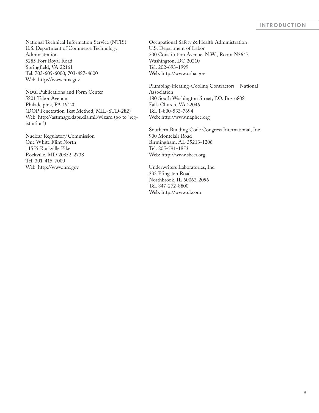National Technical Information Service (NTIS) U.S. Department of Commerce Technology Administration 5285 Port Royal Road Springfield, VA 22161 Tel. 703-605-6000, 703-487-4600 Web: http://www.ntis.gov

Naval Publications and Form Center 5801 Tabor Avenue Philadelphia, PA 19120 (DOP Penetration Test Method, MIL-STD-282) Web: http://astimage.daps.dla.mil/wizard (go to "registration")

Nuclear Regulatory Commission One White Flint North 11555 Rockville Pike Rockville, MD 20852-2738 Tel. 301-415-7000 Web: http://www.nrc.gov

Occupational Safety & Health Administration U.S. Department of Labor 200 Constitution Avenue, N.W., Room N3647 Washington, DC 20210 Tel. 202-693-1999 Web: http://www.osha.gov

Plumbing-Heating-Cooling Contractors—National Association 180 South Washington Street, P.O. Box 6808 Falls Church, VA 22046 Tel. 1-800-533-7694 Web: http://www.naphcc.org

Southern Building Code Congress International, Inc. 900 Montclair Road Birmingham, AL 35213-1206 Tel. 205-591-1853 Web: http://www.sbcci.org

Underwriters Laboratories, Inc. 333 Pfingsten Road Northbrook, IL 60062-2096 Tel. 847-272-8800 Web: http://www.ul.com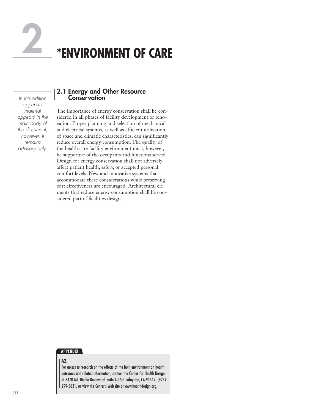**2**

## **\*ENVIRONMENT OF CARE**

In this edition appendix material appears in the main body of the document; however, it remains advisory only.

## **2.1 Energy and Other Resource Conservation**

The importance of energy conservation shall be considered in all phases of facility development or renovation. Proper planning and selection of mechanical and electrical systems, as well as efficient utilization of space and climatic characteristics, can significantly reduce overall energy consumption. The quality of the health care facility environment must, however, be supportive of the occupants and functions served. Design for energy conservation shall not adversely affect patient health, safety, or accepted personal comfort levels. New and innovative systems that accommodate these considerations while preserving cost effectiveness are encouraged. Architectural elements that reduce energy consumption shall be considered part of facilities design.

#### **APPENDIX**

#### **A2.**

For access to research on the effects of the built environment on health outcomes and related information, contact the Center for Health Design at 3470 Mt. Diablo Boulevard, Suite A-150, Lafayette, CA 94549; (925) 299-3631, or view the Center's Web site at www.healthdesign.org.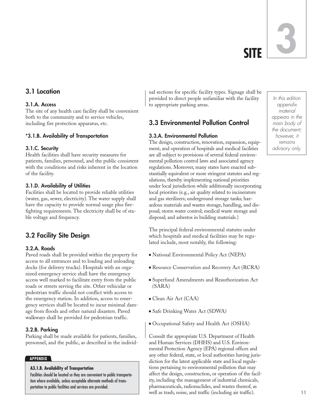# **3 SITE**

#### **3.1 Location**

#### **3.1.A. Access**

The site of any health care facility shall be convenient both to the community and to service vehicles, including fire protection apparatus, etc.

#### **\*3.1.B. Availability of Transportation**

#### **3.1.C. Security**

Health facilities shall have security measures for patients, families, personnel, and the public consistent with the conditions and risks inherent in the location of the facility.

#### **3.1.D. Availability of Utilities**

Facilities shall be located to provide reliable utilities (water, gas, sewer, electricity). The water supply shall have the capacity to provide normal usage plus firefighting requirements. The electricity shall be of stable voltage and frequency.

#### **3.2 Facility Site Design**

#### **3.2.A. Roads**

Paved roads shall be provided within the property for access to all entrances and to loading and unloading docks (for delivery trucks). Hospitals with an organized emergency service shall have the emergency access well marked to facilitate entry from the public roads or streets serving the site. Other vehicular or pedestrian traffic should not conflict with access to the emergency station. In addition, access to emergency services shall be located to incur minimal damage from floods and other natural disasters. Paved walkways shall be provided for pedestrian traffic.

#### **3.2.B. Parking**

Parking shall be made available for patients, families, personnel, and the public, as described in the individ-

#### **APPENDIX**

#### **A3.1.B. Availability of Transportation**

Facilities should be located so they are convenient to public transportation where available, unless acceptable alternate methods of transportation to public facilities and services are provided.

ual sections for specific facility types. Signage shall be provided to direct people unfamiliar with the facility to appropriate parking areas.

#### **3.3 Environmental Pollution Control**

#### **3.3.A. Environmental Pollution**

The design, construction, renovation, expansion, equipment, and operation of hospitals and medical facilities are all subject to provisions of several federal environmental pollution control laws and associated agency regulations. Moreover, many states have enacted substantially equivalent or more stringent statutes and regulations, thereby implementing national priorities under local jurisdiction while additionally incorporating local priorities (e.g., air quality related to incinerators and gas sterilizers; underground storage tanks; hazardous materials and wastes storage, handling, and disposal; storm water control; medical waste storage and disposal; and asbestos in building materials.)

The principal federal environmental statutes under which hospitals and medical facilities may be regulated include, most notably, the following:

- National Environmental Policy Act (NEPA)
- Resource Conservation and Recovery Act (RCRA)
- Superfund Amendments and Reauthorization Act (SARA)
- Clean Air Act (CAA)
- Safe Drinking Water Act (SDWA)
- Occupational Safety and Health Act (OSHA)

Consult the appropriate U.S. Department of Health and Human Services (DHHS) and U.S. Environmental Protection Agency (EPA) regional offices and any other federal, state, or local authorities having jurisdiction for the latest applicable state and local regulations pertaining to environmental pollution that may affect the design, construction, or operation of the facility, including the management of industrial chemicals, pharmaceuticals, radionuclides, and wastes thereof, as well as trash, noise, and traffic (including air traffic).

In this edition appendix material appears in the main body of the document; however, it remains advisory only.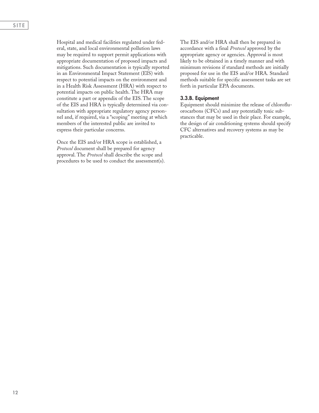Hospital and medical facilities regulated under federal, state, and local environmental pollution laws may be required to support permit applications with appropriate documentation of proposed impacts and mitigations. Such documentation is typically reported in an Environmental Impact Statement (EIS) with respect to potential impacts on the environment and in a Health Risk Assessment (HRA) with respect to potential impacts on public health. The HRA may constitute a part or appendix of the EIS. The scope of the EIS and HRA is typically determined via consultation with appropriate regulatory agency personnel and, if required, via a "scoping" meeting at which members of the interested public are invited to express their particular concerns.

Once the EIS and/or HRA scope is established, a *Protocol* document shall be prepared for agency approval. The *Protocol* shall describe the scope and procedures to be used to conduct the assessment(s). The EIS and/or HRA shall then be prepared in accordance with a final *Protocol* approved by the appropriate agency or agencies. Approval is most likely to be obtained in a timely manner and with minimum revisions if standard methods are initially proposed for use in the EIS and/or HRA. Standard methods suitable for specific assessment tasks are set forth in particular EPA documents.

#### **3.3.B. Equipment**

Equipment should minimize the release of chlorofluorocarbons (CFCs) and any potentially toxic substances that may be used in their place. For example, the design of air conditioning systems should specify CFC alternatives and recovery systems as may be practicable.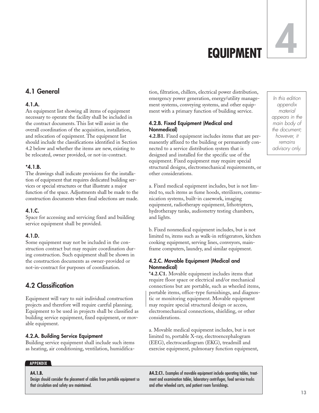## **EQUIPMENT**

#### **4.1 General**

#### **4.1.A.**

An equipment list showing all items of equipment necessary to operate the facility shall be included in the contract documents. This list will assist in the overall coordination of the acquisition, installation, and relocation of equipment. The equipment list should include the classifications identified in Section 4.2 below and whether the items are new, existing to be relocated, owner provided, or not-in-contract.

#### **\*4.1.B.**

The drawings shall indicate provisions for the installation of equipment that requires dedicated building services or special structures or that illustrate a major function of the space. Adjustments shall be made to the construction documents when final selections are made.

#### **4.1.C.**

Space for accessing and servicing fixed and building service equipment shall be provided.

#### **4.1.D.**

Some equipment may not be included in the construction contract but may require coordination during construction. Such equipment shall be shown in the construction documents as owner-provided or not-in-contract for purposes of coordination.

#### **4.2 Classification**

Equipment will vary to suit individual construction projects and therefore will require careful planning. Equipment to be used in projects shall be classified as building service equipment, fixed equipment, or movable equipment.

#### **4.2.A. Building Service Equipment**

Building service equipment shall include such items as heating, air conditioning, ventilation, humidifica-

#### **APPENDIX**

#### **A4.1.B.**

Design should consider the placement of cables from portable equipment so that circulation and safety are maintained.

tion, filtration, chillers, electrical power distribution, emergency power generation, energy/utility management systems, conveying systems, and other equipment with a primary function of building service.

#### **4.2.B. Fixed Equipment (Medical and Nonmedical)**

**4.2.B1.** Fixed equipment includes items that are permanently affixed to the building or permanently connected to a service distribution system that is designed and installed for the specific use of the equipment. Fixed equipment may require special structural designs, electromechanical requirements, or other considerations.

a. Fixed medical equipment includes, but is not limited to, such items as fume hoods, sterilizers, communication systems, built-in casework, imaging equipment, radiotherapy equipment, lithotripters, hydrotherapy tanks, audiometry testing chambers, and lights.

b. Fixed nonmedical equipment includes, but is not limited to, items such as walk-in refrigerators, kitchen cooking equipment, serving lines, conveyors, mainframe computers, laundry, and similar equipment.

#### **4.2.C. Movable Equipment (Medical and Nonmedical)**

**\*4.2.C1.** Movable equipment includes items that require floor space or electrical and/or mechanical connections but are portable, such as wheeled items, portable items, office-type furnishings, and diagnostic or monitoring equipment. Movable equipment may require special structural design or access, electromechanical connections, shielding, or other considerations.

a. Movable medical equipment includes, but is not limited to, portable X-ray, electroencephalogram (EEG), electrocardiogram (EKG), treadmill and exercise equipment, pulmonary function equipment,

**A4.2.C1.** Examples of movable equipment include operating tables, treatment and examination tables, laboratory centrifuges, food service trucks and other wheeled carts, and patient room furnishings.

In this edition appendix material appears in the main body of the document; however, it remains advisory only.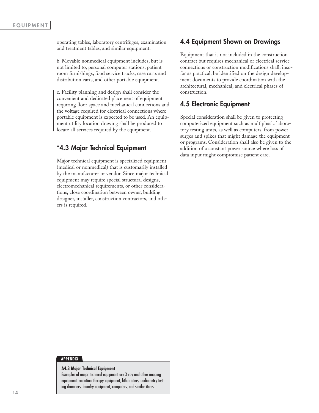operating tables, laboratory centrifuges, examination and treatment tables, and similar equipment.

b. Movable nonmedical equipment includes, but is not limited to, personal computer stations, patient room furnishings, food service trucks, case carts and distribution carts, and other portable equipment.

c. Facility planning and design shall consider the convenient and dedicated placement of equipment requiring floor space and mechanical connections and the voltage required for electrical connections where portable equipment is expected to be used. An equipment utility location drawing shall be produced to locate all services required by the equipment.

#### **\*4.3 Major Technical Equipment**

Major technical equipment is specialized equipment (medical or nonmedical) that is customarily installed by the manufacturer or vendor. Since major technical equipment may require special structural designs, electromechanical requirements, or other considerations, close coordination between owner, building designer, installer, construction contractors, and others is required.

#### **4.4 Equipment Shown on Drawings**

Equipment that is not included in the construction contract but requires mechanical or electrical service connections or construction modifications shall, insofar as practical, be identified on the design development documents to provide coordination with the architectural, mechanical, and electrical phases of construction.

#### **4.5 Electronic Equipment**

Special consideration shall be given to protecting computerized equipment such as multiphasic laboratory testing units, as well as computers, from power surges and spikes that might damage the equipment or programs. Consideration shall also be given to the addition of a constant power source where loss of data input might compromise patient care.

#### **APPENDIX**

#### **A4.3 Major Technical Equipment**

Examples of major technical equipment are X-ray and other imaging equipment, radiation therapy equipment, lithotripters, audiometry testing chambers, laundry equipment, computers, and similar items.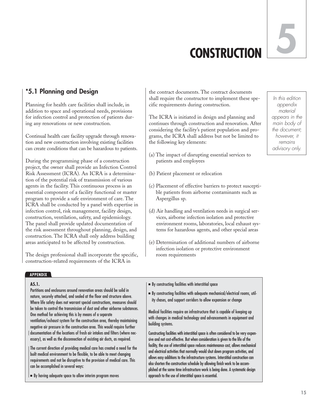# **CONSTRUCTION**

#### **\*5.1 Planning and Design**

Planning for health care facilities shall include, in addition to space and operational needs, provisions for infection control and protection of patients during any renovations or new construction.

Continual health care facility upgrade through renovation and new construction involving existing facilities can create conditions that can be hazardous to patients.

During the programming phase of a construction project, the owner shall provide an Infection Control Risk Assessment (ICRA). An ICRA is a determination of the potential risk of transmission of various agents in the facility. This continuous process is an essential component of a facility functional or master program to provide a safe environment of care. The ICRA shall be conducted by a panel with expertise in infection control, risk management, facility design, construction, ventilation, safety, and epidemiology. The panel shall provide updated documentation of the risk assessment throughout planning, design, and construction. The ICRA shall only address building areas anticipated to be affected by construction.

The design professional shall incorporate the specific, construction-related requirements of the ICRA in

the contract documents. The contract documents shall require the constructor to implement these specific requirements during construction.

The ICRA is initiated in design and planning and continues through construction and renovation. After considering the facility's patient population and programs, the ICRA shall address but not be limited to the following key elements:

- (a) The impact of disrupting essential services to patients and employees
- (b) Patient placement or relocation
- (c) Placement of effective barriers to protect susceptible patients from airborne contaminants such as Aspergillus sp.
- (d) Air handling and ventilation needs in surgical services, airborne infection isolation and protective environment rooms, laboratories, local exhaust systems for hazardous agents, and other special areas
- (e) Determination of additional numbers of airborne infection isolation or protective environment room requirements

**APPENDIX**

#### **A5.1.**

Partitions and enclosures around renovation areas should be solid in nature, securely attached, and sealed at the floor and structure above. Where life safety does not warrant special constructions, measures should be taken to control the transmission of dust and other airborne substances. One method for achieving this is by means of a separate ventilation/exhaust system for the construction area, thereby maintaining negative air pressure in the construction area. This would require further documentation of the locations of fresh air intakes and filters (where necessary), as well as the disconnection of existing air ducts, as required.

The current direction of providing medical care has created a need for the built medical environment to be flexible, to be able to meet changing requirements and not be disruptive to the provision of medical care. This can be accomplished in several ways:

■ By having adequate space to allow interim program moves

- By constructing facilities with interstitial space
- By constructing facilities with adequate mechanical/electrical rooms, utility chases, and support corridors to allow expansion or change

Medical facilities require an infrastructure that is capable of keeping up with changes in medical technology and advancements in equipment and building systems.

Constructing facilities with interstitial space is often considered to be very expensive and not cost-effective. But when consideration is given to the life of the facility, the use of interstitial space reduces maintenance cost, allows mechanical and electrical activities that normally would shut down program activities, and allows easy additions to the infrastructure systems. Interstitial construction can also shorten the construction schedule by allowing finish work to be accomplished at the same time infrastructure work is being done. A systematic design approach to the use of interstitial space is essential.

In this edition appendix material appears in the main body of the document; however, it remains advisory only.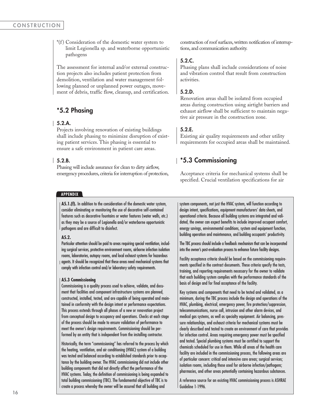#### **CONSTRUCTION**

\*(f ) Consideration of the domestic water system to limit Legionella sp. and waterborne opportunistic pathogens

The assessment for internal and/or external construction projects also includes patient protection from demolition, ventilation and water management following planned or unplanned power outages, movement of debris, traffic flow, cleanup, and certification.

#### **\*5.2 Phasing**

#### **5.2.A.**

Projects involving renovation of existing buildings shall include phasing to minimize disruption of existing patient services. This phasing is essential to ensure a safe environment in patient care areas.

#### **5.2.B.**

Phasing will include assurance for clean to dirty airflow, emergency procedures, criteria for interruption of protection,

#### **APPENDIX**

**A5.1.(f).** In addition to the consideration of the domestic water system, consider eliminating or monitoring the use of decorative self-contained features such as decorative fountains or water features (water walls, etc.) as they may be a source of Legionella and/or waterborne opportunistic pathogens and are difficult to disinfect.

#### **A5.2.**

Particular attention should be paid to areas requiring special ventilation, including surgical services, protective environment rooms, airborne infection isolation rooms, laboratories, autopsy rooms, and local exhaust systems for hazardous agents. It should be recognized that these areas need mechanical systems that comply with infection control and/or laboratory safety requirements.

#### **A5.3 Commissioning**

Commissioning is a quality process used to achieve, validate, and document that facilities and component infrastructure systems are planned, constructed, installed, tested, and are capable of being operated and maintained in conformity with the design intent or performance expectations. This process extends through all phases of a new or renovation project from conceptual design to occupancy and operations. Checks at each stage of the process should be made to ensure validation of performance to meet the owner's design requirements. Commissioning should be performed by an entity that is independent from the installing contractor.

Historically, the term "commissioning" has referred to the process by which the heating, ventilation, and air conditioning (HVAC) system of a building was tested and balanced according to established standards prior to acceptance by the building owner. The HVAC commissioning did not include other building components that did not directly affect the performance of the HVAC systems. Today, the definition of commissioning is being expanded to total building commissioning (TBC). The fundamental objective of TBC is to create a process whereby the owner will be assured that all building and

construction of roof surfaces, written notification of interruptions, and communication authority.

#### **5.2.C.**

Phasing plans shall include considerations of noise and vibration control that result from construction activities.

#### **5.2.D.**

Renovation areas shall be isolated from occupied areas during construction using airtight barriers and exhaust airflow shall be sufficient to maintain negative air pressure in the construction zone.

#### **5.2.E.**

Existing air quality requirements and other utility requirements for occupied areas shall be maintained.

#### **\*5.3 Commissioning**

Acceptance criteria for mechanical systems shall be specified. Crucial ventilation specifications for air

system components, not just the HVAC system, will function according to design intent, specifications, equipment manufacturers' data sheets, and operational criteria. Because all building systems are integrated and validated, the owner can expect benefits to include improved occupant comfort, energy savings, environmental conditions, system and equipment function, building operation and maintenance, and building occupants' productivity.

The TBC process should include a feedback mechanism that can be incorporated into the owner's post-evaluation process to enhance future facility designs.

Facility acceptance criteria should be based on the commissioning requirements specified in the contract documents. These criteria specify the tests, training, and reporting requirements necessary for the owner to validate that each building system complies with the performance standards of the basis of design and for final acceptance of the facility.

Key systems and components that need to be tested and validated, as a minimum, during the TBC process include the design and operations of the HVAC, plumbing, electrical, emergency power, fire protection/suppression, telecommunications, nurse call, intrusion and other alarm devices, and medical gas systems, as well as specialty equipment. Air balancing, pressure relationships, and exhaust criteria for mechanical systems must be clearly described and tested to create an environment of care that provides for infection control. Areas requiring emergency power must be specified and tested. Special plumbing systems must be certified to support the chemicals scheduled for use in them. While all areas of the health care facility are included in the commissioning process, the following areas are of particular concern: critical and intensive care areas; surgical services; isolation rooms, including those used for airborne infection/pathogens; pharmacies, and other areas potentially containing hazardous substances.

A reference source for an existing HVAC commissioning process is ASHRAE Guideline 1-1996.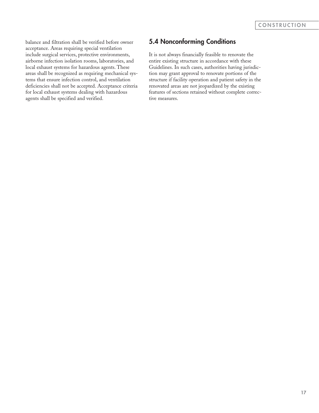balance and filtration shall be verified before owner acceptance. Areas requiring special ventilation include surgical services, protective environments, airborne infection isolation rooms, laboratories, and local exhaust systems for hazardous agents. These areas shall be recognized as requiring mechanical systems that ensure infection control, and ventilation deficiencies shall not be accepted. Acceptance criteria for local exhaust systems dealing with hazardous agents shall be specified and verified.

#### **5.4 Nonconforming Conditions**

It is not always financially feasible to renovate the entire existing structure in accordance with these Guidelines. In such cases, authorities having jurisdiction may grant approval to renovate portions of the structure if facility operation and patient safety in the renovated areas are not jeopardized by the existing features of sections retained without complete corrective measures.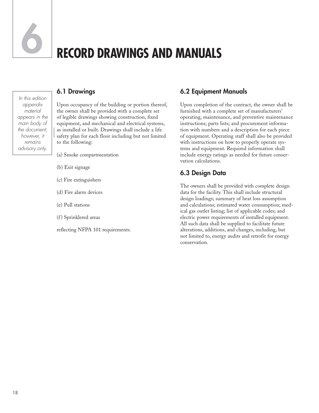In this edition appendix material appears in the main body of the document; however, it remains advisory only.

#### **6.1 Drawings**

Upon occupancy of the building or portion thereof, the owner shall be provided with a complete set of legible drawings showing construction, fixed equipment, and mechanical and electrical systems, as installed or built. Drawings shall include a life safety plan for each floor including but not limited to the following:

- (a) Smoke compartmentation
- (b) Exit signage
- (c) Fire extinguishers
- (d) Fire alarm devices
- (e) Pull stations
- (f) Sprinklered areas

reflecting NFPA 101 requirements.

#### **6.2 Equipment Manuals**

Upon completion of the contract, the owner shall be furnished with a complete set of manufacturers' operating, maintenance, and preventive maintenance instructions; parts lists; and procurement information with numbers and a description for each piece of equipment. Operating staff shall also be provided with instructions on how to properly operate systems and equipment. Required information shall include energy ratings as needed for future conservation calculations.

#### **6.3 Design Data**

The owners shall be provided with complete design data for the facility. This shall include structural design loadings; summary of heat loss assumption and calculations; estimated water consumption; medical gas outlet listing; list of applicable codes; and electric power requirements of installed equipment. All such data shall be supplied to facilitate future alterations, additions, and changes, including, but not limited to, energy audits and retrofit for energy conservation.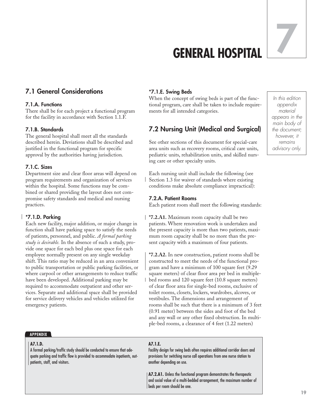#### **7.1 General Considerations**

#### **7.1.A. Functions**

There shall be for each project a functional program for the facility in accordance with Section 1.1.F.

#### **7.1.B. Standards**

The general hospital shall meet all the standards described herein. Deviations shall be described and justified in the functional program for specific approval by the authorities having jurisdiction.

#### **7.1.C. Sizes**

Department size and clear floor areas will depend on program requirements and organization of services within the hospital. Some functions may be combined or shared providing the layout does not compromise safety standards and medical and nursing practices.

#### **\*7.1.D. Parking**

Each new facility, major addition, or major change in function shall have parking space to satisfy the needs of patients, personnel, and public. *A formal parking study is desirable.* In the absence of such a study, provide one space for each bed plus one space for each employee normally present on any single weekday shift. This ratio may be reduced in an area convenient to public transportation or public parking facilities, or where carpool or other arrangements to reduce traffic have been developed. Additional parking may be required to accommodate outpatient and other services. Separate and additional space shall be provided for service delivery vehicles and vehicles utilized for emergency patients.

#### **APPENDIX**

#### **A7.1.D.**

A formal parking/traffic study should be conducted to ensure that adequate parking and traffic flow is provided to accommodate inpatients, outpatients, staff, and visitors.

#### **\*7.1.E. Swing Beds**

When the concept of swing beds is part of the functional program, care shall be taken to include requirements for all intended categories.

**GENERAL HOSPITAL**

#### **7.2 Nursing Unit (Medical and Surgical)**

See other sections of this document for special-care area units such as recovery rooms, critical care units, pediatric units, rehabilitation units, and skilled nursing care or other specialty units.

Each nursing unit shall include the following (see Section 1.3 for waiver of standards where existing conditions make absolute compliance impractical):

#### **7.2.A. Patient Rooms**

Each patient room shall meet the following standards:

**\*7.2.A1.** Maximum room capacity shall be two patients. Where renovation work is undertaken and the present capacity is more than two patients, maximum room capacity shall be no more than the present capacity with a maximum of four patients.

**\*7.2.A2.** In new construction, patient rooms shall be constructed to meet the needs of the functional program and have a minimum of 100 square feet (9.29 square meters) of clear floor area per bed in multiplebed rooms and 120 square feet (10.8 square meters) of clear floor area for single-bed rooms, exclusive of toilet rooms, closets, lockers, wardrobes, alcoves, or vestibules. The dimensions and arrangement of rooms shall be such that there is a minimum of 3 feet (0.91 meter) between the sides and foot of the bed and any wall or any other fixed obstruction. In multiple-bed rooms, a clearance of 4 feet (1.22 meters)

#### **A7.1.E.**

 $\overline{ }$ 

Facility design for swing beds often requires additional corridor doors and provisions for switching nurse call operations from one nurse station to another depending on use.

**A7.2.A1.** Unless the functional program demonstrates the therapeutic and social value of a multi-bedded arrangement, the maximum number of beds per room should be one.

In this edition appendix material appears in the main body of the document; however, it remains advisory only.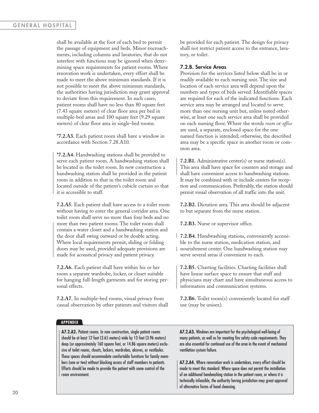shall be available at the foot of each bed to permit the passage of equipment and beds. Minor encroachments, including columns and lavatories, that do not interfere with functions may be ignored when determining space requirements for patient rooms. Where renovation work is undertaken, every effort shall be made to meet the above minimum standards. If it is not possible to meet the above minimum standards, the authorities having jurisdiction may grant approval to deviate from this requirement. In such cases, patient rooms shall have no less than 80 square feet (7.43 square meters) of clear floor area per bed in multiple-bed areas and 100 square feet (9.29 square meters) of clear floor area in single-bed rooms.

**\*7.2.A3.** Each patient room shall have a window in accordance with Section 7.28.A10.

**\*7.2.A4.** Handwashing stations shall be provided to serve each patient room. A handwashing station shall be located in the toilet room. In new construction a handwashing station shall be provided in the patient room in addition to that in the toilet room and located outside of the patient's cubicle curtain so that it is accessible to staff.

**7.2.A5.** Each patient shall have access to a toilet room without having to enter the general corridor area. One toilet room shall serve no more than four beds and no more than two patient rooms. The toilet room shall contain a water closet and a handwashing station and the door shall swing outward or be double acting. Where local requirements permit, sliding or folding doors may be used, provided adequate provisions are made for acoustical privacy and patient privacy.

**7.2.A6.** Each patient shall have within his or her room a separate wardrobe, locker, or closet suitable for hanging full-length garments and for storing personal effects.

**7.2.A7.** In multiple-bed rooms, visual privacy from casual observation by other patients and visitors shall

#### be provided for each patient. The design for privacy shall not restrict patient access to the entrance, lavatory, or toilet.

#### **7.2.B. Service Areas**

Provision for the services listed below shall be in or readily available to each nursing unit. The size and location of each service area will depend upon the numbers and types of beds served. Identifiable spaces are required for each of the indicated functions. Each service area may be arranged and located to serve more than one nursing unit but, unless noted otherwise, at least one such service area shall be provided on each nursing floor. Where the words *room* or *office* are used, a separate, enclosed space for the one named function is intended; otherwise, the described area may be a specific space in another room or common area.

**7.2.B1.** Administrative center(s) or nurse station(s). This area shall have space for counters and storage and shall have convenient access to handwashing stations. It may be combined with or include centers for reception and communication. Preferably, the station should permit visual observation of all traffic into the unit.

**7.2.B2.** Dictation area. This area should be adjacent to but separate from the nurse station.

**7.2.B3.** Nurse or supervisor office.

**7.2.B4.** Handwashing stations, conveniently accessible to the nurse station, medication station, and nourishment center. One handwashing station may serve several areas if convenient to each.

**7.2.B5.** Charting facilities. Charting facilities shall have linear surface space to ensure that staff and physicians may chart and have simultaneous access to information and communication systems.

**7.2.B6.** Toilet room(s) conveniently located for staff use (may be unisex).

#### **APPENDIX**

**A7.2.A2.** Patient rooms. In new construction, single patient rooms should be at least 12 feet (3.65 meters) wide by 13 feet (3.96 meters) deep (or approximately 160 square feet, or 14.86 square meters) exclusive of toilet rooms, closets, lockers, wardrobes, alcoves, or vestibules. These spaces should accommodate comfortable furniture for family members (one or two) without blocking access of staff members to patients. Efforts should be made to provide the patient with some control of the room environment.

**A7.2.A3.** Windows are important for the psychological well-being of many patients, as well as for meeting fire safety code requirements. They are also essential for continued use of the area in the event of mechanical ventilation system failure.

**A7.2.A4.** Where renovation work is undertaken, every effort should be made to meet this standard. Where space does not permit the installation of an additional handwashing station in the patient room, or where it is technically infeasible, the authority having jurisdiction may grant approval of alternative forms of hand cleansing.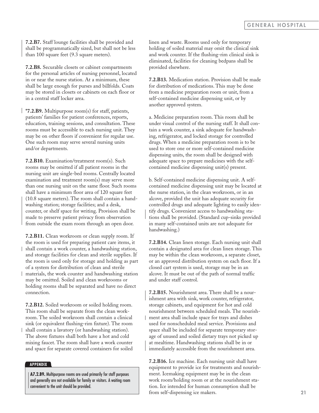**7.2.B7.** Staff lounge facilities shall be provided and shall be programmatically sized, but shall not be less than 100 square feet (9.3 square meters).

**7.2.B8.** Securable closets or cabinet compartments for the personal articles of nursing personnel, located in or near the nurse station. At a minimum, these shall be large enough for purses and billfolds. Coats may be stored in closets or cabinets on each floor or in a central staff locker area.

**\*7.2.B9.** Multipurpose room(s) for staff, patients, patients' families for patient conferences, reports, education, training sessions, and consultation. These rooms must be accessible to each nursing unit. They may be on other floors if convenient for regular use. One such room may serve several nursing units and/or departments.

**7.2.B10.** Examination/treatment room(s). Such rooms may be omitted if all patient rooms in the nursing unit are single-bed rooms. Centrally located examination and treatment room(s) may serve more than one nursing unit on the same floor. Such rooms shall have a minimum floor area of 120 square feet (10.8 square meters). The room shall contain a handwashing station; storage facilities; and a desk, counter, or shelf space for writing. Provision shall be made to preserve patient privacy from observation from outside the exam room through an open door.

**7.2.B11.** Clean workroom or clean supply room. If the room is used for preparing patient care items, it

- shall contain a work counter, a handwashing station,  $\mathsf{I}$ and storage facilities for clean and sterile supplies. If the room is used only for storage and holding as part of a system for distribution of clean and sterile
- materials, the work counter and handwashing station may be omitted. Soiled and clean workrooms or holding rooms shall be separated and have no direct connection.

**7.2.B12.** Soiled workroom or soiled holding room. This room shall be separate from the clean workroom. The soiled workroom shall contain a clinical sink (or equivalent flushing-rim fixture). The room shall contain a lavatory (or handwashing station).

The above fixtures shall both have a hot and cold mixing faucet. The room shall have a work counter and space for separate covered containers for soiled

#### **APPENDIX**

**A7.2.B9.** Multipurpose rooms are used primarily for staff purposes and generally are not available for family or visitors. A waiting room convenient to the unit should be provided.

linen and waste. Rooms used only for temporary holding of soiled material may omit the clinical sink and work counter. If the flushing-rim clinical sink is eliminated, facilities for cleaning bedpans shall be provided elsewhere.

**7.2.B13.** Medication station. Provision shall be made for distribution of medications. This may be done from a medicine preparation room or unit, from a self-contained medicine dispensing unit, or by another approved system.

a. Medicine preparation room. This room shall be under visual control of the nursing staff. It shall contain a work counter, a sink adequate for handwashing, refrigerator, and locked storage for controlled drugs. When a medicine preparation room is to be used to store one or more self-contained medicine dispensing units, the room shall be designed with adequate space to prepare medicines with the selfcontained medicine dispensing unit(s) present.

b. Self-contained medicine dispensing unit. A selfcontained medicine dispensing unit may be located at the nurse station, in the clean workroom, or in an alcove, provided the unit has adequate security for controlled drugs and adequate lighting to easily identify drugs. Convenient access to handwashing stations shall be provided. (Standard cup-sinks provided in many self-contained units are not adequate for handwashing.)

**7.2.B14.** Clean linen storage. Each nursing unit shall contain a designated area for clean linen storage. This may be within the clean workroom, a separate closet, or an approved distribution system on each floor. If a closed cart system is used, storage may be in an alcove. It must be out of the path of normal traffic and under staff control.

**7.2.B15.** Nourishment area. There shall be a nourishment area with sink, work counter, refrigerator, storage cabinets, and equipment for hot and cold nourishment between scheduled meals. The nourishment area shall include space for trays and dishes used for nonscheduled meal service. Provisions and space shall be included for separate temporary storage of unused and soiled dietary trays not picked up at mealtime. Handwashing stations shall be in or immediately accessible from the nourishment area.

**7.2.B16.** Ice machine. Each nursing unit shall have equipment to provide ice for treatments and nourishment. Icemaking equipment may be in the clean work room/holding room or at the nourishment station. Ice intended for human consumption shall be from self-dispensing ice makers.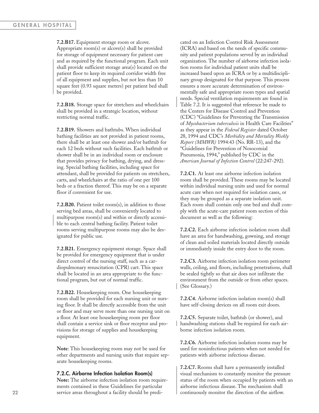**7.2.B17.** Equipment storage room or alcove. Appropriate room(s) or alcove(s) shall be provided for storage of equipment necessary for patient care and as required by the functional program. Each unit shall provide sufficient storage area(s) located on the patient floor to keep its required corridor width free of all equipment and supplies, but not less than 10 square feet (0.93 square meters) per patient bed shall be provided.

**7.2.B18.** Storage space for stretchers and wheelchairs shall be provided in a strategic location, without restricting normal traffic.

**7.2.B19.** Showers and bathtubs. When individual bathing facilities are not provided in patient rooms, there shall be at least one shower and/or bathtub for each 12 beds without such facilities. Each bathtub or shower shall be in an individual room or enclosure that provides privacy for bathing, drying, and dressing. Special bathing facilities, including space for attendant, shall be provided for patients on stretchers, carts, and wheelchairs at the ratio of one per 100 beds or a fraction thereof. This may be on a separate floor if convenient for use.

**7.2.B20.** Patient toilet room(s), in addition to those serving bed areas, shall be conveniently located to multipurpose room(s) and within or directly accessible to each central bathing facility. Patient toilet rooms serving multipurpose rooms may also be designated for public use.

**7.2.B21.** Emergency equipment storage. Space shall be provided for emergency equipment that is under direct control of the nursing staff, such as a cardiopulmonary resuscitation (CPR) cart. This space shall be located in an area appropriate to the functional program, but out of normal traffic.

**7.2.B22.** Housekeeping room. One housekeeping room shall be provided for each nursing unit or nursing floor. It shall be directly accessible from the unit or floor and may serve more than one nursing unit on a floor. At least one housekeeping room per floor shall contain a service sink or floor receptor and provisions for storage of supplies and housekeeping equipment.

**Note**: This housekeeping room may not be used for other departments and nursing units that require separate housekeeping rooms.

#### **7.2.C. Airborne Infection Isolation Room(s)**

**Note:** The airborne infection isolation room requirements contained in these Guidelines for particular service areas throughout a facility should be predi-

cated on an Infection Control Risk Assessment (ICRA) and based on the needs of specific community and patient populations served by an individual organization. The number of airborne infection isolation rooms for individual patient units shall be increased based upon an ICRA or by a multidisciplinary group designated for that purpose. This process ensures a more accurate determination of environmentally safe and appropriate room types and spatial needs. Special ventilation requirements are found in Table 7.2. It is suggested that reference be made to the Centers for Disease Control and Prevention (CDC) "Guidelines for Preventing the Transmission of *Mycobacterium tuberculosis* in Health Care Facilities" as they appear in the *Federal Register* dated October 28, 1994 and CDC's *Morbidity and Mortality Weekly Report (MMWR)* 1994:43 (No. RR-13), and the "Guidelines for Prevention of Nosocomial Pneumonia, 1994," published by CDC in the *American Journal of Infection Control* (22:247-292).

**7.2.C1.** At least one airborne infection isolation room shall be provided. These rooms may be located within individual nursing units and used for normal acute care when not required for isolation cases, or they may be grouped as a separate isolation unit. Each room shall contain only one bed and shall comply with the acute-care patient room section of this document as well as the following:

**7.2.C2.** Each airborne infection isolation room shall have an area for handwashing, gowning, and storage of clean and soiled materials located directly outside or immediately inside the entry door to the room.

**7.2.C3.** Airborne infection isolation room perimeter walls, ceiling, and floors, including penetrations, shall be sealed tightly so that air does not infiltrate the environment from the outside or from other spaces. (See Glossary.)

**7.2.C4.** Airborne infection isolation room(s) shall have self-closing devices on all room exit doors.

**7.2.C5.** Separate toilet, bathtub (or shower), and handwashing stations shall be required for each airborne infection isolation room.

**7.2.C6.** Airborne infection isolation rooms may be used for noninfectious patients when not needed for patients with airborne infectious disease.

**7.2.C7.** Rooms shall have a permanently installed visual mechanism to constantly monitor the pressure status of the room when occupied by patients with an airborne infectious disease. The mechanism shall continuously monitor the direction of the airflow.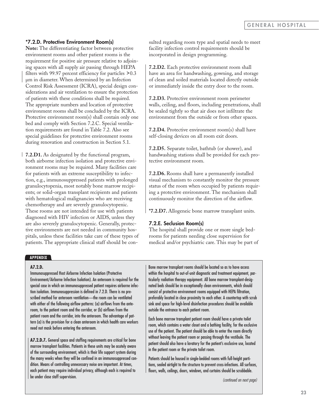#### **\*7.2.D. Protective Environment Room(s)**

**Note:** The differentiating factor between protective environment rooms and other patient rooms is the requirement for positive air pressure relative to adjoining spaces with all supply air passing through HEPA filters with 99.97 percent efficiency for particles >0.3 µm in diameter. When determined by an Infection Control Risk Assessment (ICRA), special design considerations and air ventilation to ensure the protection of patients with these conditions shall be required. The appropriate numbers and location of protective environment rooms shall be concluded by the ICRA. Protective environment room(s) shall contain only one bed and comply with Section 7.2.C. Special ventilation requirements are found in Table 7.2. Also see special guidelines for protective environment rooms during renovation and construction in Section 5.1.

**7.2.D1.** As designated by the functional program, both airborne infection isolation and protective environment rooms may be required. Many facilities care for patients with an extreme susceptibility to infection, e.g., immunosuppressed patients with prolonged granulocytopenia, most notably bone marrow recipients; or solid-organ transplant recipients and patients with hematological malignancies who are receiving chemotherapy and are severely granulocytopenic. These rooms are not intended for use with patients diagnosed with HIV infection or AIDS, unless they are also severely granulocytopenic. Generally, protective environments are not needed in community hospitals, unless these facilities take care of these types of patients. The appropriate clinical staff should be con-

#### **APPENDIX**

#### **A7.2.D.**

Immunosuppressed Host Airborne Infection Isolation (Protective Environment/Airborne Infection Isolation). An anteroom is required for the special case in which an immunosuppressed patient requires airborne infection isolation. Immunosuppression is defined in 7.2.D. There is no prescribed method for anteroom ventilation—the room can be ventilated with either of the following airflow patterns: (a) airflows from the anteroom, to the patient room and the corridor, or (b) airflows from the patient room and the corridor, into the anteroom. The advantage of pattern (a) is the provision for a clean anteroom in which health care workers need not mask before entering the anteroom.

**A7.2.D.7.** General space and staffing requirements are critical for bone marrow transplant facilities. Patients in these units may be acutely aware of the surrounding environment, which is their life support system during the many weeks when they will be confined in an immunosuppressed condition. Means of controlling unnecessary noise are important. At times, each patient may require individual privacy, although each is required to be under close staff supervision.

sulted regarding room type and spatial needs to meet facility infection control requirements should be incorporated in design programming.

**7.2.D2.** Each protective environment room shall have an area for handwashing, gowning, and storage of clean and soiled materials located directly outside or immediately inside the entry door to the room.

**7.2.D3.** Protective environment room perimeter walls, ceiling, and floors, including penetrations, shall be sealed tightly so that air does not infiltrate the environment from the outside or from other spaces.

**7.2.D4.** Protective environment room(s) shall have self-closing devices on all room exit doors.

**7.2.D5.** Separate toilet, bathtub (or shower), and handwashing stations shall be provided for each protective environment room.

**7.2.D6.** Rooms shall have a permanently installed visual mechanism to constantly monitor the pressure status of the room when occupied by patients requiring a protective environment. The mechanism shall continuously monitor the direction of the airflow.

**\*7.2.D7.** Allogeneic bone marrow transplant units.

#### **7.2.E. Seclusion Room(s)**

The hospital shall provide one or more single bedrooms for patients needing close supervision for medical and/or psychiatric care. This may be part of

Bone marrow transplant rooms should be located so as to have access within the hospital to out-of-unit diagnostic and treatment equipment, particularly radiation therapy equipment. All bone marrow transplant-designated beds should be in exceptionally clean environments, which should consist of protective environment rooms equipped with HEPA filtration, preferably located in close proximity to each other. A countertop with scrub sink and space for high-level disinfection procedures should be available outside the entrance to each patient room.

Each bone marrow transplant patient room should have a private toilet room, which contains a water closet and a bathing facility, for the exclusive use of the patient. The patient should be able to enter the room directly without leaving the patient room or passing through the vestibule. The patient should also have a lavatory for the patient's exclusive use, located in the patient room or the private toilet room.

Patients should be housed in single-bedded rooms with full-height partitions, sealed airtight to the structure to prevent cross-infections. All surfaces, floors, walls, ceilings, doors, windows, and curtains should be scrubbable.

(continued on next page)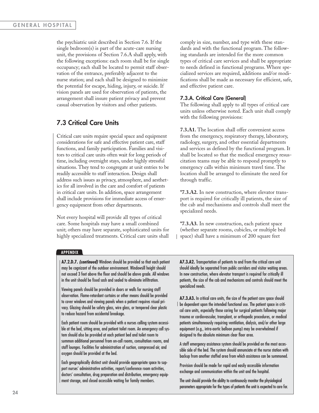the psychiatric unit described in Section 7.6. If the single bedroom(s) is part of the acute-care nursing unit, the provisions of Section 7.6.A shall apply, with the following exceptions: each room shall be for single occupancy; each shall be located to permit staff observation of the entrance, preferably adjacent to the nurse station; and each shall be designed to minimize the potential for escape, hiding, injury, or suicide. If vision panels are used for observation of patients, the arrangement shall insure patient privacy and prevent casual observation by visitors and other patients.

# **7.3 Critical Care Units**

Critical care units require special space and equipment considerations for safe and effective patient care, staff functions, and family participation. Families and visitors to critical care units often wait for long periods of time, including overnight stays, under highly stressful situations. They tend to congregate at unit entries to be readily accessible to staff interaction. Design shall address such issues as privacy, atmosphere, and aesthetics for all involved in the care and comfort of patients in critical care units. In addition, space arrangement shall include provisions for immediate access of emergency equipment from other departments.

Not every hospital will provide all types of critical care. Some hospitals may have a small combined unit; others may have separate, sophisticated units for highly specialized treatments. Critical care units shall

comply in size, number, and type with these standards and with the functional program. The following standards are intended for the more common types of critical care services and shall be appropriate to needs defined in functional programs. Where specialized services are required, additions and/or modifications shall be made as necessary for efficient, safe, and effective patient care.

## **7.3.A. Critical Care (General)**

The following shall apply to all types of critical care units unless otherwise noted. Each unit shall comply with the following provisions:

**7.3.A1.** The location shall offer convenient access from the emergency, respiratory therapy, laboratory, radiology, surgery, and other essential departments and services as defined by the functional program. It shall be located so that the medical emergency resuscitation teams may be able to respond promptly to emergency calls within minimum travel time. The location shall be arranged to eliminate the need for through traffic.

**\*7.3.A2.** In new construction, where elevator transport is required for critically ill patients, the size of the cab and mechanisms and controls shall meet the specialized needs.

**\*7.3.A3.** In new construction, each patient space (whether separate rooms, cubicles, or multiple bed space) shall have a minimum of 200 square feet

#### **APPENDIX**

**A7.2.D.7. (continued)** Windows should be provided so that each patient may be cognizant of the outdoor environment. Windowsill height should not exceed 3 feet above the floor and should be above grade. All windows in the unit should be fixed sash and sealed to eliminate infiltration.

Viewing panels should be provided in doors or walls for nursing staff observation. Flame-retardant curtains or other means should be provided to cover windows and viewing panels when a patient requires visual privacy. Glazing should be safety glass, wire glass, or tempered clear plastic to reduce hazard from accidental breakage.

Each patient room should be provided with a nurses calling system accessible at the bed, sitting area, and patient toilet room. An emergency call system should also be provided at each patient bed and toilet room to summon additional personnel from on-call rooms, consultation rooms, and staff lounges. Facilities for administration of suction, compressed air, and oxygen should be provided at the bed.

Each geographically distinct unit should provide appropriate space to support nurses' administrative activities, report/conference room activities, doctors' consultation, drug preparation and distribution, emergency equipment storage, and closed accessible waiting for family members.

**A7.3.A2.** Transportation of patients to and from the critical care unit should ideally be separated from public corridors and visitor waiting areas. In new construction, where elevator transport is required for critically ill patients, the size of the cab and mechanisms and controls should meet the specialized needs.

**A7.3.A3.** In critical care units, the size of the patient care space should be dependent upon the intended functional use. The patient space in critical care units, especially those caring for surgical patients following major trauma or cardiovascular, transplant, or orthopedic procedures, or medical patients simultaneously requiring ventilation, dialysis, and/or other large equipment (e.g., intra-aortic balloon pump) may be overwhelmed if designed to the absolute minimum clear floor area.

A staff emergency assistance system should be provided on the most accessible side of the bed. The system should annunciate at the nurse station with backup from another staffed area from which assistance can be summoned.

Provision should be made for rapid and easily accessible information exchange and communication within the unit and the hospital.

The unit should provide the ability to continuously monitor the physiological parameters appropriate for the types of patients the unit is expected to care for.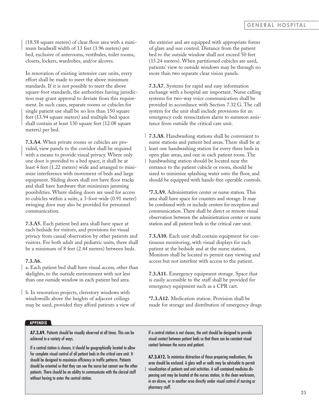(18.58 square meters) of clear floor area with a minimum headwall width of 13 feet (3.96 meters) per bed, exclusive of anterooms, vestibules, toilet rooms, closets, lockers, wardrobes, and/or alcoves.

In renovation of existing intensive care units, every effort shall be made to meet the above minimum standards. If it is not possible to meet the above square-foot standards, the authorities having jurisdiction may grant approval to deviate from this requirement. In such cases, separate rooms or cubicles for single patient use shall be no less than 150 square feet (13.94 square meters) and multiple bed space shall contain at least 130 square feet (12.08 square meters) per bed.

**7.3.A4.** When private rooms or cubicles are provided, view panels to the corridor shall be required with a means to provide visual privacy. Where only one door is provided to a bed space, it shall be at least 4 feet (1.22 meters) wide and arranged to minimize interference with movement of beds and large equipment. Sliding doors shall not have floor tracks and shall have hardware that minimizes jamming possibilities. Where sliding doors are used for access to cubicles within a suite, a 3-foot-wide (0.91 meter) swinging door may also be provided for personnel communication.

**7.3.A5.** Each patient bed area shall have space at each bedside for visitors, and provisions for visual privacy from casual observation by other patients and visitors. For both adult and pediatric units, there shall be a minimum of 8 feet (2.44 meters) between beds.

#### **7.3.A6.**

a. Each patient bed shall have visual access, other than skylights, to the outside environment with not less than one outside window in each patient bed area.

b. In renovation projects, clerestory windows with windowsills above the heights of adjacent ceilings may be used, provided they afford patients a view of

#### **APPENDIX**

**A7.3.A9.** Patients should be visually observed at all times. This can be achieved in a variety of ways.

If a central station is chosen, it should be geographically located to allow for complete visual control of all patient beds in the critical care unit. It should be designed to maximize efficiency in traffic patterns. Patients should be oriented so that they can see the nurse but cannot see the other patients. There should be an ability to communicate with the clerical staff without having to enter the central station.

the exterior and are equipped with appropriate forms of glare and sun control. Distance from the patient bed to the outside window shall not exceed 50 feet (15.24 meters). When partitioned cubicles are used, patients' view to outside windows may be through no more than two separate clear vision panels.

**7.3.A7.** Systems for rapid and easy information exchange with a hospital are important. Nurse calling systems for two-way voice communication shall be provided in accordance with Section 7.32.G. The call system for the unit shall include provisions for an emergency code resuscitation alarm to summon assistance from outside the critical care unit.

**7.3.A8.** Handwashing stations shall be convenient to nurse stations and patient bed areas. There shall be at least one handwashing station for every three beds in

open plan areas, and one in each patient room. The handwashing station should be located near the entrance to the patient cubicle or room, should be sized to minimize splashing water onto the floor, and should be equipped with hands-free operable controls.

**\*7.3.A9.** Administrative center or nurse station. This area shall have space for counters and storage. It may be combined with or include centers for reception and communication. There shall be direct or remote visual observation between the administration center or nurse station and all patient beds in the critical care unit.

**7.3.A10.** Each unit shall contain equipment for continuous monitoring, with visual displays for each patient at the bedside and at the nurse station. Monitors shall be located to permit easy viewing and access but not interfere with access to the patient.

**7.3.A11.** Emergency equipment storage. Space that is easily accessible to the staff shall be provided for emergency equipment such as a CPR cart.

**\*7.3.A12.** Medication station. Provision shall be made for storage and distribution of emergency drugs

If a central station is not chosen, the unit should be designed to provide visual contact between patient beds so that there can be constant visual contact between the nurse and patient.

**A7.3.A12.** To minimize distraction of those preparing medications, the area should be enclosed. A glass wall or walls may be advisable to permit visualization of patients and unit activities. A self-contained medicine dispensing unit may be located at the nurses station, in the clean workroom, in an alcove, or in another area directly under visual control of nursing or pharmacy staff.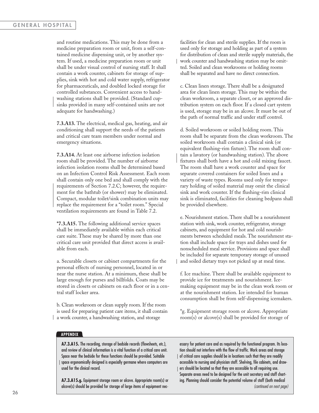and routine medications. This may be done from a medicine preparation room or unit, from a self-contained medicine dispensing unit, or by another system. If used, a medicine preparation room or unit shall be under visual control of nursing staff. It shall contain a work counter, cabinets for storage of supplies, sink with hot and cold water supply, refrigerator for pharmaceuticals, and doubled locked storage for controlled substances. Convenient access to handwashing stations shall be provided. (Standard cupsinks provided in many self-contained units are not adequate for handwashing.)

**7.3.A13.** The electrical, medical gas, heating, and air conditioning shall support the needs of the patients and critical care team members under normal and emergency situations.

**7.3.A14.** At least one airborne infection isolation room shall be provided. The number of airborne infection isolation rooms shall be determined based on an Infection Control Risk Assessment. Each room shall contain only one bed and shall comply with the requirements of Section 7.2.C; however, the requirement for the bathtub (or shower) may be eliminated. Compact, modular toilet/sink combination units may replace the requirement for a "toilet room." Special ventilation requirements are found in Table 7.2.

**\*7.3.A15.** The following additional service spaces shall be immediately available within each critical care suite. These may be shared by more than one critical care unit provided that direct access is available from each.

a. Securable closets or cabinet compartments for the personal effects of nursing personnel, located in or near the nurse station. At a minimum, these shall be large enough for purses and billfolds. Coats may be stored in closets or cabinets on each floor or in a central staff locker area.

b. Clean workroom or clean supply room. If the room is used for preparing patient care items, it shall contain a work counter, a handwashing station, and storage

facilities for clean and sterile supplies. If the room is used only for storage and holding as part of a system for distribution of clean and sterile supply materials, the work counter and handwashing station may be omitted. Soiled and clean workrooms or holding rooms shall be separated and have no direct connection.

c. Clean linen storage. There shall be a designated area for clean linen storage. This may be within the clean workroom, a separate closet, or an approved distribution system on each floor. If a closed cart system is used, storage may be in an alcove. It must be out of the path of normal traffic and under staff control.

d. Soiled workroom or soiled holding room. This room shall be separate from the clean workroom. The soiled workroom shall contain a clinical sink (or equivalent flushing-rim fixture). The room shall contain a lavatory (or handwashing station). The above fixtures shall both have a hot and cold mixing faucet. The room shall have a work counter and space for separate covered containers for soiled linen and a variety of waste types. Rooms used only for temporary holding of soiled material may omit the clinical sink and work counter. If the flushing-rim clinical sink is eliminated, facilities for cleaning bedpans shall be provided elsewhere.

e. Nourishment station. There shall be a nourishment station with sink, work counter, refrigerator, storage cabinets, and equipment for hot and cold nourishments between scheduled meals. The nourishment station shall include space for trays and dishes used for nonscheduled meal service. Provisions and space shall be included for separate temporary storage of unused and soiled dietary trays not picked up at meal time.

f. Ice machine. There shall be available equipment to provide ice for treatments and nourishment. Icemaking equipment may be in the clean work room or at the nourishment station. Ice intended for human consumption shall be from self-dispensing icemakers.

\*g. Equipment storage room or alcove. Appropriate room(s) or alcove(s) shall be provided for storage of

#### **APPENDIX**

**A7.3.A15.** The recording, storage of bedside records (flowsheets, etc.), and review of clinical information is a vital function of a critical care unit. Space near the bedside for these functions should be provided. Suitable space ergonomically designed is especially germane where computers are used for the clinical record.

**A7.3.A15.g.** Equipment storage room or alcove. Appropriate room(s) or alcove(s) should be provided for storage of large items of equipment nec-

essary for patient care and as required by the functional program. Its location should not interfere with the flow of traffic. Work areas and storage of critical care supplies should be in locations such that they are readily

- accessible to nursing and physician staff. Shelving, file cabinets, and drawers should be located so that they are accessible to all requiring use.
- Separate areas need to be designed for the unit secretary and staff charting. Planning should consider the potential volume of staff (both medical (continued on next page)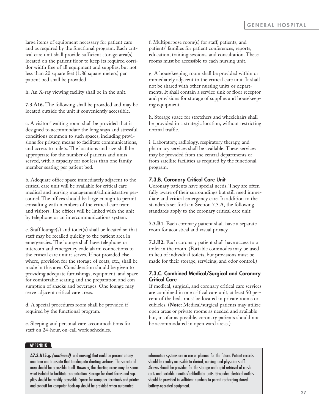large items of equipment necessary for patient care and as required by the functional program. Each critical care unit shall provide sufficient storage area(s) located on the patient floor to keep its required corridor width free of all equipment and supplies, but not less than 20 square feet (1.86 square meters) per patient bed shall be provided.

h. An X-ray viewing facility shall be in the unit.

**7.3.A16.** The following shall be provided and may be located outside the unit if conveniently accessible.

a. A visitors' waiting room shall be provided that is designed to accommodate the long stays and stressful conditions common to such spaces, including provisions for privacy, means to facilitate communications, and access to toilets. The locations and size shall be appropriate for the number of patients and units served, with a capacity for not less than one family member seating per patient bed.

b. Adequate office space immediately adjacent to the critical care unit will be available for critical care medical and nursing management/administrative personnel. The offices should be large enough to permit consulting with members of the critical care team and visitors. The offices will be linked with the unit by telephone or an intercommunications system.

c. Staff lounge(s) and toilet(s) shall be located so that staff may be recalled quickly to the patient area in emergencies. The lounge shall have telephone or intercom and emergency code alarm connections to the critical care unit it serves. If not provided elsewhere, provision for the storage of coats, etc., shall be made in this area. Consideration should be given to providing adequate furnishings, equipment, and space for comfortable seating and the preparation and consumption of snacks and beverages. One lounge may serve adjacent critical care areas.

d. A special procedures room shall be provided if required by the functional program.

e. Sleeping and personal care accommodations for staff on 24-hour, on-call work schedules.

f. Multipurpose room(s) for staff, patients, and patients' families for patient conferences, reports, education, training sessions, and consultation. These rooms must be accessible to each nursing unit.

g. A housekeeping room shall be provided within or immediately adjacent to the critical care unit. It shall not be shared with other nursing units or departments. It shall contain a service sink or floor receptor and provisions for storage of supplies and housekeeping equipment.

h. Storage space for stretchers and wheelchairs shall be provided in a strategic location, without restricting normal traffic.

i. Laboratory, radiology, respiratory therapy, and pharmacy services shall be available. These services may be provided from the central departments or from satellite facilities as required by the functional program.

# **7.3.B. Coronary Critical Care Unit**

Coronary patients have special needs. They are often fully aware of their surroundings but still need immediate and critical emergency care. In addition to the standards set forth in Section 7.3.A, the following standards apply to the coronary critical care unit:

**7.3.B1.** Each coronary patient shall have a separate room for acoustical and visual privacy.

**7.3.B2.** Each coronary patient shall have access to a toilet in the room. (Portable commodes may be used in lieu of individual toilets, but provisions must be made for their storage, servicing, and odor control.)

# **7.3.C. Combined Medical/Surgical and Coronary Critical Care**

If medical, surgical, and coronary critical care services are combined in one critical care unit, at least 50 percent of the beds must be located in private rooms or cubicles. (**Note**: Medical/surgical patients may utilize open areas or private rooms as needed and available but, insofar as possible, coronary patients should not be accommodated in open ward areas.)

#### **APPENDIX**

**A7.3.A15.g. (continued)** and nursing) that could be present at any one time and translate that to adequate charting surfaces. The secretarial area should be accessible to all. However, the charting areas may be somewhat isolated to facilitate concentration. Storage for chart forms and supplies should be readily accessible. Space for computer terminals and printer and conduit for computer hook-up should be provided when automated

information systems are in use or planned for the future. Patient records should be readily accessible to clerical, nursing, and physician staff. Alcoves should be provided for the storage and rapid retrieval of crash carts and portable monitor/defibrillator units. Grounded electrical outlets should be provided in sufficient numbers to permit recharging stored battery-operated equipment.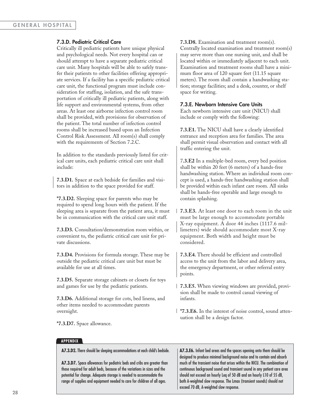# **7.3.D. Pediatric Critical Care**

Critically ill pediatric patients have unique physical and psychological needs. Not every hospital can or should attempt to have a separate pediatric critical care unit. Many hospitals will be able to safely transfer their patients to other facilities offering appropriate services. If a facility has a specific pediatric critical care unit, the functional program must include consideration for staffing, isolation, and the safe transportation of critically ill pediatric patients, along with life support and environmental systems, from other areas. At least one airborne infection control room shall be provided, with provisions for observation of the patient. The total number of infection control rooms shall be increased based upon an Infection Control Risk Assessment. All room(s) shall comply with the requirements of Section 7.2.C.

In addition to the standards previously listed for critical care units, each pediatric critical care unit shall include:

**7.3.D1.** Space at each bedside for families and visitors in addition to the space provided for staff.

**\*7.3.D2.** Sleeping space for parents who may be required to spend long hours with the patient. If the sleeping area is separate from the patient area, it must be in communication with the critical care unit staff.

**7.3.D3.** Consultation/demonstration room within, or convenient to, the pediatric critical care unit for private discussions.

**7.3.D4.** Provisions for formula storage. These may be outside the pediatric critical care unit but must be available for use at all times.

**7.3.D5.** Separate storage cabinets or closets for toys and games for use by the pediatric patients.

**7.3.D6.** Additional storage for cots, bed linens, and other items needed to accommodate parents overnight.

**\*7.3.D7.** Space allowance.

**7.3.D8.** Examination and treatment room(s). Centrally located examination and treatment room(s) may serve more than one nursing unit, and shall be located within or immediately adjacent to each unit. Examination and treatment rooms shall have a minimum floor area of 120 square feet (11.15 square meters). The room shall contain a handwashing station; storage facilities; and a desk, counter, or shelf space for writing.

#### **7.3.E. Newborn Intensive Care Units**

Each newborn intensive care unit (NICU) shall include or comply with the following:

**7.3.E1.** The NICU shall have a clearly identified entrance and reception area for families. The area shall permit visual observation and contact with all traffic entering the unit.

7**.3.E2** In a multiple-bed room, every bed position shall be within 20 feet (6 meters) of a hands-free handwashing station. Where an individual room concept is used, a hands-free handwashing station shall be provided within each infant care room. All sinks shall be hands-free operable and large enough to contain splashing.

**7.3.E3.** At least one door to each room in the unit must be large enough to accommodate portable X-ray equipment. A door 44 inches (1117.6 millimeters) wide should accommodate most X-ray equipment. Both width and height must be considered.

**7.3.E4.** There should be efficient and controlled access to the unit from the labor and delivery area, the emergency department, or other referral entry points.

**7.3.E5.** When viewing windows are provided, provision shall be made to control casual viewing of infants.

**\*7.3.E6.** In the interest of noise control, sound attenuation shall be a design factor.

#### **APPENDIX**

**A7.3.D2.** There should be sleeping accommodations at each child's bedside.

**A7.3.D7.** Space allowances for pediatric beds and cribs are greater than those required for adult beds, because of the variations in sizes and the potential for change. Adequate storage is needed to accommodate the range of supplies and equipment needed to care for children of all ages.

**A7.3.E6.** Infant bed areas and the spaces opening onto them should be designed to produce minimal background noise and to contain and absorb much of the transient noise that arises within the NICU. The combination of continuous background sound and transient sound in any patient care area should not exceed an hourly Leq of 50 dB and an hourly L10 of 55 dB, both A-weighted slow response. The Lmax (transient sounds) should not exceed 70 dB, A-weighted slow response.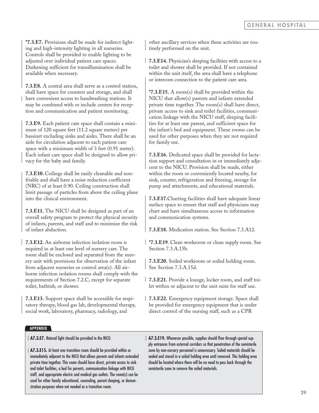**\*7.3.E7.** Provisions shall be made for indirect lighting and high-intensity lighting in all nurseries. Controls shall be provided to enable lighting to be adjusted over individual patient care spaces. Darkening sufficient for transillumination shall be available when necessary.

**7.3.E8.** A central area shall serve as a control station, shall have space for counters and storage, and shall have convenient access to handwashing stations. It may be combined with or include centers for reception and communication and patient monitoring.

 $\mathbf{I}$ 

**7.3.E9.** Each patient care space shall contain a minimum of 120 square feet (11.2 square meters) per bassinet excluding sinks and aisles. There shall be an aisle for circulation adjacent to each patient care space with a minimum width of 3 feet (0.91 meter). Each infant care space shall be designed to allow privacy for the baby and family.

**7.3.E10.** Ceilings shall be easily cleanable and nonfriable and shall have a noise reduction coefficient (NRC) of at least 0.90. Ceiling construction shall limit passage of particles from above the ceiling plane into the clinical environment.

**7.3.E11.** The NICU shall be designed as part of an overall safety program to protect the physical security of infants, parents, and staff and to minimize the risk of infant abduction.

**7.3.E12.** An airborne infection isolation room is required in at least one level of nursery care. The room shall be enclosed and separated from the nursery unit with provisions for observation of the infant from adjacent nurseries or control area(s). All airborne infection isolation rooms shall comply with the requirements of Section 7.2.C, except for separate toilet, bathtub, or shower.

**7.3.E13.** Support space shall be accessible for respiratory therapy, blood gas lab, developmental therapy, social work, laboratory, pharmacy, radiology, and

#### **APPENDIX**

**A7.3.E7.** Natural light should be provided in the NICU.

**A7.3.E15.** At least one transition room should be provided within or immediately adjacent to the NICU that allows parents and infants extended private time together. This room should have direct, private access to sink and toilet facilities, a bed for parents, communication linkage with NICU staff, and appropriate electric and medical gas outlets. The room(s) can be used for other family educational, counseling, parent sleeping, or demonstration purposes when not needed as a transition room.

other ancillary services when these activities are routinely performed on the unit.

**7.3.E14.** Physician's sleeping facilities with access to a toilet and shower shall be provided. If not contained within the unit itself, the area shall have a telephone or intercom connection to the patient care area.

**\*7.3.E15.** A room(s) shall be provided within the NICU that allow(s) parents and infants extended private time together. The room(s) shall have direct, private access to sink and toilet facilities, communication linkage with the NICU staff, sleeping facilities for at least one parent, and sufficient space for the infant's bed and equipment. These rooms can be used for other purposes when they are not required for family use.

**7.3.E16.** Dedicated space shall be provided for lactation support and consultation in or immediately adjacent to the NICU. Provision shall be made, either within the room or conveniently located nearby, for sink, counter, refrigeration and freezing, storage for pump and attachments, and educational materials.

**7.3.E17.**Charting facilities shall have adequate linear surface space to ensure that staff and physicians may chart and have simultaneous access to information and communication systems.

**7.3.E18.** Medication station. See Section 7.3.A12.

**\*7.3.E19**. Clean workroom or clean supply room. See Section 7.3.A.15b.

**7.3.E20.** Soiled workroom or soiled holding room. See Section 7.3.A.15d.

**7.3.E21.** Provide a lounge, locker room, and staff toilet within or adjacent to the unit suite for staff use.

**7.3.E22.** Emergency equipment storage. Space shall be provided for emergency equipment that is under direct control of the nursing staff, such as a CPR

**A7.3.E19.** Whenever possible, supplies should flow through special supply entrances from external corridors so that penetration of the semisterile zone by non-nursery personnel is unnecessary. Soiled materials should be sealed and stored in a soiled holding area until removed. This holding area should be located where there will be no need to pass back through the semisterile zone to remove the soiled materials.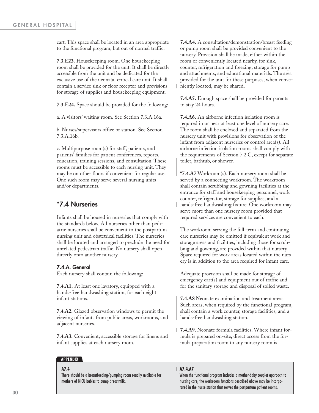cart. This space shall be located in an area appropriate to the functional program, but out of normal traffic.

**7.3.E23.** Housekeeping room. One housekeeping room shall be provided for the unit. It shall be directly accessible from the unit and be dedicated for the exclusive use of the neonatal critical care unit. It shall contain a service sink or floor receptor and provisions for storage of supplies and housekeeping equipment.

**7.3.E24.** Space should be provided for the following:

a. A visitors' waiting room. See Section 7.3.A.16a.

b. Nurses/supervisors office or station. See Section 7.3.A.16b.

c. Multipurpose room(s) for staff, patients, and patients' families for patient conferences, reports, education, training sessions, and consultation. These rooms must be accessible to each nursing unit. They may be on other floors if convenient for regular use. One such room may serve several nursing units and/or departments.

# **\*7.4 Nurseries**

Infants shall be housed in nurseries that comply with the standards below. All nurseries other than pediatric nurseries shall be convenient to the postpartum nursing unit and obstetrical facilities. The nurseries shall be located and arranged to preclude the need for unrelated pedestrian traffic. No nursery shall open directly onto another nursery.

# **7.4.A. General**

Each nursery shall contain the following:

**7.4.A1.** At least one lavatory, equipped with a hands-free handwashing station, for each eight infant stations.

**7.4.A2.** Glazed observation windows to permit the viewing of infants from public areas, workrooms, and adjacent nurseries.

**7.4.A3.** Convenient, accessible storage for linens and infant supplies at each nursery room.

#### **APPENDIX**

#### **A7.4**

There should be a breastfeeding/pumping room readily available for mothers of NICU babies to pump breastmilk.

**7.4.A4.** A consultation/demonstration/breast feeding or pump room shall be provided convenient to the nursery. Provision shall be made, either within the room or conveniently located nearby, for sink, counter, refrigeration and freezing, storage for pump and attachments, and educational materials. The area provided for the unit for these purposes, when conveniently located, may be shared.

**7.4.A5.** Enough space shall be provided for parents to stay 24 hours.

**7.4.A6.** An airborne infection isolation room is required in or near at least one level of nursery care. The room shall be enclosed and separated from the nursery unit with provisions for observation of the infant from adjacent nurseries or control area(s). All airborne infection isolation rooms shall comply with the requirements of Section 7.2.C, except for separate toilet, bathtub, or shower.

**\*7.4.A7** Workroom(s). Each nursery room shall be served by a connecting workroom. The workroom shall contain scrubbing and gowning facilities at the entrance for staff and housekeeping personnel, work counter, refrigerator, storage for supplies, and a hands-free handwashing fixture. One workroom may serve more than one nursery room provided that required services are convenient to each.

The workroom serving the full-term and continuing care nurseries may be omitted if equivalent work and storage areas and facilities, including those for scrubbing and gowning, are provided within that nursery. Space required for work areas located within the nursery is in addition to the area required for infant care.

Adequate provision shall be made for storage of emergency cart(s) and equipment out of traffic and for the sanitary storage and disposal of soiled waste.

**7.4.A8** Neonate examination and treatment areas. Such areas, when required by the functional program, shall contain a work counter, storage facilities, and a hands-free handwashing station.

**7.4.A9.** Neonate formula facilities. Where infant formula is prepared on-site, direct access from the formula preparation room to any nursery room is

#### **A7.4.A7**

When the functional program includes a mother-baby couplet approach to nursing care, the workroom functions described above may be incorporated in the nurse station that serves the postpartum patient rooms.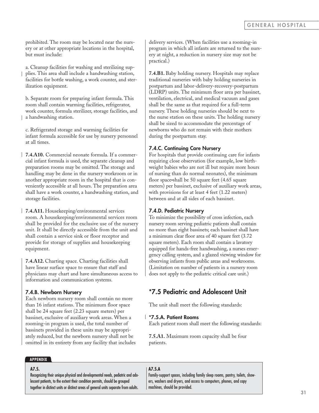prohibited. The room may be located near the nursery or at other appropriate locations in the hospital, but must include:

a. Cleanup facilities for washing and sterilizing supplies. This area shall include a handwashing station, facilities for bottle washing, a work counter, and sterilization equipment.

b. Separate room for preparing infant formula. This room shall contain warming facilities, refrigerator, work counter, formula sterilizer, storage facilities, and a handwashing station.

c. Refrigerated storage and warming facilities for infant formula accessible for use by nursery personnel at all times.

**7.4.A10.** Commercial neonate formula. If a commercial infant formula is used, the separate cleanup and preparation rooms may be omitted. The storage and handling may be done in the nursery workroom or in another appropriate room in the hospital that is conveniently accessible at all hours. The preparation area shall have a work counter, a handwashing station, and storage facilities.

**7.4.A11.** Housekeeping/environmental services room. A housekeeping/environmental services room shall be provided for the exclusive use of the nursery unit. It shall be directly accessible from the unit and shall contain a service sink or floor receptor and provide for storage of supplies and housekeeping equipment.

**7.4.A12.** Charting space. Charting facilities shall have linear surface space to ensure that staff and physicians may chart and have simultaneous access to information and communication systems.

# **7.4.B. Newborn Nursery**

Each newborn nursery room shall contain no more than 16 infant stations. The minimum floor space shall be 24 square feet (2.23 square meters) per bassinet, exclusive of auxiliary work areas. When a rooming-in program is used, the total number of bassinets provided in these units may be appropriately reduced, but the newborn nursery shall not be omitted in its entirety from any facility that includes delivery services. (When facilities use a rooming-in program in which all infants are returned to the nursery at night, a reduction in nursery size may not be practical.)

**7.4.B1.** Baby holding nursery. Hospitals may replace traditional nurseries with baby holding nurseries in postpartum and labor-delivery-recovery-postpartum (LDRP) units. The minimum floor area per bassinet, ventilation, electrical, and medical vacuum and gases shall be the same as that required for a full-term nursery. These holding nurseries should be next to the nurse station on these units. The holding nursery shall be sized to accommodate the percentage of newborns who do not remain with their mothers during the postpartum stay.

# **7.4.C. Continuing Care Nursery**

For hospitals that provide continuing care for infants requiring close observation (for example, low birthweight babies who are not ill but require more hours of nursing than do normal neonates), the minimum floor space shall be 50 square feet (4.65 square meters) per bassinet, exclusive of auxiliary work areas, with provisions for at least 4 feet (1.22 meters) between and at all sides of each bassinet.

# **7.4.D. Pediatric Nursery**

To minimize the possibility of cross infection, each nursery room serving pediatric patients shall contain no more than eight bassinets; each bassinet shall have a minimum clear floor area of 40 square feet (3.72 square meters). Each room shall contain a lavatory equipped for hands-free handwashing, a nurses emergency calling system, and a glazed viewing window for observing infants from public areas and workrooms. (Limitation on number of patients in a nursery room does not apply to the pediatric critical care unit.)

# **\*7.5 Pediatric and Adolescent Unit**

The unit shall meet the following standards:

# **\*7.5.A. Patient Rooms**

Each patient room shall meet the following standards:

**7.5.A1.** Maximum room capacity shall be four patients.

# **APPENDIX**

# **A7.5.**

Recognizing their unique physical and developmental needs, pediatric and adolescent patients, to the extent their condition permits, should be grouped together in distinct units or distinct areas of general units separate from adults.

# **A7.5.A**

Family-support spaces, including family sleep rooms, pantry, toilets, showers, washers and dryers, and access to computers, phones, and copy machines, should be provided.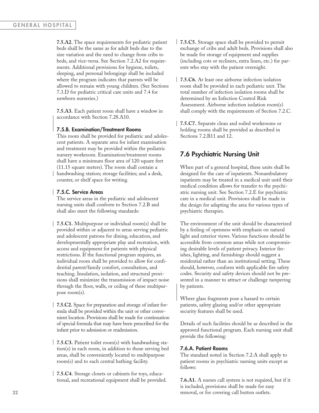**7.5.A2.** The space requirements for pediatric patient beds shall be the same as for adult beds due to the size variation and the need to change from cribs to beds, and vice-versa. See Section 7.2.A2 for requirements. Additional provisions for hygiene, toilets, sleeping, and personal belongings shall be included where the program indicates that parents will be allowed to remain with young children. (See Sections 7.3.D for pediatric critical care units and 7.4 for newborn nurseries.)

**7.5.A3.** Each patient room shall have a window in accordance with Section 7.28.A10.

#### **7.5.B. Examination/Treatment Rooms**

This room shall be provided for pediatric and adolescent patients. A separate area for infant examination and treatment may be provided within the pediatric nursery workroom. Examination/treatment rooms shall have a minimum floor area of 120 square feet (11.15 square meters). The room shall contain a handwashing station; storage facilities; and a desk, counter, or shelf space for writing.

# **7.5.C. Service Areas**

The service areas in the pediatric and adolescent nursing units shall conform to Section 7.2.B and shall also meet the following standards:

- **7.5.C1.** Multipurpose or individual room(s) shall be provided within or adjacent to areas serving pediatric and adolescent patrons for dining, education, and developmentally appropriate play and recreation, with access and equipment for patients with physical restrictions. If the functional program requires, an individual room shall be provided to allow for confidential parent/family comfort, consultation, and teaching. Insulation, isolation, and structural provisions shall minimize the transmission of impact noise through the floor, walls, or ceiling of these multipurpose room(s).
- **7.5.C2.** Space for preparation and storage of infant formula shall be provided within the unit or other convenient location. Provisions shall be made for continuation of special formula that may have been prescribed for the infant prior to admission or readmission.
- **7.5.C3.** Patient toilet room(s) with handwashing station(s) in each room, in addition to those serving bed areas, shall be conveniently located to multipurpose room(s) and to each central bathing facility.
- **7.5.C4.** Storage closets or cabinets for toys, educational, and recreational equipment shall be provided.
- **7.5.C5.** Storage space shall be provided to permit exchange of cribs and adult beds. Provisions shall also be made for storage of equipment and supplies (including cots or recliners, extra linen, etc.) for parents who stay with the patient overnight.
- **7.5.C6.** At least one airborne infection isolation room shall be provided in each pediatric unit. The total number of infection isolation rooms shall be determined by an Infection Control Risk Assessment. Airborne infection isolation room(s) shall comply with the requirements of Section 7.2.C.
- **7.5.C7.** Separate clean and soiled workrooms or holding rooms shall be provided as described in Sections 7.2.B11 and 12.

# **7.6 Psychiatric Nursing Unit**

When part of a general hospital, these units shall be designed for the care of inpatients. Nonambulatory inpatients may be treated in a medical unit until their medical condition allows for transfer to the psychiatric nursing unit. See Section 7.2.E for psychiatric care in a medical unit. Provisions shall be made in the design for adapting the area for various types of psychiatric therapies.

The environment of the unit should be characterized by a feeling of openness with emphasis on natural light and exterior views. Various functions should be accessible from common areas while not compromising desirable levels of patient privacy. Interior finishes, lighting, and furnishings should suggest a residential rather than an institutional setting. These should, however, conform with applicable fire safety codes. Security and safety devices should not be presented in a manner to attract or challenge tampering by patients.

Where glass fragments pose a hazard to certain patients, safety glazing and/or other appropriate security features shall be used.

Details of such facilities should be as described in the approved functional program. Each nursing unit shall provide the following:

#### **7.6.A. Patient Rooms**

The standard noted in Section 7.2.A shall apply to patient rooms in psychiatric nursing units except as follows:

**7.6.A1.** A nurses call system is not required, but if it is included, provisions shall be made for easy removal, or for covering call button outlets.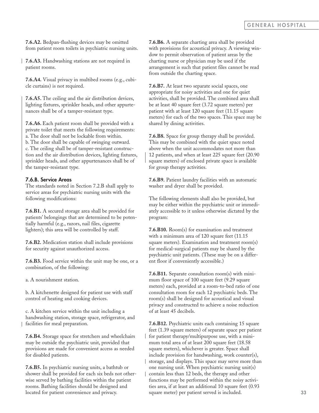**7.6.A2.** Bedpan-flushing devices may be omitted from patient room toilets in psychiatric nursing units.

**7.6.A3.** Handwashing stations are not required in patient rooms.

**7.6.A4.** Visual privacy in multibed rooms (e.g., cubicle curtains) is not required.

**7.6.A5.** The ceiling and the air distribution devices, lighting fixtures, sprinkler heads, and other appurtenances shall be of a tamper-resistant type.

**7.6.A6.** Each patient room shall be provided with a private toilet that meets the following requirements: a. The door shall not be lockable from within. b. The door shall be capable of swinging outward. c. The ceiling shall be of tamper-resistant construction and the air distribution devices, lighting fixtures, sprinkler heads, and other appurtenances shall be of the tamper-resistant type.

#### **7.6.B. Service Areas**

The standards noted in Section 7.2.B shall apply to service areas for psychiatric nursing units with the following modifications:

**7.6.B1.** A secured storage area shall be provided for patients' belongings that are determined to be potentially harmful (e.g., razors, nail files, cigarette lighters); this area will be controlled by staff.

**7.6.B2.** Medication station shall include provisions for security against unauthorized access.

**7.6.B3.** Food service within the unit may be one, or a combination, of the following:

a. A nourishment station.

b. A kitchenette designed for patient use with staff control of heating and cooking devices.

c. A kitchen service within the unit including a handwashing station, storage space, refrigerator, and facilities for meal preparation.

**7.6.B4.** Storage space for stretchers and wheelchairs may be outside the psychiatric unit, provided that provisions are made for convenient access as needed for disabled patients.

**7.6.B5.** In psychiatric nursing units, a bathtub or shower shall be provided for each six beds not otherwise served by bathing facilities within the patient rooms. Bathing facilities should be designed and located for patient convenience and privacy.

**7.6.B6.** A separate charting area shall be provided with provisions for acoustical privacy. A viewing window to permit observation of patient areas by the charting nurse or physician may be used if the arrangement is such that patient files cannot be read from outside the charting space.

**7.6.B7.** At least two separate social spaces, one appropriate for noisy activities and one for quiet activities, shall be provided. The combined area shall be at least 40 square feet (3.72 square meters) per patient with at least 120 square feet (11.15 square meters) for each of the two spaces. This space may be shared by dining activities.

**7.6.B8.** Space for group therapy shall be provided. This may be combined with the quiet space noted above when the unit accommodates not more than 12 patients, and when at least 225 square feet (20.90 square meters) of enclosed private space is available for group therapy activities.

**7.6.B9.** Patient laundry facilities with an automatic washer and dryer shall be provided.

The following elements shall also be provided, but may be either within the psychiatric unit or immediately accessible to it unless otherwise dictated by the program:

**7.6.B10.** Room(s) for examination and treatment with a minimum area of 120 square feet (11.15) square meters). Examination and treatment room(s) for medical-surgical patients may be shared by the psychiatric unit patients. (These may be on a different floor if conveniently accessible.)

**7.6.B11.** Separate consultation room(s) with minimum floor space of 100 square feet (9.29 square meters) each, provided at a room-to-bed ratio of one consultation room for each 12 psychiatric beds. The room(s) shall be designed for acoustical and visual privacy and constructed to achieve a noise reduction of at least 45 decibels.

**7.6.B12.** Psychiatric units each containing 15 square feet (1.39 square meters) of separate space per patient for patient therapy/multipurpose use, with a minimum total area of at least 200 square feet (18.58 square meters), whichever is greater. Space shall include provision for handwashing, work counter(s), storage, and displays. This space may serve more than one nursing unit. When psychiatric nursing unit(s) contain less than 12 beds, the therapy and other functions may be performed within the noisy activities area, if at least an additional 10 square feet (0.93 square meter) per patient served is included.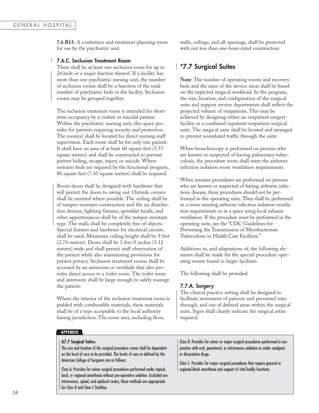**7.6.B13.** A conference and treatment planning room for use by the psychiatric unit.

#### **7.6.C. Seclusion Treatment Room**

There shall be at least one seclusion room for up to 24 beds or a major fraction thereof. If a facility has more than one psychiatric nursing unit, the number of seclusion rooms shall be a function of the total number of psychiatric beds in the facility. Seclusion rooms may be grouped together.

The seclusion treatment room is intended for shortterm occupancy by a violent or suicidal patient. Within the psychiatric nursing unit, this space provides for patients requiring security and protection. The room(s) shall be located for direct nursing staff supervision. Each room shall be for only one patient. It shall have an area of at least 60 square feet (5.57 square meters) and shall be constructed to prevent patient hiding, escape, injury, or suicide. Where restraint beds are required by the functional program, 80 square feet (7.43 square meters) shall be required.

Room doors shall be designed with hardware that will permit the doors to swing out. Outside corners shall be omitted where possible. The ceiling shall be of tamper-resistant construction and the air distribution devices, lighting fixtures, sprinkler heads, and other appurtenances shall be of the tamper-resistant type. The walls shall be completely free of objects. Special fixtures and hardware for electrical circuits shall be used. Minimum ceiling height shall be 9 feet (2.74 meters). Doors shall be 3 feet 8 inches (1.12 meters) wide and shall permit staff observation of the patient while also maintaining provisions for patient privacy. Seclusion treatment rooms shall be accessed by an anteroom or vestibule that also provides direct access to a toilet room. The toilet room and anteroom shall be large enough to safely manage the patient.

Where the interior of the seclusion treatment room is padded with combustible materials, these materials shall be of a type acceptable to the local authority having jurisdiction. The room area, including floor,

walls, ceilings, and all openings, shall be protected with not less than one-hour-rated construction.

# **\*7.7 Surgical Suites**

**Note**: The number of operating rooms and recovery beds and the sizes of the service areas shall be based on the expected surgical workload. In the program, the size, location, and configuration of the surgical suite and support service departments shall reflect the projected volume of outpatients. This may be achieved by designing either an outpatient surgery facility or a combined inpatient-outpatient surgical suite. The surgical suite shall be located and arranged to prevent nonrelated traffic through the suite.

When bronchoscopy is performed on persons who are known or suspected of having pulmonary tuberculosis, the procedure room shall meet the airborne infection isolation room ventilation requirements.

When invasive procedures are performed on persons who are known or suspected of having airborne infectious disease, these procedures should not be performed in the operating suite. They shall be performed in a room meeting airborne infection isolation ventilation requirements or in a space using local exhaust ventilation. If the procedure must be performed in the operating suite, see the "CDC Guidelines for Preventing the Transmission of Mycobacterium Tuberculosis in Health Care Facilities."

Additions to, and adaptations of, the following elements shall be made for the special-procedure operating rooms found in larger facilities.

The following shall be provided:

#### **7.7.A. Surgery**

The clinical practice setting shall be designed to facilitate movement of patients and personnel into, through, and out of defined areas within the surgical suite. Signs shall clearly indicate the surgical attire required.

#### **APPENDIX**

#### **A7.7 Surgical Suites**

The size and location of the surgical procedure rooms shall be dependent on the level of care to be provided. The levels of care as defined by the American College of Surgeons are as follows:

Class A: Provides for minor surgical procedures performed under topical, local, or regional anesthesia without pre-operative sedation. Excluded are intravenous, spinal, and epidural routes; these methods are appropriate for Class B and Class C facilities.

Class B: Provides for minor or major surgical procedures performed in conjunction with oral, parenteral, or intravenous sedation or under analgesic or dissociative drugs.

Class C: Provides for major surgical procedures that require general or regional block anesthesia and support of vital bodily functions.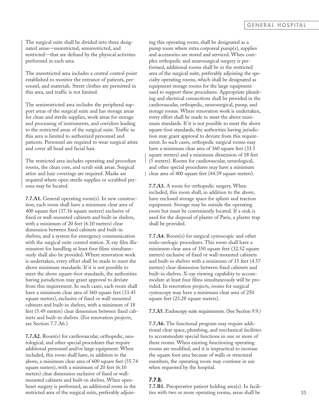The surgical suite shall be divided into three designated areas—unrestricted, semirestricted, and restricted—that are defined by the physical activities performed in each area.

The unrestricted area includes a central control point established to monitor the entrance of patients, personnel, and materials. Street clothes are permitted in this area, and traffic is not limited.

The semirestricted area includes the peripheral support areas of the surgical suite and has storage areas for clean and sterile supplies, work areas for storage and processing of instruments, and corridors leading to the restricted areas of the surgical suite. Traffic in this area is limited to authorized personnel and patients. Personnel are required to wear surgical attire and cover all head and facial hair.

The restricted area includes operating and procedure rooms, the clean core, and scrub sink areas. Surgical attire and hair coverings are required. Masks are required where open sterile supplies or scrubbed persons may be located.

**7.7.A1.** General operating room(s). In new construction, each room shall have a minimum clear area of 400 square feet (37.16 square meters) exclusive of fixed or wall-mounted cabinets and built-in shelves, with a minimum of 20 feet (6.10 meters) clear dimension between fixed cabinets and built-in shelves; and a system for emergency communication with the surgical suite control station. X-ray film illuminators for handling at least four films simultaneously shall also be provided. Where renovation work is undertaken, every effort shall be made to meet the above minimum standards. If it is not possible to meet the above square-foot standards, the authorities having jurisdiction may grant approval to deviate from this requirement. In such cases, each room shall have a minimum clear area of 360 square feet (33.45 square meters), exclusive of fixed or wall-mounted cabinets and built-in shelves, with a minimum of 18 feet (5.49 meters) clear dimension between fixed cabinets and built-in shelves. (For renovation projects, see Section 7.7.A6.)

**7.7.A2.** Room(s) for cardiovascular, orthopedic, neurological, and other special procedures that require additional personnel and/or large equipment. When included, this room shall have, in addition to the above, a minimum clear area of 600 square feet (55.74 square meters), with a minimum of 20 feet (6.10 meters) clear dimension exclusive of fixed or wallmounted cabinets and built-in shelves. When openheart surgery is performed, an additional room in the restricted area of the surgical suite, preferably adjoin-

ing this operating room, shall be designated as a pump room where extra corporeal pump(s), supplies and accessories are stored and serviced. When complex orthopedic and neurosurgical surgery is performed, additional rooms shall be in the restricted area of the surgical suite, preferably adjoining the specialty operating rooms, which shall be designated as equipment storage rooms for the large equipment used to support these procedures. Appropriate plumbing and electrical connections shall be provided in the cardiovascular, orthopedic, neurosurgical, pump, and storage rooms. Where renovation work is undertaken, every effort shall be made to meet the above minimum standards. If it is not possible to meet the above square-foot standards, the authorities having jurisdiction may grant approval to deviate from this requirement. In such cases, orthopedic surgical rooms may have a minimum clear area of 360 square feet (33.5 square meters) and a minimum dimension of 18 feet (5 meters). Rooms for cardiovascular, neurological, and other special procedures may have a minimum clear area of 400 square feet (44.39 square meters).

**7.7.A3.** A room for orthopedic surgery. When included, this room shall, in addition to the above, have enclosed storage space for splints and traction equipment. Storage may be outside the operating room but must be conveniently located. If a sink is used for the disposal of plaster of Paris, a plaster trap shall be provided.

**7.7.A4.** Room(s) for surgical cystoscopic and other endo-urologic procedures. This room shall have a minimum clear area of 350 square feet (32.52 square meters) exclusive of fixed or wall-mounted cabinets and built-in shelves with a minimum of 15 feet (4.57 meters) clear dimension between fixed cabinets and built-in shelves. X-ray viewing capability to accommodate at least four films simultaneously will be provided. In renovation projects, rooms for surgical cystoscopy may have a minimum clear area of 250 square feet (23.28 square meters).

**7.7.A5.** Endoscopy suite requirements. (See Section 9.9.)

**7.7.A6.** The functional program may require additional clear space, plumbing, and mechanical facilities to accommodate special functions in one or more of these rooms. When existing functioning operating rooms are modified, and it is impractical to increase the square foot area because of walls or structural members, the operating room may continue in use when requested by the hospital.

#### **7.7.B.**

**7.7.B1.** Preoperative patient holding area(s). In facilities with two or more operating rooms, areas shall be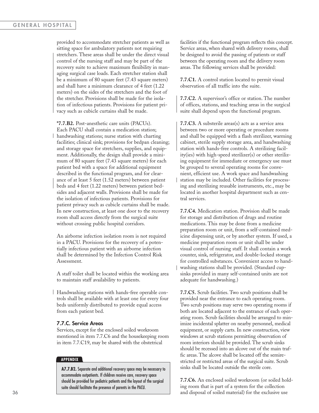provided to accommodate stretcher patients as well as sitting space for ambulatory patients not requiring stretchers. These areas shall be under the direct visual control of the nursing staff and may be part of the recovery suite to achieve maximum flexibility in managing surgical case loads. Each stretcher station shall be a minimum of 80 square feet (7.43 square meters) and shall have a minimum clearance of 4 feet (1.22 meters) on the sides of the stretchers and the foot of the stretcher. Provisions shall be made for the isolation of infectious patients. Provisions for patient privacy such as cubicle curtains shall be made.

**\*7.7.B2.** Post-anesthetic care units (PACUs). Each PACU shall contain a medication station; handwashing stations; nurse station with charting facilities; clinical sink; provisions for bedpan cleaning; and storage space for stretchers, supplies, and equipment. Additionally, the design shall provide a minimum of 80 square feet (7.43 square meters) for each patient bed with a space for additional equipment described in the functional program, and for clearance of at least 5 feet (1.52 meters) between patient beds and 4 feet (1.22 meters) between patient bedsides and adjacent walls. Provisions shall be made for the isolation of infectious patients. Provisions for patient privacy such as cubicle curtains shall be made. In new construction, at least one door to the recovery room shall access directly from the surgical suite without crossing public hospital corridors.

An airborne infection isolation room is not required in a PACU. Provisions for the recovery of a potentially infectious patient with an airborne infection shall be determined by the Infection Control Risk Assessment.

A staff toilet shall be located within the working area to maintain staff availability to patients.

Handwashing stations with hands-free operable controls shall be available with at least one for every four beds uniformly distributed to provide equal access from each patient bed.

#### **7.7.C. Service Areas**

Services, except for the enclosed soiled workroom mentioned in item 7.7.C6 and the housekeeping room in item 7.7.C19, may be shared with the obstetrical

#### **APPENDIX**

**A7.7.B2.** Separate and additional recovery space may be necessary to accommodate outpatients. If children receive care, recovery space should be provided for pediatric patients and the layout of the surgical suite should facilitate the presence of parents in the PACU.

facilities if the functional program reflects this concept. Service areas, when shared with delivery rooms, shall be designed to avoid the passing of patients or staff between the operating room and the delivery room areas. The following services shall be provided:

**7.7.C1.** A control station located to permit visual observation of all traffic into the suite.

**7.7.C2.** A supervisor's office or station. The number of offices, stations, and teaching areas in the surgical suite shall depend upon the functional program.

**7.7.C3.** A substerile areas(s) acts as a service area between two or more operating or procedure rooms and shall be equipped with a flash sterilizer, warming cabinet, sterile supply storage area, and handwashing station with hands-free controls. A sterilizing facility(ies) with high-speed sterilizer(s) or other sterilizing equipment for immediate or emergency use must be grouped to several operating rooms for convenient, efficient use. A work space and handwashing

station may be included. Other facilities for processing and sterilizing reusable instruments, etc., may be located in another hospital department such as central services.

**7.7.C4.** Medication station. Provision shall be made for storage and distribution of drugs and routine medications. This may be done from a medicine preparation room or unit, from a self-contained medicine dispensing unit, or by another system. If used, a medicine preparation room or unit shall be under visual control of nursing staff. It shall contain a work counter, sink, refrigerator, and double-locked storage for controlled substances. Convenient access to handwashing stations shall be provided. (Standard cupsinks provided in many self-contained units are not adequate for handwashing.)

**7.7.C5.** Scrub facilities. Two scrub positions shall be provided near the entrance to each operating room. Two scrub positions may serve two operating rooms if both are located adjacent to the entrance of each operating room. Scrub facilities should be arranged to minimize incidental splatter on nearby personnel, medical equipment, or supply carts. In new construction, view windows at scrub stations permitting observation of room interiors should be provided. The scrub sinks should be recessed into an alcove out of the main traffic areas. The alcove shall be located off the semirestricted or restricted areas of the surgical suite. Scrub sinks shall be located outside the sterile core.

**7.7.C6.** An enclosed soiled workroom (or soiled holding room that is part of a system for the collection and disposal of soiled material) for the exclusive use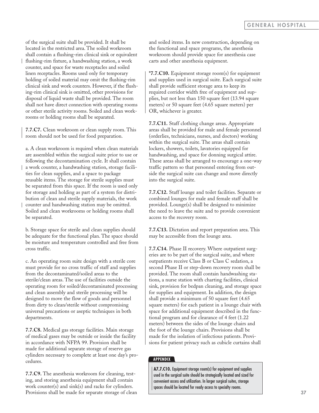of the surgical suite shall be provided. It shall be located in the restricted area. The soiled workroom shall contain a flushing-rim clinical sink or equivalent

flushing-rim fixture, a handwashing station, a work counter, and space for waste receptacles and soiled linen receptacles. Rooms used only for temporary holding of soiled material may omit the flushing-rim clinical sink and work counters. However, if the flushing-rim clinical sink is omitted, other provisions for disposal of liquid waste shall be provided. The room shall not have direct connection with operating rooms or other sterile activity rooms. Soiled and clean workrooms or holding rooms shall be separated.

**7.7.C7.** Clean workroom or clean supply room. This room should not be used for food preparation.

a. A clean workroom is required when clean materials are assembled within the surgical suite prior to use or following the decontamination cycle. It shall contain

- a work counter, a handwashing station, storage facilities for clean supplies, and a space to package reusable items. The storage for sterile supplies must be separated from this space. If the room is used only for storage and holding as part of a system for distribution of clean and sterile supply materials, the work
- counter and handwashing station may be omitted. Soiled and clean workrooms or holding rooms shall be separated.

b. Storage space for sterile and clean supplies should be adequate for the functional plan. The space should be moisture and temperature controlled and free from cross traffic.

c. An operating room suite design with a sterile core must provide for no cross traffic of staff and supplies from the decontaminated/soiled areas to the sterile/clean areas. The use of facilities outside the operating room for soiled/decontaminated processing and clean assembly and sterile processing will be designed to move the flow of goods and personnel from dirty to clean/sterile without compromising universal precautions or aseptic techniques in both departments.

**7.7.C8.** Medical gas storage facilities. Main storage of medical gases may be outside or inside the facility in accordance with NFPA 99. Provision shall be made for additional separate storage of reserve gas cylinders necessary to complete at least one day's procedures.

**7.7.C9.** The anesthesia workroom for cleaning, testing, and storing anesthesia equipment shall contain work counter(s) and sink(s) and racks for cylinders. Provisions shall be made for separate storage of clean and soiled items. In new construction, depending on the functional and space programs, the anesthesia workroom should provide space for anesthesia case carts and other anesthesia equipment.

**\*7.7.C10.** Equipment storage room(s) for equipment and supplies used in surgical suite. Each surgical suite shall provide sufficient storage area to keep its required corridor width free of equipment and supplies, but not less than 150 square feet (13.94 square meters) or 50 square feet (4.65 square meters) per OR, whichever is greater.

**7.7.C11.** Staff clothing change areas. Appropriate areas shall be provided for male and female personnel (orderlies, technicians, nurses, and doctors) working within the surgical suite. The areas shall contain lockers, showers, toilets, lavatories equipped for handwashing, and space for donning surgical attire. These areas shall be arranged to encourage a one-way traffic pattern so that personnel entering from outside the surgical suite can change and move directly into the surgical suite.

**7.7.C12.** Staff lounge and toilet facilities. Separate or combined lounges for male and female staff shall be provided. Lounge(s) shall be designed to minimize the need to leave the suite and to provide convenient access to the recovery room.

**7.7.C13.** Dictation and report preparation area. This may be accessible from the lounge area.

**7.7.C14.** Phase II recovery. Where outpatient surgeries are to be part of the surgical suite, and where outpatients receive Class B or Class C sedation, a second Phase II or step-down recovery room shall be provided. The room shall contain handwashing stations, a nurse station with charting facilities, clinical sink, provision for bedpan cleaning, and storage space for supplies and equipment. In addition, the design shall provide a minimum of 50 square feet (4.65 square meters) for each patient in a lounge chair with space for additional equipment described in the functional program and for clearance of 4 feet (1.22 meters) between the sides of the lounge chairs and the foot of the lounge chairs. Provisions shall be made for the isolation of infectious patients. Provisions for patient privacy such as cubicle curtains shall

#### **APPENDIX**

**A7.7.C10.** Equipment storage room(s) for equipment and supplies used in the surgical suite should be strategically located and sized for convenient access and utilization. In larger surgical suites, storage spaces should be located for ready access to specialty rooms.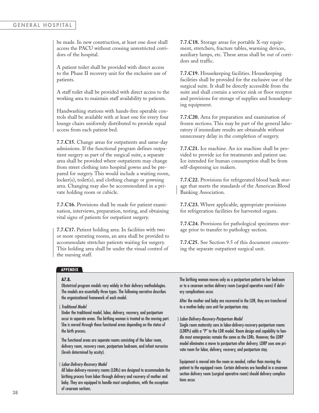be made. In new construction, at least one door shall access the PACU without crossing unrestricted corridors of the hospital.

A patient toilet shall be provided with direct access to the Phase II recovery unit for the exclusive use of patients.

A staff toilet shall be provided with direct access to the working area to maintain staff availability to patients.

Handwashing stations with hands-free operable controls shall be available with at least one for every four lounge chairs uniformly distributed to provide equal access from each patient bed.

**7.7.C15.** Change areas for outpatients and same-day admissions. If the functional program defines outpatient surgery as part of the surgical suite, a separate area shall be provided where outpatients may change from street clothing into hospital gowns and be prepared for surgery. This would include a waiting room, locker(s), toilet(s), and clothing change or gowning area. Changing may also be accommodated in a private holding room or cubicle.

**7.7.C16.** Provisions shall be made for patient examination, interviews, preparation, testing, and obtaining vital signs of patients for outpatient surgery.

**7.7.C17.** Patient holding area. In facilities with two or more operating rooms, an area shall be provided to accommodate stretcher patients waiting for surgery. This holding area shall be under the visual control of the nursing staff.

**7.7.C18.** Storage areas for portable X-ray equipment, stretchers, fracture tables, warming devices, auxiliary lamps, etc. These areas shall be out of corridors and traffic.

**7.7.C19.** Housekeeping facilities. Housekeeping facilities shall be provided for the exclusive use of the surgical suite. It shall be directly accessible from the suite and shall contain a service sink or floor receptor and provisions for storage of supplies and housekeeping equipment.

**7.7.C20.** Area for preparation and examination of frozen sections. This may be part of the general laboratory if immediate results are obtainable without unnecessary delay in the completion of surgery.

**7.7.C21.** Ice machine. An ice machine shall be provided to provide ice for treatments and patient use. Ice intended for human consumption shall be from self-dispensing ice makers.

**7.7.C22.** Provisions for refrigerated blood bank storage that meets the standards of the American Blood Banking Association.

**7.7.C23.** Where applicable, appropriate provisions for refrigeration facilities for harvested organs.

**7.7.C24.** Provisions for pathological specimens storage prior to transfer to pathology section.

**7.7.C25.** See Section 9.5 of this document concerning the separate outpatient surgical unit.

#### **APPENDIX**

#### **A7.8.**

Obstetrical program models vary widely in their delivery methodologies. The models are essentially three types. The following narrative describes the organizational framework of each model.

#### | Traditional Model

Under the traditional model, labor, delivery, recovery, and postpartum occur in separate areas. The birthing woman is treated as the moving part. She is moved through these functional areas depending on the status of the birth process.

The functional areas are separate rooms consisting of the labor room, delivery room, recovery room, postpartum bedroom, and infant nurseries (levels determined by acuity).

#### Labor-Delivery-Recovery Model

All labor-delivery-recovery rooms (LDRs) are designed to accommodate the birthing process from labor through delivery and recovery of mother and baby. They are equipped to handle most complications, with the exception of cesarean sections.

The birthing woman moves only as a postpartum patient to her bedroom or to a cesarean section delivery room (surgical operative room) if delivery complications occur.

After the mother and baby are recovered in the LDR, they are transferred to a mother-baby care unit for postpartum stay.

#### Labor-Delivery-Recovery-Postpartum Model

Single room maternity care in labor-delivery-recovery-postpartum rooms (LDRPs) adds a "P" to the LDR model. Room design and capability to handle most emergencies remain the same as the LDRs. However, the LDRP model eliminates a move to postpartum after delivery. LDRP uses one private room for labor, delivery, recovery, and postpartum stay.

Equipment is moved into the room as needed, rather than moving the patient to the equipped room. Certain deliveries are handled in a cesarean section delivery room (surgical operative room) should delivery complications occur.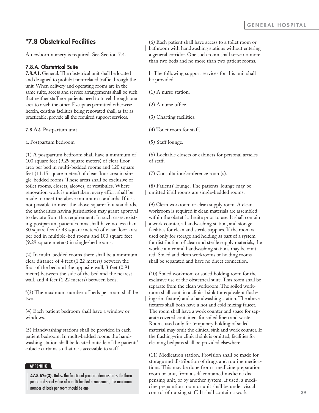# **\*7.8 Obstetrical Facilities**

A newborn nursery is required. See Section 7.4.

# **7.8.A. Obstetrical Suite**

**7.8.A1.** General**.** The obstetrical unit shall be located and designed to prohibit non-related traffic through the unit. When delivery and operating rooms are in the same suite, access and service arrangements shall be such that neither staff nor patients need to travel through one area to reach the other. Except as permitted otherwise herein, existing facilities being renovated shall, as far as practicable, provide all the required support services.

**7.8.A2.** Postpartum unit

a. Postpartum bedroom

(1) A postpartum bedroom shall have a minimum of 100 square feet (9.29 square meters) of clear floor area per bed in multi-bedded rooms and 120 square feet (11.15 square meters) of clear floor area in sin-

gle-bedded rooms. These areas shall be exclusive of toilet rooms, closets, alcoves, or vestibules. Where renovation work is undertaken, every effort shall be made to meet the above minimum standards. If it is not possible to meet the above square-foot standards, the authorities having jurisdiction may grant approval to deviate from this requirement. In such cases, existing postpartum patient rooms shall have no less than 80 square feet (7.43 square meters) of clear floor area per bed in multiple-bed rooms and 100 square feet (9.29 square meters) in single-bed rooms.

(2) In multi-bedded rooms there shall be a minimum clear distance of 4 feet (1.22 meters) between the foot of the bed and the opposite wall, 3 feet (0.91 meter) between the side of the bed and the nearest wall, and 4 feet (1.22 meters) between beds.

\*(3) The maximum number of beds per room shall be two.

(4) Each patient bedroom shall have a window or windows.

(5) Handwashing stations shall be provided in each patient bedroom. In multi-bedded rooms the handwashing station shall be located outside of the patients' cubicle curtains so that it is accessible to staff.

#### **APPENDIX**

**A7.8.A2a(3).** Unless the functional program demonstrates the therapeutic and social value of a multi-bedded arrangement, the maximum number of beds per room should be one.

(6) Each patient shall have access to a toilet room or bathroom with handwashing stations without entering a general corridor. One such room shall serve no more than two beds and no more than two patient rooms.

b. The following support services for this unit shall be provided.

(1) A nurse station.

(2) A nurse office.

(3) Charting facilities.

(4) Toilet room for staff.

(5) Staff lounge.

(6) Lockable closets or cabinets for personal articles of staff.

(7) Consultation/conference room(s).

(8) Patients' lounge. The patients' lounge may be omitted if all rooms are single-bedded rooms.

(9) Clean workroom or clean supply room. A clean workroom is required if clean materials are assembled within the obstetrical suite prior to use. It shall contain a work counter, a handwashing station, and storage facilities for clean and sterile supplies. If the room is used only for storage and holding as part of a system for distribution of clean and sterile supply materials, the work counter and handwashing stations may be omitted. Soiled and clean workrooms or holding rooms shall be separated and have no direct connection.

(10) Soiled workroom or soiled holding room for the exclusive use of the obstetrical suite. This room shall be separate from the clean workroom. The soiled workroom shall contain a clinical sink (or equivalent flushing-rim fixture) and a handwashing station. The above fixtures shall both have a hot and cold mixing faucet. The room shall have a work counter and space for separate covered containers for soiled linen and waste. Rooms used only for temporary holding of soiled material may omit the clinical sink and work counter. If the flushing-rim clinical sink is omitted, facilities for cleaning bedpans shall be provided elsewhere.

(11) Medication station. Provision shall be made for storage and distribution of drugs and routine medications. This may be done from a medicine preparation room or unit, from a self-contained medicine dispensing unit, or by another system. If used, a medicine preparation room or unit shall be under visual control of nursing staff. It shall contain a work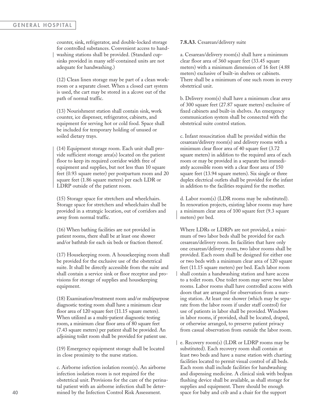counter, sink, refrigerator, and double-locked storage for controlled substances. Convenient access to handwashing stations shall be provided. (Standard cupsinks provided in many self-contained units are not adequate for handwashing.)

(12) Clean linen storage may be part of a clean workroom or a separate closet. When a closed cart system is used, the cart may be stored in a alcove out of the path of normal traffic.

(13) Nourishment station shall contain sink, work counter, ice dispenser, refrigerator, cabinets, and equipment for serving hot or cold food. Space shall be included for temporary holding of unused or soiled dietary trays.

(14) Equipment storage room. Each unit shall provide sufficient storage area(s) located on the patient floor to keep its required corridor width free of equipment and supplies, but not less than 10 square feet (0.93 square meter) per postpartum room and 20 square feet (1.86 square meters) per each LDR or LDRP outside of the patient room.

(15) Storage space for stretchers and wheelchairs. Storage space for stretchers and wheelchairs shall be provided in a strategic location, out of corridors and away from normal traffic.

(16) When bathing facilities are not provided in patient rooms, there shall be at least one shower and/or bathtub for each six beds or fraction thereof.

(17) Housekeeping room. A housekeeping room shall be provided for the exclusive use of the obstetrical suite. It shall be directly accessible from the suite and shall contain a service sink or floor receptor and provisions for storage of supplies and housekeeping equipment.

(18) Examination/treatment room and/or multipurpose diagnostic testing room shall have a minimum clear floor area of 120 square feet (11.15 square meters). When utilized as a multi-patient diagnostic testing room, a minimum clear floor area of 80 square feet (7.43 square meters) per patient shall be provided. An adjoining toilet room shall be provided for patient use.

(19) Emergency equipment storage shall be located in close proximity to the nurse station.

c. Airborne infection isolation room(s). An airborne infection isolation room is not required for the obstetrical unit. Provisions for the care of the perinatal patient with an airborne infection shall be determined by the Infection Control Risk Assessment.

#### **7.8.A3.** Cesarean/delivery suite

a. Cesarean/delivery room(s) shall have a minimum clear floor area of 360 square feet (33.45 square meters) with a minimum dimension of 16 feet (4.88 meters) exclusive of built-in shelves or cabinets. There shall be a minimum of one such room in every obstetrical unit.

b. Delivery room(s) shall have a minimum clear area of 300 square feet (27.87 square meters) exclusive of fixed cabinets and built-in shelves. An emergency communication system shall be connected with the obstetrical suite control station.

c. Infant resuscitation shall be provided within the cesarean/delivery room(s) and delivery rooms with a minimum clear floor area of 40 square feet (3.72 square meters) in addition to the required area of each room or may be provided in a separate but immediately accessible room with a clear floor area of 150 square feet (13.94 square meters). Six single or three duplex electrical outlets shall be provided for the infant in addition to the facilities required for the mother.

d. Labor room(s) (LDR rooms may be substituted). In renovation projects, existing labor rooms may have a minimum clear area of 100 square feet (9.3 square meters) per bed.

Where LDRs or LDRPs are not provided, a minimum of two labor beds shall be provided for each cesarean/delivery room. In facilities that have only one cesarean/delivery room, two labor rooms shall be provided. Each room shall be designed for either one or two beds with a minimum clear area of 120 square feet (11.15 square meters) per bed. Each labor room shall contain a handwashing station and have access to a toilet room. One toilet room may serve two labor rooms. Labor rooms shall have controlled access with doors that are arranged for observation from a nursing station. At least one shower (which may be separate from the labor room if under staff control) for use of patients in labor shall be provided. Windows in labor rooms, if provided, shall be located, draped, or otherwise arranged, to preserve patient privacy from casual observation from outside the labor room.

e. Recovery room(s) (LDR or LDRP rooms may be substituted). Each recovery room shall contain at least two beds and have a nurse station with charting facilities located to permit visual control of all beds. Each room shall include facilities for handwashing and dispensing medicine. A clinical sink with bedpan flushing device shall be available, as shall storage for supplies and equipment. There should be enough space for baby and crib and a chair for the support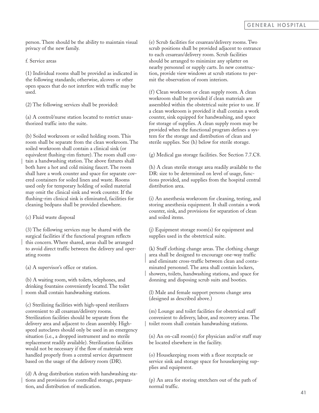person. There should be the ability to maintain visual privacy of the new family.

f. Service areas

(1) Individual rooms shall be provided as indicated in the following standards; otherwise, alcoves or other open spaces that do not interfere with traffic may be used.

(2) The following services shall be provided:

(a) A control/nurse station located to restrict unauthorized traffic into the suite.

(b) Soiled workroom or soiled holding room. This room shall be separate from the clean workroom. The soiled workroom shall contain a clinical sink (or equivalent flushing-rim fixture). The room shall contain a handwashing station. The above fixtures shall both have a hot and cold mixing faucet. The room shall have a work counter and space for separate covered containers for soiled linen and waste. Rooms used only for temporary holding of soiled material may omit the clinical sink and work counter. If the flushing-rim clinical sink is eliminated, facilities for cleaning bedpans shall be provided elsewhere.

(c) Fluid waste disposal

(3) The following services may be shared with the surgical facilities if the functional program reflects this concern. Where shared, areas shall be arranged to avoid direct traffic between the delivery and operating rooms

(a) A supervisor's office or station.

(b) A waiting room, with toilets, telephones, and drinking fountains conveniently located. The toilet room shall contain handwashing stations.

(c) Sterilizing facilities with high-speed sterilizers convenient to all cesarean/delivery rooms. Sterilization facilities should be separate from the delivery area and adjacent to clean assembly. Highspeed autoclaves should only be used in an emergency situation (i.e., a dropped instrument and no sterile replacement readily available). Sterilization facilities would not be necessary if the flow of materials were handled properly from a central service department based on the usage of the delivery room (DR).

(d) A drug distribution station with handwashing stations and provisions for controlled storage, preparation, and distribution of medication.

(e) Scrub facilities for cesarean/delivery rooms. Two scrub positions shall be provided adjacent to entrance to each cesarean/delivery room. Scrub facilities should be arranged to minimize any splatter on nearby personnel or supply carts. In new construction, provide view windows at scrub stations to permit the observation of room interiors.

(f) Clean workroom or clean supply room. A clean workroom shall be provided if clean materials are assembled within the obstetrical suite prior to use. If a clean workroom is provided it shall contain a work counter, sink equipped for handwashing, and space for storage of supplies. A clean supply room may be provided when the functional program defines a system for the storage and distribution of clean and sterile supplies. See (h) below for sterile storage.

(g) Medical gas storage facilities. See Section 7.7.C8.

(h) A clean sterile storage area readily available to the DR: size to be determined on level of usage, functions provided, and supplies from the hospital central distribution area.

(i) An anesthesia workroom for cleaning, testing, and storing anesthesia equipment. It shall contain a work counter, sink, and provisions for separation of clean and soiled items.

(j) Equipment storage room(s) for equipment and supplies used in the obstetrical suite.

(k) Staff clothing change areas. The clothing change area shall be designed to encourage one-way traffic and eliminate cross-traffic between clean and contaminated personnel. The area shall contain lockers, showers, toilets, handwashing stations, and space for donning and disposing scrub suits and booties.

(l) Male and female support persons change area (designed as described above.)

(m) Lounge and toilet facilities for obstetrical staff convenient to delivery, labor, and recovery areas. The toilet room shall contain handwashing stations.

(n) An on-call room(s) for physician and/or staff may be located elsewhere in the facility.

(o) Housekeeping room with a floor receptacle or service sink and storage space for housekeeping supplies and equipment.

(p) An area for storing stretchers out of the path of normal traffic.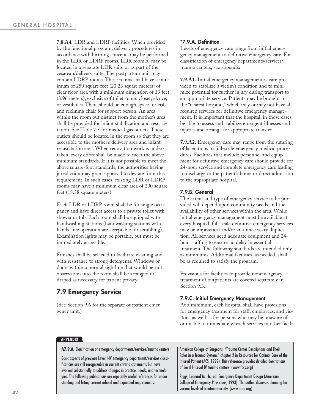**7.8.A4.** LDR and LDRP facilities. When provided by the functional program, delivery procedures in accordance with birthing concepts may be performed in the LDR or LDRP rooms. LDR room(s) may be located in a separate LDR suite or as part of the cesarean/delivery suite. The postpartum unit may contain LDRP rooms. These rooms shall have a minimum of 250 square feet (23.23 square meters) of clear floor area with a minimum dimension of 13 feet (3.96 meters), exclusive of toilet room, closet, alcove, or vestibules. There should be enough space for crib and reclining chair for support person. An area within the room but distinct from the mother's area shall be provided for infant stabilization and resuscitation. See Table 7.5 for medical gas outlets. These outlets should be located in the room so that they are accessible to the mother's delivery area and infant resuscitation area. When renovation work is undertaken, every effort shall be made to meet the above minimum standards. If it is not possible to meet the above square-foot standards, the authorities having jurisdiction may grant approval to deviate from this requirement. In such cases, existing LDR or LDRP rooms may have a minimum clear area of 200 square feet (18.58 square meters).

Each LDR or LDRP room shall be for single occupancy and have direct access to a private toilet with shower or tub. Each room shall be equipped with handwashing stations (handwashing stations with hands-free operation are acceptable for scrubbing). Examination lights may be portable, but must be immediately accessible.

Finishes shall be selected to facilitate cleaning and with resistance to strong detergents. Windows or doors within a normal sightline that would permit observation into the room shall be arranged or draped as necessary for patient privacy.

# **7.9 Emergency Service**

(See Section 9.6 for the separate outpatient emergency unit.)

# **\*7.9.A. Definition**

Levels of emergency care range from initial emergency management to definitive emergency care. For classification of emergency departments/services/ trauma centers, see appendix.

**7.9.A1.** Initial emergency management is care provided to stabilize a victim's condition and to minimize potential for further injury during transport to an appropriate service. Patients may be brought to the "nearest hospital," which may or may not have all required services for definitive emergency management. It is important that the hospital, in those cases, be able to assess and stabilize emergent illnesses and injuries and arrange for appropriate transfer.

**7.9.A2.** Emergency care may range from the suturing of lacerations to full-scale emergency medical procedures. Facilities that include personnel and equipment for definitive emergency care should provide for 24-hour service and complete emergency care leading to discharge to the patient's home or direct admission to the appropriate hospital.

# **7.9.B. General**

The extent and type of emergency service to be provided will depend upon community needs and the availability of other services within the area. While initial emergency management must be available at every hospital, full-scale definitive emergency services may be impractical and/or an unnecessary duplication. All services need adequate equipment and 24 hour staffing to ensure no delay in essential treatment. The following standards are intended only as minimums. Additional facilities, as needed, shall be as required to satisfy the program.

Provisions for facilities to provide nonemergency treatment of outpatients are covered separately in Section 9.3.

# **7.9.C. Initial Emergency Management**

At a minimum, each hospital shall have provisions for emergency treatment for staff, employees, and visitors, as well as for persons who may be unaware of or unable to immediately reach services in other facil-

#### **APPENDIX**

| A7.9.A. Classification of emergency departments/services/trauma centers<br>Basic aspects of previous Level I-IV emergency department/services classi-<br>fications are still recognizable in current criteria statements but have<br>evolved substantially to address changes in practice, needs, and technolo-<br>gies. The following publications are especially useful references for under-<br>standing and listing current refined and expanded requirements: | American College of Surgeons. "Trauma Center Descriptions and Their<br>Roles in a Trauma System," chapter 2 in Resources for Optimal Care of the<br>Injured Patient (ACS, 1999). This reference provides detailed descriptions<br>of Level I- Level IV trauma centers. (www.facs.org)<br>Riggs, Leonard M., Jr., ed. Emergency Department Design (American<br>College of Emergency Physicians, 1993). The author discusses planning for<br>various levels of treatment acuity. (www.acep.org) |
|--------------------------------------------------------------------------------------------------------------------------------------------------------------------------------------------------------------------------------------------------------------------------------------------------------------------------------------------------------------------------------------------------------------------------------------------------------------------|-----------------------------------------------------------------------------------------------------------------------------------------------------------------------------------------------------------------------------------------------------------------------------------------------------------------------------------------------------------------------------------------------------------------------------------------------------------------------------------------------|
|--------------------------------------------------------------------------------------------------------------------------------------------------------------------------------------------------------------------------------------------------------------------------------------------------------------------------------------------------------------------------------------------------------------------------------------------------------------------|-----------------------------------------------------------------------------------------------------------------------------------------------------------------------------------------------------------------------------------------------------------------------------------------------------------------------------------------------------------------------------------------------------------------------------------------------------------------------------------------------|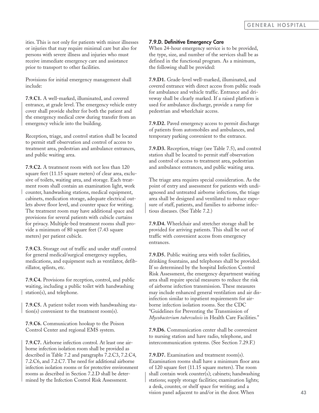ities. This is not only for patients with minor illnesses or injuries that may require minimal care but also for persons with severe illness and injuries who must receive immediate emergency care and assistance prior to transport to other facilities.

Provisions for initial emergency management shall include:

**7.9.C1.** A well-marked, illuminated, and covered entrance, at grade level. The emergency vehicle entry cover shall provide shelter for both the patient and the emergency medical crew during transfer from an emergency vehicle into the building.

Reception, triage, and control station shall be located to permit staff observation and control of access to treatment area, pedestrian and ambulance entrances, and public waiting area.

**7.9.C2.** A treatment room with not less than 120 square feet (11.15 square meters) of clear area, exclusive of toilets, waiting area, and storage. Each treatment room shall contain an examination light, work counter, handwashing stations, medical equipment, cabinets, medication storage, adequate electrical outlets above floor level, and counter space for writing. The treatment room may have additional space and provisions for several patients with cubicle curtains for privacy. Multiple-bed treatment rooms shall provide a minimum of 80 square feet (7.43 square meters) per patient cubicle.

**7.9.C3.** Storage out of traffic and under staff control for general medical/surgical emergency supplies, medications, and equipment such as ventilator, defibrillator, splints, etc.

**7.9.C4.** Provisions for reception, control, and public waiting, including a public toilet with handwashing station(s), and telephone.

**7.9.C5.** A patient toilet room with handwashing station(s) convenient to the treatment room(s).

**7.9.C6.** Communication hookup to the Poison Control Center and regional EMS system.

**7.9.C7.** Airborne infection control. At least one airborne infection isolation room shall be provided as described in Table 7.2 and paragraphs 7.2.C3, 7.2.C4, 7.2.C6, and 7.2.C7. The need for additional airborne infection isolation rooms or for protective environment rooms as described in Section 7.2.D shall be determined by the Infection Control Risk Assessment.

# **7.9.D. Definitive Emergency Care**

When 24-hour emergency service is to be provided, the type, size, and number of the services shall be as defined in the functional program. As a minimum, the following shall be provided:

**7.9.D1.** Grade-level well-marked, illuminated, and covered entrance with direct access from public roads for ambulance and vehicle traffic. Entrance and driveway shall be clearly marked. If a raised platform is used for ambulance discharge, provide a ramp for pedestrian and wheelchair access.

**7.9.D2.** Paved emergency access to permit discharge of patients from automobiles and ambulances, and temporary parking convenient to the entrance.

**7.9.D3.** Reception, triage (see Table 7.5), and control station shall be located to permit staff observation and control of access to treatment area, pedestrian and ambulance entrances, and public waiting area.

The triage area requires special consideration. As the point of entry and assessment for patients with undiagnosed and untreated airborne infections, the triage area shall be designed and ventilated to reduce exposure of staff, patients, and families to airborne infectious diseases. (See Table 7.2.)

**7.9.D4.** Wheelchair and stretcher storage shall be provided for arriving patients. This shall be out of traffic with convenient access from emergency entrances.

**7.9.D5.** Public waiting area with toilet facilities, drinking fountains, and telephones shall be provided. If so determined by the hospital Infection Control Risk Assessment, the emergency department waiting area shall require special measures to reduce the risk of airborne infection transmission. These measures may include enhanced general ventilation and air disinfection similar to inpatient requirements for airborne infection isolation rooms. See the CDC "Guidelines for Preventing the Transmission of *Mycobacterium tuberculosis* in Health Care Facilities."

**7.9.D6.** Communication center shall be convenient to nursing station and have radio, telephone, and intercommunication systems. (See Section 7.29.F.)

**7.9.D7.** Examination and treatment room(s). Examination rooms shall have a minimum floor area of 120 square feet (11.15 square meters). The room shall contain work counter(s); cabinets; handwashing stations; supply storage facilities; examination lights; a desk, counter, or shelf space for writing; and a vision panel adjacent to and/or in the door. When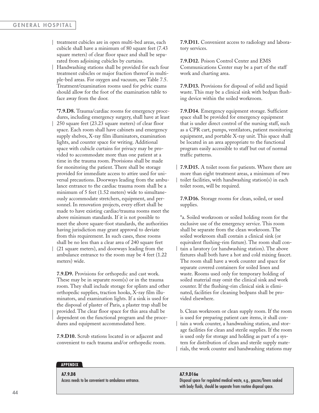treatment cubicles are in open multi-bed areas, each cubicle shall have a minimum of 80 square feet (7.43 square meters) of clear floor space and shall be separated from adjoining cubicles by curtains.

Handwashing stations shall be provided for each four treatment cubicles or major fraction thereof in multiple-bed areas. For oxygen and vacuum, see Table 7.5. Treatment/examination rooms used for pelvic exams should allow for the foot of the examination table to face away from the door.

**\*7.9.D8.** Trauma/cardiac rooms for emergency procedures, including emergency surgery, shall have at least 250 square feet (23.23 square meters) of clear floor space. Each room shall have cabinets and emergency supply shelves, X-ray film illuminators, examination lights, and counter space for writing. Additional space with cubicle curtains for privacy may be provided to accommodate more than one patient at a time in the trauma room. Provisions shall be made for monitoring the patient. There shall be storage provided for immediate access to attire used for universal precautions. Doorways leading from the ambulance entrance to the cardiac trauma room shall be a minimum of 5 feet (1.52 meters) wide to simultaneously accommodate stretchers, equipment, and personnel. In renovation projects, every effort shall be made to have existing cardiac/trauma rooms meet the above minimum standards. If it is not possible to meet the above square-foot standards, the authorities having jurisdiction may grant approval to deviate from this requirement. In such cases, these rooms shall be no less than a clear area of 240 square feet (21 square meters), and doorways leading from the ambulance entrance to the room may be 4 feet (1.22 meters) wide.

**7.9.D9.** Provisions for orthopedic and cast work. These may be in separate room(s) or in the trauma room. They shall include storage for splints and other orthopedic supplies, traction hooks, X-ray film illuminators, and examination lights. If a sink is used for the disposal of plaster of Paris, a plaster trap shall be provided. The clear floor space for this area shall be dependent on the functional program and the procedures and equipment accommodated here.

**7.9.D10.** Scrub stations located in or adjacent and convenient to each trauma and/or orthopedic room.

#### **7.9.D11.** Convenient access to radiology and laboratory services.

**7.9.D12.** Poison Control Center and EMS Communications Center may be a part of the staff work and charting area.

**7.9.D13.** Provisions for disposal of solid and liquid waste. This may be a clinical sink with bedpan flushing device within the soiled workroom.

**7.9.D14.** Emergency equipment storage. Sufficient space shall be provided for emergency equipment that is under direct control of the nursing staff, such as a CPR cart, pumps, ventilators, patient monitoring equipment, and portable X-ray unit. This space shall be located in an area appropriate to the functional program easily accessible to staff but out of normal traffic patterns.

**7.9.D15.** A toilet room for patients. Where there are more than eight treatment areas, a minimum of two toilet facilities, with handwashing station(s) in each toilet room, will be required.

**7.9.D16.** Storage rooms for clean, soiled, or used supplies.

\*a. Soiled workroom or soiled holding room for the exclusive use of the emergency service. This room shall be separate from the clean workroom. The soiled workroom shall contain a clinical sink (or equivalent flushing-rim fixture). The room shall contain a lavatory (or handwashing station). The above fixtures shall both have a hot and cold mixing faucet. The room shall have a work counter and space for separate covered containers for soiled linen and waste. Rooms used only for temporary holding of soiled material may omit the clinical sink and work counter. If the flushing-rim clinical sink is eliminated, facilities for cleaning bedpans shall be provided elsewhere.

b. Clean workroom or clean supply room. If the room is used for preparing patient care items, it shall con-

tain a work counter, a handwashing station, and storage facilities for clean and sterile supplies. If the room is used only for storage and holding as part of a system for distribution of clean and sterile supply materials, the work counter and handwashing stations may

#### **APPENDIX**

**A7.9.D8** Access needs to be convenient to ambulance entrance.

Disposal space for regulated medical waste, e.g., gauzes/linens soaked with body fluids, should be separate from routine disposal space.

**A7.9.D16a**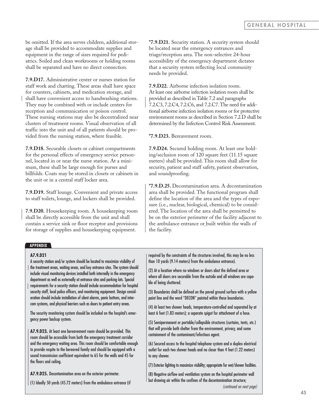be omitted. If the area serves children, additional storage shall be provided to accommodate supplies and equipment in the range of sizes required for pediatrics. Soiled and clean workrooms or holding rooms shall be separated and have no direct connection.

**7.9.D17.** Administrative center or nurses station for staff work and charting. These areas shall have space for counters, cabinets, and medication storage, and shall have convenient access to handwashing stations. They may be combined with or include centers for reception and communication or poison control. These nursing stations may also be decentralized near clusters of treatment rooms. Visual observation of all traffic into the unit and of all patients should be provided from the nursing station, where feasible.

**7.9.D18.** Securable closets or cabinet compartments for the personal effects of emergency service personnel, located in or near the nurse station. At a minimum, these shall be large enough for purses and billfolds. Coats may be stored in closets or cabinets in the unit or in a central staff locker area.

**7.9.D19.** Staff lounge. Convenient and private access to staff toilets, lounge, and lockers shall be provided.

**7.9.D20.** Housekeeping room. A housekeeping room shall be directly accessible from the unit and shall contain a service sink or floor receptor and provisions for storage of supplies and housekeeping equipment.

#### **APPENDIX**

#### **A7.9.D21**

A security station and/or system should be located to maximize visibility of the treatment areas, waiting areas, and key entrance sites. The system should include visual monitoring devices installed both internally in the emergency department as well as externally at entrance sites and parking lots. Special requirements for a security station should include accommodation for hospital security staff, local police officers, and monitoring equipment. Design consideration should include installation of silent alarms, panic buttons, and intercom systems, and physical barriers such as doors to patient entry areas.

The security monitoring system should be included on the hospital's emergency power backup system.

**A7.9.D23.** At least one bereavement room should be provided. This room should be accessible from both the emergency treatment corridor and the emergency waiting area. This room should be comfortable enough to provide respite to the bereaved family and should be equipped with a sound transmission coefficient equivalent to 65 for the walls and 45 for the floors and ceiling.

**A7.9.D25.** Decontamination area on the exterior perimeter.

(1) Ideally 50 yards (45.72 meters) from the ambulance entrance (if

**\*7.9.D21.** Security station. A security system should be located near the emergency entrances and triage/reception area. The non-selective 24-hour accessibility of the emergency department dictates that a security system reflecting local community needs be provided.

**7.9.D22.** Airborne infection isolation room. At least one airborne infection isolation room shall be provided as described in Table 7.2 and paragraphs 7.2.C3, 7.2.C4, 7.2.C6, and 7.2.C7. The need for additional airborne infection isolation rooms or for protective environment rooms as described in Section 7.2.D shall be determined by the Infection Control Risk Assessment.

**\*7.9.D23.** Bereavement room.

**7.9.D24.** Secured holding room. At least one holding/seclusion room of 120 square feet (11.15 square meters) shall be provided. This room shall allow for security, patient and staff safety, patient observation, and soundproofing.

**\*7.9.D.25.** Decontamination area. A decontamination area shall be provided. The functional program shall define the location of the area and the types of exposure (i.e., nuclear, biological, chemical) to be considered. The location of the area shall be permitted to be on the exterior perimeter of the facility adjacent to the ambulance entrance or built within the walls of the facility.

required by the constraints of the structures involved, this may be no less than 10 yards (9.14 meters) from the ambulance entrance).

(2) At a location where no windows or doors abut the defined area or where all doors are securable from the outside and all windows are capable of being shuttered.

(3) Boundaries shall be defined on the paved ground surface with a yellow paint line and the word "DECON" painted within these boundaries.

(4) At least two shower heads, temperature-controlled and separated by at least 6 feet (1.83 meters); a separate spigot for attachment of a hose.

(5) Semipermanent or portable/collapsible structures (curtains, tents, etc.) that will provide both shelter from the environment, privacy, and some containment of the contaminant/infectious agent.

(6) Secured access to the hospital telephone system and a duplex electrical outlet for each two shower heads and no closer than 4 feet (1.22 meters) to any shower.

(7) Exterior lighting to maximize visibility; appropriate for wet/shower facilities.

(8) Negative airflow and ventilation system on the hospital perimeter wall but drawing air within the confines of the decontamination structure;

(continued on next page)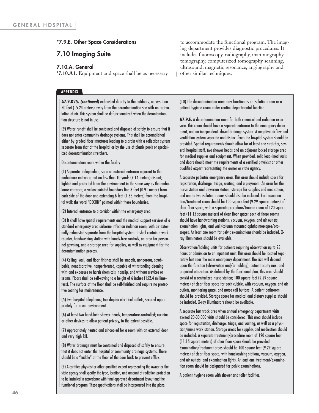## **\*7.9.E. Other Space Considerations**

# **7.10 Imaging Suite**

# **7.10.A. General**

**\*7.10.A1.** Equipment and space shall be as necessary

#### **APPENDIX**

**A7.9.D25. (continued)** exhausted directly to the outdoors, no less than 50 feet (15.24 meters) away from the decontamination site with no recirculation of air. This system shall be defunctionalized when the decontamination structure is not in use.

(9) Water runoff shall be contained and disposed of safely to ensure that it does not enter community drainage systems. This shall be accomplished either by graded floor structures leading to a drain with a collection system separate from that of the hospital or by the use of plastic pools or specialized decontamination stretchers.

Decontamination room within the facility

(1) Separate, independent, secured external entrance adjacent to the ambulance entrance, but no less than 10 yards (9.14 meters) distant; lighted and protected from the environment in the same way as the ambulance entrance; a yellow painted boundary line 3 feet (0.91 meter) from each side of the door and extending 6 feet (1.83 meters) from the hospital wall; the word "DECON" painted within these boundaries.

(2) Internal entrance to a corridor within the emergency area.

(3) It shall have spatial requirements and the medical support services of a standard emergency area airborne infection isolation room, with air externally exhausted separate from the hospital system. It shall contain a work counter, handwashing station with hands-free controls, an area for personnel gowning, and a storage area for supplies, as well as equipment for the decontamination process.

(4) Ceiling, wall, and floor finishes shall be smooth, nonporous, scrubbable, nonadsorptive, nonperforated, capable of withstanding cleaning with and exposure to harsh chemicals, nonslip, and without crevices or seams. Floors shall be self-coving to a height of 6 inches (152.4 millimeters). The surface of the floor shall be self-finished and require no protective coating for maintenance.

(5) Two hospital telephones; two duplex electrical outlets, secured appropriately for a wet environment.

(6) At least two hand-held shower heads, temperature-controlled; curtains or other devices to allow patient privacy, to the extent possible.

(7) Appropriately heated and air-cooled for a room with an external door and very high RH.

(8) Water drainage must be contained and disposed of safely to ensure that it does not enter the hospital or community drainage systems. There should be a "saddle" at the floor of the door buck to prevent efflux.

(9) A certified physicist or other qualified expert representing the owner or the state agency shall specify the type, location, and amount of radiation protection to be installed in accordance with final approved department layout and the functional program. These specifications shall be incorporated into the plans.

to accommodate the functional program. The imaging department provides diagnostic procedures. It includes fluoroscopy, radiography, mammography, tomography, computerized tomography scanning, ultrasound, magnetic resonance, angiography and other similar techniques.

(10) The decontamination area may function as an isolation room or a patient hygiene room under routine departmental function.

**A7.9.E.** A decontamination room for both chemical and radiation exposure. This room should have a separate entrance to the emergency department, and an independent, closed drainage system. A negative airflow and ventilation system separate and distinct from the hospital system should be provided. Spatial requirements should allow for at least one stretcher, several hospital staff, two shower heads and an adjacent locked storage area for medical supplies and equipment. When provided, solid lead-lined walls and doors should meet the requirements of a certified physicist or other qualified expert representing the owner or state agency.

A separate pediatric emergency area. This area should include space for registration, discharge, triage, waiting, and a playroom. An area for the nurse station and physician station, storage for supplies and medication, and one to two isolation rooms should also be included. Each examination/treatment room should be 100 square feet (9.29 square meters) of clear floor space, with a separate procedure/trauma room of 120 square feet (11.15 square meters) of clear floor space; each of these rooms should have handwashing stations, vacuum, oxygen, and air outlets, examination lights, and wall/column mounted ophthalmoscopes/otoscopes. At least one room for pelvic examinations should be included. Xray illuminators should be available.

Observation/holding units for patients requiring observation up to 23 hours or admission to an inpatient unit. This area should be located separately but near the main emergency department. The size will depend upon the function (observation and/or holding), patient acuity mix, and projected utilization. As defined by the functional plan, this area should consist of a centralized nurse station; 100 square feet (9.29 square meters) of clear floor space for each cubicle, with vacuum, oxygen, and air outlets, monitoring space, and nurse call buttons. A patient bathroom should be provided. Storage space for medical and dietary supplies should be included. X-ray illuminators should be available.

A separate fast track area when annual emergency department visits exceed 20-30,000 visits should be considered. This area should include space for registration, discharge, triage, and waiting, as well as a physician/nurse work station. Storage areas for supplies and medication should be included. A separate treatment/procedure room of 120 square feet (11.15 square meters) of clear floor space should be provided. Examination/treatment areas should be 100 square feet (9.29 square

meters) of clear floor space, with handwashing stations, vacuum, oxygen, and air outlets, and examination lights. At least one treatment/examination room should be designated for pelvic examinations.

A patient hygiene room with shower and toilet facilities.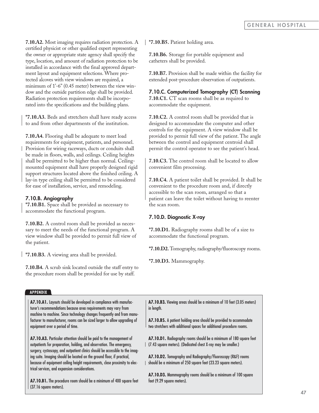**7.10.A2.** Most imaging requires radiation protection. A certified physicist or other qualified expert representing the owner or appropriate state agency shall specify the type, location, and amount of radiation protection to be installed in accordance with the final approved department layout and equipment selections. Where protected alcoves with view windows are required, a minimum of 1'-6" (0.45 meter) between the view window and the outside partition edge shall be provided. Radiation protection requirements shall be incorporated into the specifications and the building plans.

**\*7.10.A3.** Beds and stretchers shall have ready access to and from other departments of the institution.

**7.10.A4.** Flooring shall be adequate to meet load requirements for equipment, patients, and personnel. Provision for wiring raceways, ducts or conduits shall be made in floors, walls, and ceilings. Ceiling heights shall be permitted to be higher than normal. Ceilingmounted equipment shall have properly designed rigid support structures located above the finished ceiling. A lay-in type ceiling shall be permitted to be considered for ease of installation, service, and remodeling.

# **7.10.B. Angiography**

**\*7.10.B1.** Space shall be provided as necessary to accommodate the functional program.

**7.10.B2.** A control room shall be provided as necessary to meet the needs of the functional program. A view window shall be provided to permit full view of the patient.

**\*7.10.B3.** A viewing area shall be provided.

**7.10.B4.** A scrub sink located outside the staff entry to the procedure room shall be provided for use by staff.

**\*7.10.B5.** Patient holding area.

**7.10.B6.** Storage for portable equipment and catheters shall be provided.

**7.10.B7.** Provision shall be made within the facility for extended post-procedure observation of outpatients.

**7.10.C. Computerized Tomography (CT) Scanning 7.10.C1.** CT scan rooms shall be as required to accommodate the equipment.

**7.10.C2.** A control room shall be provided that is designed to accommodate the computer and other controls for the equipment. A view window shall be provided to permit full view of the patient. The angle between the control and equipment centroid shall permit the control operator to see the patient's head.

**7.10.C3.** The control room shall be located to allow convenient film processing.

**7.10.C4.** A patient toilet shall be provided. It shall be convenient to the procedure room and, if directly accessible to the scan room, arranged so that a patient can leave the toilet without having to reenter the scan room.

# **7.10.D. Diagnostic X-ray**

**\*7.10.D1.** Radiography rooms shall be of a size to accommodate the functional program.

**\*7.10.D2.** Tomography, radiography/fluoroscopy rooms.

**\*7.10.D3.** Mammography.

#### **APPENDIX**

**A7.10.A1.** Layouts should be developed in compliance with manufacturer's recommendations because area requirements may vary from machine to machine. Since technology changes frequently and from manufacturer to manufacturer, rooms can be sized larger to allow upgrading of equipment over a period of time.

**A7.10.A3.** Particular attention should be paid to the management of outpatients for preparation, holding, and observation. The emergency, surgery, cystoscopy, and outpatient clinics should be accessible to the imaging suite. Imaging should be located on the ground floor, if practical, because of equipment ceiling height requirements, close proximity to electrical services, and expansion considerations.

**A7.10.B1.** The procedure room should be a minimum of 400 square feet (37.16 square meters).

**A7.10.B3.** Viewing areas should be a minimum of 10 feet (3.05 meters) in length.

**A7.10.B5.** A patient holding area should be provided to accommodate two stretchers with additional spaces for additional procedure rooms.

**A7.10.D1.** Radiography rooms should be a minimum of 180 square feet (7.43 square meters). (Dedicated chest X-ray may be smaller.)

**A7.10.D2.** Tomography and Radiography/Fluoroscopy (R&F) rooms should be a minimum of 250 square feet (23.23 square meters).

**A7.10.D3.** Mammography rooms should be a minimum of 100 square feet (9.29 square meters).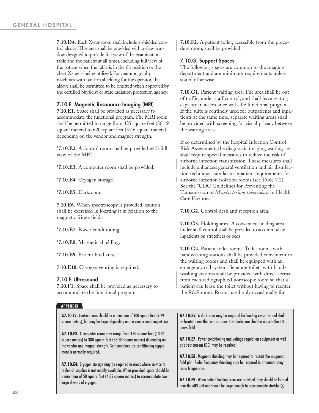**7.10.D4.** Each X-ray room shall include a shielded control alcove. This area shall be provided with a view window designed to provide full view of the examination table and the patient at all times, including full view of the patient when the table is in the tilt position or the chest X-ray is being utilized. For mammography machines with built-in shielding for the operator, the alcove shall be permitted to be omitted when approved by the certified physicist or state radiation protection agency.

## **7.10.E. Magnetic Resonance Imaging (MRI)**

**7.10.E1.** Space shall be provided as necessary to accommodate the functional program. The MRI room shall be permitted to range from 325 square feet (30.19 square meters) to 620 square feet (57.6 square meters) depending on the vendor and magnet strength.

**\*7.10.E2.** A control room shall be provided with full view of the MRI.

**\*7.10.E3.** A computer room shall be provided.

**\*7.10.E4.** Cryogen storage.

**\*7.10.E5.** Darkroom.

**7.10.E6.** When spectroscopy is provided, caution shall be exercised in locating it in relation to the magnetic fringe fields.

**\*7.10.E7.** Power conditioning.

**\*7.10.E8.** Magnetic shielding.

**\*7.10.E9.** Patient hold area.

**7.10.E10.** Cryogen venting is required.

#### **7.10.F. Ultrasound**

**7.10.F1.** Space shall be provided as necessary to accommodate the functional program.

#### **APPENDIX**

**A7.10.E2.** Control rooms should be a minimum of 100 square feet (9.29 square meters), but may be larger depending on the vendor and magnet size.

**A7.10.E3.** A computer room may range from 150 square feet (13.94 square meters) to 380 square feet (35.30 square meters) depending on the vendor and magnet strength. Self-contained air conditioning supplement is normally required.

**A7.10.E4.** Cryogen storage may be required in areas where service to replenish supplies is not readily available. When provided, space should be a minimum of 50 square feet (4.65 square meters) to accommodate two large dewars of cryogen.

**7.10.F2.** A patient toilet, accessible from the procedure room, shall be provided.

#### **7.10.G. Support Spaces**

The following spaces are common to the imaging department and are minimum requirements unless stated otherwise:

**7.10.G1.** Patient waiting area. The area shall be out of traffic, under staff control, and shall have seating capacity in accordance with the functional program. If the suite is routinely used for outpatients and inpatients at the same time, separate waiting areas shall be provided with screening for visual privacy between the waiting areas.

If so determined by the hospital Infection Control Risk Assessment, the diagnostic imaging waiting area shall require special measures to reduce the risk of airborne infection transmission. These measures shall include enhanced general ventilation and air disinfection techniques similar to inpatient requirements for

airborne infection isolation rooms (see Table 7.2). See the "CDC Guidelines for Preventing the Transmission of *Mycobacterium tuberculosis* in Health Care Facilities."

**7.10.G2.** Control desk and reception area.

**7.10.G3.** Holding area. A convenient holding area under staff control shall be provided to accommodate inpatients on stretchers or beds.

**7.10.G4.** Patient toilet rooms. Toilet rooms with handwashing stations shall be provided convenient to the waiting rooms and shall be equipped with an emergency call system. Separate toilets with handwashing stations shall be provided with direct access from each radiographic/fluoroscopic room so that a patient can leave the toilet without having to reenter the R&F room. Rooms used only occasionally for

**A7.10.E5.** A darkroom may be required for loading cassettes and shall be located near the control room. This darkroom shall be outside the 10 gauss field.

**A7.10.E7.** Power conditioning and voltage regulation equipment as well as direct current (DC) may be required.

**A7.10.E8.** Magnetic shielding may be required to restrict the magnetic field plot. Radio frequency shielding may be required to attenuate stray radio frequencies.

**A7.10.E9.** When patient holding areas are provided, they should be located near the MRI unit and should be large enough to accommodate stretcher(s).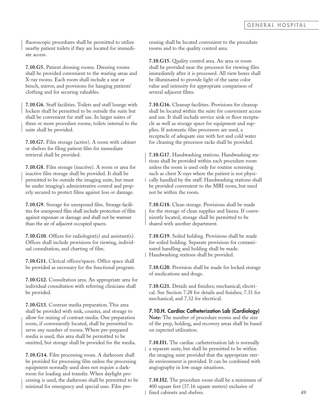fluoroscopic procedures shall be permitted to utilize nearby patient toilets if they are located for immediate access.

**7.10.G5.** Patient dressing rooms. Dressing rooms shall be provided convenient to the waiting areas and X-ray rooms. Each room shall include a seat or bench, mirror, and provisions for hanging patients' clothing and for securing valuables.

**7.10.G6.** Staff facilities. Toilets and staff lounge with lockers shall be permitted to be outside the suite but shall be convenient for staff use. In larger suites of three or more procedure rooms, toilets internal to the suite shall be provided.

**7.10.G7.** Film storage (active). A room with cabinet or shelves for filing patient film for immediate retrieval shall be provided.

**7.10.G8.** Film storage (inactive). A room or area for inactive film storage shall be provided. It shall be permitted to be outside the imaging suite, but must be under imaging's administrative control and properly secured to protect films against loss or damage.

**7.10.G9.** Storage for unexposed film. Storage facilities for unexposed film shall include protection of film against exposure or damage and shall not be warmer than the air of adjacent occupied spaces.

**7.10.G10.** Offices for radiologist(s) and assistant(s). Offices shall include provisions for viewing, individual consultation, and charting of film.

**7.10.G11.** Clerical offices/spaces. Office space shall be provided as necessary for the functional program.

**7.10.G12.** Consultation area. An appropriate area for individual consultation with referring clinicians shall be provided.

**7.10.G13.** Contrast media preparation. This area shall be provided with sink, counter, and storage to allow for mixing of contrast media. One preparation room, if conveniently located, shall be permitted to serve any number of rooms. Where pre-prepared media is used, this area shall be permitted to be omitted, but storage shall be provided for the media.

**7.10.G14.** Film processing room. A darkroom shall be provided for processing film unless the processing equipment normally used does not require a darkroom for loading and transfer. When daylight processing is used, the darkroom shall be permitted to be minimal for emergency and special uses. Film processing shall be located convenient to the procedure rooms and to the quality control area.

**7.10.G15.** Quality control area. An area or room shall be provided near the processor for viewing film immediately after it is processed. All view boxes shall be illuminated to provide light of the same color value and intensity for appropriate comparison of several adjacent films.

**7.10.G16.** Cleanup facilities. Provisions for cleanup shall be located within the suite for convenient access and use. It shall include service sink or floor receptacle as well as storage space for equipment and supplies. If automatic film processors are used, a receptacle of adequate size with hot and cold water for cleaning the processor racks shall be provided.

**7.10.G17.** Handwashing stations. Handwashing stations shall be provided within each procedure room unless the room is used only for routine screening such as chest X-rays where the patient is not physically handled by the staff. Handwashing stations shall be provided convenient to the MRI room, but need not be within the room.

**7.10.G18.** Clean storage. Provisions shall be made for the storage of clean supplies and linens. If conveniently located, storage shall be permitted to be shared with another department.

**7.10.G19.** Soiled holding. Provisions shall be made for soiled holding. Separate provisions for contaminated handling and holding shall be made. Handwashing stations shall be provided.

**7.10.G20.** Provision shall be made for locked storage of medications and drugs.

**7.10.G21.** Details and finishes; mechanical; electrical. See Section 7.28 for details and finishes; 7.31 for mechanical; and 7.32 for electrical.

**7.10.H. Cardiac Catheterization Lab (Cardiology) Note:** The number of procedure rooms and the size of the prep, holding, and recovery areas shall be based on expected utilization.

**7.10.H1.** The cardiac catheterization lab is normally a separate suite, but shall be permitted to be within the imaging suite provided that the appropriate sterile environment is provided. It can be combined with angiography in low usage situations.

**7.10.H2.** The procedure room shall be a minimum of 400 square feet (37.16 square meters) exclusive of fixed cabinets and shelves.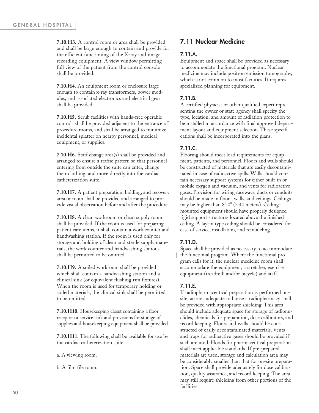**7.10.H3.** A control room or area shall be provided and shall be large enough to contain and provide for the efficient functioning of the X-ray and image recording equipment. A view window permitting full view of the patient from the control console shall be provided.

**7.10.H4.** An equipment room or enclosure large enough to contain x-ray transformers, power modules, and associated electronics and electrical gear shall be provided.

**7.10.H5.** Scrub facilities with hands-free operable controls shall be provided adjacent to the entrance of procedure rooms, and shall be arranged to minimize incidental splatter on nearby personnel, medical equipment, or supplies.

**7.10.H6.** Staff change area(s) shall be provided and arranged to ensure a traffic pattern so that personnel entering from outside the suite can enter, change their clothing, and move directly into the cardiac catheterization suite.

**7.10.H7.** A patient preparation, holding, and recovery area or room shall be provided and arranged to provide visual observation before and after the procedure.

**7.10.H8.** A clean workroom or clean supply room shall be provided. If the room is used for preparing patient care items, it shall contain a work counter and handwashing station. If the room is used only for storage and holding of clean and sterile supply materials, the work counter and handwashing stations shall be permitted to be omitted.

**7.10.H9.** A soiled workroom shall be provided which shall contain a handwashing station and a clinical sink (or equivalent flushing rim fixtures). When the room is used for temporary holding or soiled materials, the clinical sink shall be permitted to be omitted.

**7.10.H10.** Housekeeping closet containing a floor receptor or service sink and provisions for storage of supplies and housekeeping equipment shall be provided.

**7.10.H11.** The following shall be available for use by the cardiac catheterization suite:

a. A viewing room.

b. A film file room.

# **7.11 Nuclear Medicine**

# **7.11.A.**

Equipment and space shall be provided as necessary to accommodate the functional program. Nuclear medicine may include positron emission tomography, which is not common to most facilities. It requires specialized planning for equipment.

# **7.11.B.**

A certified physicist or other qualified expert representing the owner or state agency shall specify the type, location, and amount of radiation protection to be installed in accordance with final approved department layout and equipment selection. These specifications shall be incorporated into the plans.

# **7.11.C.**

Flooring should meet load requirements for equipment, patients, and personnel. Floors and walls should be constructed of materials that are easily decontaminated in case of radioactive spills. Walls should contain necessary support systems for either built-in or mobile oxygen and vacuum, and vents for radioactive gases. Provision for wiring raceways, ducts or conduits should be made in floors, walls, and ceilings. Ceilings may be higher than 8'-0" (2.44 meters). Ceilingmounted equipment should have properly designed rigid support structures located above the finished ceiling. A lay-in type ceiling should be considered for ease of service, installation, and remodeling.

# **7.11.D.**

Space shall be provided as necessary to accommodate the functional program. Where the functional program calls for it, the nuclear medicine room shall accommodate the equipment, a stretcher, exercise equipment (treadmill and/or bicycle) and staff.

# **7.11.E.**

If radiopharmaceutical preparation is performed onsite, an area adequate to house a radiopharmacy shall be provided with appropriate shielding. This area should include adequate space for storage of radionuclides, chemicals for preparation, dose calibrators, and record keeping. Floors and walls should be constructed of easily decontaminated materials. Vents and traps for radioactive gases should be provided if such are used. Hoods for pharmaceutical preparation shall meet applicable standards. If pre-prepared materials are used, storage and calculation area may be considerably smaller than that for on-site preparation. Space shall provide adequately for dose calibration, quality assurance, and record keeping. The area may still require shielding from other portions of the facilities.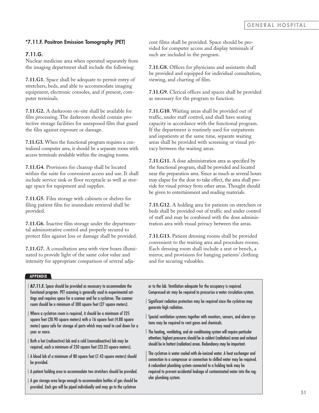# **\*7.11.F. Positron Emission Tomography (PET)**

# **7.11.G.**

Nuclear medicine area when operated separately from the imaging department shall include the following:

**7.11.G1.** Space shall be adequate to permit entry of stretchers, beds, and able to accommodate imaging equipment, electronic consoles, and if present, computer terminals.

**7.11.G2.** A darkroom on-site shall be available for film processing. The darkroom should contain protective storage facilities for unexposed film that guard the film against exposure or damage.

**7.11.G3.** When the functional program requires a centralized computer area, it should be a separate room with access terminals available within the imaging rooms.

**7.11.G4.** Provisions for cleanup shall be located within the suite for convenient access and use. It shall include service sink or floor receptacle as well as storage space for equipment and supplies.

**7.11.G5.** Film storage with cabinets or shelves for filing patient film for immediate retrieval shall be provided.

**7.11.G6.** Inactive film storage under the departmental administrative control and properly secured to protect film against loss or damage shall be provided.

**7.11.G7.** A consultation area with view boxes illuminated to provide light of the same color value and intensity for appropriate comparison of several adjacent films shall be provided. Space should be provided for computer access and display terminals if such are included in the program.

**7.11.G8.** Offices for physicians and assistants shall be provided and equipped for individual consultation, viewing, and charting of film.

**7.11.G9.** Clerical offices and spaces shall be provided as necessary for the program to function.

**7.11.G10.** Waiting areas shall be provided out of traffic, under staff control, and shall have seating capacity in accordance with the functional program. If the department is routinely used for outpatients and inpatients at the same time, separate waiting areas shall be provided with screening or visual privacy between the waiting areas.

**7.11.G11.** A dose administration area as specified by the functional program, shall be provided and located near the preparation area. Since as much as several hours may elapse for the dose to take effect, the area shall provide for visual privacy from other areas. Thought should be given to entertainment and reading materials.

**7.11.G12.** A holding area for patients on stretchers or beds shall be provided out of traffic and under control of staff and may be combined with the dose administration area with visual privacy between the areas.

**7.11.G13.** Patient dressing rooms shall be provided convenient to the waiting area and procedure rooms. Each dressing room shall include a seat or bench, a mirror, and provisions for hanging patients' clothing and for securing valuables.

#### **APPENDIX**

- **A7.11.F.** Space should be provided as necessary to accommodate the functional program. PET scanning is generally used in experimental settings and requires space for a scanner and for a cyclotron. The scanner room should be a minimum of 300 square feet (27 square meters).
- Where a cyclotron room is required, it should be a minimum of 225 square feet (20.90 square meters) with a 16 square foot (4.88 square meter) space safe for storage of parts which may need to cool down for a year or more.
- Both a hot (radioactive) lab and a cold (nonradioactive) lab may be required, each a minimum of 250 square feet (23.23 square meters).
- A blood lab of a minimum of 80 square feet (7.43 square meters) should be provided.
- A patient holding area to accommodate two stretchers should be provided.

A gas storage area large enough to accommodate bottles of gas should be provided. Each gas will be piped individually and may go to the cyclotron

or to the lab. Ventilation adequate for the occupancy is required. Compressed air may be required to pressurize a water circulation system.

- Significant radiation protection may be required since the cyclotron may generate high radiation.
- Special ventilation systems together with monitors, sensors, and alarm systems may be required to vent gases and chemicals.
- The heating, ventilating, and air conditioning system will require particular attention; highest pressures should be in coldest (radiation) areas and exhaust should be in hottest (radiation) areas. Redundancy may be important.

The cyclotron is water cooled with de-ionized water. A heat exchanger and connection to a compressor or connection to chilled water may be required. A redundant plumbing system connected to a holding tank may be required to prevent accidental leakage of contaminated water into the regular plumbing system.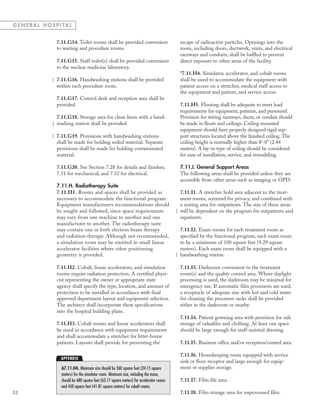**7.11.G14.** Toilet rooms shall be provided convenient to waiting and procedure rooms.

**7.11.G15.** Staff toilet(s) shall be provided convenient to the nuclear medicine laboratory.

**7.11.G16.** Handwashing stations shall be provided within each procedure room.

**7.11.G17.** Control desk and reception area shall be provided.

**7.11.G18.** Storage area for clean linen with a handwashing station shall be provided.

**7.11.G19.** Provisions with handwashing stations shall be made for holding soiled material. Separate provisions shall be made for holding contaminated material.

**7.11.G20.** See Section 7.28 for details and finishes; 7.31 for mechanical; and 7.32 for electrical.

#### **7.11.H. Radiotherapy Suite**

**7.11.H1.** Rooms and spaces shall be provided as necessary to accommodate the functional program. Equipment manufacturers recommendations should be sought and followed, since space requirements may vary from one machine to another and one manufacturer to another. The radiotherapy suite may contain one or both electron beam therapy and radiation therapy. Although not recommended, a simulation room may be omitted in small linear accelerator facilities where other positioning geometry is provided.

**7.11.H2.** Cobalt, linear accelerators, and simulation rooms require radiation protection. A certified physicist representing the owner or appropriate state agency shall specify the type, location, and amount of protection to be installed in accordance with final approved department layout and equipment selection. The architect shall incorporate these specifications into the hospital building plans.

**7.11.H3.** Cobalt rooms and linear accelerators shall be sized in accordance with equipment requirements and shall accommodate a stretcher for litter-borne patients. Layouts shall provide for preventing the

#### **APPENDIX**

**A7.11.H4.** Minimum size should be 260 square feet (24.15 square meters) for the simulator room. Minimum size, including the maze, should be 680 square feet (63.17 square meters) for accelerator rooms and 450 square feet (41.81 square meters) for cobalt rooms.

escape of radioactive particles. Openings into the room, including doors, ductwork, vents, and electrical raceways and conduits, shall be baffled to prevent direct exposure to other areas of the facility.

**\*7.11.H4.** Simulator, accelerator, and cobalt rooms shall be sized to accommodate the equipment with patient access on a stretcher, medical staff access to the equipment and patient, and service access.

**7.11.H5.** Flooring shall be adequate to meet load requirements for equipment, patients, and personnel. Provision for wiring raceways, ducts, or conduit should be made in floors and ceilings. Ceiling mounted equipment should have properly designed rigid support structures located above the finished ceiling. The ceiling height is normally higher than 8'-0" (2.44 meters). A lay-in type of ceiling should be considered for ease of installation, service, and remodeling.

#### **7.11.I. General Support Areas**

The following areas shall be provided unless they are accessible from other areas such as imaging or OPD:

**7.11.I1.** A stretcher hold area adjacent to the treatment rooms, screened for privacy, and combined with a seating area for outpatients. The size of these areas will be dependent on the program for outpatients and inpatients.

**7.11.I2.** Exam rooms for each treatment room as specified by the functional program, each exam room to be a minimum of 100 square feet (9.29 square meters). Each exam room shall be equipped with a handwashing station.

**7.11.I3.** Darkroom convenient to the treatment room(s) and the quality control area. Where daylight processing is used, the darkroom may be minimal for emergency use. If automatic film processors are used, a receptacle of adequate size with hot and cold water for cleaning the processor racks shall be provided either in the darkroom or nearby.

**7.11.I4.** Patient gowning area with provision for safe storage of valuables and clothing. At least one space should be large enough for staff-assisted dressing.

**7.11.I5.** Business office and/or reception/control area.

**7.11.I6.** Housekeeping room equipped with service sink or floor receptor and large enough for equipment or supplies storage.

**7.11.I7.** Film file area.

**7.11.I8.** Film storage area for unprocessed film.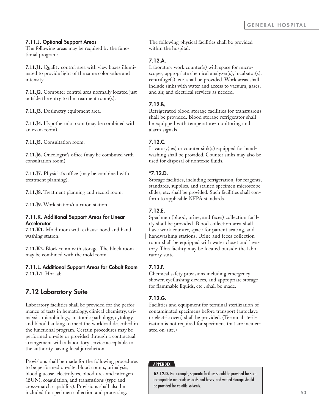# **7.11.J. Optional Support Areas**

The following areas may be required by the functional program:

**7.11.J1.** Quality control area with view boxes illuminated to provide light of the same color value and intensity.

**7.11.J2.** Computer control area normally located just outside the entry to the treatment room(s).

**7.11.J3.** Dosimetry equipment area.

**7.11.J4.** Hypothermia room (may be combined with an exam room).

**7.11.J5.** Consultation room.

**7.11.J6.** Oncologist's office (may be combined with consultation room).

**7.11.J7.** Physicist's office (may be combined with treatment planning).

**7.11.J8.** Treatment planning and record room.

**7.11.J9.** Work station/nutrition station.

## **7.11.K. Additional Support Areas for Linear Accelerator**

**7.11.K1.** Mold room with exhaust hood and handwashing station.

**7.11.K2.** Block room with storage. The block room may be combined with the mold room.

**7.11.L. Additional Support Areas for Cobalt Room 7.11.L1.** Hot lab.

# **7.12 Laboratory Suite**

Laboratory facilities shall be provided for the performance of tests in hematology, clinical chemistry, urinalysis, microbiology, anatomic pathology, cytology, and blood banking to meet the workload described in the functional program. Certain procedures may be performed on-site or provided through a contractual arrangement with a laboratory service acceptable to the authority having local jurisdiction.

Provisions shall be made for the following procedures to be performed on-site: blood counts, urinalysis, blood glucose, electrolytes, blood urea and nitrogen (BUN), coagulation, and transfusions (type and cross-match capability). Provisions shall also be included for specimen collection and processing.

The following physical facilities shall be provided within the hospital:

# **7.12.A.**

Laboratory work counter(s) with space for microscopes, appropriate chemical analyzer(s), incubator(s), centrifuge(s), etc. shall be provided. Work areas shall include sinks with water and access to vacuum, gases, and air, and electrical services as needed.

## **7.12.B.**

Refrigerated blood storage facilities for transfusions shall be provided. Blood storage refrigerator shall be equipped with temperature-monitoring and alarm signals.

## **7.12.C.**

Lavatory(ies) or counter sink(s) equipped for handwashing shall be provided. Counter sinks may also be used for disposal of nontoxic fluids.

## **\*7.12.D.**

Storage facilities, including refrigeration, for reagents, standards, supplies, and stained specimen microscope slides, etc. shall be provided. Such facilities shall conform to applicable NFPA standards.

# **7.12.E.**

Specimen (blood, urine, and feces) collection facility shall be provided. Blood collection area shall have work counter, space for patient seating, and handwashing stations. Urine and feces collection room shall be equipped with water closet and lavatory. This facility may be located outside the laboratory suite.

# **7.12.F.**

Chemical safety provisions including emergency shower, eyeflushing devices, and appropriate storage for flammable liquids, etc., shall be made.

# **7.12.G.**

Facilities and equipment for terminal sterilization of contaminated specimens before transport (autoclave or electric oven) shall be provided. (Terminal sterilization is not required for specimens that are incinerated on-site.)

#### **APPENDIX**

**A7.12.D.** For example, separate facilities should be provided for such incompatible materials as acids and bases, and vented storage should be provided for volatile solvents.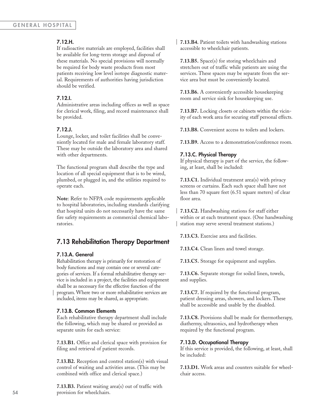## **7.12.H.**

If radioactive materials are employed, facilities shall be available for long-term storage and disposal of these materials. No special provisions will normally be required for body waste products from most patients receiving low level isotope diagnostic material. Requirements of authorities having jurisdiction should be verified.

# **7.12.I.**

Administrative areas including offices as well as space for clerical work, filing, and record maintenance shall be provided.

#### **7.12.J.**

Lounge, locker, and toilet facilities shall be conveniently located for male and female laboratory staff. These may be outside the laboratory area and shared with other departments.

The functional program shall describe the type and location of all special equipment that is to be wired, plumbed, or plugged in, and the utilities required to operate each.

**Note**: Refer to NFPA code requirements applicable to hospital laboratories, including standards clarifying that hospital units do not necessarily have the same fire safety requirements as commercial chemical laboratories.

# **7.13 Rehabilitation Therapy Department**

#### **7.13.A. General**

Rehabilitation therapy is primarily for restoration of body functions and may contain one or several categories of services. If a formal rehabilitative therapy service is included in a project, the facilities and equipment shall be as necessary for the effective function of the program. Where two or more rehabilitative services are included, items may be shared, as appropriate.

#### **7.13.B. Common Elements**

Each rehabilitative therapy department shall include the following, which may be shared or provided as separate units for each service:

**7.13.B1.** Office and clerical space with provision for filing and retrieval of patient records.

**7.13.B2.** Reception and control station(s) with visual control of waiting and activities areas. (This may be combined with office and clerical space.)

**7.13.B3.** Patient waiting area(s) out of traffic with provision for wheelchairs.

**7.13.B4.** Patient toilets with handwashing stations accessible to wheelchair patients.

**7.13.B5.** Space(s) for storing wheelchairs and stretchers out of traffic while patients are using the services. These spaces may be separate from the service area but must be conveniently located.

**7.13.B6.** A conveniently accessible housekeeping room and service sink for housekeeping use.

**7.13.B7.** Locking closets or cabinets within the vicinity of each work area for securing staff personal effects.

**7.13.B8.** Convenient access to toilets and lockers.

**7.13.B9.** Access to a demonstration/conference room.

#### **7.13.C. Physical Therapy**

If physical therapy is part of the service, the following, at least, shall be included:

**7.13.C1.** Individual treatment area(s) with privacy screens or curtains. Each such space shall have not less than 70 square feet (6.51 square meters) of clear floor area.

**7.13.C2.** Handwashing stations for staff either within or at each treatment space. (One handwashing station may serve several treatment stations.)

**7.13.C3.** Exercise area and facilities.

**7.13.C4.** Clean linen and towel storage.

**7.13.C5.** Storage for equipment and supplies.

**7.13.C6.** Separate storage for soiled linen, towels, and supplies.

**7.13.C7.** If required by the functional program, patient dressing areas, showers, and lockers. These shall be accessible and usable by the disabled.

**7.13.C8.** Provisions shall be made for thermotherapy, diathermy, ultrasonics, and hydrotherapy when required by the functional program.

#### **7.13.D. Occupational Therapy**

If this service is provided, the following, at least, shall be included:

**7.13.D1.** Work areas and counters suitable for wheelchair access.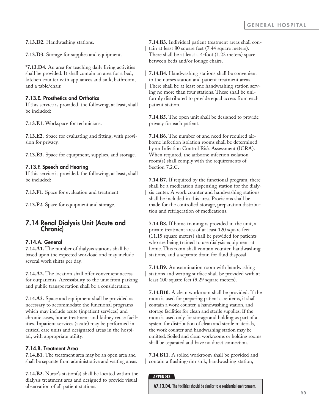**7.13.D2.** Handwashing stations.

**7.13.D3.** Storage for supplies and equipment.

**\*7.13.D4.** An area for teaching daily living activities shall be provided. It shall contain an area for a bed, kitchen counter with appliances and sink, bathroom, and a table/chair.

## **7.13.E. Prosthetics and Orthotics**

If this service is provided, the following, at least, shall be included:

**7.13.E1.** Workspace for technicians.

**7.13.E2.** Space for evaluating and fitting, with provision for privacy.

**7.13.E3.** Space for equipment, supplies, and storage.

#### **7.13.F. Speech and Hearing**

If this service is provided, the following, at least, shall be included:

**7.13.F1.** Space for evaluation and treatment.

**7.13.F2.** Space for equipment and storage.

# **7.14 Renal Dialysis Unit (Acute and Chronic)**

#### **7.14.A. General**

**7.14.A1.** The number of dialysis stations shall be based upon the expected workload and may include several work shifts per day.

**7.14.A2.** The location shall offer convenient access for outpatients. Accessibility to the unit from parking and public transportation shall be a consideration.

**7.14.A3.** Space and equipment shall be provided as necessary to accommodate the functional programs which may include acute (inpatient services) and chronic cases, home treatment and kidney reuse facilities. Inpatient services (acute) may be performed in critical care units and designated areas in the hospital, with appropriate utility.

# **7.14.B. Treatment Area**

**7.14.B1.** The treatment area may be an open area and shall be separate from administrative and waiting areas.

**7.14.B2.** Nurse's station(s) shall be located within the dialysis treatment area and designed to provide visual observation of all patient stations.

**7.14.B3.** Individual patient treatment areas shall contain at least 80 square feet (7.44 square meters). There shall be at least a 4-foot (1.22 meters) space between beds and/or lounge chairs.

**7.14.B4.** Handwashing stations shall be convenient to the nurses station and patient treatment areas. There shall be at least one handwashing station serv-

ing no more than four stations. These shall be uniformly distributed to provide equal access from each patient station.

**7.14.B5.** The open unit shall be designed to provide privacy for each patient.

**7.14.B6.** The number of and need for required airborne infection isolation rooms shall be determined by an Infection Control Risk Assessment (ICRA). When required, the airborne infection isolation room(s) shall comply with the requirements of Section 7.2.C.

**7.14.B7.** If required by the functional program, there shall be a medication dispensing station for the dialysis center. A work counter and handwashing stations shall be included in this area. Provisions shall be made for the controlled storage, preparation distribution and refrigeration of medications.

**7.14.B8.** If home training is provided in the unit, a private treatment area of at least 120 square feet (11.15 square meters) shall be provided for patients who are being trained to use dialysis equipment at home. This room shall contain counter, handwashing stations, and a separate drain for fluid disposal.

**7.14.B9.** An examination room with handwashing stations and writing surface shall be provided with at least 100 square feet (9.29 square meters).

**7.14.B10.** A clean workroom shall be provided. If the room is used for preparing patient care items, it shall contain a work counter, a handwashing station, and storage facilities for clean and sterile supplies. If the room is used only for storage and holding as part of a system for distribution of clean and sterile materials, the work counter and handwashing station may be omitted. Soiled and clean workrooms or holding rooms shall be separated and have no direct connection.

**7.14.B11.** A soiled workroom shall be provided and contain a flushing-rim sink, handwashing station,

#### **APPENDIX**

**A7.13.D4.** The facilities should be similar to a residential environment.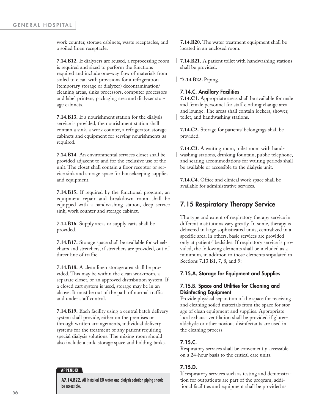work counter, storage cabinets, waste receptacles, and a soiled linen receptacle.

**7.14.B12.** If dialyzers are reused, a reprocessing room is required and sized to perform the functions required and include one-way flow of materials from soiled to clean with provisions for a refrigeration (temporary storage or dialyzer) decontamination/ cleaning areas, sinks processors, computer processors and label printers, packaging area and dialyzer storage cabinets.

**7.14.B13.** If a nourishment station for the dialysis service is provided, the nourishment station shall contain a sink, a work counter, a refrigerator, storage cabinets and equipment for serving nourishments as required.

**7.14.B14.** An environmental services closet shall be provided adjacent to and for the exclusive use of the unit. The closet shall contain a floor receptor or service sink and storage space for housekeeping supplies and equipment.

**7.14.B15.** If required by the functional program, an equipment repair and breakdown room shall be equipped with a handwashing station, deep service sink, work counter and storage cabinet.

**7.14.B16.** Supply areas or supply carts shall be provided.

**7.14.B17.** Storage space shall be available for wheelchairs and stretchers, if stretchers are provided, out of direct line of traffic.

**7.14.B18.** A clean linen storage area shall be provided. This may be within the clean workroom, a separate closet, or an approved distribution system. If a closed cart system is used, storage may be in an alcove. It must be out of the path of normal traffic and under staff control.

**7.14.B19.** Each facility using a central batch delivery system shall provide, either on the premises or through written arrangements, individual delivery systems for the treatment of any patient requiring special dialysis solutions. The mixing room should also include a sink, storage space and holding tanks.

#### **APPENDIX**

**A7.14.B22.** All installed RO water and dialysis solution piping should be accessible.

**7.14.B20.** The water treatment equipment shall be located in an enclosed room.

**7.14.B21.** A patient toilet with handwashing stations shall be provided.

**\*7.14.B22.** Piping.

#### **7.14.C. Ancillary Facilities**

**7.14.C1.** Appropriate areas shall be available for male and female personnel for staff clothing change area and lounge. The areas shall contain lockers, shower, toilet, and handwashing stations.

**7.14.C2.** Storage for patients' belongings shall be provided.

**7.14.C3.** A waiting room, toilet room with handwashing stations, drinking fountain, public telephone, and seating accommodations for waiting periods shall be available or accessible to the dialysis unit.

**7.14.C4.** Office and clinical work space shall be available for administrative services.

# **7.15 Respiratory Therapy Service**

The type and extent of respiratory therapy service in different institutions vary greatly. In some, therapy is delivered in large sophisticated units, centralized in a specific area; in others, basic services are provided only at patients' bedsides. If respiratory service is provided, the following elements shall be included as a minimum, in addition to those elements stipulated in Sections 7.13.B1, 7, 8, and 9:

#### **7.15.A. Storage for Equipment and Supplies**

#### **7.15.B. Space and Utilities for Cleaning and Disinfecting Equipment**

Provide physical separation of the space for receiving and cleaning soiled materials from the space for storage of clean equipment and supplies. Appropriate local exhaust ventilation shall be provided if gluteraldehyde or other noxious disinfectants are used in the cleaning process.

#### **7.15.C.**

Respiratory services shall be conveniently accessible on a 24-hour basis to the critical care units.

#### **7.15.D.**

If respiratory services such as testing and demonstration for outpatients are part of the program, additional facilities and equipment shall be provided as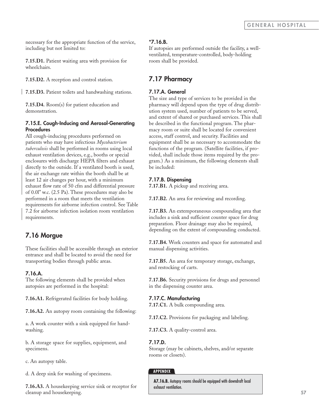necessary for the appropriate function of the service, including but not limited to:

**7.15.D1.** Patient waiting area with provision for wheelchairs.

**7.15.D2.** A reception and control station.

**7.15.D3.** Patient toilets and handwashing stations.

**7.15.D4.** Room(s) for patient education and demonstration.

# **7.15.E. Cough-Inducing and Aerosol-Generating Procedures**

All cough-inducing procedures performed on patients who may have infectious *Mycobacterium tuberculosis* shall be performed in rooms using local exhaust ventilation devices, e.g., booths or special enclosures with discharge HEPA filters and exhaust directly to the outside. If a ventilated booth is used, the air exchange rate within the booth shall be at least 12 air changes per hour, with a minimum exhaust flow rate of 50 cfm and differential pressure of 0.0l" w.c. (2.5 Pa). These procedures may also be performed in a room that meets the ventilation requirements for airborne infection control. See Table 7.2 for airborne infection isolation room ventilation requirements.

# **7.16 Morgue**

These facilities shall be accessible through an exterior entrance and shall be located to avoid the need for transporting bodies through public areas.

# **7.16.A.**

The following elements shall be provided when autopsies are performed in the hospital:

**7.16.A1.** Refrigerated facilities for body holding.

**7.16.A2.** An autopsy room containing the following:

a. A work counter with a sink equipped for handwashing.

b. A storage space for supplies, equipment, and specimens.

c. An autopsy table.

d. A deep sink for washing of specimens.

**7.16.A3.** A housekeeping service sink or receptor for cleanup and housekeeping.

# **\*7.16.B.**

If autopsies are performed outside the facility, a wellventilated, temperature-controlled, body-holding room shall be provided.

# **7.17 Pharmacy**

# **7.17.A. General**

The size and type of services to be provided in the pharmacy will depend upon the type of drug distribution system used, number of patients to be served, and extent of shared or purchased services. This shall be described in the functional program. The pharmacy room or suite shall be located for convenient access, staff control, and security. Facilities and equipment shall be as necessary to accommodate the functions of the program. (Satellite facilities, if provided, shall include those items required by the program.) As a minimum, the following elements shall be included:

# **7.17.B. Dispensing**

**7.17.B1.** A pickup and receiving area.

**7.17.B2.** An area for reviewing and recording.

**7.17.B3.** An extemporaneous compounding area that includes a sink and sufficient counter space for drug preparation. Floor drainage may also be required, depending on the extent of compounding conducted.

**7.17.B4.** Work counters and space for automated and manual dispensing activities.

**7.17.B5.** An area for temporary storage, exchange, and restocking of carts.

**7.17.B6.** Security provisions for drugs and personnel in the dispensing counter area.

# **7.17.C. Manufacturing**

**7.17.C1.** A bulk compounding area.

**7.17.C2.** Provisions for packaging and labeling.

**7.17.C3.** A quality-control area.

# **7.17.D.**

Storage (may be cabinets, shelves, and/or separate rooms or closets).

# **APPENDIX**

**A7.16.B.** Autopsy rooms should be equipped with downdraft local exhaust ventilation.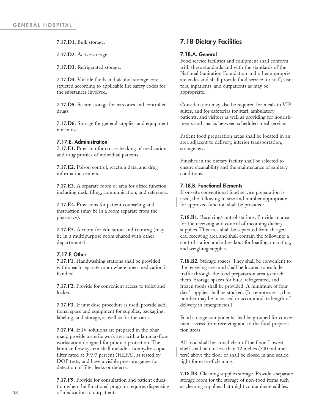**7.17.D1.** Bulk storage.

**7.17.D2.** Active storage.

**7.17.D3.** Refrigerated storage.

**7.17.D4.** Volatile fluids and alcohol storage constructed according to applicable fire safety codes for the substances involved.

**7.17.D5.** Secure storage for narcotics and controlled drugs.

**7.17.D6.** Storage for general supplies and equipment not in use.

#### **7.17.E. Administration**

**7.17.E1.** Provision for cross-checking of medication and drug profiles of individual patients.

**7.17.E2.** Poison control, reaction data, and drug information centers.

**7.17.E3.** A separate room or area for office function including desk, filing, communication, and reference.

**7.17.E4.** Provisions for patient counseling and instruction (may be in a room separate from the pharmacy).

**7.17.E5.** A room for education and training (may be in a multipurpose room shared with other departments).

#### **7.17.F. Other**

**7.17.F1.** Handwashing stations shall be provided within each separate room where open medication is handled.

**7.17.F2.** Provide for convenient access to toilet and locker.

**7.17.F3.** If unit dose procedure is used, provide additional space and equipment for supplies, packaging, labeling, and storage, as well as for the carts.

**7.17.F4.** If IV solutions are prepared in the pharmacy, provide a sterile work area with a laminar-flow workstation designed for product protection. The laminar-flow system shall include a nonhydroscopic filter rated at 99.97 percent (HEPA), as tested by DOP tests, and have a visible pressure gauge for detection of filter leaks or defects.

**7.17.F5.** Provide for consultation and patient education when the functional program requires dispensing of medication to outpatients.

# **7.18 Dietary Facilities**

## **7.18.A. General**

Food service facilities and equipment shall conform with these standards and with the standards of the National Sanitation Foundation and other appropriate codes and shall provide food service for staff, visitors, inpatients, and outpatients as may be appropriate.

Consideration may also be required for meals to VIP suites, and for cafeterias for staff, ambulatory patients, and visitors as well as providing for nourishments and snacks between scheduled meal service.

Patient food preparation areas shall be located in an area adjacent to delivery, interior transportation, storage, etc.

Finishes in the dietary facility shall be selected to ensure cleanability and the maintenance of sanitary conditions.

#### **7.18.B. Functional Elements**

If on-site conventional food service preparation is used, the following in size and number appropriate for approved function shall be provided:

**7.18.B1.** Receiving/control stations. Provide an area for the receiving and control of incoming dietary supplies. This area shall be separated from the general receiving area and shall contain the following: a control station and a breakout for loading, uncrating, and weighing supplies.

**7.18.B2.** Storage spaces. They shall be convenient to the receiving area and shall be located to exclude traffic through the food preparation area to reach them. Storage spaces for bulk, refrigerated, and frozen foods shall be provided. A minimum of four days' supplies shall be stocked. (In remote areas, this number may be increased to accommodate length of delivery in emergencies.)

Food storage components shall be grouped for convenient access from receiving and to the food preparation areas.

All food shall be stored clear of the floor. Lowest shelf shall be not less than 12 inches (300 millimeters) above the floor or shall be closed in and sealed tight for ease of cleaning.

**7.18.B3.** Cleaning supplies storage. Provide a separate storage room for the storage of non-food items such as cleaning supplies that might contaminate edibles.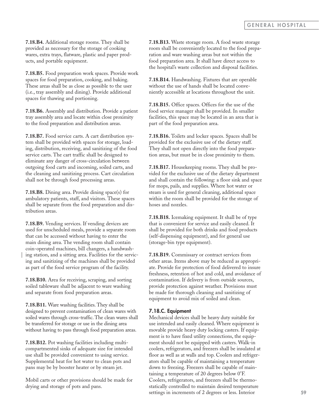**7.18.B4.** Additional storage rooms. They shall be provided as necessary for the storage of cooking wares, extra trays, flatware, plastic and paper products, and portable equipment.

**7.18.B5.** Food preparation work spaces. Provide work spaces for food preparation, cooking, and baking. These areas shall be as close as possible to the user (i.e., tray assembly and dining). Provide additional spaces for thawing and portioning.

**7.18.B6.** Assembly and distribution. Provide a patient tray assembly area and locate within close proximity to the food preparation and distribution areas.

**7.18.B7.** Food service carts. A cart distribution system shall be provided with spaces for storage, loading, distribution, receiving, and sanitizing of the food service carts. The cart traffic shall be designed to eliminate any danger of cross-circulation between outgoing food carts and incoming, soiled carts, and the cleaning and sanitizing process. Cart circulation shall not be through food processing areas.

**7.18.B8.** Dining area. Provide dining space(s) for ambulatory patients, staff, and visitors. These spaces shall be separate from the food preparation and distribution areas.

**7.18.B9.** Vending services. If vending devices are used for unscheduled meals, provide a separate room that can be accessed without having to enter the main dining area. The vending room shall contain coin-operated machines, bill changers, a handwashing station, and a sitting area. Facilities for the servicing and sanitizing of the machines shall be provided as part of the food service program of the facility.

**7.18.B10.** Area for receiving, scraping, and sorting soiled tableware shall be adjacent to ware washing and separate from food preparation areas.

**7.18.B11.** Ware washing facilities. They shall be designed to prevent contamination of clean wares with soiled wares through cross-traffic. The clean wares shall be transferred for storage or use in the dining area without having to pass through food preparation areas.

**7.18.B12.** Pot washing facilities including multicompartmented sinks of adequate size for intended use shall be provided convenient to using service. Supplemental heat for hot water to clean pots and pans may be by booster heater or by steam jet.

Mobil carts or other provisions should be made for drying and storage of pots and pans.

**7.18.B13.** Waste storage room. A food waste storage room shall be conveniently located to the food preparation and ware washing areas but not within the food preparation area. It shall have direct access to the hospital's waste collection and disposal facilities.

**7.18.B14.** Handwashing. Fixtures that are operable without the use of hands shall be located conveniently accessible at locations throughout the unit.

**7.18.B15.** Office spaces. Offices for the use of the food service manager shall be provided. In smaller facilities, this space may be located in an area that is part of the food preparation area.

**7.18.B16.** Toilets and locker spaces. Spaces shall be provided for the exclusive use of the dietary staff. They shall not open directly into the food preparation areas, but must be in close proximity to them.

**7.18.B17.** Housekeeping rooms. They shall be provided for the exclusive use of the dietary department and shall contain the following: a floor sink and space for mops, pails, and supplies. Where hot water or steam is used for general cleaning, additional space within the room shall be provided for the storage of hoses and nozzles.

**7.18.B18.** Icemaking equipment. It shall be of type that is convenient for service and easily cleaned. It shall be provided for both drinks and food products (self-dispensing equipment), and for general use (storage-bin type equipment).

**7.18.B19.** Commissary or contract services from other areas. Items above may be reduced as appropriate. Provide for protection of food delivered to insure freshness, retention of hot and cold, and avoidance of contamination. If delivery is from outside sources, provide protection against weather. Provisions must be made for thorough cleaning and sanitizing of equipment to avoid mix of soiled and clean.

# **7.18.C. Equipment**

Mechanical devices shall be heavy duty suitable for use intended and easily cleaned. Where equipment is movable provide heavy duty locking casters. If equipment is to have fixed utility connections, the equipment should not be equipped with casters. Walk-in coolers, refrigerators, and freezers shall be insulated at floor as well as at walls and top. Coolers and refrigerators shall be capable of maintaining a temperature down to freezing. Freezers shall be capable of maintaining a temperature of 20 degrees below 0°F. Coolers, refrigerators, and freezers shall be thermostatically controlled to maintain desired temperature settings in increments of 2 degrees or less. Interior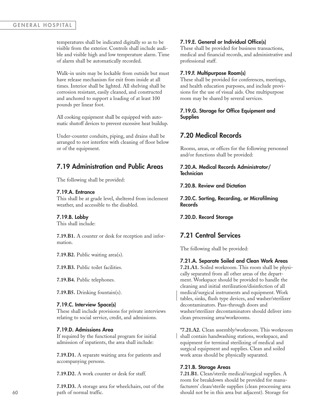temperatures shall be indicated digitally so as to be visible from the exterior. Controls shall include audible and visible high and low temperature alarm. Time of alarm shall be automatically recorded.

Walk-in units may be lockable from outside but must have release mechanism for exit from inside at all times. Interior shall be lighted. All shelving shall be corrosion resistant, easily cleaned, and constructed and anchored to support a loading of at least 100 pounds per linear foot.

All cooking equipment shall be equipped with automatic shutoff devices to prevent excessive heat buildup.

Under-counter conduits, piping, and drains shall be arranged to not interfere with cleaning of floor below or of the equipment.

# **7.19 Administration and Public Areas**

The following shall be provided:

## **7.19.A. Entrance**

This shall be at grade level, sheltered from inclement weather, and accessible to the disabled.

# **7.19.B. Lobby**

This shall include:

**7.19.B1.** A counter or desk for reception and information.

**7.19.B2.** Public waiting area(s).

**7.19.B3.** Public toilet facilities.

**7.19.B4.** Public telephones.

**7.19.B5.** Drinking fountain(s).

## **7.19.C. Interview Space(s)**

These shall include provisions for private interviews relating to social service, credit, and admissions.

# **7.19.D. Admissions Area**

If required by the functional program for initial admission of inpatients, the area shall include:

**7.19.D1.** A separate waiting area for patients and accompanying persons.

**7.19.D2.** A work counter or desk for staff.

**7.19.D3.** A storage area for wheelchairs, out of the path of normal traffic.

#### **7.19.E. General or Individual Office(s)**

These shall be provided for business transactions, medical and financial records, and administrative and professional staff.

## **7.19.F. Multipurpose Room(s)**

These shall be provided for conferences, meetings, and health education purposes, and include provisions for the use of visual aids. One multipurpose room may be shared by several services.

# **7.19.G. Storage for Office Equipment and Supplies**

# **7.20 Medical Records**

Rooms, areas, or offices for the following personnel and/or functions shall be provided:

# **7.20.A. Medical Records Administrator/ Technician**

# **7.20.B. Review and Dictation**

**7.20.C. Sorting, Recording, or Microfilming Records**

**7.20.D. Record Storage**

# **7.21 Central Services**

The following shall be provided:

# **7.21.A. Separate Soiled and Clean Work Areas**

**7.21.A1.** Soiled workroom. This room shall be physically separated from all other areas of the department. Workspace should be provided to handle the cleaning and initial sterilization/disinfection of all medical/surgical instruments and equipment. Work tables, sinks, flush type devices, and washer/sterilizer decontaminators. Pass-through doors and washer/sterilizer decontaminators should deliver into clean processing area/workrooms.

**\*7.21.A2.** Clean assembly/workroom. This workroom shall contain handwashing stations, workspace, and equipment for terminal sterilizing of medical and surgical equipment and supplies. Clean and soiled work areas should be physically separated.

# **7.21.B. Storage Areas**

**7.21.B1.** Clean/sterile medical/surgical supplies. A room for breakdown should be provided for manufacturers' clean/sterile supplies (clean processing area should not be in this area but adjacent). Storage for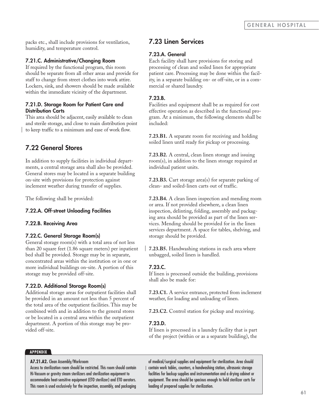packs etc., shall include provisions for ventilation, humidity, and temperature control.

# **7.21.C. Administrative/Changing Room**

If required by the functional program, this room should be separate from all other areas and provide for staff to change from street clothes into work attire. Lockers, sink, and showers should be made available within the immediate vicinity of the department.

# **7.21.D. Storage Room for Patient Care and Distribution Carts**

This area should be adjacent, easily available to clean and sterile storage, and close to main distribution point to keep traffic to a minimum and ease of work flow.

# **7.22 General Stores**

In addition to supply facilities in individual departments, a central storage area shall also be provided. General stores may be located in a separate building on-site with provisions for protection against inclement weather during transfer of supplies.

The following shall be provided:

# **7.22.A. Off-street Unloading Facilities**

#### **7.22.B. Receiving Area**

#### **7.22.C. General Storage Room(s)**

General storage room(s) with a total area of not less than 20 square feet (1.86 square meters) per inpatient bed shall be provided. Storage may be in separate, concentrated areas within the institution or in one or more individual buildings on-site. A portion of this storage may be provided off-site.

#### **7.22.D. Additional Storage Room(s)**

Additional storage areas for outpatient facilities shall be provided in an amount not less than 5 percent of the total area of the outpatient facilities. This may be combined with and in addition to the general stores or be located in a central area within the outpatient department. A portion of this storage may be provided off-site.

#### **APPENDIX**

**A7.21.A2.** Clean Assembly/Workroom

Access to sterilization room should be restricted. This room should contain Hi-Vacuum or gravity steam sterilizers and sterilization equipment to accommodate heat-sensitive equipment (ETO sterilizer) and ETO aerators. This room is used exclusively for the inspection, assembly, and packaging

# **7.23 Linen Services**

# **7.23.A. General**

Each facility shall have provisions for storing and processing of clean and soiled linen for appropriate patient care. Processing may be done within the facility, in a separate building on- or off-site, or in a commercial or shared laundry.

# **7.23.B.**

Facilities and equipment shall be as required for cost effective operation as described in the functional program. At a minimum, the following elements shall be included:

**7.23.B1.** A separate room for receiving and holding soiled linen until ready for pickup or processing.

**7.23.B2.** A central, clean linen storage and issuing room(s), in addition to the linen storage required at individual patient units.

**7.23.B3.** Cart storage area(s) for separate parking of clean- and soiled-linen carts out of traffic.

**7.23.B4.** A clean linen inspection and mending room or area. If not provided elsewhere, a clean linen inspection, delinting, folding, assembly and packaging area should be provided as part of the linen services. Mending should be provided for in the linen services department. A space for tables, shelving, and storage should be provided.

**7.23.B5.** Handwashing stations in each area where unbagged, soiled linen is handled.

# **7.23.C.**

If linen is processed outside the building, provisions shall also be made for:

**7.23.C1.** A service entrance, protected from inclement weather, for loading and unloading of linen.

**7.23.C2.** Control station for pickup and receiving.

# **7.23.D.**

If linen is processed in a laundry facility that is part of the project (within or as a separate building), the

of medical/surgical supplies and equipment for sterilization. Area should contain work tables, counters, a handwashing station, ultrasonic storage facilities for backup supplies and instrumentation and a drying cabinet or equipment. The area should be spacious enough to hold sterilizer carts for loading of prepared supplies for sterilization.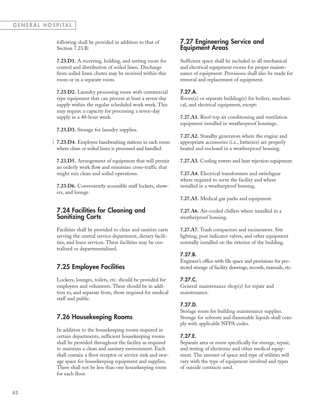## **GENERAL HOSPITAL**

following shall be provided in addition to that of Section 7.23.B:

**7.23.D1.** A receiving, holding, and sorting room for control and distribution of soiled linen. Discharge from soiled linen chutes may be received within this room or in a separate room.

**7.23.D2.** Laundry processing room with commercial type equipment that can process at least a seven-day supply within the regular scheduled work week. This may require a capacity for processing a seven-day supply in a 40-hour week.

**7.23.D3.** Storage for laundry supplies.

**7.23.D4.** Employee handwashing stations in each room where clean or soiled linen is processed and handled.

**7.23.D5.** Arrangement of equipment that will permit an orderly work flow and minimize cross-traffic that might mix clean and soiled operations.

**7.23.D6.** Conveniently accessible staff lockers, showers, and lounge.

# **7.24 Facilities for Cleaning and Sanitizing Carts**

Facilities shall be provided to clean and sanitize carts serving the central service department, dietary facilities, and linen services. These facilities may be centralized or departmentalized.

# **7.25 Employee Facilities**

Lockers, lounges, toilets, etc. should be provided for employees and volunteers. These should be in addition to, and separate from, those required for medical staff and public.

# **7.26 Housekeeping Rooms**

In addition to the housekeeping rooms required in certain departments, sufficient housekeeping rooms shall be provided throughout the facility as required to maintain a clean and sanitary environment. Each shall contain a floor receptor or service sink and storage space for housekeeping equipment and supplies. There shall not be less than one housekeeping room for each floor.

# **7.27 Engineering Service and Equipment Areas**

Sufficient space shall be included in all mechanical and electrical equipment rooms for proper maintenance of equipment. Provisions shall also be made for removal and replacement of equipment.

## **7.27.A.**

Room(s) or separate building(s) for boilers, mechanical, and electrical equipment, except:

**7.27.A1.** Roof-top air conditioning and ventilation equipment installed in weatherproof housings.

**7.27.A2.** Standby generators where the engine and appropriate accessories (i.e., batteries) are properly heated and enclosed in a weatherproof housing.

**7.27.A3.** Cooling towers and heat rejection equipment.

**7.27.A4.** Electrical transformers and switchgear where required to serve the facility and where installed in a weatherproof housing.

**7.27.A5.** Medical gas parks and equipment.

**7.27.A6.** Air-cooled chillers where installed in a weatherproof housing.

**7.27.A7.** Trash compactors and incinerators. Site lighting, post indicator valves, and other equipment normally installed on the exterior of the building.

#### **7.27.B.**

Engineer's office with file space and provisions for protected storage of facility drawings, records, manuals, etc.

# **7.27.C.**

General maintenance shop(s) for repair and maintenance.

#### **7.27.D.**

Storage room for building maintenance supplies. Storage for solvents and flammable liquids shall comply with applicable NFPA codes.

#### **7.27.E.**

Separate area or room specifically for storage, repair, and testing of electronic and other medical equipment. The amount of space and type of utilities will vary with the type of equipment involved and types of outside contracts used.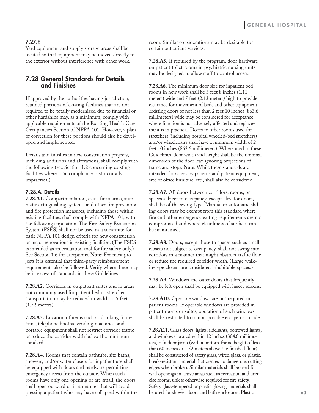# **7.27.F.**

Yard equipment and supply storage areas shall be located so that equipment may be moved directly to the exterior without interference with other work.

# **7.28 General Standards for Details and Finishes**

If approved by the authorities having jurisdiction, retained portions of existing facilities that are not required to be totally modernized due to financial or other hardships may, as a minimum, comply with applicable requirements of the Existing Health Care Occupancies Section of NFPA 101. However, a plan of correction for these portions should also be developed and implemented.

Details and finishes in new construction projects, including additions and alterations, shall comply with the following (see Section 1.2 concerning existing facilities where total compliance is structurally impractical):

# **7.28.A. Details**

**7.28.A1.** Compartmentation, exits, fire alarms, automatic extinguishing systems, and other fire prevention and fire protection measures, including those within existing facilities, shall comply with NFPA 101, with the following stipulation. The Fire-Safety Evaluation System (FSES) shall not be used as a substitute for basic NFPA 101 design criteria for new construction or major renovations in existing facilities. (The FSES is intended as an evaluation tool for fire safety only.) See Section 1.6 for exceptions. **Note**: For most projects it is essential that third-party reimbursement requirements also be followed. Verify where these may be in excess of standards in these Guidelines.

**7.28.A2.** Corridors in outpatient suites and in areas not commonly used for patient bed or stretcher transportation may be reduced in width to 5 feet (1.52 meters).

**7.28.A3.** Location of items such as drinking fountains, telephone booths, vending machines, and portable equipment shall not restrict corridor traffic or reduce the corridor width below the minimum standard.

**7.28.A4.** Rooms that contain bathtubs, sitz baths, showers, and/or water closets for inpatient use shall be equipped with doors and hardware permitting emergency access from the outside. When such rooms have only one opening or are small, the doors shall open outward or in a manner that will avoid pressing a patient who may have collapsed within the room. Similar considerations may be desirable for certain outpatient services.

**7.28.A5.** If required by the program, door hardware on patient toilet rooms in psychiatric nursing units may be designed to allow staff to control access.

**7.28.A6.** The minimum door size for inpatient bedrooms in new work shall be 3 feet 8 inches (1.11 meters) wide and 7 feet (2.13 meters) high to provide clearance for movement of beds and other equipment. Existing doors of not less than 2 feet 10 inches (863.6 millimeters) wide may be considered for acceptance where function is not adversely affected and replacement is impractical. Doors to other rooms used for stretchers (including hospital wheeled-bed stretchers) and/or wheelchairs shall have a minimum width of 2 feet 10 inches (863.6 millimeters). Where used in these Guidelines, door width and height shall be the nominal dimension of the door leaf, ignoring projections of frame and stops. **Note**: While these standards are intended for access by patients and patient equipment, size of office furniture, etc., shall also be considered.

**7.28.A7.** All doors between corridors, rooms, or spaces subject to occupancy, except elevator doors, shall be of the swing type. Manual or automatic sliding doors may be exempt from this standard where fire and other emergency exiting requirements are not compromised and where cleanliness of surfaces can be maintained.

**7.28.A8.** Doors, except those to spaces such as small closets not subject to occupancy, shall not swing into corridors in a manner that might obstruct traffic flow or reduce the required corridor width. (Large walkin-type closets are considered inhabitable spaces.)

**7.28.A9.** Windows and outer doors that frequently may be left open shall be equipped with insect screens.

**7.28.A10.** Operable windows are not required in patient rooms. If operable windows are provided in patient rooms or suites, operation of such windows shall be restricted to inhibit possible escape or suicide.

**7.28.A11.** Glass doors, lights, sidelights, borrowed lights, and windows located within 12 inches (304.8 millimeters) of a door jamb (with a bottom-frame height of less than 60 inches or 1.52 meters above the finished floor) shall be constructed of safety glass, wired glass, or plastic, break-resistant material that creates no dangerous cutting edges when broken. Similar materials shall be used for wall openings in active areas such as recreation and exercise rooms, unless otherwise required for fire safety. Safety glass-tempered or plastic glazing materials shall be used for shower doors and bath enclosures. Plastic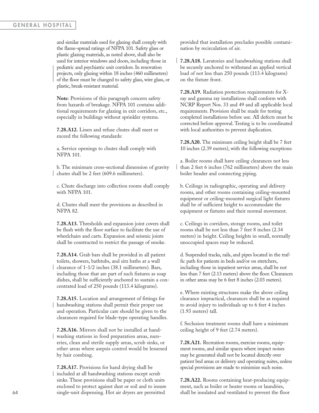#### **GENERAL HOSPITAL**

and similar materials used for glazing shall comply with the flame-spread ratings of NFPA 101. Safety glass or plastic glazing materials, as noted above, shall also be used for interior windows and doors, including those in pediatric and psychiatric unit corridors. In renovation projects, only glazing within 18 inches (460 millimeters) of the floor must be changed to safety glass, wire glass, or plastic, break-resistant material.

**Note**: Provisions of this paragraph concern safety from hazards of breakage. NFPA 101 contains additional requirements for glazing in exit corridors, etc., especially in buildings without sprinkler systems.

**7.28.A12.** Linen and refuse chutes shall meet or exceed the following standards:

a. Service openings to chutes shall comply with NFPA 101.

b. The minimum cross-sectional dimension of gravity chutes shall be 2 feet (609.6 millimeters).

c. Chute discharge into collection rooms shall comply with NFPA 101.

d. Chutes shall meet the provisions as described in NFPA 82.

**7.28.A13.** Thresholds and expansion joint covers shall be flush with the floor surface to facilitate the use of wheelchairs and carts. Expansion and seismic joints shall be constructed to restrict the passage of smoke.

**7.28.A14.** Grab bars shall be provided in all patient toilets, showers, bathtubs, and sitz baths at a wall clearance of 1-1/2 inches (38.1 millimeters). Bars, including those that are part of such fixtures as soap dishes, shall be sufficiently anchored to sustain a concentrated load of 250 pounds (113.4 kilograms).

**7.28.A15.** Location and arrangement of fittings for handwashing stations shall permit their proper use and operation. Particular care should be given to the clearances required for blade-type operating handles.

**7.28.A16.** Mirrors shall not be installed at handwashing stations in food preparation areas, nurseries, clean and sterile supply areas, scrub sinks, or other areas where asepsis control would be lessened by hair combing.

**7.28.A17.** Provisions for hand drying shall be included at all handwashing stations except scrub sinks. These provisions shall be paper or cloth units enclosed to protect against dust or soil and to insure single-unit dispensing. Hot air dryers are permitted

provided that installation precludes possible contamination by recirculation of air.

**7.28.A18.** Lavatories and handwashing stations shall be securely anchored to withstand an applied vertical load of not less than 250 pounds (113.4 kilograms) on the fixture front.

**7.28.A19.** Radiation protection requirements for Xray and gamma ray installations shall conform with NCRP Report Nos. 33 and 49 and all applicable local requirements. Provision shall be made for testing completed installations before use. All defects must be corrected before approval. Testing is to be coordinated with local authorities to prevent duplication.

**7.28.A20.** The minimum ceiling height shall be 7 feet 10 inches (2.39 meters), with the following exceptions:

a. Boiler rooms shall have ceiling clearances not less than 2 feet 6 inches (762 millimeters) above the main boiler header and connecting piping.

b. Ceilings in radiographic, operating and delivery rooms, and other rooms containing ceiling-mounted equipment or ceiling-mounted surgical light fixtures shall be of sufficient height to accommodate the equipment or fixtures and their normal movement.

c. Ceilings in corridors, storage rooms, and toilet rooms shall be not less than 7 feet 8 inches (2.34 meters) in height. Ceiling heights in small, normally unoccupied spaces may be reduced.

d. Suspended tracks, rails, and pipes located in the traffic path for patients in beds and/or on stretchers, including those in inpatient service areas, shall be not less than 7 feet (2.13 meters) above the floor. Clearances in other areas may be 6 feet 8 inches (2.03 meters).

e. Where existing structures make the above ceiling clearance impractical, clearances shall be as required to avoid injury to individuals up to 6 feet 4 inches (1.93 meters) tall.

f. Seclusion treatment rooms shall have a minimum ceiling height of 9 feet (2.74 meters).

**7.28.A21.** Recreation rooms, exercise rooms, equipment rooms, and similar spaces where impact noises may be generated shall not be located directly over patient bed areas or delivery and operating suites, unless special provisions are made to minimize such noise.

**7.28.A22.** Rooms containing heat-producing equipment, such as boiler or heater rooms or laundries, shall be insulated and ventilated to prevent the floor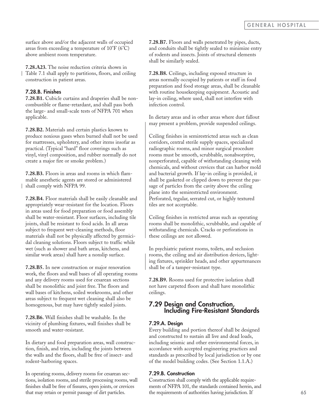surface above and/or the adjacent walls of occupied areas from exceeding a temperature of 10°F (6°C) above ambient room temperature.

**7.28.A23.** The noise reduction criteria shown in Table 7.1 shall apply to partitions, floors, and ceiling construction in patient areas.

# **7.28.B. Finishes**

 $\mathbb{L}$ 

**7.28.B1.** Cubicle curtains and draperies shall be noncombustible or flame-retardant, and shall pass both the large- and small-scale tests of NFPA 701 when applicable.

**7.28.B2.** Materials and certain plastics known to produce noxious gases when burned shall not be used for mattresses, upholstery, and other items insofar as practical. (Typical "hard" floor coverings such as vinyl, vinyl composition, and rubber normally do not create a major fire or smoke problem.)

**7.28.B3.** Floors in areas and rooms in which flammable anesthetic agents are stored or administered shall comply with NFPA 99.

**7.28.B4.** Floor materials shall be easily cleanable and appropriately wear-resistant for the location. Floors in areas used for food preparation or food assembly shall be water-resistant. Floor surfaces, including tile joints, shall be resistant to food acids. In all areas subject to frequent wet-cleaning methods, floor materials shall not be physically affected by germicidal cleaning solutions. Floors subject to traffic while wet (such as shower and bath areas, kitchens, and similar work areas) shall have a nonslip surface.

**7.28.B5.** In new construction or major renovation work, the floors and wall bases of all operating rooms and any delivery rooms used for cesarean sections shall be monolithic and joint free. The floors and wall bases of kitchens, soiled workrooms, and other areas subject to frequent wet cleaning shall also be homogenous, but may have tightly sealed joints.

**7.28.B6.** Wall finishes shall be washable. In the vicinity of plumbing fixtures, wall finishes shall be smooth and water-resistant.

In dietary and food preparation areas, wall construction, finish, and trim, including the joints between the walls and the floors, shall be free of insect- and rodent-harboring spaces.

In operating rooms, delivery rooms for cesarean sections, isolation rooms, and sterile processing rooms, wall finishes shall be free of fissures, open joints, or crevices that may retain or permit passage of dirt particles.

**7.28.B7.** Floors and walls penetrated by pipes, ducts, and conduits shall be tightly sealed to minimize entry of rodents and insects. Joints of structural elements shall be similarly sealed.

**7.28.B8.** Ceilings, including exposed structure in areas normally occupied by patients or staff in food preparation and food storage areas, shall be cleanable with routine housekeeping equipment. Acoustic and lay-in ceiling, where used, shall not interfere with infection control.

In dietary areas and in other areas where dust fallout may present a problem, provide suspended ceilings.

Ceiling finishes in semirestricted areas such as clean corridors, central sterile supply spaces, specialized radiographic rooms, and minor surgical procedure rooms must be smooth, scrubbable, nonabsorptive, nonperforated, capable of withstanding cleaning with chemicals, and without crevices that can harbor mold and bacterial growth. If lay-in ceiling is provided, it shall be gasketed or clipped down to prevent the passage of particles from the cavity above the ceiling plane into the semirestricted environment. Perforated, tegular, serrated cut, or highly textured tiles are not acceptable.

Ceiling finishes in restricted areas such as operating rooms shall be monolithic, scrubbable, and capable of withstanding chemicals. Cracks or perforations in these ceilings are not allowed.

In psychiatric patient rooms, toilets, and seclusion rooms, the ceiling and air distribution devices, lighting fixtures, sprinkler heads, and other appurtenances shall be of a tamper-resistant type.

**7.28.B9.** Rooms used for protective isolation shall not have carpeted floors and shall have monolithic ceilings.

# **7.29 Design and Construction, Including Fire-Resistant Standards**

# **7.29.A. Design**

Every building and portion thereof shall be designed and constructed to sustain all live and dead loads, including seismic and other environmental forces, in accordance with accepted engineering practices and standards as prescribed by local jurisdiction or by one of the model building codes. (See Section 1.1.A.)

# **7.29.B. Construction**

Construction shall comply with the applicable requirements of NFPA 101, the standards contained herein, and the requirements of authorities having jurisdiction. If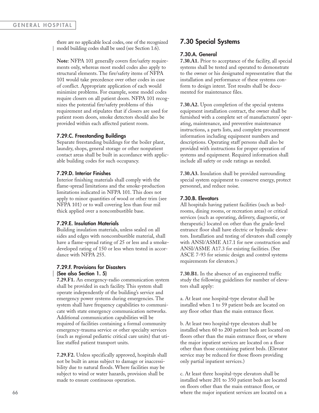there are no applicable local codes, one of the recognized model building codes shall be used (see Section 1.6).

**Note**: NFPA 101 generally covers fire/safety requirements only, whereas most model codes also apply to structural elements. The fire/safety items of NFPA 101 would take precedence over other codes in case of conflict. Appropriate application of each would minimize problems. For example, some model codes require closers on all patient doors. NFPA 101 recognizes the potential fire/safety problems of this requirement and stipulates that if closers are used for patient room doors, smoke detectors should also be provided within each affected patient room.

#### **7.29.C. Freestanding Buildings**

Separate freestanding buildings for the boiler plant, laundry, shops, general storage or other nonpatient contact areas shall be built in accordance with applicable building codes for such occupancy.

#### **7.29.D. Interior Finishes**

Interior finishing materials shall comply with the flame-spread limitations and the smoke-production limitations indicated in NFPA 101. This does not apply to minor quantities of wood or other trim (see NFPA 101) or to wall covering less than four mil thick applied over a noncombustible base.

#### **7.29.E. Insulation Materials**

Building insulation materials, unless sealed on all sides and edges with noncombustible material, shall have a flame-spread rating of 25 or less and a smokedeveloped rating of 150 or less when tested in accordance with NFPA 255.

#### **7.29.F. Provisions for Disasters (See also Section 1. 5)**

**7.29.F1.** An emergency-radio communication system shall be provided in each facility. This system shall operate independently of the building's service and emergency power systems during emergencies. The system shall have frequency capabilities to communicate with state emergency communication networks. Additional communication capabilities will be required of facilities containing a formal community emergency-trauma service or other specialty services (such as regional pediatric critical care units) that utilize staffed patient transport units.

**7.29.F2.** Unless specifically approved, hospitals shall not be built in areas subject to damage or inaccessibility due to natural floods. Where facilities may be subject to wind or water hazards, provision shall be made to ensure continuous operation.

# **7.30 Special Systems**

# **7.30.A. General**

**7.30.A1.** Prior to acceptance of the facility, all special systems shall be tested and operated to demonstrate to the owner or his designated representative that the installation and performance of these systems conform to design intent. Test results shall be documented for maintenance files.

**7.30.A2.** Upon completion of the special systems equipment installation contract, the owner shall be furnished with a complete set of manufacturers' operating, maintenance, and preventive maintenance instructions, a parts lists, and complete procurement information including equipment numbers and descriptions. Operating staff persons shall also be provided with instructions for proper operation of systems and equipment. Required information shall include all safety or code ratings as needed.

**7.30.A3.** Insulation shall be provided surrounding special system equipment to conserve energy, protect personnel, and reduce noise.

#### **7.30.B. Elevators**

All hospitals having patient facilities (such as bedrooms, dining rooms, or recreation areas) or critical services (such as operating, delivery, diagnostic, or therapeutic) located on other than the grade-level entrance floor shall have electric or hydraulic elevators. Installation and testing of elevators shall comply with ANSI/ASME A17.1 for new construction and ANSI/ASME A17.3 for existing facilities. (See ASCE 7-93 for seismic design and control systems requirements for elevators.)

**7.30.B1.** In the absence of an engineered traffic study the following guidelines for number of elevators shall apply:

a. At least one hospital-type elevator shall be installed when 1 to 59 patient beds are located on any floor other than the main entrance floor.

b. At least two hospital-type elevators shall be installed when 60 to 200 patient beds are located on floors other than the main entrance floor, or where the major inpatient services are located on a floor other than those containing patient beds. (Elevator service may be reduced for those floors providing only partial inpatient services.)

c. At least three hospital-type elevators shall be installed where 201 to 350 patient beds are located on floors other than the main entrance floor, or where the major inpatient services are located on a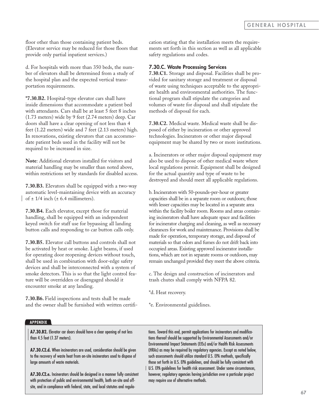floor other than those containing patient beds. (Elevator service may be reduced for those floors that provide only partial inpatient services.)

d. For hospitals with more than 350 beds, the number of elevators shall be determined from a study of the hospital plan and the expected vertical transportation requirements.

**\*7.30.B2.** Hospital-type elevator cars shall have inside dimensions that accommodate a patient bed with attendants. Cars shall be at least 5 feet 8 inches (1.73 meters) wide by 9 feet (2.74 meters) deep. Car doors shall have a clear opening of not less than 4 feet (1.22 meters) wide and 7 feet (2.13 meters) high. In renovations, existing elevators that can accommodate patient beds used in the facility will not be required to be increased in size.

**Note**: Additional elevators installed for visitors and material handling may be smaller than noted above, within restrictions set by standards for disabled access.

**7.30.B3.** Elevators shall be equipped with a two-way automatic level-maintaining device with an accuracy of  $\pm$  1/4 inch ( $\pm$  6.4 millimeters).

**7.30.B4.** Each elevator, except those for material handling, shall be equipped with an independent keyed switch for staff use for bypassing all landing button calls and responding to car button calls only.

**7.30.B5.** Elevator call buttons and controls shall not be activated by heat or smoke. Light beams, if used for operating door reopening devices without touch, shall be used in combination with door-edge safety devices and shall be interconnected with a system of smoke detectors. This is so that the light control feature will be overridden or disengaged should it encounter smoke at any landing.

**7.30.B6.** Field inspections and tests shall be made and the owner shall be furnished with written certification stating that the installation meets the requirements set forth in this section as well as all applicable safety regulations and codes.

## **7.30.C. Waste Processing Services**

**7.30.C1.** Storage and disposal. Facilities shall be provided for sanitary storage and treatment or disposal of waste using techniques acceptable to the appropriate health and environmental authorities. The functional program shall stipulate the categories and volumes of waste for disposal and shall stipulate the methods of disposal for each.

**7.30.C2.** Medical waste. Medical waste shall be disposed of either by incineration or other approved technologies. Incinerators or other major disposal equipment may be shared by two or more institutions.

a. Incinerators or other major disposal equipment may also be used to dispose of other medical waste where local regulations permit. Equipment shall be designed for the actual quantity and type of waste to be destroyed and should meet all applicable regulations.

b. Incinerators with 50-pounds-per-hour or greater capacities shall be in a separate room or outdoors; those with lesser capacities may be located in a separate area within the facility boiler room. Rooms and areas containing incinerators shall have adequate space and facilities for incinerator charging and cleaning, as well as necessary clearances for work and maintenance. Provisions shall be made for operation, temporary storage, and disposal of materials so that odors and fumes do not drift back into occupied areas. Existing approved incinerator installations, which are not in separate rooms or outdoors, may remain unchanged provided they meet the above criteria.

c. The design and construction of incinerators and trash chutes shall comply with NFPA 82.

\*d. Heat recovery.

\*e. Environmental guidelines.

#### **APPENDIX**

**A7.30.B2.** Elevator car doors should have a clear opening of not less than 4.5 feet (1.37 meters).

**A7.30.C2.d.** When incinerators are used, consideration should be given to the recovery of waste heat from on-site incinerators used to dispose of large amounts of waste materials.

**A7.30.C2.e.** Incinerators should be designed in a manner fully consistent with protection of public and environmental health, both on-site and offsite, and in compliance with federal, state, and local statutes and regula-

tions. Toward this end, permit applications for incinerators and modifications thereof should be supported by Environmental Assessments and/or Environmental Impact Statements (EISs) and/or Health Risk Assessments (HRAs) as may be required by regulatory agencies. Except as noted below, such assessments should utilize standard U.S. EPA methods, specifically those set forth in U.S. EPA guidelines, and should be fully consistent with U.S. EPA guidelines for health risk assessment. Under some circumstances, however, regulatory agencies having jurisdiction over a particular project may require use of alternative methods.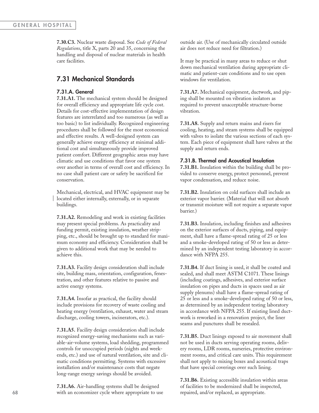**7.30.C3.** Nuclear waste disposal. See *Code of Federal Regulations*, title X, parts 20 and 35, concerning the handling and disposal of nuclear materials in health care facilities.

# **7.31 Mechanical Standards**

# **7.31.A. General**

**7.31.A1.** The mechanical system should be designed for overall efficiency and appropriate life cycle cost. Details for cost-effective implementation of design features are interrelated and too numerous (as well as too basic) to list individually. Recognized engineering procedures shall be followed for the most economical and effective results. A well-designed system can generally achieve energy efficiency at minimal additional cost and simultaneously provide improved patient comfort. Different geographic areas may have climatic and use conditions that favor one system over another in terms of overall cost and efficiency. In no case shall patient care or safety be sacrificed for conservation.

Mechanical, electrical, and HVAC equipment may be located either internally, externally, or in separate buildings.

**7.31.A2.** Remodeling and work in existing facilities may present special problems. As practicality and funding permit, existing insulation, weather stripping, etc., should be brought up to standard for maximum economy and efficiency. Consideration shall be given to additional work that may be needed to achieve this.

**7.31.A3.** Facility design consideration shall include site, building mass, orientation, configuration, fenestration, and other features relative to passive and active energy systems.

**7.31.A4.** Insofar as practical, the facility should include provisions for recovery of waste cooling and heating energy (ventilation, exhaust, water and steam discharge, cooling towers, incinerators, etc.).

**7.31.A5.** Facility design consideration shall include recognized energy-saving mechanisms such as variable-air-volume systems, load shedding, programmed controls for unoccupied periods (nights and weekends, etc.) and use of natural ventilation, site and climatic conditions permitting. Systems with excessive installation and/or maintenance costs that negate long-range energy savings should be avoided.

**7.31.A6.** Air-handling systems shall be designed with an economizer cycle where appropriate to use outside air. (Use of mechanically circulated outside air does not reduce need for filtration.)

It may be practical in many areas to reduce or shut down mechanical ventilation during appropriate climatic and patient-care conditions and to use open windows for ventilation.

**7.31.A7.** Mechanical equipment, ductwork, and piping shall be mounted on vibration isolators as required to prevent unacceptable structure-borne vibration.

**7.31.A8.** Supply and return mains and risers for cooling, heating, and steam systems shall be equipped with valves to isolate the various sections of each system. Each piece of equipment shall have valves at the supply and return ends.

#### **7.31.B. Thermal and Acoustical Insulation**

**7.31.B1.** Insulation within the building shall be provided to conserve energy, protect personnel, prevent vapor condensation, and reduce noise.

**7.31.B2.** Insulation on cold surfaces shall include an exterior vapor barrier. (Material that will not absorb or transmit moisture will not require a separate vapor barrier.)

**7.31.B3.** Insulation, including finishes and adhesives on the exterior surfaces of ducts, piping, and equipment, shall have a flame-spread rating of 25 or less and a smoke-developed rating of 50 or less as determined by an independent testing laboratory in accordance with NFPA 255.

**7.31.B4.** If duct lining is used, it shall be coated and sealed, and shall meet ASTM C1071. These linings (including coatings, adhesives, and exterior surface insulation on pipes and ducts in spaces used as air supply plenums) shall have a flame-spread rating of 25 or less and a smoke-developed rating of 50 or less, as determined by an independent testing laboratory in accordance with NFPA 255. If existing lined ductwork is reworked in a renovation project, the liner seams and punctures shall be resealed.

**7.31.B5.** Duct linings exposed to air movement shall not be used in ducts serving operating rooms, delivery rooms, LDR rooms, nurseries, protective environment rooms, and critical care units. This requirement shall not apply to mixing boxes and acoustical traps that have special coverings over such lining.

**7.31.B6.** Existing accessible insulation within areas of facilities to be modernized shall be inspected, repaired, and/or replaced, as appropriate.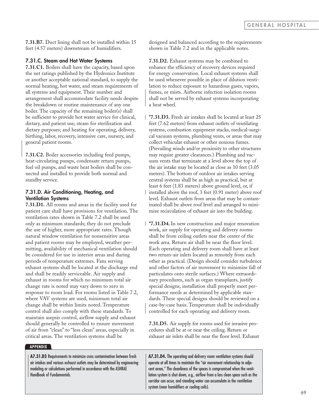**7.31.B7.** Duct lining shall not be installed within 15 feet (4.57 meters) downstream of humidifiers.

#### **7.31.C. Steam and Hot Water Systems**

**7.31.C1.** Boilers shall have the capacity, based upon the net ratings published by the Hydronics Institute or another acceptable national standard, to supply the normal heating, hot water, and steam requirements of all systems and equipment. Their number and arrangement shall accommodate facility needs despite the breakdown or routine maintenance of any one boiler. The capacity of the remaining boiler(s) shall be sufficient to provide hot water service for clinical, dietary, and patient use; steam for sterilization and dietary purposes; and heating for operating, delivery, birthing, labor, recovery, intensive care, nursery, and general patient rooms.

**7.31.C2.** Boiler accessories including feed pumps, heat-circulating pumps, condensate return pumps, fuel oil pumps, and waste heat boilers shall be connected and installed to provide both normal and standby service.

## **7.31.D. Air Conditioning, Heating, and Ventilation Systems**

**7.31.D1.** All rooms and areas in the facility used for patient care shall have provisions for ventilation. The ventilation rates shown in Table 7.2 shall be used only as minimum standards; they do not preclude the use of higher, more appropriate rates. Though natural window ventilation for nonsensitive areas and patient rooms may be employed, weather permitting, availability of mechanical ventilation should be considered for use in interior areas and during periods of temperature extremes. Fans serving exhaust systems shall be located at the discharge end and shall be readily serviceable. Air supply and exhaust in rooms for which no minimum total air change rate is noted may vary down to zero in response to room load. For rooms listed in Table 7.2, where VAV systems are used, minimum total air change shall be within limits noted. Temperature control shall also comply with these standards. To maintain asepsis control, airflow supply and exhaust should generally be controlled to ensure movement of air from "clean" to "less clean" areas, especially in critical areas. The ventilation systems shall be

designed and balanced according to the requirements shown in Table 7.2 and in the applicable notes.

**7.31.D2.** Exhaust systems may be combined to enhance the efficiency of recovery devices required for energy conservation. Local exhaust systems shall be used whenever possible in place of dilution ventilation to reduce exposure to hazardous gases, vapors, fumes, or mists. Airborne infection isolation rooms shall not be served by exhaust systems incorporating a heat wheel.

**\*7.31.D3.** Fresh air intakes shall be located at least 25 feet (7.62 meters) from exhaust outlets of ventilating systems, combustion equipment stacks, medical-surgical vacuum systems, plumbing vents, or areas that may collect vehicular exhaust or other noxious fumes. (Prevailing winds and/or proximity to other structures may require greater clearances.) Plumbing and vacuum vents that terminate at a level above the top of the air intake may be located as close as 10 feet (3.05 meters). The bottom of outdoor air intakes serving central systems shall be as high as practical, but at least 6 feet (1.83 meters) above ground level, or, if installed above the roof, 3 feet (0.91 meter) above roof level. Exhaust outlets from areas that may be contaminated shall be above roof level and arranged to minimize recirculation of exhaust air into the building.

**\*7.31.D4.** In new construction and major renovation work, air supply for operating and delivery rooms shall be from ceiling outlets near the center of the work area. Return air shall be near the floor level. Each operating and delivery room shall have at least two return-air inlets located as remotely from each other as practical. (Design should consider turbulence and other factors of air movement to minimize fall of particulates onto sterile surfaces.) Where extraordinary procedures, such as organ transplants, justify special designs, installation shall properly meet performance needs as determined by applicable standards. These special designs should be reviewed on a case-by-case basis. Temperature shall be individually controlled for each operating and delivery room.

**7.31.D5.** Air supply for rooms used for invasive procedures shall be at or near the ceiling. Return or exhaust air inlets shall be near the floor level. Exhaust

#### **APPENDIX**

**A7.31.D3** Requirements to minimize cross contamination between fresh air intakes and various exhaust outlets may be determined by engineering modeling or calculations performed in accordance with the ASHRAE Handbook of Fundamentals.

**A7.31.D4.** The operating and delivery room ventilation systems should operate at all times to maintain the "air movement relationship to adjacent areas." The cleanliness of the spaces is compromised when the ventilation system is shut down, e.g., airflow from a less clean space such as the corridor can occur, and standing water can accumulate in the ventilation system (near humidifiers or cooling coils).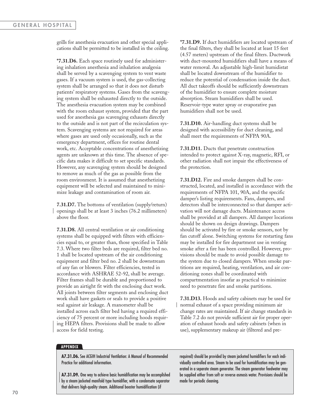grills for anesthesia evacuation and other special applications shall be permitted to be installed in the ceiling.

**\*7.31.D6.** Each space routinely used for administering inhalation anesthesia and inhalation analgesia shall be served by a scavenging system to vent waste gases. If a vacuum system is used, the gas-collecting system shall be arranged so that it does not disturb patients' respiratory systems. Gases from the scavenging system shall be exhausted directly to the outside. The anesthesia evacuation system may be combined with the room exhaust system, provided that the part used for anesthesia gas scavenging exhausts directly to the outside and is not part of the recirculation system. Scavenging systems are not required for areas where gases are used only occasionally, such as the emergency department, offices for routine dental work, etc. Acceptable concentrations of anesthetizing agents are unknown at this time. The absence of specific data makes it difficult to set specific standards. However, any scavenging system should be designed to remove as much of the gas as possible from the room environment. It is assumed that anesthetizing equipment will be selected and maintained to minimize leakage and contamination of room air.

**7.31.D7.** The bottoms of ventilation (supply/return) openings shall be at least 3 inches (76.2 millimeters) above the floor.

**7.31.D8.** All central ventilation or air conditioning systems shall be equipped with filters with efficiencies equal to, or greater than, those specified in Table 7.3. Where two filter beds are required, filter bed no. 1 shall be located upstream of the air conditioning equipment and filter bed no. 2 shall be downstream of any fan or blowers. Filter efficiencies, tested in accordance with ASHRAE 52-92, shall be average. Filter frames shall be durable and proportioned to provide an airtight fit with the enclosing duct work. All joints between filter segments and enclosing duct work shall have gaskets or seals to provide a positive seal against air leakage. A manometer shall be installed across each filter bed having a required efficiency of 75 percent or more including hoods requiring HEPA filters. Provisions shall be made to allow access for field testing.

**\*7.31.D9.** If duct humidifiers are located upstream of the final filters, they shall be located at least 15 feet (4.57 meters) upstream of the final filters. Ductwork with duct-mounted humidifiers shall have a means of water removal. An adjustable high-limit humidistat shall be located downstream of the humidifier to reduce the potential of condensation inside the duct. All duct takeoffs should be sufficiently downstream of the humidifier to ensure complete moisture absorption. Steam humidifiers shall be used. Reservoir-type water spray or evaporative pan humidifiers shall not be used.

**7.31.D10.** Air-handling duct systems shall be designed with accessibility for duct cleaning, and shall meet the requirements of NFPA 90A.

**7.31.D11.** Ducts that penetrate construction intended to protect against X-ray, magnetic, RFI, or other radiation shall not impair the effectiveness of the protection.

**7.31.D12.** Fire and smoke dampers shall be constructed, located, and installed in accordance with the requirements of NFPA 101, 90A, and the specific damper's listing requirements. Fans, dampers, and detectors shall be interconnected so that damper activation will not damage ducts. Maintenance access shall be provided at all dampers. All damper locations should be shown on design drawings. Dampers should be activated by fire or smoke sensors, not by fan cutoff alone. Switching systems for restarting fans may be installed for fire department use in venting smoke after a fire has been controlled. However, provisions should be made to avoid possible damage to the system due to closed dampers. When smoke partitions are required, heating, ventilation, and air conditioning zones shall be coordinated with compartmentation insofar as practical to minimize need to penetrate fire and smoke partitions.

**7.31.D13.** Hoods and safety cabinets may be used for normal exhaust of a space providing minimum air change rates are maintained. If air change standards in Table 7.2 do not provide sufficient air for proper operation of exhaust hoods and safety cabinets (when in use), supplementary makeup air (filtered and pre-

#### **APPENDIX**

**A7.31.D6.** See ACGIH Industrial Ventilation: A Manual of Recommended Practice for additional information.

**A7.31.D9.** One way to achieve basic humidification may be accomplished by a steam jacketed manifold type humidifier, with a condensate separator that delivers high-quality steam. Additional booster humidification (if

required) should be provided by steam jacketed humidifiers for each individually controlled area. Steam to be used for humidification may be generated in a separate steam generator. The steam generator feedwater may be supplied either from soft or reverse osmosis water. Provisions should be made for periodic cleaning.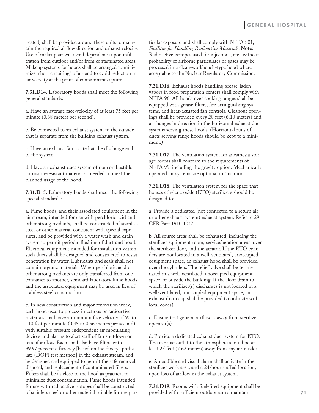heated) shall be provided around these units to maintain the required airflow direction and exhaust velocity. Use of makeup air will avoid dependence upon infiltration from outdoor and/or from contaminated areas. Makeup systems for hoods shall be arranged to minimize "short circuiting" of air and to avoid reduction in air velocity at the point of contaminant capture.

**7.31.D14.** Laboratory hoods shall meet the following general standards:

a. Have an average face-velocity of at least 75 feet per minute (0.38 meters per second).

b. Be connected to an exhaust system to the outside that is separate from the building exhaust system.

c. Have an exhaust fan located at the discharge end of the system.

d. Have an exhaust duct system of noncombustible corrosion-resistant material as needed to meet the planned usage of the hood.

**7.31.D15.** Laboratory hoods shall meet the following special standards:

a. Fume hoods, and their associated equipment in the air stream, intended for use with perchloric acid and other strong oxidants, shall be constructed of stainless steel or other material consistent with special exposures, and be provided with a water wash and drain system to permit periodic flushing of duct and hood. Electrical equipment intended for installation within such ducts shall be designed and constructed to resist penetration by water. Lubricants and seals shall not contain organic materials. When perchloric acid or other strong oxidants are only transferred from one container to another, standard laboratory fume hoods and the associated equipment may be used in lieu of stainless steel construction.

b. In new construction and major renovation work, each hood used to process infectious or radioactive materials shall have a minimum face velocity of 90 to 110 feet per minute (0.45 to 0.56 meters per second) with suitable pressure-independent air modulating devices and alarms to alert staff of fan shutdown or loss of airflow. Each shall also have filters with a 99.97 percent efficiency [based on the dioctyl-phthalate (DOP) test method] in the exhaust stream, and be designed and equipped to permit the safe removal, disposal, and replacement of contaminated filters. Filters shall be as close to the hood as practical to minimize duct contamination. Fume hoods intended for use with radioactive isotopes shall be constructed of stainless steel or other material suitable for the particular exposure and shall comply with NFPA 801, *Facilities for Handling Radioactive Materials*. **Note**: Radioactive isotopes used for injections, etc., without probability of airborne particulates or gases may be processed in a clean-workbench-type hood where acceptable to the Nuclear Regulatory Commission.

**7.31.D16.** Exhaust hoods handling grease-laden vapors in food preparation centers shall comply with NFPA 96. All hoods over cooking ranges shall be equipped with grease filters, fire extinguishing systems, and heat-actuated fan controls. Cleanout openings shall be provided every 20 feet (6.10 meters) and at changes in direction in the horizontal exhaust duct systems serving these hoods. (Horizontal runs of ducts serving range hoods should be kept to a minimum.)

**7.31.D17.** The ventilation system for anesthesia storage rooms shall conform to the requirements of NFPA 99, including the gravity option. Mechanically operated air systems are optional in this room.

**7.31.D18.** The ventilation system for the space that houses ethylene oxide (ETO) sterilizers should be designed to:

a. Provide a dedicated (not connected to a return air or other exhaust system) exhaust system. Refer to 29 CFR Part 1910.1047.

b. All source areas shall be exhausted, including the sterilizer equipment room, service/aeration areas, over the sterilizer door, and the aerator. If the ETO cylinders are not located in a well-ventilated, unoccupied equipment space, an exhaust hood shall be provided over the cylinders. The relief valve shall be terminated in a well-ventilated, unoccupied equipment space, or outside the building. If the floor drain to which the sterilizer(s) discharges is not located in a well-ventilated, unoccupied equipment space, an exhaust drain cap shall be provided (coordinate with local codes).

c. Ensure that general airflow is away from sterilizer operator(s).

d. Provide a dedicated exhaust duct system for ETO. The exhaust outlet to the atmosphere should be at least 25 feet (7.62 meters) away from any air intake.

e. An audible and visual alarm shall activate in the sterilizer work area, and a 24-hour staffed location, upon loss of airflow in the exhaust system.

**7.31.D19.** Rooms with fuel-fired equipment shall be provided with sufficient outdoor air to maintain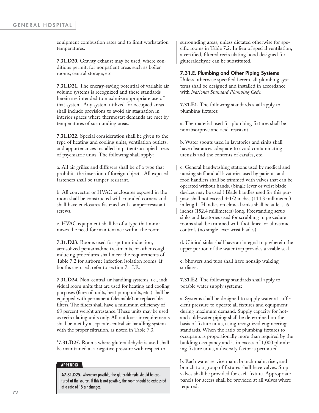## **GENERAL HOSPITAL**

equipment combustion rates and to limit workstation temperatures.

- **7.31.D20.** Gravity exhaust may be used, where conditions permit, for nonpatient areas such as boiler rooms, central storage, etc.
- **7.31.D21.** The energy-saving potential of variable air volume systems is recognized and these standards herein are intended to maximize appropriate use of that system. Any system utilized for occupied areas shall include provisions to avoid air stagnation in interior spaces where thermostat demands are met by temperatures of surrounding areas.
- **7.31.D22.** Special consideration shall be given to the type of heating and cooling units, ventilation outlets, and appurtenances installed in patient-occupied areas of psychiatric units. The following shall apply:

a. All air grilles and diffusers shall be of a type that prohibits the insertion of foreign objects. All exposed fasteners shall be tamper-resistant.

b. All convector or HVAC enclosures exposed in the room shall be constructed with rounded corners and shall have enclosures fastened with tamper-resistant screws.

c. HVAC equipment shall be of a type that minimizes the need for maintenance within the room.

**7.31.D23.** Rooms used for sputum induction, aerosolized pentamadine treatments, or other coughinducing procedures shall meet the requirements of Table 7.2 for airborne infection isolation rooms. If booths are used, refer to section 7.15.E.

**7.31.D24.** Non-central air handling systems, i.e., individual room units that are used for heating and cooling purposes (fan-coil units, heat pump units, etc.) shall be equipped with permanent (cleanable) or replaceable filters. The filters shall have a minimum efficiency of 68 percent weight arrestance. These units may be used as recirculating units only. All outdoor air requirements shall be met by a separate central air handling system with the proper filtration, as noted in Table 7.3.

**\*7.31.D25.** Rooms where gluteraldehyde is used shall be maintained at a negative pressure with respect to

#### **APPENDIX**

**A7.31.D25.** Whenever possible, the gluteraldehyde should be captured at the source. If this is not possible, the room should be exhausted at a rate of 15 air changes.

surrounding areas, unless dictated otherwise for specific rooms in Table 7.2. In lieu of special ventilation, a certified, filtered recirculating hood designed for gluteraldehyde can be substituted.

#### **7.31.E. Plumbing and Other Piping Systems**

Unless otherwise specified herein, all plumbing systems shall be designed and installed in accordance with *National Standard Plumbing Code.*

**7.31.E1.** The following standards shall apply to plumbing fixtures:

a. The material used for plumbing fixtures shall be nonabsorptive and acid-resistant.

b. Water spouts used in lavatories and sinks shall have clearances adequate to avoid contaminating utensils and the contents of carafes, etc.

- c. General handwashing stations used by medical and nursing staff and all lavatories used by patients and food handlers shall be trimmed with valves that can be operated without hands. (Single lever or wrist blade devices may be used.) Blade handles used for this purpose shall not exceed 4-1/2 inches (114.3 millimeters) in length. Handles on clinical sinks shall be at least 6
- inches (152.4 millimeters) long. Freestanding scrub sinks and lavatories used for scrubbing in procedure rooms shall be trimmed with foot, knee, or ultrasonic controls (no single lever wrist blades).

d. Clinical sinks shall have an integral trap wherein the upper portion of the water trap provides a visible seal.

e. Showers and tubs shall have nonslip walking surfaces.

**7.31.E2.** The following standards shall apply to potable water supply systems:

a. Systems shall be designed to supply water at sufficient pressure to operate all fixtures and equipment during maximum demand. Supply capacity for hotand cold-water piping shall be determined on the basis of fixture units, using recognized engineering standards. When the ratio of plumbing fixtures to occupants is proportionally more than required by the building occupancy and is in excess of 1,000 plumbing fixture units, a diversity factor is permitted.

b. Each water service main, branch main, riser, and branch to a group of fixtures shall have valves. Stop valves shall be provided for each fixture. Appropriate panels for access shall be provided at all valves where required.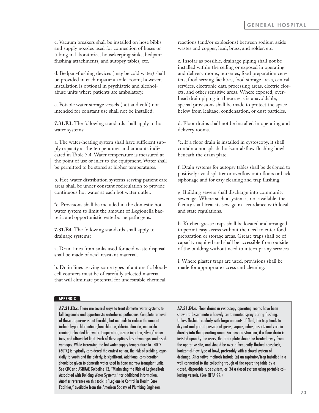c. Vacuum breakers shall be installed on hose bibbs and supply nozzles used for connection of hoses or tubing in laboratories, housekeeping sinks, bedpanflushing attachments, and autopsy tables, etc.

d. Bedpan-flushing devices (may be cold water) shall be provided in each inpatient toilet room; however, installation is optional in psychiatric and alcoholabuse units where patients are ambulatory.

e. Potable water storage vessels (hot and cold) not intended for constant use shall not be installed.

**7.31.E3.** The following standards shall apply to hot water systems:

a. The water-heating system shall have sufficient supply capacity at the temperatures and amounts indicated in Table 7.4. Water temperature is measured at the point of use or inlet to the equipment. Water shall be permitted to be stored at higher temperatures.

b. Hot-water distribution systems serving patient care areas shall be under constant recirculation to provide continuous hot water at each hot water outlet.

\*c. Provisions shall be included in the domestic hot water system to limit the amount of Legionella bacteria and opportunistic waterborne pathogens.

**7.31.E4.** The following standards shall apply to drainage systems:

a. Drain lines from sinks used for acid waste disposal shall be made of acid-resistant material.

b. Drain lines serving some types of automatic bloodcell counters must be of carefully selected material that will eliminate potential for undesirable chemical

reactions (and/or explosions) between sodium azide wastes and copper, lead, brass, and solder, etc.

c. Insofar as possible, drainage piping shall not be installed within the ceiling or exposed in operating and delivery rooms, nurseries, food preparation centers, food serving facilities, food storage areas, central services, electronic data processing areas, electric closets, and other sensitive areas. Where exposed, overhead drain piping in these areas is unavoidable, special provisions shall be made to protect the space below from leakage, condensation, or dust particles.

d. Floor drains shall not be installed in operating and delivery rooms.

\*e. If a floor drain is installed in cystoscopy, it shall contain a nonsplash, horizontal-flow flushing bowl beneath the drain plate.

f. Drain systems for autopsy tables shall be designed to positively avoid splatter or overflow onto floors or back siphonage and for easy cleaning and trap flushing.

g. Building sewers shall discharge into community sewerage. Where such a system is not available, the facility shall treat its sewage in accordance with local and state regulations.

h. Kitchen grease traps shall be located and arranged to permit easy access without the need to enter food preparation or storage areas. Grease traps shall be of capacity required and shall be accessible from outside of the building without need to interrupt any services.

i. Where plaster traps are used, provisions shall be made for appropriate access and cleaning.

#### **APPENDIX**

**A7.31.E3.c.** There are several ways to treat domestic water systems to kill Legionella and opportunistic waterborne pathogens. Complete removal of these organisms is not feasible, but methods to reduce the amount include hyperchlorination (free chlorine, chlorine dioxide, monochloramine), elevated hot water temperature, ozone injection, silver/copper ions, and ultraviolet light. Each of these options has advantages and disadvantages. While increasing the hot water supply temperature to 140°F (60°C) is typically considered the easiest option, the risk of scalding, especially to youth and the elderly, is significant. Additional consideration should be given to domestic water used in bone marrow transplant units. See CDC and ASHRAE Guideline 12, "Minimizing the Risk of Legionellosis Associated with Building Water Systems," for additional information. Another reference on this topic is "Legionella Control in Health Care Facilities," available from the American Society of Plumbing Engineers.

**A7.31.E4.e.** Floor drains in cystoscopy operating rooms have been shown to disseminate a heavily contaminated spray during flushing. Unless flushed regularly with large amounts of fluid, the trap tends to dry out and permit passage of gases, vapors, odors, insects and vermin directly into the operating room. For new construction, if a floor drain is insisted upon by the users, the drain plate should be located away from the operative site, and should be over a frequently flushed nonsplash, horizontal-flow type of bowl, preferably with a closed system of drainage. Alternative methods include (a) an aspirator/trap installed in a wall connected to the collecting trough of the operating table by a closed, disposable tube system, or (b) a closed system using portable collecting vessels. (See NFPA 99.)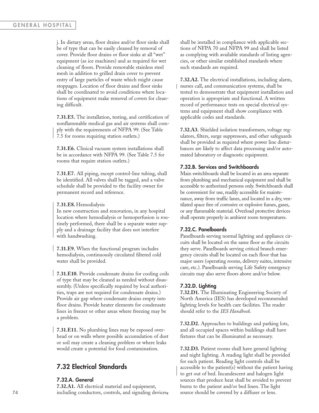#### **GENERAL HOSPITAL**

j. In dietary areas, floor drains and/or floor sinks shall be of type that can be easily cleaned by removal of cover. Provide floor drains or floor sinks at all "wet" equipment (as ice machines) and as required for wet cleaning of floors. Provide removable stainless steel mesh in addition to grilled drain cover to prevent entry of large particles of waste which might cause stoppages. Location of floor drains and floor sinks shall be coordinated to avoid conditions where locations of equipment make removal of covers for cleaning difficult.

**7.31.E5.** The installation, testing, and certification of nonflammable medical gas and air systems shall comply with the requirements of NFPA 99. (See Table 7.5 for rooms requiring station outlets.)

**7.31.E6.** Clinical vacuum system installations shall be in accordance with NFPA 99. (See Table 7.5 for rooms that require station outlets.)

**7.31.E7.** All piping, except control-line tubing, shall be identified. All valves shall be tagged, and a valve schedule shall be provided to the facility owner for permanent record and reference.

#### **7.31.E8.** Hemodialysis

In new construction and renovation, in any hospital location where hemodialysis or hemoperfusion is routinely performed, there shall be a separate water supply and a drainage facility that does not interfere with handwashing.

**7.31.E9.** When the functional program includes hemodialysis, continuously circulated filtered cold water shall be provided.

**7.31.E10.** Provide condensate drains for cooling coils of type that may be cleaned as needed without disassembly. (Unless specifically required by local authorities, traps are not required for condensate drains.) Provide air gap where condensate drains empty into floor drains. Provide heater elements for condensate lines in freezer or other areas where freezing may be a problem.

**7.31.E11.** No plumbing lines may be exposed overhead or on walls where possible accumulation of dust or soil may create a cleaning problem or where leaks would create a potential for food contamination.

# **7.32 Electrical Standards**

#### **7.32.A. General**

**7.32.A1.** All electrical material and equipment, including conductors, controls, and signaling devices, shall be installed in compliance with applicable sections of NFPA 70 and NFPA 99 and shall be listed as complying with available standards of listing agencies, or other similar established standards where such standards are required.

**7.32.A2.** The electrical installations, including alarm, nurses call, and communication systems, shall be tested to demonstrate that equipment installation and operation is appropriate and functional. A written record of performance tests on special electrical systems and equipment shall show compliance with applicable codes and standards.

**7.32.A3.** Shielded isolation transformers, voltage regulators, filters, surge suppressors, and other safeguards shall be provided as required where power line disturbances are likely to affect data processing and/or automated laboratory or diagnostic equipment.

#### **7.32.B. Services and Switchboards**

Main switchboards shall be located in an area separate from plumbing and mechanical equipment and shall be accessible to authorized persons only. Switchboards shall be convenient for use, readily accessible for maintenance, away from traffic lanes, and located in a dry, ventilated space free of corrosive or explosive fumes, gases, or any flammable material. Overload protective devices shall operate properly in ambient room temperatures.

#### **7.32.C. Panelboards**

Panelboards serving normal lighting and appliance circuits shall be located on the same floor as the circuits they serve. Panelboards serving critical branch emergency circuits shall be located on each floor that has major users (operating rooms, delivery suites, intensive care, etc.). Panelboards serving Life Safety emergency circuits may also serve floors above and/or below.

#### **7.32.D. Lighting**

**7.32.D1.** The Illuminating Engineering Society of North America (IES) has developed recommended lighting levels for health care facilities. The reader should refer to the *IES Handbook.*

**7.32.D2.** Approaches to buildings and parking lots, and all occupied spaces within buildings shall have fixtures that can be illuminated as necessary.

**7.32.D3.** Patient rooms shall have general lighting and night lighting. A reading light shall be provided for each patient. Reading light controls shall be accessible to the patient(s) without the patient having to get out of bed. Incandescent and halogen light sources that produce heat shall be avoided to prevent burns to the patient and/or bed linen. The light source should be covered by a diffuser or lens.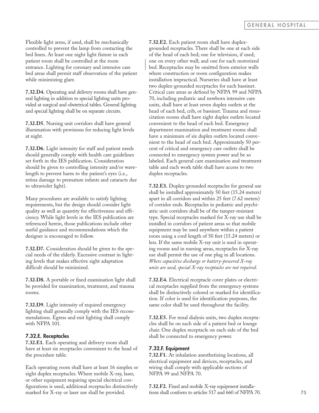Flexible light arms, if used, shall be mechanically controlled to prevent the lamp from contacting the bed linen. At least one night light fixture in each patient room shall be controlled at the room entrance. Lighting for coronary and intensive care bed areas shall permit staff observation of the patient while minimizing glare.

**7.32.D4.** Operating and delivery rooms shall have general lighting in addition to special lighting units provided at surgical and obstetrical tables. General lighting and special lighting shall be on separate circuits.

**7.32.D5.** Nursing unit corridors shall have general illumination with provisions for reducing light levels at night.

**7.32.D6.** Light intensity for staff and patient needs should generally comply with health care guidelines set forth in the IES publication. Consideration should be given to controlling intensity and/or wavelength to prevent harm to the patient's eyes (i.e., retina damage to premature infants and cataracts due to ultraviolet light).

Many procedures are available to satisfy lighting requirements, but the design should consider light quality as well as quantity for effectiveness and efficiency. While light levels in the IES publication are referenced herein, those publications include other useful guidance and recommendations which the designer is encouraged to follow.

**7.32.D7.** Consideration should be given to the special needs of the elderly. Excessive contrast in lighting levels that makes effective sight adaptation difficult should be minimized.

**7.32.D8.** A portable or fixed examination light shall be provided for examination, treatment, and trauma rooms.

**7.32.D9.** Light intensity of required emergency lighting shall generally comply with the IES recommendations. Egress and exit lighting shall comply with NFPA 101.

# **7.32.E. Receptacles**

**7.32.E1.** Each operating and delivery room shall have at least six receptacles convenient to the head of the procedure table.

Each operating room shall have at least 16 simplex or eight duplex receptacles. Where mobile X-ray, laser, or other equipment requiring special electrical configurations is used, additional receptacles distinctively marked for X-ray or laser use shall be provided.

**7.32.E2.** Each patient room shall have duplexgrounded receptacles. There shall be one at each side of the head of each bed; one for television, if used; one on every other wall; and one for each motorized bed. Receptacles may be omitted from exterior walls where construction or room configuration makes installation impractical. Nurseries shall have at least two duplex-grounded receptacles for each bassinet. Critical care areas as defined by NFPA 99 and NFPA 70, including pediatric and newborn intensive care units, shall have at least seven duplex outlets at the head of each bed, crib, or bassinet. Trauma and resuscitation rooms shall have eight duplex outlets located convenient to the head of each bed. Emergency department examination and treatment rooms shall have a minimum of six duplex outlets located convenient to the head of each bed. Approximately 50 percent of critical and emergency care outlets shall be connected to emergency system power and be so labeled. Each general care examination and treatment table and each work table shall have access to two duplex receptacles.

**7.32.E3.** Duplex-grounded receptacles for general use shall be installed approximately 50 feet (15.24 meters) apart in all corridors and within 25 feet (7.62 meters) of corridor ends. Receptacles in pediatric and psychiatric unit corridors shall be of the tamper-resistant type. Special receptacles marked for X-ray use shall be installed in corridors of patient areas so that mobile equipment may be used anywhere within a patient room using a cord length of 50 feet (15.24 meters) or less. If the same mobile X-ray unit is used in operating rooms and in nursing areas, receptacles for X-ray use shall permit the use of one plug in all locations. *Where capacitive discharge or battery-powered X-ray units are used, special X-ray receptacles are not required*.

**7.32.E4.** Electrical receptacle cover plates or electrical receptacles supplied from the emergency systems shall be distinctively colored or marked for identification. If color is used for identification purposes, the same color shall be used throughout the facility.

**7.32.E5.** For renal dialysis units, two duplex receptacles shall be on each side of a patient bed or lounge chair. One duplex receptacle on each side of the bed shall be connected to emergency power.

# **7.32.F. Equipment**

**7.32.F1.** At inhalation anesthetizing locations, all electrical equipment and devices, receptacles, and wiring shall comply with applicable sections of NFPA 99 and NFPA 70.

**7.32.F2.** Fixed and mobile X-ray equipment installations shall conform to articles 517 and 660 of NFPA 70.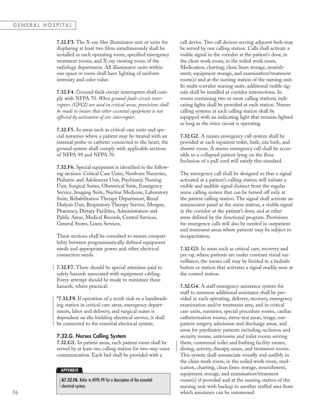**7.32.F3.** The X-ray film illuminator unit or units for displaying at least two films simultaneously shall be installed in each operating room, specified emergency treatment rooms, and X-ray viewing room of the radiology department. All illuminator units within one space or room shall have lighting of uniform intensity and color value.

**7.32.F4.** Ground-fault circuit interrupters shall comply with NFPA 70. *When ground-fault circuit interrupters (GFCI) are used in critical areas, provisions shall be made to insure that other essential equipment is not affected by activation of one interrupter*.

**7.32.F5.** In areas such as critical care units and special nurseries where a patient may be treated with an internal probe or catheter connected to the heart, the ground system shall comply with applicable sections of NFPA 99 and NFPA 70.

**7.32.F6.** Special equipment is identified in the following sections: Critical Care Units, Newborn Nurseries, Pediatric and Adolescent Unit, Psychiatric Nursing Unit, Surgical Suites, Obstetrical Suite, Emergency Service, Imaging Suite, Nuclear Medicine, Laboratory Suite, Rehabilitation Therapy Department, Renal Dialysis Unit, Respiratory Therapy Service, Morgue, Pharmacy, Dietary Facilities, Administration and Public Areas, Medical Records, Central Services, General Stores, Linen Services.

These sections shall be consulted to ensure compatibility between programmatically defined equipment needs and appropriate power and other electrical connection needs.

**7.32.F7.** There should be special attention paid to safety hazards associated with equipment cabling. Every attempt should be made to minimize these hazards, where practical.

**\*7.32.F8.** If operation of a scrub sink or a handwashing station in critical care areas, emergency departments, labor and delivery, and surgical suites is dependent on the building electrical service, it shall be connected to the essential electrical system.

#### **7.32.G. Nurses Calling System**

**7.32.G1.** In patient areas, each patient room shall be served by at least one calling station for two-way voice communication. Each bed shall be provided with a

#### **APPENDIX**

**A7.32.F8.** Refer to NFPA 99 for a description of the essential electrical system.

call device. Two call devices serving adjacent beds may be served by one calling station. Calls shall activate a visible signal in the corridor at the patient's door, in the clean work room, in the soiled work room, Medication, charting, clean linen storage, nourishment, equipment storage, and examination/treatment room(s) and at the nursing station of the nursing unit. In multi-corridor nursing units, additional visible signals shall be installed at corridor intersections. In rooms containing two or more calling stations, indicating lights shall be provided at each station. Nurses calling systems at each calling station shall be equipped with an indicating light that remains lighted as long as the voice circuit is operating.

**7.32.G2.** A nurses emergency call system shall be provided at each inpatient toilet, bath, sitz bath, and shower room. A nurses emergency call shall be accessible to a collapsed patient lying on the floor. Inclusion of a pull cord will satisfy this standard.

The emergency call shall be designed so that a signal activated at a patient's calling station will initiate a visible and audible signal distinct from the regular nurse calling system that can be turned off only at the patient calling station. The signal shall activate an annunciator panel at the nurse station, a visible signal in the corridor at the patient's door, and at other areas defined by the functional program. Provisions for emergency calls will also be needed in outpatient and treatment areas where patients may be subject to incapacitation.

**7.32.G3.** In areas such as critical care, recovery and pre-op, where patients are under constant visual surveillance, the nurses call may be limited to a bedside button or station that activates a signal readily seen at the control station.

**7.32.G4.** A staff emergency assistance system for staff to summon additional assistance shall be provided in each operating, delivery, recovery, emergency examination and/or treatment area, and in critical care units, nurseries, special procedure rooms, cardiac catheterization rooms, stress-test areas, triage, outpatient surgery, admission and discharge areas, and areas for psychiatric patients including seclusion and security rooms, anterooms and toilet rooms serving them, communal toilet and bathing facility rooms, dining, activity, therapy, exam, and treatment rooms. This system shall annunciate visually and audibly in the clean work room, in the soiled work room, medication, charting, clean linen storage, nourishment, equipment storage, and examination/treatment room(s) if provided and at the nursing station of the nursing unit with backup to another staffed area from which assistance can be summoned.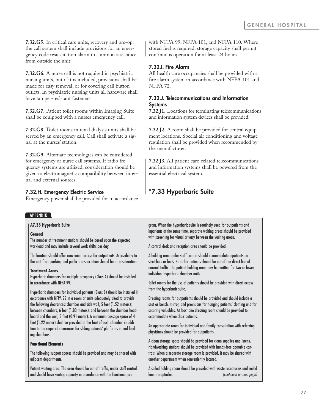**7.32.G5.** In critical care units, recovery and pre-op, the call system shall include provisions for an emergency code resuscitation alarm to summon assistance from outside the unit.

**7.32.G6.** A nurse call is not required in psychiatric nursing units, but if it is included, provisions shall be made for easy removal, or for covering call button outlets. In psychiatric nursing units all hardware shall have tamper-resistant fasteners.

**7.32.G7.** Patient toilet rooms within Imaging Suite shall be equipped with a nurses emergency call.

**7.32.G8.** Toilet rooms in renal dialysis units shall be served by an emergency call. Call shall activate a signal at the nurses' station.

**7.32.G9.** Alternate technologies can be considered for emergency or nurse call systems. If radio frequency systems are utilized, consideration should be given to electromagnetic compatibility between internal and external sources.

# **7.32.H. Emergency Electric Service**

Emergency power shall be provided for in accordance

with NFPA 99, NFPA 101, and NFPA 110. Where stored fuel is required, storage capacity shall permit continuous operation for at least 24 hours.

# **7.32.I. Fire Alarm**

All health care occupancies shall be provided with a fire alarm system in accordance with NFPA 101 and NFPA 72.

# **7.32.J. Telecommunications and Information Systems**

**7.32.J1.** Locations for terminating telecommunications and information system devices shall be provided.

**7.32.J2.** A room shall be provided for central equipment locations. Special air conditioning and voltage regulation shall be provided when recommended by the manufacturer.

**7.32.J3.** All patient care-related telecommunications and information systems shall be powered from the essential electrical system.

# **\*7.33 Hyperbaric Suite**

#### **APPENDIX**

#### **A7.33 Hyperbaric Suite**

#### **General**

The number of treatment stations should be based upon the expected workload and may include several work shifts per day.

The location should offer convenient access for outpatients. Accessibility to the unit from parking and public transportation should be a consideration.

#### **Treatment Areas**

Hyperbaric chambers for multiple occupancy (Class A) should be installed in accordance with NFPA 99.

Hyperbaric chambers for individual patients (Class B) should be installed in accordance with NFPA 99 in a room or suite adequately sized to provide the following clearances: chamber and side wall, 5 feet (1.52 meters); between chambers, 6 feet (1.83 meters); and between the chamber headboard and the wall, 3 feet (0.91 meter). A minimum passage space of 4 feet (1.22 meter) shall be provided at the foot of each chamber in addition to the required clearances for sliding patients' platforms in end-loading chambers.

#### **Functional Elements**

The following support spaces should be provided and may be shared with adjacent departments.

Patient waiting area. The area should be out of traffic, under staff control, and should have seating capacity in accordance with the functional pro-

gram. When the hyperbaric suite is routinely used for outpatients and inpatients at the same time, separate waiting areas should be provided with screening for visual privacy between the waiting areas.

A control desk and reception area should be provided.

A holding area under staff control should accommodate inpatients on stretchers or beds. Stretcher patients should be out of the direct line of normal traffic. The patient holding area may be omitted for two or fewer individual hyperbaric chamber units.

Toilet rooms for the use of patients should be provided with direct access from the hyperbaric suite.

Dressing rooms for outpatients should be provided and should include a seat or bench, mirror, and provisions for hanging patients' clothing and for securing valuables. At least one dressing room should be provided to accommodate wheelchair patients.

An appropriate room for individual and family consultation with referring physicians should be provided for outpatients.

A clean storage space should be provided for clean supplies and linens. Handwashing stations should be provided with hands-free operable controls. When a separate storage room is provided, it may be shared with another department when conveniently located.

A soiled holding room should be provided with waste receptacles and soiled linen receptacles. (continued on next page)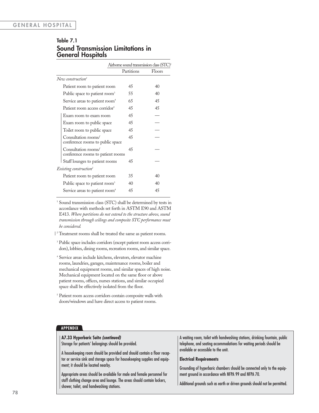# **Table 7.1 Sound Transmission Limitations in General Hospitals**

|                                                          | Airborne sound transmission class (STC) <sup>1</sup> |        |  |  |
|----------------------------------------------------------|------------------------------------------------------|--------|--|--|
|                                                          | Partitions                                           | Floors |  |  |
| New construction <sup>2</sup>                            |                                                      |        |  |  |
| Patient room to patient room                             | 45                                                   | 40     |  |  |
| Public space to patient room <sup>3</sup>                | 55                                                   | 40     |  |  |
| Service areas to patient room <sup>4</sup>               | 65                                                   | 45     |  |  |
| Patient room access corridor <sup>5</sup>                | 45                                                   | 45     |  |  |
| Exam room to exam room                                   | 45                                                   |        |  |  |
| Exam room to public space                                | 45                                                   |        |  |  |
| Toilet room to public space                              | 45                                                   |        |  |  |
| Consultation rooms/<br>conference rooms to public space  | 45                                                   |        |  |  |
| Consultation rooms/<br>conference rooms to patient rooms | 45                                                   |        |  |  |
| Staff lounges to patient rooms                           | 45                                                   |        |  |  |
| Existing construction <sup>2</sup>                       |                                                      |        |  |  |
| Patient room to patient room                             | 35                                                   | 40     |  |  |
| Public space to patient room <sup>3</sup>                | 40                                                   | 40     |  |  |
| Service areas to patient room <sup>4</sup>               | 45                                                   | 45     |  |  |

<sup>1</sup> Sound transmission class (STC) shall be determined by tests in accordance with methods set forth in ASTM E90 and ASTM E413. *Where partitions do not extend to the structure above, sound transmission through ceilings and composite STC performance must be considered.*

- <sup>2</sup> Treatment rooms shall be treated the same as patient rooms.
- <sup>3</sup> Public space includes corridors (except patient room access corridors), lobbies, dining rooms, recreation rooms, and similar space.
- <sup>4</sup> Service areas include kitchens, elevators, elevator machine rooms, laundries, garages, maintenance rooms, boiler and mechanical equipment rooms, and similar spaces of high noise. Mechanical equipment located on the same floor or above patient rooms, offices, nurses stations, and similar occupied space shall be effectively isolated from the floor.
- <sup>5</sup> Patient room access corridors contain composite walls with doors/windows and have direct access to patient rooms.

#### **APPENDIX**

#### **A7.33 Hyperbaric Suite (continued)**

Storage for patients' belongings should be provided.

A housekeeping room should be provided and should contain a floor receptor or service sink and storage space for housekeeping supplies and equipment; it should be located nearby.

Appropriate areas should be available for male and female personnel for staff clothing change area and lounge. The areas should contain lockers, shower, toilet, and handwashing stations.

A waiting room, toilet with handwashing stations, drinking fountain, public telephone, and seating accommodations for waiting periods should be available or accessible to the unit.

#### **Electrical Requirements**

Grounding of hyperbaric chambers should be connected only to the equipment ground in accordance with NFPA 99 and NFPA 70.

Additional grounds such as earth or driven grounds should not be permitted.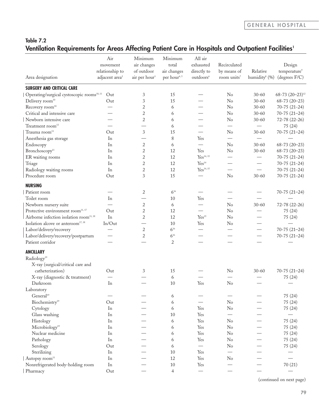# **Table 7.2**

# **Ventilation Requirements for Areas Affecting Patient Care in Hospitals and Outpatient Facilities1**

| Area designation                                       | Air<br>movement<br>relationship to<br>adjacent area <sup>2</sup> | Minimum<br>air changes<br>of outdoor<br>air per hour <sup>3</sup> | Minimum<br>total<br>air changes<br>per hour <sup>4,5</sup> | All air<br>exhausted<br>directly to<br>outdoors <sup>6</sup> | Recirculated<br>by means of<br>room units <sup>7</sup> | Relative                        | Design<br>temperature <sup>9</sup><br>humidity <sup>8</sup> (%) (degrees F/C) |
|--------------------------------------------------------|------------------------------------------------------------------|-------------------------------------------------------------------|------------------------------------------------------------|--------------------------------------------------------------|--------------------------------------------------------|---------------------------------|-------------------------------------------------------------------------------|
| <b>SURGERY AND CRITICAL CARE</b>                       |                                                                  |                                                                   |                                                            |                                                              |                                                        |                                 |                                                                               |
| Operating/surgical cystoscopic rooms <sup>10, 11</sup> | Out                                                              | 3                                                                 | 15                                                         |                                                              | No                                                     | $30 - 60$                       | 68-73 $(20-23)^{12}$                                                          |
| Delivery room <sup>10</sup>                            | Out                                                              | 3                                                                 | 15                                                         |                                                              | N <sub>o</sub>                                         | $30 - 60$                       | $68-73(20-23)$                                                                |
| Recovery room <sup>10</sup>                            |                                                                  | $\overline{2}$                                                    | 6                                                          |                                                              | N <sub>o</sub>                                         | $30 - 60$                       | $70-75(21-24)$                                                                |
| Critical and intensive care                            |                                                                  | $\overline{2}$                                                    | 6                                                          |                                                              | N <sub>o</sub>                                         | $30 - 60$                       | $70-75(21-24)$                                                                |
| Newborn intensive care                                 |                                                                  | $\overline{2}$                                                    | 6                                                          |                                                              | N <sub>o</sub>                                         | $30 - 60$                       | 72-78 (22-26)                                                                 |
| Treatment room <sup>13</sup>                           |                                                                  |                                                                   | 6                                                          |                                                              |                                                        |                                 | 75 (24)                                                                       |
| Trauma room <sup>13</sup>                              | Out                                                              | 3                                                                 | 15                                                         |                                                              | N <sub>o</sub>                                         | $30 - 60$                       | $70-75(21-24)$                                                                |
| Anesthesia gas storage                                 | In                                                               |                                                                   | 8                                                          | Yes                                                          |                                                        |                                 |                                                                               |
| Endoscopy                                              | In                                                               | $\overline{2}$                                                    | 6                                                          |                                                              | N <sub>o</sub>                                         | $30 - 60$                       | $68-73(20-23)$                                                                |
| Bronchoscopy <sup>11</sup>                             | In                                                               | $\overline{2}$                                                    | 12                                                         | Yes                                                          | N <sub>o</sub>                                         | $30 - 60$                       | $68-73(20-23)$                                                                |
| ER waiting rooms                                       | In                                                               | $\overline{2}$                                                    | 12                                                         | $\mathrm{Yes}^{\scriptscriptstyle 14,\,15}$                  |                                                        |                                 | $70-75(21-24)$                                                                |
| Triage                                                 | In                                                               | $\overline{2}$                                                    | 12                                                         | Yes <sup>14</sup>                                            |                                                        | $\overline{\phantom{0}}$        | $70-75(21-24)$                                                                |
| Radiology waiting rooms                                | In                                                               | $\overline{2}$                                                    | 12                                                         | $\mathrm{Yes}^{\scriptscriptstyle 14,\,15}$                  |                                                        |                                 | $70-75(21-24)$                                                                |
| Procedure room                                         | Out                                                              | $\mathfrak{Z}$                                                    | 15                                                         |                                                              | N <sub>o</sub>                                         | $30 - 60$                       | $70-75(21-24)$                                                                |
| <b>NURSING</b>                                         |                                                                  |                                                                   |                                                            |                                                              |                                                        |                                 |                                                                               |
| Patient room                                           |                                                                  | $\overline{2}$                                                    | $6^{16}$                                                   | $\hspace{0.1mm}-\hspace{0.1mm}$                              |                                                        |                                 | $70-75(21-24)$                                                                |
| Toilet room                                            | In                                                               |                                                                   | 10                                                         | Yes                                                          | $\hspace{0.05cm}$                                      | $\overline{\phantom{0}}$        |                                                                               |
| Newborn nursery suite                                  |                                                                  | $\overline{2}$                                                    | 6                                                          |                                                              | N <sub>o</sub>                                         | $30 - 60$                       | 72-78 (22-26)                                                                 |
| Protective environment room <sup>11, 17</sup>          | Out                                                              | $\overline{2}$                                                    | 12                                                         | $\hspace{0.05cm}$                                            | N <sub>o</sub>                                         |                                 | 75 (24)                                                                       |
| Airborne infection isolation room <sup>11, 18</sup>    | In                                                               | $\overline{2}$                                                    | 12                                                         | Yes <sup>15</sup>                                            | No                                                     |                                 | 75 (24)                                                                       |
| Isolation alcove or anteroom <sup>17,18</sup>          | In/Out                                                           | $\overline{\phantom{0}}$                                          | 10                                                         | Yes                                                          | N <sub>o</sub>                                         |                                 |                                                                               |
| Labor/delivery/recovery                                |                                                                  | $\overline{2}$                                                    | $6^{16}$                                                   |                                                              | $\hspace{0.1mm}-\hspace{0.1mm}$                        | $\hspace{0.1mm}-\hspace{0.1mm}$ | $70-75(21-24)$                                                                |
| Labor/delivery/recovery/postpartum                     |                                                                  | $\overline{2}$                                                    | $6^{16}$                                                   |                                                              |                                                        | $\overbrace{\phantom{aaaaa}}$   | $70-75(21-24)$                                                                |
| Patient corridor                                       |                                                                  |                                                                   | 2                                                          |                                                              |                                                        |                                 |                                                                               |
|                                                        |                                                                  |                                                                   |                                                            |                                                              |                                                        |                                 |                                                                               |
| <b>ANCILLARY</b>                                       |                                                                  |                                                                   |                                                            |                                                              |                                                        |                                 |                                                                               |
| Radiology <sup>19</sup>                                |                                                                  |                                                                   |                                                            |                                                              |                                                        |                                 |                                                                               |
| X-ray (surgical/critical care and                      |                                                                  |                                                                   |                                                            |                                                              |                                                        |                                 |                                                                               |
| catheterization)                                       | Out                                                              | 3                                                                 | 15                                                         |                                                              | N <sub>o</sub>                                         | $30 - 60$                       | $70-75(21-24)$                                                                |
| X-ray (diagnostic & treatment)                         |                                                                  |                                                                   | 6                                                          |                                                              |                                                        |                                 | 75 (24)                                                                       |
| Darkroom                                               | In                                                               |                                                                   | 10                                                         | Yes                                                          | N <sub>o</sub>                                         |                                 |                                                                               |
| Laboratory                                             |                                                                  |                                                                   |                                                            |                                                              |                                                        |                                 |                                                                               |
| General <sup>19</sup>                                  |                                                                  |                                                                   | 6                                                          |                                                              |                                                        |                                 | 75 (24)                                                                       |
| Biochemistry <sup>19</sup>                             | Out                                                              |                                                                   | 6                                                          |                                                              | N <sub>o</sub>                                         |                                 | 75 (24)                                                                       |
| Cytology                                               | In                                                               |                                                                   | 6                                                          | Yes                                                          | N <sub>o</sub>                                         |                                 | 75 (24)                                                                       |
| Glass washing                                          | In                                                               |                                                                   | 10                                                         | Yes                                                          |                                                        |                                 |                                                                               |
| Histology                                              | In                                                               |                                                                   | 6                                                          | Yes                                                          | N <sub>o</sub>                                         |                                 | 75 (24)                                                                       |
| Microbiology <sup>19</sup>                             | In                                                               |                                                                   | 6                                                          | Yes                                                          | N <sub>o</sub>                                         |                                 | 75 (24)                                                                       |
| Nuclear medicine                                       | In                                                               |                                                                   | 6                                                          | Yes                                                          | N <sub>o</sub>                                         |                                 | 75 (24)                                                                       |
| Pathology                                              | In                                                               |                                                                   | 6                                                          | Yes                                                          | N <sub>o</sub>                                         |                                 | 75 (24)                                                                       |
| Serology                                               | Out                                                              |                                                                   | 6                                                          |                                                              | N <sub>o</sub>                                         |                                 | 75 (24)                                                                       |
| Sterilizing                                            | In                                                               |                                                                   | 10                                                         | Yes                                                          | $\qquad \qquad \longleftarrow$                         |                                 |                                                                               |
| Autopsy room <sup>11</sup>                             | In                                                               |                                                                   | 12                                                         | Yes                                                          | N <sub>o</sub>                                         |                                 |                                                                               |
| Nonrefrigerated body-holding room                      | In                                                               |                                                                   | 10                                                         | Yes                                                          |                                                        |                                 | 70 (21)                                                                       |
| Pharmacy                                               | Out                                                              |                                                                   | $\overline{4}$                                             |                                                              |                                                        |                                 |                                                                               |

(continued on next page)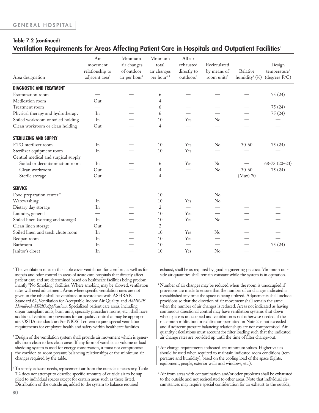# **Table 7.2 (continued)**

# **Ventilation Requirements for Areas Affecting Patient Care in Hospitals and Outpatient Facilities1**

|                                       | Air                        | Minimum                   | Minimum                 | All air               |                         |                           |                          |
|---------------------------------------|----------------------------|---------------------------|-------------------------|-----------------------|-------------------------|---------------------------|--------------------------|
|                                       | movement                   | air changes               | total                   | exhausted             | Recirculated            | Relative                  | Design                   |
|                                       | relationship to            | of outdoor                | air changes             | directly to           | by means of             |                           | temperature <sup>9</sup> |
| Area designation                      | adjacent area <sup>2</sup> | air per hour <sup>3</sup> | per hour <sup>4,5</sup> | outdoors <sup>6</sup> | room units <sup>7</sup> | humidity <sup>8</sup> (%) | (degrees F/C)            |
| <b>DIAGNOSTIC AND TREATMENT</b>       |                            |                           |                         |                       |                         |                           |                          |
| Examination room                      |                            |                           | 6                       |                       |                         |                           | 75 (24)                  |
| Medication room                       | Out                        |                           | 4                       |                       |                         |                           |                          |
| Treatment room                        |                            |                           | 6                       |                       |                         |                           | 75 (24)                  |
| Physical therapy and hydrotherapy     | In                         |                           | 6                       |                       |                         |                           | 75 (24)                  |
| Soiled workroom or soiled holding     | In                         |                           | 10                      | Yes                   | $\rm No$                |                           |                          |
| Clean workroom or clean holding       | Out                        |                           | 4                       |                       |                         |                           |                          |
| <b>STERILIZING AND SUPPLY</b>         |                            |                           |                         |                       |                         |                           |                          |
| ETO-sterilizer room                   | In                         |                           | 10                      | Yes                   | $\rm No$                | $30 - 60$                 | 75 (24)                  |
| Sterilizer equipment room             | In                         |                           | 10                      | Yes                   |                         |                           |                          |
| Central medical and surgical supply   |                            |                           |                         |                       |                         |                           |                          |
| Soiled or decontamination room        | In                         |                           | 6                       | Yes                   | N <sub>o</sub>          |                           | $68-73(20-23)$           |
| Clean workroom                        | Out                        |                           | 4                       |                       | No                      | $30 - 60$                 | 75 (24)                  |
| Sterile storage                       | Out                        |                           | $\overline{4}$          |                       |                         | $(Max)$ 70                |                          |
| <b>SERVICE</b>                        |                            |                           |                         |                       |                         |                           |                          |
| Food preparation center <sup>20</sup> |                            |                           | 10                      |                       | $\rm No$                |                           |                          |
| Warewashing                           | In                         |                           | 10                      | Yes                   | No                      |                           |                          |
| Dietary day storage                   | In                         |                           | 2                       |                       |                         |                           |                          |
| Laundry, general                      |                            |                           | 10                      | Yes                   |                         |                           |                          |
| Soiled linen (sorting and storage)    | In                         |                           | 10                      | Yes                   | N <sub>o</sub>          |                           |                          |
| Clean linen storage                   | Out                        |                           | 2                       | $\frac{1}{2}$         |                         |                           |                          |
| Soiled linen and trash chute room     | In                         |                           | 10                      | Yes                   | N <sub>o</sub>          |                           |                          |
| Bedpan room                           | In                         |                           | 10                      | Yes                   |                         |                           |                          |
| Bathroom                              | In                         |                           | 10                      |                       |                         |                           | 75 (24)                  |
| Janitor's closet                      | In                         |                           | 10                      | Yes                   | N <sub>o</sub>          |                           |                          |
|                                       |                            |                           |                         |                       |                         |                           |                          |

<sup>1</sup> The ventilation rates in this table cover ventilation for comfort, as well as for asepsis and odor control in areas of acute care hospitals that directly affect patient care and are determined based on healthcare facilities being predominantly "No Smoking" facilities. Where smoking may be allowed, ventilation rates will need adjustment. Areas where specific ventilation rates are not given in the table shall be ventilated in accordance with ASHRAE Standard 62, Ventilation for Acceptable Indoor Air Quality, and *ASHRAE Handbook–HVAC Applications*. Specialized patient care areas, including organ transplant units, burn units, specialty procedure rooms, etc., shall have additional ventilation provisions for air quality control as may be appropriate. OSHA standards and/or NIOSH criteria require special ventilation requirements for employee health and safety within healthcare facilities.

- <sup>2</sup> Design of the ventilation system shall provide air movement which is generally from clean to less clean areas. If any form of variable air volume or load shedding system is used for energy conservation, it must not compromise the corridor-to-room pressure balancing relationships or the minimum air changes required by the table.
- <sup>3</sup> To satisfy exhaust needs, replacement air from the outside is necessary. Table 7.2 does not attempt to describe specific amounts of outside air to be supplied to individual spaces except for certain areas such as those listed. Distribution of the outside air, added to the system to balance required

exhaust, shall be as required by good engineering practice. Minimum outside air quantities shall remain constant while the system is in operation.

<sup>4</sup> Number of air changes may be reduced when the room is unoccupied if provisions are made to ensure that the number of air changes indicated is reestablished any time the space is being utilized. Adjustments shall include provisions so that the direction of air movement shall remain the same when the number of air changes is reduced. Areas not indicated as having continuous directional control may have ventilation systems shut down when space is unoccupied and ventilation is not otherwise needed, if the maximum infiltration or exfiltration permitted in Note 2 is not exceeded and if adjacent pressure balancing relationships are not compromised. Air quantity calculations must account for filter loading such that the indicated air change rates are provided up until the time of filter change-out.

- $5$  Air change requirements indicated are minimum values. Higher values should be used when required to maintain indicated room conditions (temperature and humidity), based on the cooling load of the space (lights, equipment, people, exterior walls and windows, etc.).
- <sup>6</sup> Air from areas with contamination and/or odor problems shall be exhausted to the outside and not recirculated to other areas. Note that individual circumstances may require special consideration for air exhaust to the outside,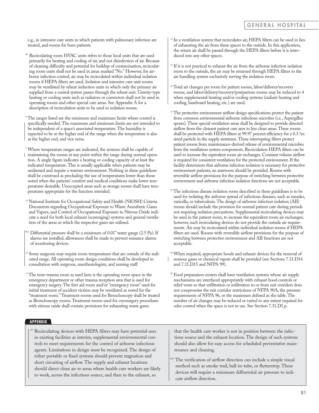e.g., in intensive care units in which patients with pulmonary infection are treated, and rooms for burn patients.

\* <sup>7</sup> Recirculating room HVAC units refers to those local units that are used primarily for heating and cooling of air, and not disinfection of air. Because of cleaning difficulty and potential for buildup of contamination, recirculating room units shall not be used in areas marked "No." However, for airborne infection control, air may be recirculated within individual isolation rooms if HEPA filters are used. Isolation and intensive care unit rooms may be ventilated by reheat induction units in which only the primary air supplied from a central system passes through the reheat unit. Gravity-type heating or cooling units such as radiators or convectors shall not be used in operating rooms and other special care areas. See Appendix A for a description of recirculation units to be used in isolation rooms.

<sup>8</sup> The ranges listed are the minimum and maximum limits where control is specifically needed. The maximum and minimum limits are not intended to be independent of a space's associated temperature. The humidity is expected to be at the higher end of the range when the temperature is also at the higher end, and vice versa.

<sup>9</sup> Where temperature ranges are indicated, the systems shall be capable of maintaining the rooms at any point within the range during normal operation. A single figure indicates a heating or cooling capacity of at least the indicated temperature. This is usually applicable when patients may be undressed and require a warmer environment. Nothing in these guidelines shall be construed as precluding the use of temperatures lower than those noted when the patients' comfort and medical conditions make lower temperatures desirable. Unoccupied areas such as storage rooms shall have temperatures appropriate for the function intended.

- <sup>10</sup> National Institute for Occupational Safety and Health (NIOSH) Criteria Documents regarding Occupational Exposure to Waste Anesthetic Gases and Vapors, and Control of Occupational Exposure to Nitrous Oxide indicate a need for both local exhaust (scavenging) systems and general ventilation of the areas in which the respective gases are utilized.
- \* Differential pressure shall be a minimum of 0.01" water gauge (2.5 Pa). If alarms are installed, allowances shall be made to prevent nuisance alarms of monitoring devices.
- Some surgeons may require room temperatures that are outside of the indicated range. All operating room design conditions shall be developed in consultation with surgeons, anesthesiologists, and nursing staff.

<sup>13</sup> The term trauma room as used here is the operating room space in the emergency department or other trauma reception area that is used for emergency surgery. The first aid room and/or "emergency room" used for initial treatment of accident victims may be ventilated as noted for the "treatment room." Treatment rooms used for Bronchoscopy shall be treated as Bronchoscopy rooms. Treatment rooms used for cryosurgery procedures with nitrous oxide shall contain provisions for exhausting waste gases.

#### **APPENDIX**

 $\alpha$ <sup>7</sup> Recirculating devices with HEPA filters may have potential uses in existing facilities as interim, supplemental environmental controls to meet requirements for the control of airborne infectious agents. Limitations in design must be recognized. The design of either portable or fixed systems should prevent stagnation and short circuiting of airflow. The supply and exhaust locations should direct clean air to areas where health care workers are likely to work, across the infectious source, and then to the exhaust, so

- In a ventilation system that recirculates air, HEPA filters can be used in lieu of exhausting the air from these spaces to the outside. In this application, the return air shall be passed through the HEPA filters before it is introduced into any other spaces.
- <sup>15</sup> If it is not practical to exhaust the air from the airborne infection isolation room to the outside, the air may be returned through HEPA filters to the air-handling system exclusively serving the isolation room.
- <sup>16</sup> Total air changes per room for patient rooms, labor/delivery/recovery rooms, and labor/delivery/recovery/postpartum rooms may be reduced to 4 when supplemental heating and/or cooling systems (radiant heating and cooling, baseboard heating, etc.) are used.
- <sup>17</sup> The protective environment airflow design specifications protect the patient from common environmental airborne infectious microbes (i.e., Aspergillus spores). These special ventilation areas shall be designed to provide directed airflow from the cleanest patient care area to less clean areas. These rooms shall be protected with HEPA filters at 99.97 percent efficiency for a 0.3 ?m sized particle in the supply airstream. These interrupting filters protect patient rooms from maintenance-derived release of environmental microbes from the ventilation system components. Recirculation HEPA filters can be used to increase the equivalent room air exchanges. Constant volume airflow is required for consistent ventilation for the protected environment. If the facility determines that airborne infection isolation is necessary for protective environment patients, an anteroom should be provided. Rooms with reversible airflow provisions for the purpose of switching between protective environment and airborne infection isolation functions are not acceptable.
- <sup>18</sup> The infectious disease isolation room described in these guidelines is to be used for isolating the airborne spread of infectious diseases, such as measles, varicella, or tuberculosis. The design of airborne infection isolation (AII) rooms should include the provision for normal patient care during periods not requiring isolation precautions. Supplemental recirculating devices may be used in the patient room, to increase the equivalent room air exchanges; however, such recirculating devices do not provide the outside air requirements. Air may be recirculated within individual isolation rooms if HEPA filters are used. Rooms with reversible airflow provisions for the purpose of switching between protective environment and AII functions are not acceptable.
- <sup>19</sup> When required, appropriate hoods and exhaust devices for the removal of noxious gases or chemical vapors shall be provided (see Sections 7.31.D14 and 7.31.D15 and NFPA 99).
- <sup>20</sup> Food preparation centers shall have ventilation systems whose air supply mechanisms are interfaced appropriately with exhaust hood controls or relief vents so that exfiltration or infiltration to or from exit corridors does not compromise the exit corridor restrictions of NFPA 90A, the pressure requirements of NFPA 96, or the maximum defined in the table. The number of air changes may be reduced or varied to any extent required for odor control when the space is not in use. See Section 7.31.D1.p.
- that the health care worker is not in position between the infectious source and the exhaust location. The design of such systems should also allow for easy access for scheduled preventative maintenance and cleaning.
- <sup>A11</sup> The verification of airflow direction can include a simple visual method such as smoke trail, ball-in-tube, or flutterstrip. These devices will require a minimum differential air pressure to indicate airflow direction.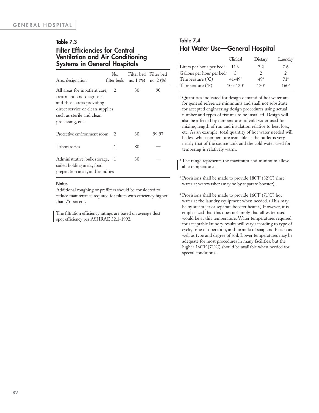# **Table 7.3 Filter Efficiencies for Central Ventilation and Air Conditioning Systems in General Hospitals**

| Area designation                                                                                                                                                             | No. | Filter bed Filter bed<br>filter beds no. $1 (\%)$ no. $2 (\%)$ |       |
|------------------------------------------------------------------------------------------------------------------------------------------------------------------------------|-----|----------------------------------------------------------------|-------|
| All areas for inpatient care,<br>treatment, and diagnosis,<br>and those areas providing<br>direct service or clean supplies<br>such as sterile and clean<br>processing, etc. | - 2 | 30                                                             | 90    |
| Protective environment room                                                                                                                                                  | 2   | 30                                                             | 99.97 |
| Laboratories                                                                                                                                                                 | 1   | 80                                                             |       |
| Administrative, bulk storage,<br>soiled holding areas, food<br>preparation areas, and laundries                                                                              | -1  | 30                                                             |       |

#### **Notes**

Additional roughing or prefilters should be considered to reduce maintenance required for filters with efficiency higher than 75 percent.

The filtration efficiency ratings are based on average dust spot efficiency per ASHRAE 52.1-1992.

# **Table 7.4 Hot Water Use—General Hospital**

|                                       | Clinical      | Dietary         | Laundry         |
|---------------------------------------|---------------|-----------------|-----------------|
| Liters per hour per bed <sup>1</sup>  | 11.9          | 7.2             | 7.6             |
| Gallons per hour per bed <sup>1</sup> |               | 2               | 2               |
| Temperature $(°C)$                    | $41 - 49^2$   | 49 <sup>3</sup> | 71 <sup>4</sup> |
| Temperature (°F)                      | $105 - 120^2$ | $120^{3}$       | $160^{4}$       |

Quantities indicated for design demand of hot water are for general reference minimums and shall not substitute for accepted engineering design procedures using actual number and types of fixtures to be installed. Design will also be affected by temperatures of cold water used for mixing, length of run and insulation relative to heat loss, etc. As an example, total quantity of hot water needed will be less when temperature available at the outlet is very nearly that of the source tank and the cold water used for tempering is relatively warm.

The range represents the maximum and minimum allowable temperatures.

<sup>3</sup> Provisions shall be made to provide 180°F (82°C) rinse water at warewasher (may be by separate booster).

<sup>4</sup> Provisions shall be made to provide 160°F (71°C) hot water at the laundry equipment when needed. (This may be by steam jet or separate booster heater.) However, it is emphasized that this does not imply that all water used would be at this temperature. Water temperatures required for acceptable laundry results will vary according to type of cycle, time of operation, and formula of soap and bleach as well as type and degree of soil. Lower temperatures may be adequate for most procedures in many facilities, but the higher 160°F (71°C) should be available when needed for special conditions.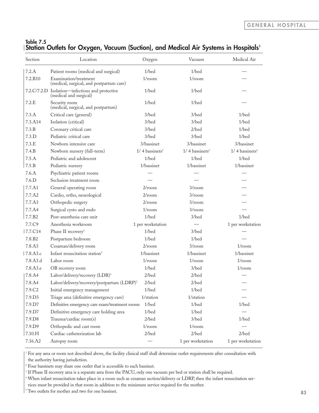# **Table 7.5 Station Outlets for Oxygen, Vacuum (Suction), and Medical Air Systems in Hospitals<sup>1</sup>**

| Section            | Location                                                          | Oxygen                       | Vacuum                       | Medical Air                  |
|--------------------|-------------------------------------------------------------------|------------------------------|------------------------------|------------------------------|
| 7.2.A              | Patient rooms (medical and surgical)                              | $1/\text{bed}$               | $1/\text{bed}$               |                              |
| 7.2.B10            | Examination/treatment<br>(medical, surgical, and postpartum care) | $1/$ room                    | $1/$ room                    |                              |
| 7.2.C/7.2.D        | Isolation-infectious and protective<br>(medical and surgical)     | $1/\text{bed}$               | $1/\text{bed}$               |                              |
| 7.2.E              | Security room<br>(medical, surgical, and postpartum)              | $1/\text{bed}$               | $1/\text{bed}$               |                              |
| 7.3.A              | Critical care (general)                                           | 3/bed                        | 3/bed                        | $1/\text{bed}$               |
| 7.3.A14            | Isolation (critical)                                              | 3/bed                        | 3/bed                        | $1/\text{bed}$               |
| 7.3.B              | Coronary critical care                                            | 3/bed                        | $2/\text{bed}$               | $1/\text{bed}$               |
| 7.3.D              | Pediatric critical care                                           | 3/bed                        | 3/bed                        | $1/\text{bed}$               |
| 7.3.E              | Newborn intensive care                                            | 3/bassinet                   | 3/bassinet                   | 3/bassinet                   |
| 7.4.B              | Newborn nursery (full-term)                                       | $1/4$ bassinets <sup>2</sup> | $1/4$ bassinets <sup>2</sup> | $1/4$ bassinets <sup>2</sup> |
| 7.5.A              | Pediatric and adolescent                                          | $1/\text{bed}$               | $1/\text{bed}$               | $1/\text{bed}$               |
| 7.5.B              | Pediatric nursery                                                 | 1/bassinet                   | 1/bassinet                   | 1/bassinet                   |
| 7.6.A              | Psychiatric patient rooms                                         |                              |                              |                              |
| 7.6.D              | Seclusion treatment room                                          |                              |                              |                              |
| 7.7.A1             | General operating room                                            | $2/$ room                    | $3/$ room                    |                              |
| 7.7.A2             | Cardio, ortho, neurological                                       | $2/$ room                    | $3/$ room                    |                              |
| 7.7.A3             | Orthopedic surgery                                                | $2$ /room                    | $3/$ room                    |                              |
| 7.7.A4             | Surgical cysto and endo                                           | $1/r$ oom                    | $3/$ room                    |                              |
| 7.7.B <sub>2</sub> | Post-anesthesia care unit                                         | $1/\mathrm{bed}$             | 3/bed                        | $1/\text{bed}$               |
| 7.7.C9             | Anesthesia workroom                                               | 1 per workstation            |                              | 1 per workstation            |
| $17.7 \text{C}14$  | Phase II recovery <sup>3</sup>                                    | $1/\text{bed}$               | $3/$ bed                     |                              |
| 7.8.B <sub>2</sub> | Postpartum bedroom                                                | $1/\text{bed}$               | $1/\text{bed}$               |                              |
| 7.8.A3             | Cesarean/delivery room                                            | $2/$ room                    | $3/$ room                    | $1/$ room                    |
| 7.8.A3.c           | Infant resuscitation station <sup>4</sup>                         | 1/bassinet                   | 1/bassinet                   | 1/bassinet                   |
| 7.8.A3.d           | Labor room                                                        | $1/r$ oom                    | $1/$ room                    | $1/r$ oom                    |
| 7.8.A3.e           | OB recovery room                                                  | $1/\text{bed}$               | $3/$ bed                     | $1/$ room                    |
| 7.8.A4             | Labor/delivery/recovery (LDR) <sup>5</sup>                        | $2/\text{bed}$               | $2/\text{bed}$               |                              |
| 7.8.A4             | Labor/delivery/recovery/postpartum (LDRP) <sup>5</sup>            | 2/bed                        | 2/bed                        |                              |
| 7.9.C2             | Initial emergency management                                      | 1/bed                        | $1/\text{bed}$               |                              |
| 7.9.D3             | Triage area (definitive emergency care)                           | 1/station                    | 1/station                    |                              |
| 7.9.D7             | Definitive emergency care exam/treatment rooms                    | $1/\text{bed}$               | $1/\text{bed}$               | 1/bed                        |
| 7.9.D7             | Definitive emergency care holding area                            | $1/\text{bed}$               | $1/\text{bed}$               |                              |
| 7.9.D8             | Trauma/cardiac room(s)                                            | $2/\text{bed}$               | 3/bed                        | 1/bed                        |
| 7.9.D9             | Orthopedic and cast room                                          | $1/$ room                    | $1/$ room                    |                              |
| $7.10.H$           | Cardiac catheterization lab                                       | $2/\text{bed}$               | $2/\text{bed}$               | 2/bed                        |
| 7.16.A2            | Autopsy room                                                      |                              | 1 per workstation            | 1 per workstation            |

<sup>1</sup> For any area or room not described above, the facility clinical staff shall determine outlet requirements after consultation with the authority having jurisdiction.

<sup>2</sup> Four bassinets may share one outlet that is accessible to each bassinet.

<sup>3</sup> If Phase II recovery area is a separate area from the PACU, only one vacuum per bed or station shall be required.

<sup>4</sup> When infant resuscitation takes place in a room such as cesarean section/delivery or LDRP, then the infant resuscitation ser-

vices must be provided in that room in addition to the minimum service required for the mother.

<sup>5</sup> Two outlets for mother and two for one bassinet.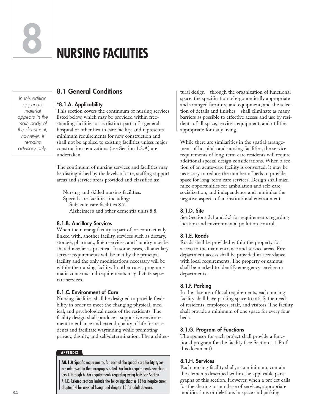# **NURSING FACILITIES**

In this edition appendix material appears in the main body of the document; however, it remains advisory only.

# **8.1 General Conditions**

# **\*8.1.A. Applicability**

This section covers the continuum of nursing services listed below, which may be provided within freestanding facilities or as distinct parts of a general hospital or other health care facility, and represents minimum requirements for new construction and shall not be applied to existing facilities unless major construction renovations (see Section 1.3.A) are undertaken.

The continuum of nursing services and facilities may be distinguished by the levels of care, staffing support areas and service areas provided and classified as:

Nursing and skilled nursing facilities. Special care facilities, including: Subacute care facilities 8.7. Alzheimer's and other dementia units 8.8.

# **8.1.B. Ancillary Services**

When the nursing facility is part of, or contractually linked with, another facility, services such as dietary, storage, pharmacy, linen services, and laundry may be shared insofar as practical. In some cases, all ancillary service requirements will be met by the principal facility and the only modifications necessary will be within the nursing facility. In other cases, programmatic concerns and requirements may dictate separate services.

# **8.1.C. Environment of Care**

Nursing facilities shall be designed to provide flexibility in order to meet the changing physical, medical, and psychological needs of the residents. The facility design shall produce a supportive environment to enhance and extend quality of life for residents and facilitate wayfinding while promoting privacy, dignity, and self-determination. The architec-

# **APPENDIX**

**A8.1.A** Specific requirements for each of the special care facility types are addressed in the paragraphs noted. For basic requirements see chapters 1 through 6. For requirements regarding swing beds see Section 7.1.E. Related sections include the following: chapter 13 for hospice care; chapter 14 for assisted living; and chapter 15 for adult daycare.

tural design—through the organization of functional space, the specification of ergonomically appropriate and arranged furniture and equipment, and the selection of details and finishes—shall eliminate as many barriers as possible to effective access and use by residents of all space, services, equipment, and utilities appropriate for daily living.

While there are similarities in the spatial arrangement of hospitals and nursing facilities, the service requirements of long-term care residents will require additional special design considerations. When a section of an acute-care facility is converted, it may be necessary to reduce the number of beds to provide space for long-term care services. Design shall maximize opportunities for ambulation and self-care, socialization, and independence and minimize the negative aspects of an institutional environment.

# **8.1.D. Site**

See Sections 3.1 and 3.3 for requirements regarding location and environmental pollution control.

# **8.1.E. Roads**

Roads shall be provided within the property for access to the main entrance and service areas. Fire department access shall be provided in accordance with local requirements. The property or campus shall be marked to identify emergency services or departments.

# **8.1.F. Parking**

In the absence of local requirements, each nursing facility shall have parking space to satisfy the needs of residents, employees, staff, and visitors. The facility shall provide a minimum of one space for every four beds.

# **8.1.G. Program of Functions**

The sponsor for each project shall provide a functional program for the facility (see Section 1.1.F of this document).

# **8.1.H. Services**

Each nursing facility shall, as a minimum, contain the elements described within the applicable paragraphs of this section. However, when a project calls for the sharing or purchase of services, appropriate modifications or deletions in space and parking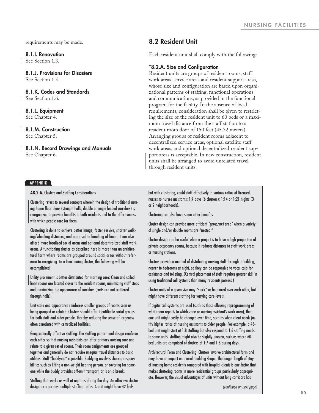requirements may be made.

**8.1.I. Renovation**

See Section 1.3.

**8.1.J. Provisions for Disasters** See Section 1.5.

**8.1.K. Codes and Standards**

See Section 1.6.

**8.1.L. Equipment** See Chapter 4.

#### **8.1.M. Construction** See Chapter 5.

**8.1.N. Record Drawings and Manuals** See Chapter 6.

#### **APPENDIX**

**A8.2.A.** Clusters and Staffing Considerations

Clustering refers to several concepts wherein the design of traditional nursing home floor plans (straight halls, double or single loaded corridors) is reorganized to provide benefits to both residents and to the effectiveness with which people care for them.

Clustering is done to achieve better image, faster service, shorter walk-I ing/wheeling distances, and more subtle handling of linen. It can also afford more localized social areas and optional decentralized staff work areas. A functioning cluster as described here is more than an architectural form where rooms are grouped around social areas without reference to caregiving. In a functioning cluster, the following will be accomplished:

Utility placement is better distributed for morning care: Clean and soiled linen rooms are located closer to the resident rooms, minimizing staff steps and maximizing the appearance of corridors (carts are not scattered through halls).

Unit scale and appearance reinforces smaller groups of rooms seen as being grouped or related: Clusters should offer identifiable social groups for both staff and older people, thereby reducing the sense of largeness often associated with centralized facilities.

Geographically effective staffing: The staffing pattern and design reinforce each other so that nursing assistants can offer primary nursing care and relate to a given set of rooms. Their room assignments are grouped together and generally do not require unequal travel distances to basic utilities. Staff "buddying" is possible. Buddying involves sharing responsibilities such as lifting a non-weight bearing person, or covering for someone while the buddy provides off-unit transport, or is on a break.

Staffing that works as well at night as during the day: An effective cluster design incorporates multiple staffing ratios. A unit might have 42 beds,

# **8.2 Resident Unit**

Each resident unit shall comply with the following:

# **\*8.2.A. Size and Configuration**

Resident units are groups of resident rooms, staff work areas, service areas and resident support areas, whose size and configuration are based upon organizational patterns of staffing, functional operations and communications, as provided in the functional program for the facility. In the absence of local requirements, consideration shall be given to restricting the size of the resident unit to 60 beds or a maximum travel distance from the staff station to a resident room door of 150 feet (45.72 meters). Arranging groups of resident rooms adjacent to decentralized service areas, optional satellite staff work areas, and optional decentralized resident support areas is acceptable. In new construction, resident units shall be arranged to avoid unrelated travel through resident units.

but with clustering, could staff effectively in various ratios of licensed nurses to nurses assistants: 1:7 days (6 clusters); 1:14 or 1:21 nights (3 or 2 neighborhoods).

Clustering can also have some other benefits:

Cluster design can provide more efficient "gross/net area" when a variety of single and/or double rooms are "nested."

Cluster design can be useful when a project is to have a high proportion of private occupancy rooms, because it reduces distances to staff work areas or nursing stations.

Clusters provide a method of distributing nursing staff through a building, nearer to bedrooms at night, so they can be responsive to vocal calls for assistance and toileting. (Central placement of staff requires greater skill in using traditional call systems than many residents possess.)

Cluster units of a given size may "stack" or be placed over each other, but might have different staffing for varying care levels.

If digital call systems are used (such as those allowing reprogramming of what room reports to which zone or nursing assistant's work area), then one unit might easily be changed over time, such as when client needs justify higher ratios of nursing assistants to older people. For example, a 48 bed unit might start at 1:8 staffing but also respond to 1:6 staffing needs. In some units, staffing might also be slightly uneven, such as where 60 bed units are comprised of clusters of 1:7 and 1:8 during days.

Architectural Form and Clustering: Clusters involve architectural form and may have an impact on overall building shape. The longer length of stay of nursing home residents compared with hospital clients is one factor that makes clustering rooms in more residential groups particularly appropriate. However, the visual advantages of units without long corridors has

(continued on next page)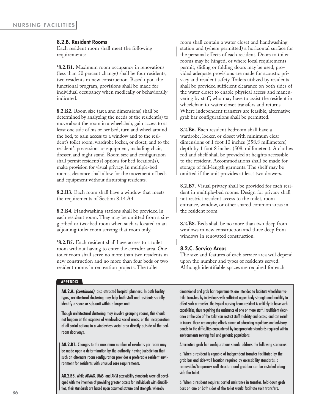#### **8.2.B. Resident Rooms**

Each resident room shall meet the following requirements:

**\*8.2.B1.** Maximum room occupancy in renovations (less than 50 percent change) shall be four residents; two residents in new construction. Based upon the functional program, provisions shall be made for individual occupancy when medically or behaviorally indicated.

**8.2.B2.** Room size (area and dimensions) shall be determined by analyzing the needs of the resident(s) to move about the room in a wheelchair, gain access to at least one side of his or her bed, turn and wheel around the bed, to gain access to a window and to the resident's toilet room, wardrobe locker, or closet, and to the resident's possessions or equipment, including chair, dresser, and night stand. Room size and configuration shall permit resident(s) options for bed location(s), make provision for visual privacy. In multiple-bed rooms, clearance shall allow for the movement of beds and equipment without disturbing residents.

**8.2.B3.** Each room shall have a window that meets the requirements of Section 8.14.A4.

**8.2.B4.** Handwashing stations shall be provided in each resident room. They may be omitted from a single-bed or two-bed room when such is located in an adjoining toilet room serving that room only.

**\*8.2.B5.** Each resident shall have access to a toilet room without having to enter the corridor area. One toilet room shall serve no more than two residents in new construction and no more than four beds or two resident rooms in renovation projects. The toilet

room shall contain a water closet and handwashing station and (where permitted) a horizontal surface for the personal effects of each resident. Doors to toilet rooms may be hinged, or where local requirements permit, sliding or folding doors may be used, provided adequate provisions are made for acoustic privacy and resident safety. Toilets utilized by residents shall be provided sufficient clearance on both sides of the water closet to enable physical access and maneuvering by staff, who may have to assist the resident in wheelchair-to-water closet transfers and returns. Where independent transfers are feasible, alternative grab bar configurations shall be permitted.

**8.2.B6.** Each resident bedroom shall have a wardrobe, locker, or closet with minimum clear dimensions of 1 foot 10 inches (558.8 millimeters) depth by 1 foot 8 inches (508. millimeters). A clothes rod and shelf shall be provided at heights accessible to the resident. Accommodations shall be made for storage of full-length garments. The shelf may be omitted if the unit provides at least two drawers.

**8.2.B7.** Visual privacy shall be provided for each resident in multiple-bed rooms. Design for privacy shall not restrict resident access to the toilet, room entrance, window, or other shared common areas in the resident room.

**8.2.B8.** Beds shall be no more than two deep from windows in new construction and three deep from windows in renovated construction.

#### **8.2.C. Service Areas**

The size and features of each service area will depend upon the number and types of residents served. Although identifiable spaces are required for each

#### **APPENDIX**

**A8.2.A. (continued)** also attracted hospital planners. In both facility types, architectural clustering may help both staff and residents socially identify a space or sub-unit within a larger unit.

Though architectural clustering may involve grouping rooms, this should not happen at the expense of windowless social areas, or the incorporation of all social options in a windowless social area directly outside of the bedroom doorways.

**A8.2.B1.** Changes to the maximum number of residents per room may be made upon a determination by the authority having jurisdiction that such an alternate room configuration provides a preferable resident environment for residents with unusual care requirements.

**A8.2.B5.** While ADAAG, UFAS, and ANSI accessibility standards were all developed with the intention of providing greater access for individuals with disabilities, their standards are based upon assumed stature and strength, whereby

dimensional and grab bar requirements are intended to facilitate wheelchair-totoilet transfers by individuals with sufficient upper body strength and mobility to effect such a transfer. The typical nursing home resident is unlikely to have such capabilities, thus requiring the assistance of one or more staff. Insufficient clearance at the side of the toilet can restrict staff mobility and access, and can result in injury. There are ongoing efforts aimed at educating regulators and advisory panels to the difficulties encountered by inappropriate standards required within environments serving frail and geriatric populations.

Alternative grab bar configurations should address the following scenarios:

a. When a resident is capable of independent transfer facilitated by the grab bar and side-wall location required by accessibility standards, a removable/temporary wall structure and grab bar can be installed alongside the toilet.

b. When a resident requires partial assistance in transfer, fold-down grab bars on one or both sides of the toilet would facilitate such transfers.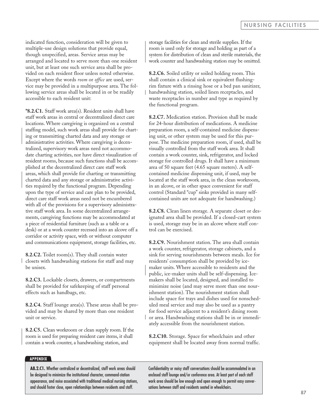indicated function, consideration will be given to multiple-use design solutions that provide equal, though unspecified, areas. Service areas may be arranged and located to serve more than one resident unit, but at least one such service area shall be provided on each resident floor unless noted otherwise. Except where the words *room* or *office* are used, service may be provided in a multipurpose area. The following service areas shall be located in or be readily accessible to each resident unit:

**\*8.2.C1.** Staff work area(s). Resident units shall have staff work areas in central or decentralized direct care locations. Where caregiving is organized on a central staffing model, such work areas shall provide for charting or transmitting charted data and any storage or administrative activities. Where caregiving is decentralized, supervisory work areas need not accommodate charting activities, nor have direct visualization of resident rooms, because such functions shall be accomplished at the decentralized direct care staff work areas, which shall provide for charting or transmitting charted data and any storage or administrative activities required by the functional program. Depending upon the type of service and care plan to be provided, direct care staff work areas need not be encumbered with all of the provisions for a supervisory administrative staff work area. In some decentralized arrangements, caregiving functions may be accommodated at a piece of residential furniture (such as a table or a desk) or at a work counter recessed into an alcove off a corridor or activity space, with or without computer and communications equipment, storage facilities, etc.

**8.2.C2.** Toilet room(s). They shall contain water closets with handwashing stations for staff and may be unisex.

**8.2.C3.** Lockable closets, drawers, or compartments shall be provided for safekeeping of staff personal effects such as handbags, etc.

**8.2.C4.** Staff lounge area(s). These areas shall be provided and may be shared by more than one resident unit or service.

**8.2.C5.** Clean workroom or clean supply room. If the room is used for preparing resident care items, it shall contain a work counter, a handwashing station, and

storage facilities for clean and sterile supplies. If the room is used only for storage and holding as part of a system for distribution of clean and sterile materials, the work counter and handwashing station may be omitted.

**8.2.C6.** Soiled utility or soiled holding room. This shall contain a clinical sink or equivalent flushingrim fixture with a rinsing hose or a bed pan sanitizer, handwashing station, soiled linen receptacles, and waste receptacles in number and type as required by the functional program.

**8.2.C7.** Medication station. Provision shall be made for 24-hour distribution of medications. A medicine preparation room, a self-contained medicine dispensing unit, or other system may be used for this purpose. The medicine preparation room, if used, shall be visually controlled from the staff work area. It shall contain a work counter, sink, refrigerator, and locked storage for controlled drugs. It shall have a minimum area of 50 square feet (4.65 square meters). A selfcontained medicine dispensing unit, if used, may be located at the staff work area, in the clean workroom, in an alcove, or in other space convenient for staff control (Standard "cup" sinks provided in many selfcontained units are not adequate for handwashing.)

**8.2.C8.** Clean linen storage. A separate closet or designated area shall be provided. If a closed-cart system is used, storage may be in an alcove where staff control can be exercised.

**8.2.C9.** Nourishment station. The area shall contain a work counter, refrigerator, storage cabinets, and a sink for serving nourishments between meals. Ice for residents' consumption shall be provided by icemaker units. Where accessible to residents and the public, ice-maker units shall be self-dispensing. Icemakers shall be located, designed, and installed to minimize noise (and may serve more than one nourishment station). The nourishment station shall include space for trays and dishes used for nonscheduled meal service and may also be used as a pantry for food service adjacent to a resident's dining room or area. Handwashing stations shall be in or immediately accessible from the nourishment station.

**8.2.C10.** Storage. Space for wheelchairs and other equipment shall be located away from normal traffic.

#### **APPENDIX**

**A8.2.C1.** Whether centralized or decentralized, staff work areas should be designed to minimize the institutional character, command-station appearance, and noise associated with traditional medical nursing stations, and should foster close, open relationships between residents and staff.

Confidentiality or noisy staff conversations should be accommodated in an enclosed staff lounge and/or conference area. At least part of each staff work area should be low enough and open enough to permit easy conversations between staff and residents seated in wheelchairs.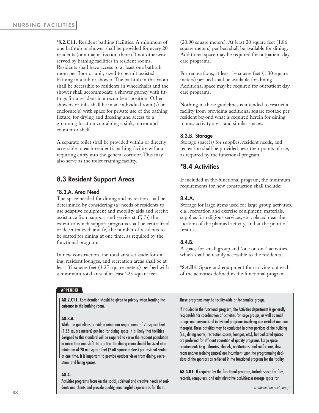#### **NURSING FACILITIES**

**\*8.2.C11.** Resident bathing facilities. A minimum of one bathtub or shower shall be provided for every 20 residents (or a major fraction thereof) not otherwise served by bathing facilities in resident rooms. Residents shall have access to at least one bathtub room per floor or unit, sized to permit assisted bathing in a tub or shower. The bathtub in this room shall be accessible to residents in wheelchairs and the shower shall accommodate a shower gurney with fittings for a resident in a recumbent position. Other showers or tubs shall be in an individual room(s) or enclosure(s) with space for private use of the bathing fixture, for drying and dressing and access to a grooming location containing a sink, mirror and counter or shelf.

A separate toilet shall be provided within or directly accessible to each resident's bathing facility without requiring entry into the general corridor. This may also serve as the toilet training facility.

# **8.3 Resident Support Areas**

## **\*8.3.A. Area Need**

The space needed for dining and recreation shall be determined by considering (a) needs of residents to use adaptive equipment and mobility aids and receive assistance from support and service staff; (b) the extent to which support programs shall be centralized or decentralized; and (c) the number of residents to be seated for dining at one time, as required by the functional program.

In new construction, the total area set aside for dining, resident lounges, and recreation areas shall be at least 35 square feet (3.25 square meters) per bed with a minimum total area of at least 225 square feet

(20.90 square meters). At least 20 square feet (1.86 square meters) per bed shall be available for dining. Additional space may be required for outpatient day care programs.

For renovations, at least 14 square feet (1.30 square meters) per bed shall be available for dining. Additional space may be required for outpatient day care programs.

Nothing in these guidelines is intended to restrict a facility from providing additional square footage per resident beyond what is required herein for dining rooms, activity areas and similar spaces.

## **8.3.B. Storage**

Storage space(s) for supplies, resident needs, and recreation shall be provided near their points of use, as required by the functional program.

# **\*8.4 Activities**

If included in the functional program, the minimum requirements for new construction shall include:

# **8.4.A.**

Storage for large items used for large group activities, e.g., recreation and exercise equipment; materials, supplies for religious services, etc., placed near the location of the planned activity, and at the point of first use.

# **8.4.B.**

A space for small group and "one on one" activities, which shall be readily accessible to the residents.

**\*8.4.B1.** Space and equipment for carrying out each of the activities defined in the functional program.

#### **APPENDIX**

**A8.2.C11.** Consideration should be given to privacy when locating the entrance to the bathing room.

#### **A8.3.A.**

While the guidelines provide a minimum requirement of 20 square feet (1.85 square meters) per bed for dining space, it is likely that facilities designed to this standard will be required to serve the resident population in more than one shift. In practice, the dining room should be sized at a minimum of 28 net square feet (2.60 square meters) per resident seated at one time. It is important to provide outdoor views from dining, recreation, and living spaces.

#### **A8.4.**

Activities programs focus on the social, spiritual and creative needs of residents and clients and provide quality, meaningful experiences for them.

These programs may be facility-wide or for smaller groups.

If included in the functional program, the Activities department is generally responsible for coordination of activities for large groups, as well as small groups and personalized individual programs involving one resident and one therapist. These activities may be conducted in other portions of the building (i.e., dining rooms, recreation spaces, lounges, etc.), but dedicated spaces are preferred for efficient operation of quality programs. Large space requirements (e.g., libraries, chapels, auditoriums, and conference, classroom and/or training spaces) are incumbent upon the programming decisions of the sponsors as reflected in the functional program for the facility.

**A8.4.B1.** If required by the functional program, include space for files, records, computers, and administrative activities; a storage space for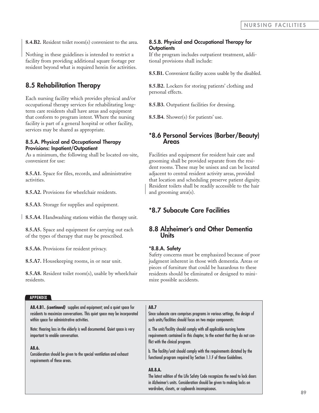**8.4.B2.** Resident toilet room(s) convenient to the area.

Nothing in these guidelines is intended to restrict a facility from providing additional square footage per resident beyond what is required herein for activities.

# **8.5 Rehabilitation Therapy**

Each nursing facility which provides physical and/or occupational therapy services for rehabilitating longterm care residents shall have areas and equipment that conform to program intent. Where the nursing facility is part of a general hospital or other facility, services may be shared as appropriate.

## **8.5.A. Physical and Occupational Therapy Provisions: Inpatient/Outpatient**

As a minimum, the following shall be located on-site, convenient for use:

**8.5.A1.** Space for files, records, and administrative activities.

**8.5.A2.** Provisions for wheelchair residents.

**8.5.A3.** Storage for supplies and equipment.

**8.5.A4.** Handwashing stations within the therapy unit.

**8.5.A5.** Space and equipment for carrying out each of the types of therapy that may be prescribed.

**8.5.A6.** Provisions for resident privacy.

**8.5.A7.** Housekeeping rooms, in or near unit.

**8.5.A8.** Resident toilet room(s), usable by wheelchair residents.

#### **APPENDIX**

**A8.4.B1. (continued)** supplies and equipment; and a quiet space for residents to maximize conversations. This quiet space may be incorporated within space for administrative activities.

Note: Hearing loss in the elderly is well documented. Quiet space is very important to enable conversation.

#### **A8.6.**

Consideration should be given to the special ventilation and exhaust requirements of these areas.

# **8.5.B. Physical and Occupational Therapy for Outpatients**

If the program includes outpatient treatment, additional provisions shall include:

**8.5.B1.** Convenient facility access usable by the disabled.

**8.5.B2.** Lockers for storing patients' clothing and personal effects.

**8.5.B3.** Outpatient facilities for dressing.

**8.5.B4.** Shower(s) for patients' use.

# **\*8.6 Personal Services (Barber/Beauty) Areas**

Facilities and equipment for resident hair care and grooming shall be provided separate from the resident rooms. These may be unisex and can be located adjacent to central resident activity areas, provided that location and scheduling preserve patient dignity. Resident toilets shall be readily accessible to the hair and grooming area(s).

# **\*8.7 Subacute Care Facilities**

# **8.8 Alzheimer's and Other Dementia Units**

#### **\*8.8.A. Safety**

Safety concerns must be emphasized because of poor judgment inherent in those with dementia. Areas or pieces of furniture that could be hazardous to these residents should be eliminated or designed to minimize possible accidents.

#### **A8.7**

Since subacute care comprises programs in various settings, the design of such units/facilities should focus on two major components:

a. The unit/facility should comply with all applicable nursing home requirements contained in this chapter, to the extent that they do not conflict with the clinical program.

b. The facility/unit should comply with the requirements dictated by the functional program required by Section 1.1.F of these Guidelines.

#### **A8.8.A.**

The latest edition of the Life Safety Code recognizes the need to lock doors in Alzheimer's units. Consideration should be given to making locks on wardrobes, closets, or cupboards inconspicuous.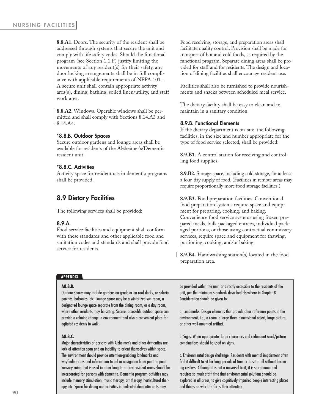#### **NURSING FACILITIES**

**8.8.A1.** Doors. The security of the resident shall be addressed through systems that secure the unit and comply with life safety codes. Should the functional program (see Section 1.1.F) justify limiting the movements of any resident(s) for their safety, any door locking arrangements shall be in full compliance with applicable requirements of NFPA 101. . A secure unit shall contain appropriate activity area(s), dining, bathing, soiled linen/utility, and staff work area.

**8.8.A2.** Windows. Operable windows shall be permitted and shall comply with Sections 8.14.A3 and 8.14.A4.

#### **\*8.8.B. Outdoor Spaces**

Secure outdoor gardens and lounge areas shall be available for residents of the Alzheimer's/Dementia resident unit.

# **\*8.8.C. Activities**

Activity space for resident use in dementia programs shall be provided.

# **8.9 Dietary Facilities**

The following services shall be provided:

# **8.9.A.**

Food service facilities and equipment shall conform with these standards and other applicable food and sanitation codes and standards and shall provide food service for residents.

Food receiving, storage, and preparation areas shall facilitate quality control. Provision shall be made for transport of hot and cold foods, as required by the functional program. Separate dining areas shall be provided for staff and for residents. The design and location of dining facilities shall encourage resident use.

Facilities shall also be furnished to provide nourishments and snacks between scheduled meal service.

The dietary facility shall be easy to clean and to maintain in a sanitary condition.

## **8.9.B. Functional Elements**

If the dietary department is on-site, the following facilities, in the size and number appropriate for the type of food service selected, shall be provided:

**8.9.B1.** A control station for receiving and controlling food supplies.

**8.9.B2.** Storage space, including cold storage, for at least a four-day supply of food. (Facilities in remote areas may require proportionally more food storage facilities.)

**8.9.B3.** Food preparation facilities. Conventional food preparation systems require space and equipment for preparing, cooking, and baking. Convenience food service systems using frozen prepared meals, bulk packaged entrees, individual packaged portions, or those using contractual commissary services, require space and equipment for thawing, portioning, cooking, and/or baking.

**8.9.B4.** Handwashing station(s) located in the food preparation area.

# **APPENDIX**

#### **A8.8.B.**

Outdoor spaces may include gardens on grade or on roof decks, or solaria, porches, balconies, etc. Lounge space may be a winterized sun room, a designated lounge space separate from the dining room, or a day room, where other residents may be sitting. Secure, accessible outdoor space can provide a calming change in environment and also a convenient place for agitated residents to walk.

#### **A8.8.C.**

Major characteristics of persons with Alzheimer's and other dementias are lack of attention span and an inability to orient themselves within space. The environment should provide attention-grabbing landmarks and wayfinding cues and information to aid in navigation from point to point. Sensory cuing that is used in other long-term care resident areas should be incorporated for persons with dementia. Dementia program activities may include memory stimulation, music therapy, art therapy, horticultural therapy, etc. Space for dining and activities in dedicated dementia units may

be provided within the unit, or directly accessible to the residents of the unit, per the minimum standards described elsewhere in Chapter 8. Consideration should be given to:

a. Landmarks. Design elements that provide clear reference points in the environment, i.e., a room, a large three-dimensional object, large picture, or other wall-mounted artifact.

b. Signs. When appropriate, large characters and redundant word/picture combinations should be used on signs.

c. Environmental design challenge. Residents with mental impairment often find it difficult to sit for long periods of time or to sit at all without becoming restless. Although it is not a universal trait, it is so common and requires so much staff time that environmental solutions should be explored in all areas, to give cognitively impaired people interesting places and things on which to focus their attention.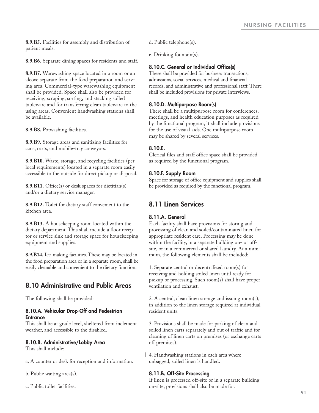**8.9.B5.** Facilities for assembly and distribution of patient meals.

**8.9.B6.** Separate dining spaces for residents and staff.

**8.9.B7.** Warewashing space located in a room or an alcove separate from the food preparation and serving area. Commercial-type warewashing equipment shall be provided. Space shall also be provided for receiving, scraping, sorting, and stacking soiled tableware and for transferring clean tableware to the

using areas. Convenient handwashing stations shall be available.

**8.9.B8.** Potwashing facilities.

**8.9.B9.** Storage areas and sanitizing facilities for cans, carts, and mobile-tray conveyors.

**8.9.B10.** Waste, storage, and recycling facilities (per local requirements) located in a separate room easily accessible to the outside for direct pickup or disposal.

**8.9.B11.** Office(s) or desk spaces for dietitian(s) and/or a dietary service manager.

**8.9.B12.** Toilet for dietary staff convenient to the kitchen area.

**8.9.B13.** A housekeeping room located within the dietary department. This shall include a floor receptor or service sink and storage space for housekeeping equipment and supplies.

**8.9.B14.** Ice-making facilities. These may be located in the food preparation area or in a separate room, shall be easily cleanable and convenient to the dietary function.

# **8.10 Administrative and Public Areas**

The following shall be provided:

## **8.10.A. Vehicular Drop-Off and Pedestrian Entrance**

This shall be at grade level, sheltered from inclement weather, and accessible to the disabled.

# **8.10.B. Administrative/Lobby Area**

This shall include:

a. A counter or desk for reception and information.

b. Public waiting area(s).

c. Public toilet facilities.

d. Public telephone(s).

e. Drinking fountain(s).

# **8.10.C. General or Individual Office(s)**

These shall be provided for business transactions, admissions, social services, medical and financial records, and administrative and professional staff. There shall be included provisions for private interviews.

## **8.10.D. Multipurpose Room(s)**

There shall be a multipurpose room for conferences, meetings, and health education purposes as required by the functional program; it shall include provisions for the use of visual aids. One multipurpose room may be shared by several services.

## **8.10.E.**

Clerical files and staff office space shall be provided as required by the functional program.

## **8.10.F. Supply Room**

Space for storage of office equipment and supplies shall be provided as required by the functional program.

# **8.11 Linen Services**

#### **8.11.A. General**

Each facility shall have provisions for storing and processing of clean and soiled/contaminated linen for appropriate resident care. Processing may be done within the facility, in a separate building on- or offsite, or in a commercial or shared laundry. At a minimum, the following elements shall be included:

1. Separate central or decentralized room(s) for receiving and holding soiled linen until ready for pickup or processing. Such room(s) shall have proper ventilation and exhaust.

2. A central, clean linen storage and issuing room(s), in addition to the linen storage required at individual resident units.

3. Provisions shall be made for parking of clean and soiled linen carts separately and out of traffic and for cleaning of linen carts on premises (or exchange carts off premises).

4. Handwashing stations in each area where unbagged, soiled linen is handled.

#### **8.11.B. Off-Site Processing**

If linen is processed off-site or in a separate building on-site, provisions shall also be made for: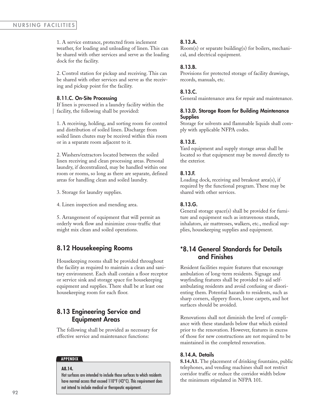1. A service entrance, protected from inclement weather, for loading and unloading of linen. This can be shared with other services and serve as the loading dock for the facility.

2. Control station for pickup and receiving. This can be shared with other services and serve as the receiving and pickup point for the facility.

#### **8.11.C. On-Site Processing**

If linen is processed in a laundry facility within the facility, the following shall be provided:

1. A receiving, holding, and sorting room for control and distribution of soiled linen. Discharge from soiled linen chutes may be received within this room or in a separate room adjacent to it.

2. Washers/extractors located between the soiled linen receiving and clean processing areas. Personal laundry, if decentralized, may be handled within one room or rooms, so long as there are separate, defined areas for handling clean and soiled laundry.

3. Storage for laundry supplies.

4. Linen inspection and mending area.

5. Arrangement of equipment that will permit an orderly work flow and minimize cross-traffic that might mix clean and soiled operations.

# **8.12 Housekeeping Rooms**

Housekeeping rooms shall be provided throughout the facility as required to maintain a clean and sanitary environment. Each shall contain a floor receptor or service sink and storage space for housekeeping equipment and supplies. There shall be at least one housekeeping room for each floor.

# **8.13 Engineering Service and Equipment Areas**

The following shall be provided as necessary for effective service and maintenance functions:

#### **APPENDIX**

#### **A8.14.**

Hot surfaces are intended to include those surfaces to which residents have normal access that exceed 110°F (43°C). This requirement does not intend to include medical or therapeutic equipment.

#### **8.13.A.**

Room(s) or separate building(s) for boilers, mechanical, and electrical equipment.

#### **8.13.B.**

Provisions for protected storage of facility drawings, records, manuals, etc.

#### **8.13.C.**

General maintenance area for repair and maintenance.

#### **8.13.D. Storage Room for Building Maintenance Supplies**

Storage for solvents and flammable liquids shall comply with applicable NFPA codes.

#### **8.13.E.**

Yard equipment and supply storage areas shall be located so that equipment may be moved directly to the exterior.

#### **8.13.F.**

Loading dock, receiving and breakout area(s), if required by the functional program. These may be shared with other services.

#### **8.13.G.**

General storage space(s) shall be provided for furniture and equipment such as intravenous stands, inhalators, air mattresses, walkers, etc., medical supplies, housekeeping supplies and equipment.

# **\*8.14 General Standards for Details and Finishes**

Resident facilities require features that encourage ambulation of long-term residents. Signage and wayfinding features shall be provided to aid selfambulating residents and avoid confusing or disorienting them. Potential hazards to residents, such as sharp corners, slippery floors, loose carpets, and hot surfaces should be avoided.

Renovations shall not diminish the level of compliance with these standards below that which existed prior to the renovation. However, features in excess of those for new constructions are not required to be maintained in the completed renovation.

#### **8.14.A. Details**

**8.14.A1.** The placement of drinking fountains, public telephones, and vending machines shall not restrict corridor traffic or reduce the corridor width below the minimum stipulated in NFPA 101.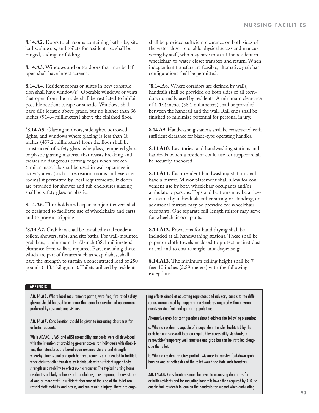**8.14.A2.** Doors to all rooms containing bathtubs, sitz baths, showers, and toilets for resident use shall be hinged, sliding, or folding.

**8.14.A3.** Windows and outer doors that may be left open shall have insect screens.

**8.14.A4.** Resident rooms or suites in new construction shall have window(s). Operable windows or vents that open from the inside shall be restricted to inhibit possible resident escape or suicide. Windows shall have sills located above grade, but no higher than 36 inches (914.4 millimeters) above the finished floor.

**\*8.14.A5.** Glazing in doors, sidelights, borrowed lights, and windows where glazing is less than 18 inches (457.2 millimeters) from the floor shall be constructed of safety glass, wire glass, tempered glass, or plastic glazing material that resists breaking and creates no dangerous cutting edges when broken. Similar materials shall be used in wall openings in activity areas (such as recreation rooms and exercise rooms) if permitted by local requirements. If doors are provided for shower and tub enclosures glazing shall be safety glass or plastic.

**8.14.A6.** Thresholds and expansion joint covers shall be designed to facilitate use of wheelchairs and carts and to prevent tripping.

**\*8.14.A7.** Grab bars shall be installed in all resident toilets, showers, tubs, and sitz baths. For wall-mounted grab bars, a minimum 1-1/2-inch (38.1 millimeters) clearance from walls is required. Bars, including those which are part of fixtures such as soap dishes, shall have the strength to sustain a concentrated load of 250 pounds (113.4 kilograms). Toilets utilized by residents

shall be provided sufficient clearance on both sides of the water closet to enable physical access and maneuvering by staff, who may have to assist the resident in wheelchair-to-water-closet transfers and return. When independent transfers are feasible, alternative grab bar configurations shall be permitted.

**\*8.14.A8.** Where corridors are defined by walls, handrails shall be provided on both sides of all corridors normally used by residents. A minimum clearance of 1-1/2 inches (38.1 millimeters) shall be provided between the handrail and the wall. Rail ends shall be finished to minimize potential for personal injury.

**8.14.A9.** Handwashing stations shall be constructed with sufficient clearance for blade-type operating handles.

**8.14.A10.** Lavatories, and handwashing stations and handrails which a resident could use for support shall be securely anchored.

**8.14.A11.** Each resident handwashing station shall have a mirror. Mirror placement shall allow for convenient use by both wheelchair occupants and/or ambulatory persons. Tops and bottoms may be at levels usable by individuals either sitting or standing, or additional mirrors may be provided for wheelchair occupants. One separate full-length mirror may serve for wheelchair occupants.

**8.14.A12.** Provisions for hand drying shall be included at all handwashing stations. These shall be paper or cloth towels enclosed to protect against dust or soil and to ensure single-unit dispensing.

**8.14.A13.** The minimum ceiling height shall be 7 feet 10 inches (2.39 meters) with the following exceptions:

#### **APPENDIX**

**A8.14.A5.** Where local requirements permit, wire-free, fire-rated safety glazing should be used to enhance the home-like residential appearance preferred by residents and visitors.

**A8.14.A7.** Consideration should be given to increasing clearances for arthritic residents.

While ADAAG, UFAS, and ANSI accessibility standards were all developed with the intention of providing greater access for individuals with disabilities, their standards are based upon assumed stature and strength, whereby dimensional and grab bar requirements are intended to facilitate wheelchair-to-toilet transfers by individuals with sufficient upper body strength and mobility to effect such a transfer. The typical nursing home resident is unlikely to have such capabilities, thus requiring the assistance of one or more staff. Insufficient clearance at the side of the toilet can restrict staff mobility and access, and can result in injury. There are ongoing efforts aimed at educating regulators and advisory panels to the difficulties encountered by inappropriate standards required within environments serving frail and geriatric populations.

Alternative grab bar configurations should address the following scenarios:

a. When a resident is capable of independent transfer facilitated by the grab bar and side-wall location required by accessibility standards, a removable/temporary wall structure and grab bar can be installed alongside the toilet.

b. When a resident requires partial assistance in transfer, fold-down grab bars on one or both sides of the toilet would facilitate such transfers.

**A8.14.A8.** Consideration should be given to increasing clearances for arthritic residents and for mounting handrails lower than required by ADA, to enable frail residents to lean on the handrails for support when ambulating.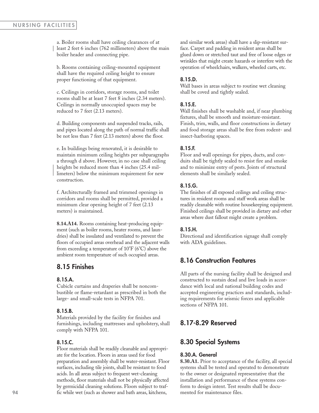#### **NURSING FACILITIES**

a. Boiler rooms shall have ceiling clearances of at least 2 feet 6 inches (762 millimeters) above the main boiler header and connecting pipe.

b. Rooms containing ceiling-mounted equipment shall have the required ceiling height to ensure proper functioning of that equipment.

c. Ceilings in corridors, storage rooms, and toilet rooms shall be at least 7 feet 8 inches (2.34 meters). Ceilings in normally unoccupied spaces may be reduced to 7 feet (2.13 meters).

d. Building components and suspended tracks, rails, and pipes located along the path of normal traffic shall be not less than 7 feet (2.13 meters) above the floor.

e. In buildings being renovated, it is desirable to maintain minimum ceiling heights per subparagraphs a through d above. However, in no case shall ceiling heights be reduced more than 4 inches (25.4 millimeters) below the minimum requirement for new construction.

f. Architecturally framed and trimmed openings in corridors and rooms shall be permitted, provided a minimum clear opening height of 7 feet (2.13 meters) is maintained.

**8.14.A14.** Rooms containing heat-producing equipment (such as boiler rooms, heater rooms, and laundries) shall be insulated and ventilated to prevent the floors of occupied areas overhead and the adjacent walls from exceeding a temperature of  $10^{\circ}F(6^{\circ}C)$  above the ambient room temperature of such occupied areas.

# **8.15 Finishes**

## **8.15.A.**

Cubicle curtains and draperies shall be noncombustible or flame-retardant as prescribed in both the large- and small-scale tests in NFPA 701.

## **8.15.B.**

Materials provided by the facility for finishes and furnishings, including mattresses and upholstery, shall comply with NFPA 101.

## **8.15.C.**

Floor materials shall be readily cleanable and appropriate for the location. Floors in areas used for food preparation and assembly shall be water-resistant. Floor surfaces, including tile joints, shall be resistant to food acids. In all areas subject to frequent wet-cleaning methods, floor materials shall not be physically affected by germicidal cleaning solutions. Floors subject to traffic while wet (such as shower and bath areas, kitchens,

and similar work areas) shall have a slip-resistant surface. Carpet and padding in resident areas shall be glued down or stretched taut and free of loose edges or wrinkles that might create hazards or interfere with the operation of wheelchairs, walkers, wheeled carts, etc.

#### **8.15.D.**

Wall bases in areas subject to routine wet cleaning shall be coved and tightly sealed.

#### **8.15.E.**

Wall finishes shall be washable and, if near plumbing fixtures, shall be smooth and moisture-resistant. Finish, trim, walls, and floor constructions in dietary and food storage areas shall be free from rodent- and insect-harboring spaces.

#### **8.15.F.**

Floor and wall openings for pipes, ducts, and conduits shall be tightly sealed to resist fire and smoke and to minimize entry of pests. Joints of structural elements shall be similarly sealed.

#### **8.15.G.**

The finishes of all exposed ceilings and ceiling structures in resident rooms and staff work areas shall be readily cleanable with routine housekeeping equipment. Finished ceilings shall be provided in dietary and other areas where dust fallout might create a problem.

## **8.15.H.**

Directional and identification signage shall comply with ADA guidelines.

# **8.16 Construction Features**

All parts of the nursing facility shall be designed and constructed to sustain dead and live loads in accordance with local and national building codes and accepted engineering practices and standards, including requirements for seismic forces and applicable sections of NFPA 101.

# **8.17-8.29 Reserved**

# **8.30 Special Systems**

## **8.30.A. General**

**8.30.A1.** Prior to acceptance of the facility, all special systems shall be tested and operated to demonstrate to the owner or designated representative that the installation and performance of these systems conform to design intent. Test results shall be documented for maintenance files.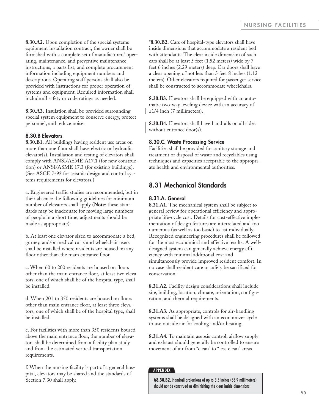**8.30.A2.** Upon completion of the special systems equipment installation contract, the owner shall be furnished with a complete set of manufacturers' operating, maintenance, and preventive maintenance instructions, a parts list, and complete procurement information including equipment numbers and descriptions. Operating staff persons shall also be provided with instructions for proper operation of systems and equipment. Required information shall include all safety or code ratings as needed.

**8.30.A3.** Insulation shall be provided surrounding special system equipment to conserve energy, protect personnel, and reduce noise.

## **8.30.B Elevators**

**8.30.B1.** All buildings having resident use areas on more than one floor shall have electric or hydraulic elevator(s). Installation and testing of elevators shall comply with ANSI/ASME A17.1 (for new construction) or ANSI/ASME 17.3 (for existing buildings). (See ASCE 7-93 for seismic design and control systems requirements for elevators.)

a. Engineered traffic studies are recommended, but in their absence the following guidelines for minimum number of elevators shall apply (**Note**: these standards may be inadequate for moving large numbers of people in a short time; adjustments should be made as appropriate):

b. At least one elevator sized to accommodate a bed, gurney, and/or medical carts and wheelchair users shall be installed where residents are housed on any floor other than the main entrance floor.

c. When 60 to 200 residents are housed on floors other than the main entrance floor, at least two elevators, one of which shall be of the hospital type, shall be installed.

d. When 201 to 350 residents are housed on floors other than main entrance floor, at least three elevators, one of which shall be of the hospital type, shall be installed.

e. For facilities with more than 350 residents housed above the main entrance floor, the number of elevators shall be determined from a facility plan study and from the estimated vertical transportation requirements.

f. When the nursing facility is part of a general hospital, elevators may be shared and the standards of Section 7.30 shall apply.

**\*8.30.B2.** Cars of hospital-type elevators shall have inside dimensions that accommodate a resident bed with attendants. The clear inside dimension of such cars shall be at least 5 feet (1.52 meters) wide by 7 feet 6 inches (2.29 meters) deep. Car doors shall have a clear opening of not less than 3 feet 8 inches (1.12 meters). Other elevators required for passenger service shall be constructed to accommodate wheelchairs.

**8.30.B3.** Elevators shall be equipped with an automatic two-way leveling device with an accuracy of ±1/4 inch (7 millimeters).

**8.30.B4.** Elevators shall have handrails on all sides without entrance door(s).

# **8.30.C. Waste Processing Service**

Facilities shall be provided for sanitary storage and treatment or disposal of waste and recyclables using techniques and capacities acceptable to the appropriate health and environmental authorities.

# **8.31 Mechanical Standards**

# **8.31.A. General**

**8.31.A1.** The mechanical system shall be subject to general review for operational efficiency and appropriate life-cycle cost. Details for cost-effective implementation of design features are interrelated and too numerous (as well as too basic) to list individually. Recognized engineering procedures shall be followed for the most economical and effective results. A welldesigned system can generally achieve energy efficiency with minimal additional cost and simultaneously provide improved resident comfort. In no case shall resident care or safety be sacrificed for conservation.

**8.31.A2.** Facility design considerations shall include site, building, location, climate, orientation, configuration, and thermal requirements.

**8.31.A3.** As appropriate, controls for air-handling systems shall be designed with an economizer cycle to use outside air for cooling and/or heating.

**8.31.A4.** To maintain asepsis control, airflow supply and exhaust should generally be controlled to ensure movement of air from "clean" to "less clean" areas.

## **APPENDIX**

**A8.30.B2.** Handrail projections of up to 3.5 inches (88.9 millimeters) should not be construed as diminishing the clear inside dimensions.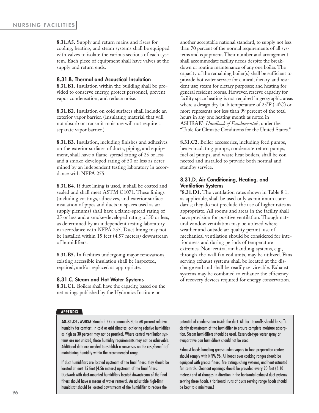**8.31.A5.** Supply and return mains and risers for cooling, heating, and steam systems shall be equipped with valves to isolate the various sections of each system. Each piece of equipment shall have valves at the supply and return ends.

#### **8.31.B. Thermal and Acoustical Insulation**

**8.31.B1.** Insulation within the building shall be provided to conserve energy, protect personnel, prevent vapor condensation, and reduce noise.

**8.31.B2.** Insulation on cold surfaces shall include an exterior vapor barrier. (Insulating material that will not absorb or transmit moisture will not require a separate vapor barrier.)

**8.31.B3.** Insulation, including finishes and adhesives on the exterior surfaces of ducts, piping, and equipment, shall have a flame-spread rating of 25 or less and a smoke-developed rating of 50 or less as determined by an independent testing laboratory in accordance with NFPA 255.

**8.31.B4.** If duct lining is used, it shall be coated and sealed and shall meet ASTM C1071. These linings (including coatings, adhesives, and exterior surface insulation of pipes and ducts in spaces used as air supply plenums) shall have a flame-spread rating of 25 or less and a smoke-developed rating of 50 or less, as determined by an independent testing laboratory in accordance with NFPA 255. Duct lining may not be installed within 15 feet (4.57 meters) downstream of humidifiers.

**8.31.B5.** In facilities undergoing major renovations, existing accessible insulation shall be inspected, repaired, and/or replaced as appropriate.

#### **8.31.C. Steam and Hot Water Systems**

**8.31.C1.** Boilers shall have the capacity, based on the net ratings published by the Hydronics Institute or

another acceptable national standard, to supply not less than 70 percent of the normal requirements of all systems and equipment. Their number and arrangement shall accommodate facility needs despite the breakdown or routine maintenance of any one boiler. The capacity of the remaining boiler(s) shall be sufficient to provide hot water service for clinical, dietary, and resident use; steam for dietary purposes; and heating for general resident rooms. However, reserve capacity for facility space heating is not required in geographic areas where a design dry-bulb temperature of 25°F (-4°C) or more represents not less than 99 percent of the total hours in any one heating month as noted in ASHRAE's *Handbook of Fundamentals*, under the "Table for Climatic Conditions for the United States."

**8.31.C2.** Boiler accessories, including feed pumps, heat-circulating pumps, condensate return pumps, fuel oil pumps, and waste heat boilers, shall be connected and installed to provide both normal and standby service.

#### **8.31.D. Air Conditioning, Heating, and Ventilation Systems**

**\*8.31.D1.** The ventilation rates shown in Table 8.1, as applicable, shall be used only as minimum standards; they do not preclude the use of higher rates as appropriate. All rooms and areas in the facility shall have provision for positive ventilation. Though natural window ventilation may be utilized where weather and outside air quality permit, use of mechanical ventilation should be considered for interior areas and during periods of temperature extremes. Non-central air-handling systems, e.g., through-the-wall fan coil units, may be utilized. Fans serving exhaust systems shall be located at the discharge end and shall be readily serviceable. Exhaust systems may be combined to enhance the efficiency of recovery devices required for energy conservation.

#### **APPENDIX**

**A8.31.D1.** ASHRAE Standard 55 recommends 30 to 60 percent relative humidity for comfort. In cold or arid climates, achieving relative humidities as high as 30 percent may not be practical. Where central ventilation systems are not utilized, these humidity requirements may not be achievable. Additional data are needed to establish a consensus on the cost/benefit of maintaining humidity within the recommended range.

If duct humidifiers are located upstream of the final filters, they should be located at least 15 feet (4.56 meters) upstream of the final filters. Ductwork with duct-mounted humidifiers located downstream of the final filters should have a means of water removal. An adjustable high-limit humidistat should be located downstream of the humidifier to reduce the

potential of condensation inside the duct. All duct takeoffs should be sufficiently downstream of the humidifier to ensure complete moisture absorption. Steam humidifiers should be used. Reservoir-type water spray or evaporative pan humidifiers should not be used.

Exhaust hoods handling grease-laden vapors in food preparation centers should comply with NFPA 96. All hoods over cooking ranges should be equipped with grease filters, fire extinguishing systems, and heat-actuated fan controls. Cleanout openings should be provided every 20 feet (6.10 meters) and at changes in direction in the horizontal exhaust duct systems serving these hoods. (Horizontal runs of ducts serving range hoods should be kept to a minimum.)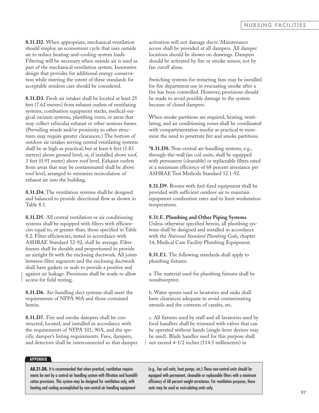**8.31.D2.** When appropriate, mechanical ventilation should employ an economizer cycle that uses outside air to reduce heating-and-cooling-system loads. Filtering will be necessary when outside air is used as part of the mechanical ventilation system. Innovative design that provides for additional energy conservation while meeting the intent of these standards for acceptable resident care should be considered.

**8.31.D3.** Fresh air intakes shall be located at least 25 feet (7.62 meters) from exhaust outlets of ventilating systems, combustion equipment stacks, medical-surgical vacuum systems, plumbing vents, or areas that may collect vehicular exhaust or other noxious fumes. (Prevailing winds and/or proximity to other structures may require greater clearances.) The bottom of outdoor air intakes serving central ventilating systems shall be as high as practical, but at least 6 feet (1.83 meters) above ground level, or, if installed above roof, 3 feet (0.91 meter) above roof level. Exhaust outlets from areas that may be contaminated shall be above roof level, arranged to minimize recirculation of exhaust air into the building.

**8.31.D4.** The ventilation systems shall be designed and balanced to provide directional flow as shown in Table 8.1.

**8.31.D5.** All central ventilation or air conditioning systems shall be equipped with filters with efficiencies equal to, or greater than, those specified in Table 8.2. Filter efficiencies, tested in accordance with ASHRAE Standard 52-92, shall be average. Filter frames shall be durable and proportioned to provide an airtight fit with the enclosing ductwork. All joints between filter segments and the enclosing ductwork shall have gaskets or seals to provide a positive seal against air leakage. Provisions shall be made to allow access for field testing.

**8.31.D6.** Air-handling duct systems shall meet the requirements of NFPA 90A and those contained herein.

**8.31.D7.** Fire and smoke dampers shall be constructed, located, and installed in accordance with the requirements of NFPA 101, 90A, and the specific damper's listing requirements. Fans, dampers, and detectors shall be interconnected so that damper activation will not damage ducts. Maintenance access shall be provided at all dampers. All damper locations should be shown on drawings. Dampers should be activated by fire or smoke sensor, not by fan cutoff alone.

Switching systems for restarting fans may be installed for fire department use in evacuating smoke after a fire has been controlled. However, provisions should be made to avoid possible damage to the system because of closed dampers.

When smoke partitions are required, heating, ventilating, and air conditioning zones shall be coordinated with compartmentation insofar as practical to minimize the need to penetrate fire and smoke partitions.

**\*8.31.D8.** Non-central air-handling systems, e.g., through-the-wall fan coil units, shall be equipped with permanent (cleanable) or replaceable filters rated at a minimum efficiency of 68 percent arrestance per ASHRAE Test Methods Standard 52.1-92.

**8.31.D9.** Rooms with fuel-fired equipment shall be provided with sufficient outdoor air to maintain equipment combustion rates and to limit workstation temperatures.

#### **8.31.E. Plumbing and Other Piping Systems**

Unless otherwise specified herein, all plumbing systems shall be designed and installed in accordance with the *National Standard Plumbing Code*, chapter 14, Medical Care Facility Plumbing Equipment.

**8.31.E1.** The following standards shall apply to plumbing fixtures:

a. The material used for plumbing fixtures shall be nonabsorptive.

b. Water spouts used in lavatories and sinks shall have clearances adequate to avoid contaminating utensils and the contents of carafes, etc.

c. All fixtures used by staff and all lavatories used by food handlers shall be trimmed with valves that can be operated without hands (single-lever devices may be used). Blade handles used for this purpose shall not exceed 4-1/2 inches (114.3 millimeters) in

#### **APPENDIX**

**A8.31.D8.** It is recommended that when practical, ventilation requirements be met by a central air handling system with filtration and humidification provisions. This system may be designed for ventilation only, with heating and cooling accomplished by non-central air handling equipment

(e.g., fan coil units, heat pumps, etc.) These non-central units should be equipped with permanent, cleanable or replaceable filters with a minimum efficiency of 68 percent weight arrestance. For ventilation purposes, these units may be used as recirculating units only.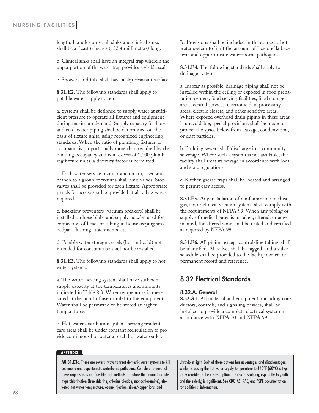length. Handles on scrub sinks and clinical sinks shall be at least 6 inches (152.4 millimeters) long.

d. Clinical sinks shall have an integral trap wherein the upper portion of the water trap provides a visible seal.

e. Showers and tubs shall have a slip-resistant surface.

**8.31.E2.** The following standards shall apply to potable water supply systems:

a. Systems shall be designed to supply water at sufficient pressure to operate all fixtures and equipment during maximum demand. Supply capacity for hotand cold-water piping shall be determined on the basis of fixture units, using recognized engineering standards. When the ratio of plumbing fixtures to occupants is proportionally more than required by the building occupancy and is in excess of 1,000 plumbing fixture units, a diversity factor is permitted.

b. Each water service main, branch main, riser, and branch to a group of fixtures shall have valves. Stop valves shall be provided for each fixture. Appropriate panels for access shall be provided at all valves where required.

c. Backflow preventers (vacuum breakers) shall be installed on hose bibbs and supply nozzles used for connection of hoses or tubing in housekeeping sinks, bedpan-flushing attachments, etc.

d. Potable water storage vessels (hot and cold) not intended for constant use shall not be installed.

**8.31.E3.** The following standards shall apply to hot water systems:

a. The water-heating system shall have sufficient supply capacity at the temperatures and amounts indicated in Table 8.3. Water temperature is measured at the point of use or inlet to the equipment. Water shall be permitted to be stored at higher temperatures.

b. Hot-water distribution systems serving resident care areas shall be under constant recirculation to provide continuous hot water at each hot water outlet.

\*c. Provisions shall be included in the domestic hot water system to limit the amount of Legionella bacteria and opportunistic water–borne pathogens.

**8.31.E4.** The following standards shall apply to drainage systems:

a. Insofar as possible, drainage piping shall not be installed within the ceiling or exposed in food preparation centers, food serving facilities, food storage areas, central services, electronic data processing areas, electric closets, and other sensitive areas. Where exposed overhead drain piping in these areas is unavoidable, special provisions shall be made to protect the space below from leakage, condensation, or dust particles.

b. Building sewers shall discharge into community sewerage. Where such a system is not available, the facility shall treat its sewage in accordance with local and state regulations.

c. Kitchen grease traps shall be located and arranged to permit easy access.

**8.31.E5.** Any installation of nonflammable medical gas, air, or clinical vacuum systems shall comply with the requirements of NFPA 99. When any piping or supply of medical gases is installed, altered, or augmented, the altered zone shall be tested and certified as required by NFPA 99.

**8.31.E6.** All piping, except control-line tubing, shall be identified. All valves shall be tagged, and a valve schedule shall be provided to the facility owner for permanent record and reference.

# **8.32 Electrical Standards**

## **8.32.A. General**

**8.32.A1.** All material and equipment, including conductors, controls, and signaling devices, shall be installed to provide a complete electrical system in accordance with NFPA 70 and NFPA 99.

## **APPENDIX**

**A8.31.E3c.** There are several ways to treat domestic water systems to kill Legionella and opportunistic waterborne pathogens. Complete removal of these organisms is not feasible, but methods to reduce the amount include hyperchlorination (free chlorine, chlorine dioxide, monochloramine), ele- $\mid$  vated hot water temperature, ozone injection, silver/copper ions, and

ultraviolet light. Each of these options has advantages and disadvantages. While increasing the hot water supply temperature to 140°F (60°C) is typically considered the easiest option, the risk of scalding, especially to youth and the elderly, is significant. See CDC, ASHRAE, and ASPE documentation for additional information.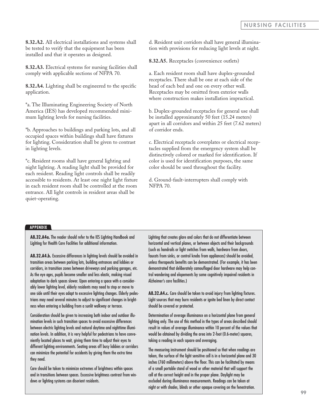**8.32.A2.** All electrical installations and systems shall be tested to verify that the equipment has been installed and that it operates as designed.

**8.32.A3.** Electrical systems for nursing facilities shall comply with applicable sections of NFPA 70.

**8.32.A4.** Lighting shall be engineered to the specific application.

\*a. The Illuminating Engineering Society of North America (IES) has developed recommended minimum lighting levels for nursing facilities.

\*b. Approaches to buildings and parking lots, and all occupied spaces within buildings shall have fixtures for lighting. Consideration shall be given to contrast in lighting levels.

\*c. Resident rooms shall have general lighting and night lighting. A reading light shall be provided for each resident. Reading light controls shall be readily accessible to residents. At least one night light fixture in each resident room shall be controlled at the room entrance. All light controls in resident areas shall be quiet-operating.

d. Resident unit corridors shall have general illumination with provisions for reducing light levels at night.

**8.32.A5.** Receptacles (convenience outlets)

a. Each resident room shall have duplex-grounded receptacles. There shall be one at each side of the head of each bed and one on every other wall. Receptacles may be omitted from exterior walls where construction makes installation impractical.

b. Duplex-grounded receptacles for general use shall be installed approximately 50 feet (15.24 meters) apart in all corridors and within 25 feet (7.62 meters) of corridor ends.

c. Electrical receptacle coverplates or electrical receptacles supplied from the emergency system shall be distinctively colored or marked for identification. If color is used for identification purposes, the same color should be used throughout the facility.

d. Ground-fault-interrupters shall comply with NFPA 70.

#### **APPENDIX**

**A8.32.A4a.** The reader should refer to the IES Lighting Handbook and Lighting for Health Care Facilities for additional information.

**A8.32.A4.b.** Excessive differences in lighting levels should be avoided in transition areas between parking lots, building entrances and lobbies or corridors, in transition zones between driveways and parking garages, etc. As the eye ages, pupils become smaller and less elastic, making visual adaptation to dark spaces slower. Upon entering a space with a considerably lower lighting level, elderly residents may need to stop or move to one side until their eyes adapt to excessive lighting changes. Elderly pedestrians may need several minutes to adjust to significant changes in brightness when entering a building from a sunlit walkway or terrace.

Consideration should be given to increasing both indoor and outdoor illumination levels in such transition spaces to avoid excessive differences between electric lighting levels and natural daytime and nighttime illumination levels. In addition, it is very helpful for pedestrians to have conveniently located places to wait, giving them time to adjust their eyes to different lighting environments. Seating areas off busy lobbies or corridors can minimize the potential for accidents by giving them the extra time they need.

Care should be taken to minimize extremes of brightness within spaces and in transitions between spaces. Excessive brightness contrast from windows or lighting systems can disorient residents.

Lighting that creates glare and colors that do not differentiate between horizontal and vertical planes, or between objects and their backgrounds (such as handrails or light switches from walls, hardware from doors, faucets from sinks, or control knobs from appliances) should be avoided, unless therapeutic benefits can be demonstrated. (For example, it has been demonstrated that deliberately camouflaged door hardware may help control wandering and elopements by some cognitively impaired residents in Alzheimer's care facilities.)

**A8.32.A4.c.** Care should be taken to avoid injury from lighting fixtures. Light sources that may burn residents or ignite bed linen by direct contact should be covered or protected.

Determination of average illuminance on a horizontal plane from general lighting only. The use of this method in the types of areas described should result in values of average illuminance within 10 percent of the values that would be obtained by dividing the area into 2-foot (0.6-meter) squares, taking a reading in each square and averaging.

The measuring instrument should be positioned so that when readings are taken, the surface of the light sensitive cell is in a horizontal plane and 30 inches (760 millimeters) above the floor. This can be facilitated by means of a small portable stand of wood or other material that will support the cell at the correct height and in the proper plane. Daylight may be excluded during illuminance measurements. Readings can be taken at night or with shades, blinds or other opaque covering on the fenestration.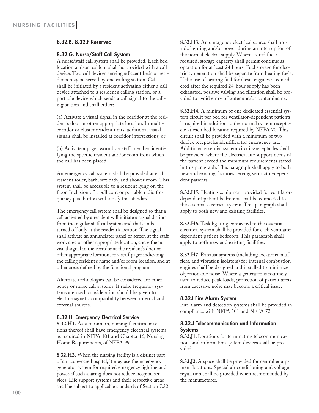#### **8.32.B.-8.32.F Reserved**

#### **8.32.G. Nurse/Staff Call System**

A nurse/staff call system shall be provided. Each bed location and/or resident shall be provided with a call device. Two call devices serving adjacent beds or residents may be served by one calling station. Calls shall be initiated by a resident activating either a call device attached to a resident's calling station, or a portable device which sends a call signal to the calling station and shall either:

(a) Activate a visual signal in the corridor at the resident's door or other appropriate location. In multicorridor or cluster resident units, additional visual signals shall be installed at corridor intersections; or

(b) Activate a pager worn by a staff member, identifying the specific resident and/or room from which the call has been placed.

An emergency call system shall be provided at each resident toilet, bath, sitz bath, and shower room. This system shall be accessible to a resident lying on the floor. Inclusion of a pull cord or portable radio frequency pushbutton will satisfy this standard.

The emergency call system shall be designed so that a call activated by a resident will initiate a signal distinct from the regular staff call system and that can be turned off only at the resident's location. The signal shall activate an annunciator panel or screen at the staff work area or other appropriate location, and either a visual signal in the corridor at the resident's door or other appropriate location, or a staff pager indicating the calling resident's name and/or room location, and at other areas defined by the functional program.

Alternate technologies can be considered for emergency or nurse call systems. If radio frequency systems are used, consideration should be given to electromagnetic compatibility between internal and external sources.

#### **8.32.H. Emergency Electrical Service**

**8.32.H1.** As a minimum, nursing facilities or sections thereof shall have emergency electrical systems as required in NFPA 101 and Chapter 16, Nursing Home Requirements, of NFPA 99.

**8.32.H2.** When the nursing facility is a distinct part of an acute-care hospital, it may use the emergency generator system for required emergency lighting and power, if such sharing does not reduce hospital services. Life support systems and their respective areas shall be subject to applicable standards of Section 7.32. **8.32.H3.** An emergency electrical source shall provide lighting and/or power during an interruption of the normal electric supply. Where stored fuel is required, storage capacity shall permit continuous operation for at least 24 hours. Fuel storage for electricity generation shall be separate from heating fuels. If the use of heating fuel for diesel engines is considered after the required 24-hour supply has been exhausted, positive valving and filtration shall be provided to avoid entry of water and/or contaminants.

**8.32.H4.** A minimum of one dedicated essential system circuit per bed for ventilator-dependent patients is required in addition to the normal system receptacle at each bed location required by NFPA 70. This circuit shall be provided with a minimum of two duplex receptacles identified for emergency use. Additional essential system circuits/receptacles shall be provided where the electrical life support needs of the patient exceed the minimum requirements stated in this paragraph. This paragraph shall apply to both new and existing facilities serving ventilator-dependent patients.

**8.32.H5.** Heating equipment provided for ventilatordependent patient bedrooms shall be connected to the essential electrical system. This paragraph shall apply to both new and existing facilities.

**8.32.H6.** Task lighting connected to the essential electrical system shall be provided for each ventilatordependent patient bedroom. This paragraph shall apply to both new and existing facilities.

**8.32.H7.** Exhaust systems (including locations, mufflers, and vibration isolators) for internal combustion engines shall be designed and installed to minimize objectionable noise. Where a generator is routinely used to reduce peak loads, protection of patient areas from excessive noise may become a critical issue.

#### **8.32.I Fire Alarm System**

Fire alarm and detection systems shall be provided in compliance with NFPA 101 and NFPA 72

#### **8.32.J Telecommunication and Information Systems**

**8.32.J1.** Locations for terminating telecommunications and information system devices shall be provided.

**8.32.J2.** A space shall be provided for central equipment locations. Special air conditioning and voltage regulation shall be provided when recommended by the manufacturer.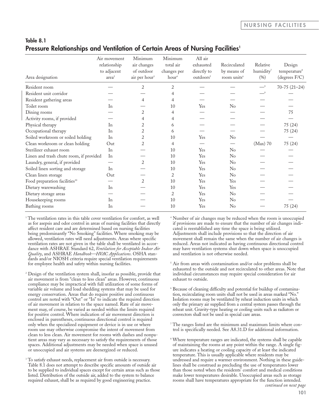# **Table 8.1 Pressure Relationships and Ventilation of Certain Areas of Nursing Facilities**<sup>1</sup>

| Area designation                          | Air movement<br>relationship<br>to adjacent<br>area <sup>2</sup> | Minimum<br>air changes<br>of outdoor<br>air per hour <sup>3</sup> | Minimum<br>total air<br>changes per<br>hour <sup>4</sup> | All air<br>exhausted<br>directly to<br>outdoors <sup>5</sup> | Recirculated<br>by means of<br>room units <sup>6</sup> | Relative<br>humidity <sup>7</sup><br>(% ) | Design<br>temperature <sup>8</sup><br>(degrees F/C) |
|-------------------------------------------|------------------------------------------------------------------|-------------------------------------------------------------------|----------------------------------------------------------|--------------------------------------------------------------|--------------------------------------------------------|-------------------------------------------|-----------------------------------------------------|
| Resident room                             |                                                                  | 2                                                                 | 2                                                        |                                                              |                                                        | $-9$                                      | $70-75(21-24)$                                      |
| Resident unit corridor                    |                                                                  |                                                                   | 4                                                        |                                                              |                                                        |                                           |                                                     |
| Resident gathering areas                  |                                                                  | 4                                                                 | 4                                                        |                                                              |                                                        |                                           |                                                     |
| Toilet room                               | In                                                               |                                                                   | 10                                                       | Yes                                                          | $\rm No$                                               |                                           |                                                     |
| Dining rooms                              |                                                                  | 2                                                                 | 4                                                        |                                                              |                                                        |                                           | 75                                                  |
| Activity rooms, if provided               |                                                                  | 4                                                                 | 4                                                        |                                                              |                                                        |                                           |                                                     |
| Physical therapy                          | In                                                               | 2                                                                 | 6                                                        |                                                              |                                                        |                                           | 75 (24)                                             |
| Occupational therapy                      | In                                                               | 2                                                                 | 6                                                        |                                                              |                                                        |                                           | 75 (24)                                             |
| Soiled workroom or soiled holding         | In                                                               | 2                                                                 | 10                                                       | Yes                                                          | $\rm No$                                               |                                           |                                                     |
| Clean workroom or clean holding           | Out                                                              | 2                                                                 | $\overline{4}$                                           |                                                              |                                                        | $(Max)$ 70                                | 75 (24)                                             |
| Sterilizer exhaust room                   | In                                                               |                                                                   | 10                                                       | Yes                                                          | $\rm No$                                               |                                           |                                                     |
| Linen and trash chute room, if provided   | In                                                               |                                                                   | 10                                                       | Yes                                                          | $\rm No$                                               |                                           |                                                     |
| Laundry, general, if provided             |                                                                  | 2                                                                 | 10                                                       | Yes                                                          | $\rm No$                                               |                                           |                                                     |
| Soiled linen sorting and storage          | In                                                               |                                                                   | 10                                                       | Yes                                                          | No                                                     |                                           |                                                     |
| Clean linen storage                       | Out                                                              |                                                                   | 2                                                        | Yes                                                          | $\rm No$                                               |                                           |                                                     |
| Food preparation facilities <sup>10</sup> |                                                                  | 2                                                                 | 10                                                       | Yes                                                          | Yes                                                    |                                           |                                                     |
| Dietary warewashing                       | In                                                               |                                                                   | 10                                                       | Yes                                                          | Yes                                                    |                                           |                                                     |
| Dietary storage areas                     |                                                                  |                                                                   | 2                                                        | Yes                                                          | $\rm No$                                               |                                           |                                                     |
| Housekeeping rooms                        | In                                                               |                                                                   | 10                                                       | Yes                                                          | $\rm No$                                               |                                           |                                                     |
| Bathing rooms                             | In                                                               |                                                                   | 10                                                       | Yes                                                          | $\rm No$                                               |                                           | 75(24)                                              |

<sup>1</sup> The ventilation rates in this table cover ventilation for comfort, as well as for asepsis and odor control in areas of nursing facilities that directly affect resident care and are determined based on nursing facilities being predominantly "No Smoking" facilities. Where smoking may be allowed, ventilation rates will need adjustments. Areas where specific ventilation rates are not given in the table shall be ventilated in accordance with ASHRAE Standard 62, *Ventilation for Acceptable Indoor Air Quality*, and ASHRAE *Handbook—HVAC Applications*. OSHA standards and/or NIOSH criteria require special ventilation requirements for employee health and safety within nursing facilities.

- <sup>2</sup> Design of the ventilation system shall, insofar as possible, provide that air movement is from "clean to less clean" areas. However, continuous compliance may be impractical with full utilization of some forms of variable air volume and load shedding systems that may be used for energy conservation. Areas that do require positive and continuous control are noted with "Out" or "In" to indicate the required direction of air movement in relation to the space named. Rate of air movement may, of course, be varied as needed within the limits required for positive control. Where indication of air movement direction is enclosed in parentheses, continuous directional control is required only when the specialized equipment or device is in use or where room use may otherwise compromise the intent of movement from clean to less clean. Air movement for rooms with dashes and nonpatient areas may vary as necessary to satisfy the requirements of those spaces. Additional adjustments may be needed when space is unused or unoccupied and air systems are deenergized or reduced.
- <sup>3</sup> To satisfy exhaust needs, replacement air from outside is necessary. Table 8.1 does not attempt to describe specific amounts of outside air to be supplied to individual spaces except for certain areas such as those listed. Distribution of the outside air, added to the system to balance required exhaust, shall be as required by good engineering practice.

<sup>4</sup> Number of air changes may be reduced when the room is unoccupied if provisions are made to ensure that the number of air changes indicated is reestablished any time the space is being utilized. Adjustments shall include provisions so that the direction of air movement shall remain the same when the number of air changes is reduced. Areas not indicated as having continuous directional control may have ventilation systems shut down when space is unoccupied and ventilation is not otherwise needed.

- <sup>5</sup> Air from areas with contamination and/or odor problems shall be exhausted to the outside and not recirculated to other areas. Note that individual circumstances may require special consideration for air exhaust to outside.
- <sup>6</sup> Because of cleaning difficulty and potential for buildup of contamination, recirculating room units shall not be used in areas marked "No." Isolation rooms may be ventilated by reheat induction units in which only the primary air supplied from a central system passes through the reheat unit. Gravity-type heating or cooling units such as radiators or convectors shall not be used in special care areas.
- <sup>7</sup> The ranges listed are the minimum and maximum limits where control is specifically needed. See A8.31.D for additional information.
- <sup>8</sup> Where temperature ranges are indicated, the systems shall be capable of maintaining the rooms at any point within the range. A single figure indicates a heating or cooling capacity of at least the indicated temperature. This is usually applicable where residents may be undressed and require a warmer environment. Nothing in these guidelines shall be construed as precluding the use of temperatures lower than those noted when the residents' comfort and medical conditions make lower temperatures desirable. Unoccupied areas such as storage rooms shall have temperatures appropriate for the function intended. *continued on next page*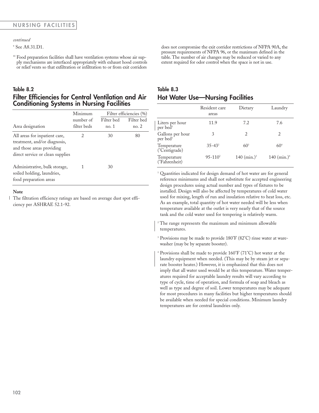*continued*

<sup>9</sup> See A8.31.D1.

<sup>10</sup> Food preparation facilities shall have ventilation systems whose air supply mechanisms are interfaced appropriately with exhaust hood controls or relief vents so that exfiltration or infiltration to or from exit corridors

# **Table 8.2 Filter Efficiencies for Central Ventilation and Air Conditioning Systems in Nursing Facilities**

|                                                                                                                                | Minimum                       |                    | Filter efficiencies (%) |  |  |
|--------------------------------------------------------------------------------------------------------------------------------|-------------------------------|--------------------|-------------------------|--|--|
| Area designation                                                                                                               | number of<br>filter beds      | Filter bed<br>no.1 | Filter bed<br>no.2      |  |  |
| All areas for inpatient care,<br>treatment, and/or diagnosis,<br>and those areas providing<br>direct service or clean supplies | $\mathfrak{D}_{\mathfrak{p}}$ | 30                 | 80                      |  |  |
| Administrative, bulk storage,<br>soiled holding, laundries,<br>food preparation areas                                          | 1                             | 30                 |                         |  |  |

## **Note**

The filtration efficiency ratings are based on average dust spot efficiency per ASHRAE 52.1-92.

does not compromise the exit corridor restrictions of NFPA 90A, the pressure requirements of NFPA 96, or the maximum defined in the table. The number of air changes may be reduced or varied to any extent required for odor control when the space is not in use.

# **Table 8.3 Hot Water Use—Nursing Facilities**

|                                          | Resident care<br>areas | Dietary          | Laundry         |
|------------------------------------------|------------------------|------------------|-----------------|
| Liters per hour<br>per bed <sup>1</sup>  | 11.9                   | 7.2              | 7.6             |
| Gallons per hour<br>per bed <sup>1</sup> | 3                      | $\mathfrak{D}$   | 2               |
| Temperature<br>(°Centigrade)             | $35 - 43^2$            | $60^{3}$         | $60^{4}$        |
| Temperature<br>('Fahrenheit)             | $95 - 110^2$           | $140 \ (min.)^3$ | $140 \ (min.)4$ |

<sup>1</sup> Quantities indicated for design demand of hot water are for general reference minimums and shall not substitute for accepted engineering design procedures using actual number and types of fixtures to be installed. Design will also be affected by temperatures of cold water used for mixing, length of run and insulation relative to heat loss, etc. As an example, total quantity of hot water needed will be less when temperature available at the outlet is very nearly that of the source tank and the cold water used for tempering is relatively warm.

<sup>2</sup> The range represents the maximum and minimum allowable temperatures.

<sup>3</sup> Provisions may be made to provide 180°F (82°C) rinse water at warewasher (may be by separate booster).

<sup>4</sup> Provisions shall be made to provide 160°F (71°C) hot water at the laundry equipment when needed. (This may be by steam jet or separate booster heater.) However, it is emphasized that this does not imply that all water used would be at this temperature. Water temperatures required for acceptable laundry results will vary according to type of cycle, time of operation, and formula of soap and bleach as well as type and degree of soil. Lower temperatures may be adequate for most procedures in many facilities but higher temperatures should be available when needed for special conditions. Minimum laundry temperatures are for central laundries only.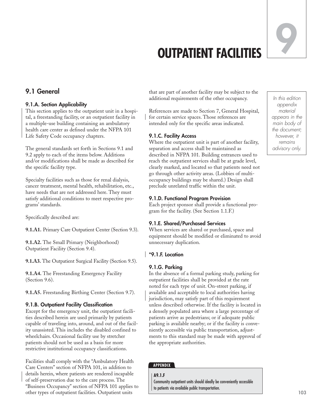# **9.1 General**

# **9.1.A. Section Applicability**

This section applies to the outpatient unit in a hospital, a freestanding facility, or an outpatient facility in a multiple-use building containing an ambulatory health care center as defined under the NFPA 101 Life Safety Code occupancy chapters.

The general standards set forth in Sections 9.1 and 9.2 apply to each of the items below. Additions and/or modifications shall be made as described for the specific facility type.

Specialty facilities such as those for renal dialysis, cancer treatment, mental health, rehabilitation, etc., have needs that are not addressed here. They must satisfy additional conditions to meet respective programs' standards.

Specifically described are:

**9.1.A1.** Primary Care Outpatient Center (Section 9.3).

**9.1.A2.** The Small Primary (Neighborhood) Outpatient Facility (Section 9.4).

**9.1.A3.** The Outpatient Surgical Facility (Section 9.5).

**9.1.A4.** The Freestanding Emergency Facility (Section 9.6).

**9.1.A5.** Freestanding Birthing Center (Section 9.7).

## **9.1.B. Outpatient Facility Classification**

Except for the emergency unit, the outpatient facilities described herein are used primarily by patients capable of traveling into, around, and out of the facility unassisted. This includes the disabled confined to wheelchairs. Occasional facility use by stretcher patients should not be used as a basis for more restrictive institutional occupancy classifications.

Facilities shall comply with the "Ambulatory Health Care Centers" section of NFPA 101, in addition to details herein, where patients are rendered incapable of self-preservation due to the care process. The "Business Occupancy" section of NFPA 101 applies to other types of outpatient facilities. Outpatient units

that are part of another facility may be subject to the additional requirements of the other occupancy.

References are made to Section 7, General Hospital, for certain service spaces. Those references are intended only for the specific areas indicated.

# **9.1.C. Facility Access**

Where the outpatient unit is part of another facility, separation and access shall be maintained as described in NFPA 101. Building entrances used to reach the outpatient services shall be at grade level, clearly marked, and located so that patients need not go through other activity areas. (Lobbies of multioccupancy buildings may be shared.) Design shall preclude unrelated traffic within the unit.

# **9.1.D. Functional Program Provision**

Each project sponsor shall provide a functional program for the facility. (See Section 1.1.F.)

# **9.1.E. Shared/Purchased Services**

When services are shared or purchased, space and equipment should be modified or eliminated to avoid unnecessary duplication.

# **\*9.1.F. Location**

## **9.1.G. Parking**

In the absence of a formal parking study, parking for outpatient facilities shall be provided at the rate noted for each type of unit. On-street parking, if available and acceptable to local authorities having jurisdiction, may satisfy part of this requirement unless described otherwise. If the facility is located in a densely populated area where a large percentage of patients arrive as pedestrians; or if adequate public parking is available nearby; or if the facility is conveniently accessible via public transportation, adjustments to this standard may be made with approval of the appropriate authorities.

#### **APPENDIX**

**A9.1.F**

Community outpatient units should ideally be conveniently accessible to patients via available public transportation.

In this edition appendix material appears in the main body of the document; however, it remains advisory only.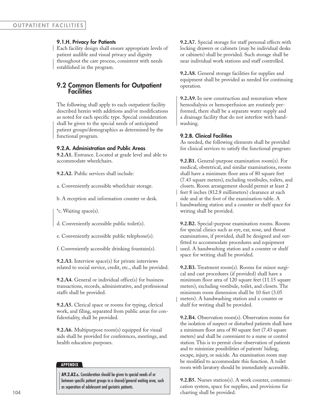#### **9.1.H. Privacy for Patients**

Each facility design shall ensure appropriate levels of patient audible and visual privacy and dignity throughout the care process, consistent with needs established in the program.

# **9.2 Common Elements for Outpatient Facilities**

The following shall apply to each outpatient facility described herein with additions and/or modifications as noted for each specific type. Special consideration shall be given to the special needs of anticipated patient groups/demographics as determined by the functional program.

#### **9.2.A. Administration and Public Areas**

**9.2.A1.** Entrance. Located at grade level and able to accommodate wheelchairs.

**9.2.A2.** Public services shall include:

a. Conveniently accessible wheelchair storage.

b. A reception and information counter or desk.

\*c. Waiting space(s).

d. Conveniently accessible public toilet(s).

e. Conveniently accessible public telephone(s).

f. Conveniently accessible drinking fountain(s).

**9.2.A3.** Interview space(s) for private interviews related to social service, credit, etc., shall be provided.

**9.2.A4.** General or individual office(s) for business transactions, records, administrative, and professional staffs shall be provided.

**9.2.A5.** Clerical space or rooms for typing, clerical work, and filing, separated from public areas for confidentiality, shall be provided.

**9.2.A6.** Multipurpose room(s) equipped for visual aids shall be provided for conferences, meetings, and health education purposes.

#### **APPENDIX**

**A9.2.A2.c.** Consideration should be given to special needs of or between specific patient groups in a shared/general waiting area, such as separation of adolescent and geriatric patients.

**9.2.A7.** Special storage for staff personal effects with locking drawers or cabinets (may be individual desks or cabinets) shall be provided. Such storage shall be near individual work stations and staff controlled.

**9.2.A8.** General storage facilities for supplies and equipment shall be provided as needed for continuing operation.

**9.2.A9.** In new construction and renovation where hemodialysis or hemoperfusion are routinely performed, there shall be a separate water supply and a drainage facility that do not interfere with handwashing.

#### **9.2.B. Clinical Facilities**

As needed, the following elements shall be provided for clinical services to satisfy the functional program:

**9.2.B1.** General-purpose examination room(s). For medical, obstetrical, and similar examinations, rooms shall have a minimum floor area of 80 square feet (7.43 square meters), excluding vestibules, toilets, and closets. Room arrangement should permit at least 2 feet 8 inches (812.8 millimeters) clearance at each side and at the foot of the examination table. A

handwashing station and a counter or shelf space for writing shall be provided.

**9.2.B2.** Special-purpose examination rooms. Rooms for special clinics such as eye, ear, nose, and throat examinations, if provided, shall be designed and outfitted to accommodate procedures and equipment

used. A handwashing station and a counter or shelf space for writing shall be provided.

**9.2.B3.** Treatment room(s). Rooms for minor surgical and cast procedures (if provided) shall have a minimum floor area of 120 square feet (11.15 square meters), excluding vestibule, toilet, and closets. The minimum room dimension shall be 10 feet (3.05 meters). A handwashing station and a counter or shelf for writing shall be provided.

**9.2.B4.** Observation room(s). Observation rooms for the isolation of suspect or disturbed patients shall have a minimum floor area of 80 square feet (7.43 square meters) and shall be convenient to a nurse or control station. This is to permit close observation of patients and to minimize possibilities of patients' hiding, escape, injury, or suicide. An examination room may be modified to accommodate this function. A toilet room with lavatory should be immediately accessible.

**9.2.B5.** Nurses station(s). A work counter, communication system, space for supplies, and provisions for charting shall be provided.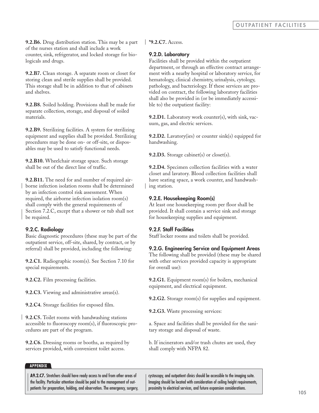**9.2.B6.** Drug distribution station. This may be a part of the nurses station and shall include a work counter, sink, refrigerator, and locked storage for biologicals and drugs.

**9.2.B7.** Clean storage. A separate room or closet for storing clean and sterile supplies shall be provided. This storage shall be in addition to that of cabinets and shelves.

**9.2.B8.** Soiled holding. Provisions shall be made for separate collection, storage, and disposal of soiled materials.

**9.2.B9.** Sterilizing facilities. A system for sterilizing equipment and supplies shall be provided. Sterilizing procedures may be done on- or off-site, or disposables may be used to satisfy functional needs.

**9.2.B10.** Wheelchair storage space. Such storage shall be out of the direct line of traffic.

**9.2.B11.** The need for and number of required airborne infection isolation rooms shall be determined by an infection control risk assessment. When required, the airborne infection isolation room(s) shall comply with the general requirements of Section 7.2.C, except that a shower or tub shall not be required.

#### **9.2.C. Radiology**

Basic diagnostic procedures (these may be part of the outpatient service, off-site, shared, by contract, or by referral) shall be provided, including the following:

**9.2.C1.** Radiographic room(s). See Section 7.10 for special requirements.

**9.2.C2.** Film processing facilities.

**9.2.C3.** Viewing and administrative areas(s).

**9.2.C4.** Storage facilities for exposed film.

**9.2.C5.** Toilet rooms with handwashing stations accessible to fluoroscopy room(s), if fluoroscopic procedures are part of the program.

**9.2.C6.** Dressing rooms or booths, as required by services provided, with convenient toilet access.

#### **\*9.2.C7.** Access.

#### **9.2.D. Laboratory**

Facilities shall be provided within the outpatient department, or through an effective contract arrangement with a nearby hospital or laboratory service, for hematology, clinical chemistry, urinalysis, cytology, pathology, and bacteriology. If these services are provided on contract, the following laboratory facilities shall also be provided in (or be immediately accessible to) the outpatient facility:

**9.2.D1.** Laboratory work counter(s), with sink, vacuum, gas, and electric services.

**9.2.D2.** Lavatory(ies) or counter sink(s) equipped for handwashing.

**9.2.D3.** Storage cabinet(s) or closet(s).

**9.2.D4.** Specimen collection facilities with a water closet and lavatory. Blood collection facilities shall have seating space, a work counter, and handwashing station.

## **9.2.E. Housekeeping Room(s)**

At least one housekeeping room per floor shall be provided. It shall contain a service sink and storage for housekeeping supplies and equipment.

## **9.2.F. Staff Facilities**

Staff locker rooms and toilets shall be provided.

## **9.2.G. Engineering Service and Equipment Areas**

The following shall be provided (these may be shared with other services provided capacity is appropriate for overall use):

**9.2.G1.** Equipment room(s) for boilers, mechanical equipment, and electrical equipment.

**9.2.G2.** Storage room(s) for supplies and equipment.

**9.2.G3.** Waste processing services:

a. Space and facilities shall be provided for the sanitary storage and disposal of waste.

b. If incinerators and/or trash chutes are used, they shall comply with NFPA 82.

#### **APPENDIX**

**A9.2.C7.** Stretchers should have ready access to and from other areas of the facility. Particular attention should be paid to the management of outpatients for preparation, holding, and observation. The emergency, surgery,

cystoscopy, and outpatient clinics should be accessible to the imaging suite. Imaging should be located with consideration of ceiling height requirements, proximity to electrical services, and future expansion considerations.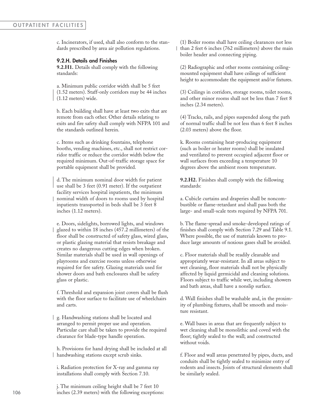c. Incinerators, if used, shall also conform to the standards prescribed by area air pollution regulations.

#### **9.2.H. Details and Finishes**

**9.2.H1.** Details shall comply with the following standards:

a. Minimum public corridor width shall be 5 feet (1.52 meters). Staff-only corridors may be 44 inches (1.12 meters) wide.

b. Each building shall have at least two exits that are remote from each other. Other details relating to exits and fire safety shall comply with NFPA 101 and the standards outlined herein.

c. Items such as drinking fountains, telephone booths, vending machines, etc., shall not restrict corridor traffic or reduce the corridor width below the required minimum. Out-of-traffic storage space for portable equipment shall be provided.

d. The minimum nominal door width for patient use shall be 3 feet (0.91 meter). If the outpatient facility services hospital inpatients, the minimum nominal width of doors to rooms used by hospital inpatients transported in beds shall be 3 feet 8 inches (1.12 meters).

e. Doors, sidelights, borrowed lights, and windows glazed to within 18 inches (457.2 millimeters) of the floor shall be constructed of safety glass, wired glass, or plastic glazing material that resists breakage and creates no dangerous cutting edges when broken. Similar materials shall be used in wall openings of playrooms and exercise rooms unless otherwise required for fire safety. Glazing materials used for shower doors and bath enclosures shall be safety glass or plastic.

f. Threshold and expansion joint covers shall be flush with the floor surface to facilitate use of wheelchairs and carts.

g. Handwashing stations shall be located and arranged to permit proper use and operation. Particular care shall be taken to provide the required clearance for blade-type handle operation.

h. Provisions for hand drying shall be included at all handwashing stations except scrub sinks.

i. Radiation protection for X-ray and gamma ray installations shall comply with Section 7.10.

j. The minimum ceiling height shall be 7 feet 10 inches (2.39 meters) with the following exceptions:

(1) Boiler rooms shall have ceiling clearances not less than 2 feet 6 inches (762 millimeters) above the main boiler header and connecting piping.

 $\mathbf{I}$ 

(2) Radiographic and other rooms containing ceilingmounted equipment shall have ceilings of sufficient height to accommodate the equipment and/or fixtures.

(3) Ceilings in corridors, storage rooms, toilet rooms, and other minor rooms shall not be less than 7 feet 8 inches (2.34 meters).

(4) Tracks, rails, and pipes suspended along the path of normal traffic shall be not less than 6 feet 8 inches (2.03 meters) above the floor.

k. Rooms containing heat-producing equipment (such as boiler or heater rooms) shall be insulated and ventilated to prevent occupied adjacent floor or wall surfaces from exceeding a temperature 10 degrees above the ambient room temperature.

**9.2.H2.** Finishes shall comply with the following standards:

a. Cubicle curtains and draperies shall be noncombustible or flame-retardant and shall pass both the large- and small-scale tests required by NFPA 701.

b. The flame-spread and smoke-developed ratings of finishes shall comply with Section 7.29 and Table 9.1. Where possible, the use of materials known to produce large amounts of noxious gases shall be avoided.

c. Floor materials shall be readily cleanable and appropriately wear-resistant. In all areas subject to wet cleaning, floor materials shall not be physically affected by liquid germicidal and cleaning solutions. Floors subject to traffic while wet, including showers and bath areas, shall have a nonslip surface.

d. Wall finishes shall be washable and, in the proximity of plumbing fixtures, shall be smooth and moisture resistant.

e. Wall bases in areas that are frequently subject to wet cleaning shall be monolithic and coved with the floor; tightly sealed to the wall; and constructed without voids.

f. Floor and wall areas penetrated by pipes, ducts, and conduits shall be tightly sealed to minimize entry of rodents and insects. Joints of structural elements shall be similarly sealed.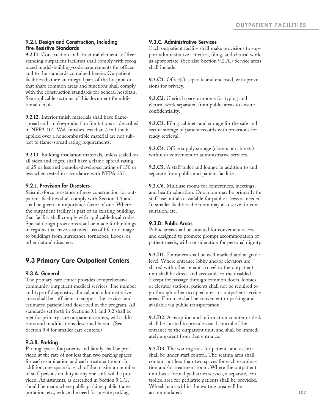# **9.2.I. Design and Construction, Including Fire-Resistive Standards**

**9.2.I1.** Construction and structural elements of freestanding outpatient facilities shall comply with recognized model-building-code requirements for offices and to the standards contained herein. Outpatient facilities that are an integral part of the hospital or that share common areas and functions shall comply with the construction standards for general hospitals. See applicable sections of this document for additional details.

**9.2.I2.** Interior finish materials shall have flamespread and smoke-production limitations as described in NFPA 101. Wall finishes less than 4 mil thick applied over a noncombustible material are not subject to flame-spread rating requirements.

**9.2.I3.** Building insulation materials, unless sealed on all sides and edges, shall have a flame-spread rating of 25 or less and a smoke-developed rating of 150 or less when tested in accordance with NFPA 255.

# **9.2.J. Provision for Disasters**

Seismic-force resistance of new construction for outpatient facilities shall comply with Section 1.5 and shall be given an importance factor of one. Where the outpatient facility is part of an existing building, that facility shall comply with applicable local codes. Special design provisions shall be made for buildings in regions that have sustained loss of life or damage to buildings from hurricanes, tornadoes, floods, or other natural disasters.

# **9.3 Primary Care Outpatient Centers**

# **9.3.A. General**

The primary care center provides comprehensive community outpatient medical services. The number and type of diagnostic, clinical, and administrative areas shall be sufficient to support the services and estimated patient load described in the program. All standards set forth in Sections 9.1 and 9.2 shall be met for primary care outpatient centers, with additions and modifications described herein. (See Section 9.4 for smaller care centers.)

# **9.3.B. Parking**

Parking spaces for patients and family shall be provided at the rate of not less than two parking spaces for each examination and each treatment room. In addition, one space for each of the maximum number of staff persons on duty at any one shift will be provided. Adjustments, as described in Section 9.1.G, should be made where public parking, public transportation, etc., reduce the need for on-site parking.

# **9.3.C. Administrative Services**

Each outpatient facility shall make provisions to support administrative activities, filing, and clerical work as appropriate. (See also Section 9.2.A.) Service areas shall include:

**9.3.C1.** Office(s), separate and enclosed, with provisions for privacy.

**9.3.C2.** Clerical space or rooms for typing and clerical work separated from public areas to ensure confidentiality.

**9.3.C3.** Filing cabinets and storage for the safe and secure storage of patient records with provisions for ready retrieval.

**9.3.C4.** Office supply storage (closets or cabinets) within or convenient to administrative services.

**9.3.C5.** A staff toilet and lounge in addition to and separate from public and patient facilities.

**9.3.C6.** Multiuse rooms for conferences, meetings, and health education. One room may be primarily for staff use but also available for public access as needed. In smaller facilities the room may also serve for consultation, etc.

# **9.3.D. Public Areas**

Public areas shall be situated for convenient access and designed to promote prompt accommodation of patient needs, with consideration for personal dignity.

**9.3.D1.** Entrances shall be well marked and at grade level. Where entrance lobby and/or elevators are shared with other tenants, travel to the outpatient unit shall be direct and accessible to the disabled. Except for passage through common doors, lobbies, or elevator stations, patients shall not be required to go through other occupied areas or outpatient service areas. Entrance shall be convenient to parking and available via public transportation.

**9.3.D2.** A reception and information counter or desk shall be located to provide visual control of the entrance to the outpatient unit, and shall be immediately apparent from that entrance.

**9.3.D3.** The waiting area for patients and escorts shall be under staff control. The seating area shall contain not less than two spaces for each examination and/or treatment room. Where the outpatient unit has a formal pediatrics service, a separate, controlled area for pediatric patients shall be provided. Wheelchairs within the waiting area will be accommodated.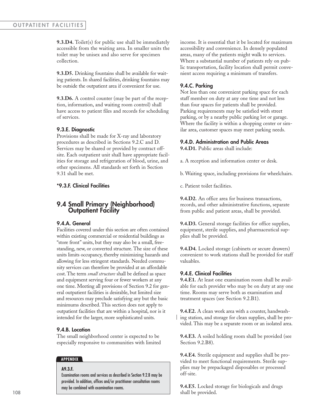**9.3.D4.** Toilet(s) for public use shall be immediately accessible from the waiting area. In smaller units the toilet may be unisex and also serve for specimen collection.

**9.3.D5.** Drinking fountains shall be available for waiting patients. In shared facilities, drinking fountains may be outside the outpatient area if convenient for use.

**9.3.D6.** A control counter (may be part of the reception, information, and waiting room control) shall have access to patient files and records for scheduling of services.

#### **9.3.E. Diagnostic**

Provisions shall be made for X-ray and laboratory procedures as described in Sections 9.2.C and D. Services may be shared or provided by contract offsite. Each outpatient unit shall have appropriate facilities for storage and refrigeration of blood, urine, and other specimens. All standards set forth in Section 9.31 shall be met.

#### **\*9.3.F. Clinical Facilities**

# **9.4 Small Primary (Neighborhood) Outpatient Facility**

#### **9.4.A. General**

Facilities covered under this section are often contained within existing commercial or residential buildings as "store front" units, but they may also be a small, freestanding, new, or converted structure. The size of these units limits occupancy, thereby minimizing hazards and allowing for less stringent standards. Needed community services can therefore be provided at an affordable cost. The term *small structure* shall be defined as space and equipment serving four or fewer workers at any one time. Meeting all provisions of Section 9.2 for general outpatient facilities is desirable, but limited size and resources may preclude satisfying any but the basic minimums described. This section does not apply to outpatient facilities that are within a hospital, nor is it intended for the larger, more sophisticated units.

#### **9.4.B. Location**

The small neighborhood center is expected to be especially responsive to communities with limited

#### **APPENDIX**

#### **A9.3.F.**

Examination rooms and services as described in Section 9.2.B may be provided. In addition, offices and/or practitioner consultation rooms may be combined with examination rooms.

income. It is essential that it be located for maximum accessibility and convenience. In densely populated areas, many of the patients might walk to services. Where a substantial number of patients rely on public transportation, facility location shall permit convenient access requiring a minimum of transfers.

#### **9.4.C. Parking**

Not less than one convenient parking space for each staff member on duty at any one time and not less than four spaces for patients shall be provided. Parking requirements may be satisfied with street parking, or by a nearby public parking lot or garage. Where the facility is within a shopping center or similar area, customer spaces may meet parking needs.

#### **9.4.D. Administration and Public Areas**

**9.4.D1.** Public areas shall include:

a. A reception and information center or desk.

b. Waiting space, including provisions for wheelchairs.

c. Patient toilet facilities.

**9.4.D2.** An office area for business transactions, records, and other administrative functions, separate from public and patient areas, shall be provided.

**9.4.D3.** General storage facilities for office supplies, equipment, sterile supplies, and pharmaceutical supplies shall be provided.

**9.4.D4.** Locked storage (cabinets or secure drawers) convenient to work stations shall be provided for staff valuables.

## **9.4.E. Clinical Facilities**

**9.4.E1.** At least one examination room shall be available for each provider who may be on duty at any one time. Rooms may serve both as examination and treatment spaces (see Section 9.2.B1).

**9.4.E2.** A clean work area with a counter, handwashing station, and storage for clean supplies, shall be provided. This may be a separate room or an isolated area.

**9.4.E3.** A soiled holding room shall be provided (see Section 9.2.B8).

**9.4.E4.** Sterile equipment and supplies shall be provided to meet functional requirements. Sterile supplies may be prepackaged disposables or processed off-site.

**9.4.E5.** Locked storage for biologicals and drugs shall be provided.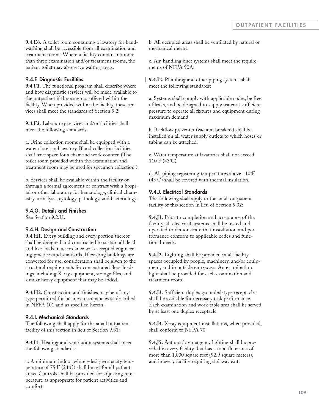**9.4.E6.** A toilet room containing a lavatory for handwashing shall be accessible from all examination and treatment rooms. Where a facility contains no more than three examination and/or treatment rooms, the patient toilet may also serve waiting areas.

#### **9.4.F. Diagnostic Facilities**

**9.4.F1.** The functional program shall describe where and how diagnostic services will be made available to the outpatient if these are not offered within the facility. When provided within the facility, these services shall meet the standards of Section 9.2.

**9.4.F2.** Laboratory services and/or facilities shall meet the following standards:

a. Urine collection rooms shall be equipped with a water closet and lavatory. Blood collection facilities shall have space for a chair and work counter. (The toilet room provided within the examination and treatment room may be used for specimen collection.)

b. Services shall be available within the facility or through a formal agreement or contract with a hospital or other laboratory for hematology, clinical chemistry, urinalysis, cytology, pathology, and bacteriology.

#### **9.4.G. Details and Finishes**

See Section 9.2.H.

#### **9.4.H. Design and Construction**

**9.4.H1.** Every building and every portion thereof shall be designed and constructed to sustain all dead and live loads in accordance with accepted engineering practices and standards. If existing buildings are converted for use, consideration shall be given to the structural requirements for concentrated floor loadings, including X-ray equipment, storage files, and similar heavy equipment that may be added.

**9.4.H2.** Construction and finishes may be of any type permitted for business occupancies as described in NFPA 101 and as specified herein.

## **9.4.I. Mechanical Standards**

The following shall apply for the small outpatient facility of this section in lieu of Section 9.31:

**9.4.I1.** Heating and ventilation systems shall meet the following standards:

a. A minimum indoor winter-design-capacity temperature of 75°F (24°C) shall be set for all patient areas. Controls shall be provided for adjusting temperature as appropriate for patient activities and comfort.

b. All occupied areas shall be ventilated by natural or mechanical means.

c. Air-handling duct systems shall meet the requirements of NFPA 90A.

**9.4.I2.** Plumbing and other piping systems shall meet the following standards:

a. Systems shall comply with applicable codes, be free of leaks, and be designed to supply water at sufficient pressure to operate all fixtures and equipment during maximum demand.

b. Backflow preventer (vacuum breakers) shall be installed on all water supply outlets to which hoses or tubing can be attached.

c. Water temperature at lavatories shall not exceed 110°F (43°C).

d. All piping registering temperatures above 110°F (43°C) shall be covered with thermal insulation.

## **9.4.J. Electrical Standards**

The following shall apply to the small outpatient facility of this section in lieu of Section 9.32:

**9.4.J1.** Prior to completion and acceptance of the facility, all electrical systems shall be tested and operated to demonstrate that installation and performance conform to applicable codes and functional needs.

**9.4.J2.** Lighting shall be provided in all facility spaces occupied by people, machinery, and/or equipment, and in outside entryways. An examination light shall be provided for each examination and treatment room.

**9.4.J3.** Sufficient duplex grounded-type receptacles shall be available for necessary task performance. Each examination and work table area shall be served by at least one duplex receptacle.

**9.4.J4.** X-ray equipment installations, when provided, shall conform to NFPA 70.

**9.4.J5.** Automatic emergency lighting shall be provided in every facility that has a total floor area of more than 1,000 square feet (92.9 square meters), and in every facility requiring stairway exit.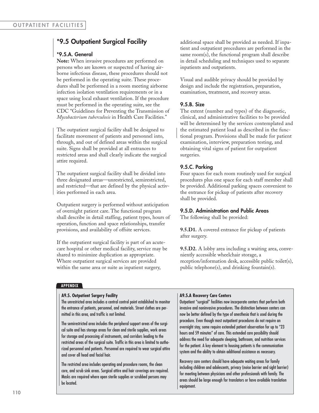# **\*9.5 Outpatient Surgical Facility**

# **\*9.5.A. General**

**Note:** When invasive procedures are performed on persons who are known or suspected of having airborne infectious disease, these procedures should not be performed in the operating suite. These procedures shall be performed in a room meeting airborne infection isolation ventilation requirements or in a space using local exhaust ventilation. If the procedure must be performed in the operating suite, see the CDC "Guidelines for Preventing the Transmission of *Mycobacterium tuberculosis* in Health Care Facilities."

The outpatient surgical facility shall be designed to facilitate movement of patients and personnel into, through, and out of defined areas within the surgical suite. Signs shall be provided at all entrances to restricted areas and shall clearly indicate the surgical attire required.

The outpatient surgical facility shall be divided into three designated areas—unrestricted, semirestricted, and restricted—that are defined by the physical activities performed in each area.

Outpatient surgery is performed without anticipation of overnight patient care. The functional program shall describe in detail staffing, patient types, hours of operation, function and space relationships, transfer provisions, and availability of offsite services.

If the outpatient surgical facility is part of an acutecare hospital or other medical facility, service may be shared to minimize duplication as appropriate. Where outpatient surgical services are provided within the same area or suite as inpatient surgery,

additional space shall be provided as needed. If inpatient and outpatient procedures are performed in the same room(s), the functional program shall describe in detail scheduling and techniques used to separate inpatients and outpatients.

Visual and audible privacy should be provided by design and include the registration, preparation, examination, treatment, and recovery areas.

#### **9.5.B. Size**

The extent (number and types) of the diagnostic, clinical, and administrative facilities to be provided will be determined by the services contemplated and the estimated patient load as described in the functional program. Provisions shall be made for patient examination, interview, preparation testing, and obtaining vital signs of patient for outpatient surgeries.

#### **9.5.C. Parking**

Four spaces for each room routinely used for surgical procedures plus one space for each staff member shall be provided. Additional parking spaces convenient to the entrance for pickup of patients after recovery shall be provided.

## **9.5.D. Administration and Public Areas**

The following shall be provided:

**9.5.D1.** A covered entrance for pickup of patients after surgery.

**9.5.D2.** A lobby area including a waiting area, conveniently accessible wheelchair storage, a reception/information desk, accessible public toilet(s), public telephone(s), and drinking fountain(s).

#### **APPENDIX**

#### **A9.5. Outpatient Surgery Facility**

The unrestricted area includes a central control point established to monitor the entrance of patients, personnel, and materials. Street clothes are permitted in this area, and traffic is not limited.

The semirestricted area includes the peripheral support areas of the surgical suite and has storage areas for clean and sterile supplies, work areas for storage and processing of instruments, and corridors leading to the restricted areas of the surgical suite. Traffic in this area is limited to authorized personnel and patients. Personnel are required to wear surgical attire and cover all head and facial hair.

The restricted area includes operating and procedure rooms, the clean core, and scrub sink areas. Surgical attire and hair coverings are required. Masks are required where open sterile supplies or scrubbed persons may be located.

#### **A9.5.A Recovery Care Centers**

Outpatient "surgical" facilities now incorporate centers that perform both invasive and noninvasive procedures. The distinction between centers can now be better defined by the type of anesthesia that is used during the procedure. Even though most outpatient procedures do not require an overnight stay, some require extended patient observation for up to "23 hours and 59 minutes" of care. This extended care possibility should address the need for adequate sleeping, bathroom, and nutrition services for the patient. A key element to housing patients is the communication system and the ability to obtain additional assistance as necessary.

Recovery care centers should have adequate waiting areas for family including children and adolescents, privacy (noise barrier and sight barrier) for meeting between physicians and other professionals with family. The areas should be large enough for translators or have available translation equipment.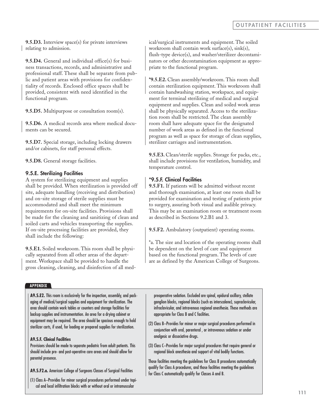**9.5.D3.** Interview space(s) for private interviews relating to admission.

**9.5.D4.** General and individual office(s) for business transactions, records, and administrative and professional staff. These shall be separate from public and patient areas with provisions for confidentiality of records. Enclosed office spaces shall be provided, consistent with need identified in the functional program.

**9.5.D5.** Multipurpose or consultation room(s).

**9.5.D6.** A medical records area where medical documents can be secured.

**9.5.D7.** Special storage, including locking drawers and/or cabinets, for staff personal effects.

**9.5.D8.** General storage facilities.

#### **9.5.E. Sterilizing Facilities**

A system for sterilizing equipment and supplies shall be provided. When sterilization is provided off site, adequate handling (receiving and distribution) and on-site storage of sterile supplies must be accommodated and shall meet the minimum requirements for on-site facilities. Provisions shall be made for the cleaning and sanitizing of clean and soiled carts and vehicles transporting the supplies. If on-site processing facilities are provided, they shall include the following:

**9.5.E1.** Soiled workroom. This room shall be physically separated from all other areas of the department. Workspace shall be provided to handle the gross cleaning, cleaning, and disinfection of all medical/surgical instruments and equipment. The soiled workroom shall contain work surface(s), sink(s), flush-type device(s), and washer/sterilizer decontaminators or other decontamination equipment as appropriate to the functional program.

**\*9.5.E2.** Clean assembly/workroom. This room shall contain sterilization equipment. This workroom shall contain handwashing station, workspace, and equipment for terminal sterilizing of medical and surgical equipment and supplies. Clean and soiled work areas shall be physically separated. Access to the sterilization room shall be restricted. The clean assembly room shall have adequate space for the designated number of work areas as defined in the functional program as well as space for storage of clean supplies, sterilizer carriages and instrumentation.

**9.5.E3.** Clean/sterile supplies. Storage for packs, etc., shall include provisions for ventilation, humidity, and temperature control.

## **\*9.5.F. Clinical Facilities**

**9.5.F1.** If patients will be admitted without recent and thorough examination, at least one room shall be provided for examination and testing of patients prior to surgery, assuring both visual and audible privacy. This may be an examination room or treatment room as described in Sections 9.2.B1 and 3.

**9.5.F2.** Ambulatory (outpatient) operating rooms.

\*a. The size and location of the operating rooms shall be dependent on the level of care and equipment based on the functional program. The levels of care are as defined by the American College of Surgeons.

#### **APPENDIX**

**A9.5.E2.** This room is exclusively for the inspection, assembly, and packaging of medical/surgical supplies and equipment for sterilization. The area should contain work tables or counters and storage facilities for backup supplies and instrumentation. An area for a drying cabinet or equipment may be required. The area should be spacious enough to hold sterilizer carts, if used, for loading or prepared supplies for sterilization.

#### **A9.5.F. Clinical Facilities**

Provisions should be made to separate pediatric from adult patients. This should include pre- and post-operative care areas and should allow for parental presence.

**A9.5.F2.a.** American College of Surgeons Classes of Surgical Facilities

(1) Class A–Provides for minor surgical procedures performed under topical and local infiltration blocks with or without oral or intramuscular

preoperative sedation. Excluded are spinal, epidural axillary, stellate ganglion blocks, regional blocks (such as interscalene), supraclavicular, infraclavicular, and intravenous regional anesthesia. These methods are appropriate for Class B and C facilities.

- (2) Class B–Provides for minor or major surgical procedures performed in conjunction with oral, parenteral , or intravenous sedation or under analgesic or dissociative drugs.
- (3) Class C–Provides for major surgical procedures that require general or regional block anesthesia and support of vital bodily functions.

Those facilities meeting the guidelines for Class B procedures automatically qualify for Class A procedures, and those facilities meeting the guidelines for Class C automatically qualify for Classes A and B.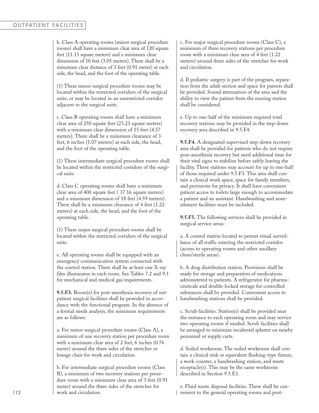b. Class A operating rooms (minor surgical procedure rooms) shall have a minimum clear area of 120 square feet (11.15 square meters) and a minimum clear dimension of 10 feet (3.05 meters). There shall be a minimum clear distance of 3 feet (0.91 meter) at each side, the head, and the foot of the operating table.

(1) These minor surgical procedure rooms may be located within the restricted corridors of the surgical suite, or may be located in an unrestricted corridor adjacent to the surgical suite.

c. Class B operating rooms shall have a minimum clear area of 250 square feet (23.23 square meters) with a minimum clear dimension of 15 feet (4.57 meters). There shall be a minimum clearance of 3 feet, 6 inches (1.07 meters) at each side, the head, and the foot of the operating table.

(1) These intermediate surgical procedure rooms shall be located within the restricted corridors of the surgical suite.

d. Class C operating rooms shall have a minimum clear area of 400 square feet ( 37.16 square meters) and a minimum dimension of 18 feet (4.59 meters). There shall be a minimum clearance of 4 feet (1.22 meters) at each side, the head, and the foot of the operating table.

(1) These major surgical procedure rooms shall be located within the restricted corridors of the surgical suite.

e. All operating rooms shall be equipped with an emergency communication system connected with the control station. There shall be at least one X-ray film illuminator in each room. See Tables 7.2 and 9.1 for mechanical and medical gas requirements.

**9.5.F3.** Room(s) for post-anesthesia recovery of outpatient surgical facilities shall be provided in accordance with the functional program. In the absence of a formal needs analysis, the minimum requirements are as follows:

a. For minor surgical procedure rooms (Class A), a minimum of one recovery station per procedure room with a minimum clear area of 2 feet, 6 inches (0.76 meter) around the three sides of the stretcher or lounge chair for work and circulation.

b. For intermediate surgical procedure rooms (Class B), a minimum of two recovery stations per procedure room with a minimum clear area of 3 feet (0.91 meter) around the three sides of the stretcher for work and circulation.

c. For major surgical procedure rooms (Class C), a minimum of three recovery stations per procedure room with a minimum clear area of 4 feet (1.22 meters) around three sides of the stretcher for work and circulation.

d. If pediatric surgery is part of the program, separation from the adult section and space for parents shall be provided. Sound attenuation of the area and the ability to view the patient from the nursing station shall be considered.

e. Up to one-half of the minimum required total recovery stations may be provided in the step-down recovery area described in 9.5.F4.

**9.5.F4.** A designated supervised step-down recovery area shall be provided for patients who do not require post-anesthesia recovery but need additional time for their vital signs to stabilize before safely leaving the facility. These stations may account for up to one-half of those required under 9.5.F3. This area shall contain a clinical work space, space for family members, and provisions for privacy. It shall have convenient patient access to toilets large enough to accommodate a patient and an assistant. Handwashing and nourishment facilities must be included.

**9.5.F5.** The following services shall be provided in surgical service areas:

a. A control station located to permit visual surveillance of all traffic entering the restricted corridor (access to operating rooms and other ancillary clean/sterile areas).

b. A drug distribution station. Provisions shall be made for storage and preparation of medications administered to patients. A refrigerator for pharmaceuticals and double-locked storage for controlled substances shall be provided. Convenient access to handwashing stations shall be provided.

c. Scrub facilities. Station(s) shall be provided near the entrance to each operating room and may service two operating rooms if needed. Scrub facilities shall be arranged to minimize incidental splatter on nearby personnel or supply carts.

d. Soiled workroom. The soiled workroom shall contain a clinical sink or equivalent flushing-type fixture, a work counter, a handwashing station, and waste receptacle(s). This may be the same workroom described in Section 9.5.E1.

e. Fluid waste disposal facilities. These shall be convenient to the general operating rooms and post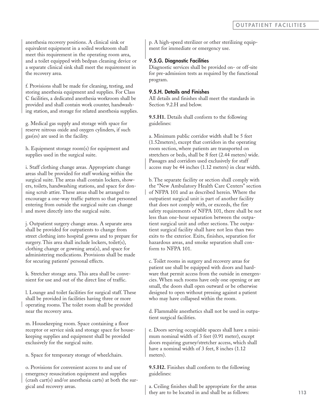anesthesia recovery positions. A clinical sink or equivalent equipment in a soiled workroom shall meet this requirement in the operating room area, and a toilet equipped with bedpan cleaning device or a separate clinical sink shall meet the requirement in the recovery area.

f. Provisions shall be made for cleaning, testing, and storing anesthesia equipment and supplies. For Class C facilities, a dedicated anesthesia workroom shall be provided and shall contain work counter, handwashing station, and storage for related anesthesia supplies.

g. Medical gas supply and storage with space for reserve nitrous oxide and oxygen cylinders, if such gas(es) are used in the facility.

h. Equipment storage room(s) for equipment and supplies used in the surgical suite.

i. Staff clothing change areas. Appropriate change areas shall be provided for staff working within the surgical suite. The areas shall contain lockers, showers, toilets, handwashing stations, and space for donning scrub attire. These areas shall be arranged to encourage a one-way traffic pattern so that personnel entering from outside the surgical suite can change and move directly into the surgical suite.

j. Outpatient surgery change areas. A separate area shall be provided for outpatients to change from street clothing into hospital gowns and to prepare for surgery. This area shall include lockers, toilet(s), clothing change or gowning area(s), and space for administering medications. Provisions shall be made for securing patients' personal effects.

k. Stretcher storage area. This area shall be convenient for use and out of the direct line of traffic.

l. Lounge and toilet facilities for surgical staff. These shall be provided in facilities having three or more operating rooms. The toilet room shall be provided near the recovery area.

m. Housekeeping room. Space containing a floor receptor or service sink and storage space for housekeeping supplies and equipment shall be provided exclusively for the surgical suite.

n. Space for temporary storage of wheelchairs.

o. Provisions for convenient access to and use of emergency resuscitation equipment and supplies (crash cart(s) and/or anesthesia carts) at both the surgical and recovery areas.

p. A high-speed sterilizer or other sterilizing equipment for immediate or emergency use.

## **9.5.G. Diagnostic Facilities**

Diagnostic services shall be provided on- or off-site for pre-admission tests as required by the functional program.

## **9.5.H. Details and Finishes**

All details and finishes shall meet the standards in Section 9.2.H and below.

**9.5.H1.** Details shall conform to the following guidelines:

a. Minimum public corridor width shall be 5 feet (1.52meters), except that corridors in the operating room section, where patients are transported on stretchers or beds, shall be 8 feet (2.44 meters) wide. Passages and corridors used exclusively for staff access may be 44 inches (1.12 meters) in clear width.

b. The separate facility or section shall comply with the "New Ambulatory Health Care Centers" section of NFPA 101 and as described herein. Where the outpatient surgical unit is part of another facility that does not comply with, or exceeds, the fire safety requirements of NFPA 101, there shall be not less than one-hour separation between the outpatient surgical unit and other sections. The outpatient surgical facility shall have not less than two exits to the exterior. Exits, finishes, separation for hazardous areas, and smoke separation shall conform to NFPA 101.

c. Toilet rooms in surgery and recovery areas for patient use shall be equipped with doors and hardware that permit access from the outside in emergencies. When such rooms have only one opening or are small, the doors shall open outward or be otherwise designed to open without pressing against a patient who may have collapsed within the room.

d. Flammable anesthetics shall not be used in outpatient surgical facilities.

e. Doors serving occupiable spaces shall have a minimum nominal width of 3 feet (0.91 meter), except doors requiring gurney/stretcher access, which shall have a nominal width of 3 feet, 8 inches (1.12 meters).

**9.5.H2.** Finishes shall conform to the following guidelines:

a. Ceiling finishes shall be appropriate for the areas they are to be located in and shall be as follows: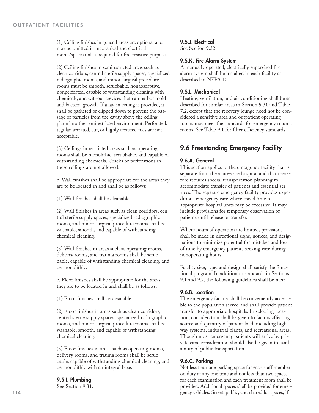(1) Ceiling finishes in general areas are optional and may be omitted in mechanical and electrical rooms/spaces unless required for fire-resistive purposes.

(2) Ceiling finishes in semirestricted areas such as clean corridors, central sterile supply spaces, specialized radiographic rooms, and minor surgical procedure rooms must be smooth, scrubbable, nonabsorptive, nonperforted, capable of withstanding cleaning with chemicals, and without crevices that can harbor mold and bacteria growth. If a lay-in ceiling is provided, it shall be gasketed or clipped down to prevent the passage of particles from the cavity above the ceiling plane into the semirestricted environment. Perforated, tegular, serrated, cut, or highly textured tiles are not acceptable.

(3) Ceilings in restricted areas such as operating rooms shall be monolithic, scrubbable, and capable of withstanding chemicals. Cracks or perforations in these ceilings are not allowed.

b. Wall finishes shall be appropriate for the areas they are to be located in and shall be as follows:

(1) Wall finishes shall be cleanable.

(2) Wall finishes in areas such as clean corridors, central sterile supply spaces, specialized radiographic rooms, and minor surgical procedure rooms shall be washable, smooth, and capable of withstanding chemical cleaning.

(3) Wall finishes in areas such as operating rooms, delivery rooms, and trauma rooms shall be scrubbable, capable of withstanding chemical cleaning, and be monolithic.

c. Floor finishes shall be appropriate for the areas they are to be located in and shall be as follows:

(1) Floor finishes shall be cleanable.

(2) Floor finishes in areas such as clean corridors, central sterile supply spaces, specialized radiographic rooms, and minor surgical procedure rooms shall be washable, smooth, and capable of withstanding chemical cleaning.

(3) Floor finishes in areas such as operating rooms, delivery rooms, and trauma rooms shall be scrubbable, capable of withstanding chemical cleaning, and be monolithic with an integral base.

**9.5.I. Plumbing** See Section 9.31.

## **9.5.J. Electrical**

See Section 9.32.

## **9.5.K. Fire Alarm System**

A manually operated, electrically supervised fire alarm system shall be installed in each facility as described in NFPA 101.

## **9.5.L. Mechanical**

Heating, ventilation, and air conditioning shall be as described for similar areas in Section 9.31 and Table 7.2, except that the recovery lounge need not be considered a sensitive area and outpatient operating rooms may meet the standards for emergency trauma rooms. See Table 9.1 for filter efficiency standards.

# **9.6 Freestanding Emergency Facility**

# **9.6.A. General**

This section applies to the emergency facility that is separate from the acute-care hospital and that therefore requires special transportation planning to accommodate transfer of patients and essential services. The separate emergency facility provides expeditious emergency care where travel time to appropriate hospital units may be excessive. It may include provisions for temporary observation of patients until release or transfer.

Where hours of operation are limited, provisions shall be made in directional signs, notices, and designations to minimize potential for mistakes and loss of time by emergency patients seeking care during nonoperating hours.

Facility size, type, and design shall satisfy the functional program. In addition to standards in Sections 9.1 and 9.2, the following guidelines shall be met:

## **9.6.B. Location**

The emergency facility shall be conveniently accessible to the population served and shall provide patient transfer to appropriate hospitals. In selecting location, consideration shall be given to factors affecting source and quantity of patient load, including highway systems, industrial plants, and recreational areas. Though most emergency patients will arrive by private cars, consideration should also be given to availability of public transportation.

## **9.6.C. Parking**

Not less than one parking space for each staff member on duty at any one time and not less than two spaces for each examination and each treatment room shall be provided. Additional spaces shall be provided for emergency vehicles. Street, public, and shared lot spaces, if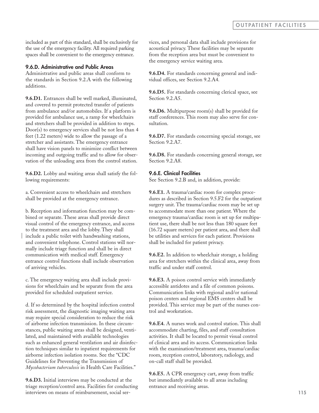included as part of this standard, shall be exclusively for the use of the emergency facility. All required parking spaces shall be convenient to the emergency entrance.

#### **9.6.D. Administrative and Public Areas**

Administrative and public areas shall conform to the standards in Section 9.2.A with the following additions.

**9.6.D1.** Entrances shall be well marked, illuminated, and covered to permit protected transfer of patients from ambulance and/or automobiles. If a platform is provided for ambulance use, a ramp for wheelchairs and stretchers shall be provided in addition to steps. Door(s) to emergency services shall be not less than 4 feet (1.22 meters) wide to allow the passage of a stretcher and assistants. The emergency entrance shall have vision panels to minimize conflict between incoming and outgoing traffic and to allow for observation of the unloading area from the control station.

**9.6.D2.** Lobby and waiting areas shall satisfy the following requirements:

a. Convenient access to wheelchairs and stretchers shall be provided at the emergency entrance.

b. Reception and information function may be combined or separate. These areas shall provide direct visual control of the emergency entrance, and access to the treatment area and the lobby. They shall include a public toilet with handwashing stations, and convenient telephone. Control stations will normally include triage function and shall be in direct communication with medical staff. Emergency entrance control functions shall include observation of arriving vehicles.

c. The emergency waiting area shall include provisions for wheelchairs and be separate from the area provided for scheduled outpatient service.

d. If so determined by the hospital infection control risk assessment, the diagnostic imaging waiting area may require special consideration to reduce the risk of airborne infection transmission. In these circumstances, public waiting areas shall be designed, ventilated, and maintained with available technologies such as enhanced general ventilation and air disinfection techniques similar to inpatient requirements for airborne infection isolation rooms. See the "CDC Guidelines for Preventing the Transmission of *Mycobacterium tuberculosis* in Health Care Facilities."

**9.6.D3.** Initial interviews may be conducted at the triage reception/control area. Facilities for conducting interviews on means of reimbursement, social services, and personal data shall include provisions for acoustical privacy. These facilities may be separate from the reception area but must be convenient to the emergency service waiting area.

**9.6.D4.** For standards concerning general and individual offices, see Section 9.2.A4.

**9.6.D5.** For standards concerning clerical space, see Section 9.2.A5.

**9.6.D6.** Multipurpose room(s) shall be provided for staff conferences. This room may also serve for consultation.

**9.6.D7.** For standards concerning special storage, see Section 9.2.A7.

**9.6.D8.** For standards concerning general storage, see Section 9.2.A8.

#### **9.6.E. Clinical Facilities**

See Section 9.2.B and, in addition, provide:

**9.6.E1.** A trauma/cardiac room for complex procedures as described in Section 9.5.F2 for the outpatient surgery unit. The trauma/cardiac room may be set up to accommodate more than one patient. Where the emergency trauma/cardiac room is set up for multipatient use, there shall be not less than 180 square feet (16.72 square meters) per patient area, and there shall be utilities and services for each patient. Provisions shall be included for patient privacy.

**9.6.E2.** In addition to wheelchair storage, a holding area for stretchers within the clinical area, away from traffic and under staff control.

**9.6.E3.** A poison control service with immediately accessible antidotes and a file of common poisons. Communication links with regional and/or national poison centers and regional EMS centers shall be provided. This service may be part of the nurses control and workstation.

**9.6.E4.** A nurses work and control station. This shall accommodate charting, files, and staff consultation activities. It shall be located to permit visual control of clinical area and its access. Communication links with the examination/treatment area, trauma/cardiac room, reception control, laboratory, radiology, and on-call staff shall be provided.

**9.6.E5.** A CPR emergency cart, away from traffic but immediately available to all areas including entrance and receiving areas.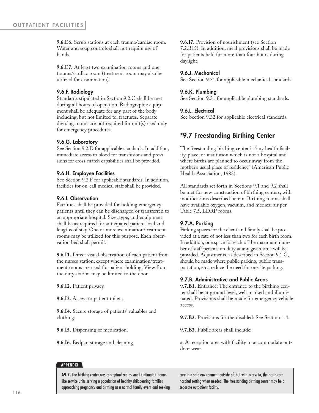**9.6.E6.** Scrub stations at each trauma/cardiac room. Water and soap controls shall not require use of hands.

**9.6.E7.** At least two examination rooms and one trauma/cardiac room (treatment room may also be utilized for examination).

# **9.6.F. Radiology**

Standards stipulated in Section 9.2.C shall be met during all hours of operation. Radiographic equipment shall be adequate for any part of the body including, but not limited to, fractures. Separate dressing rooms are not required for unit(s) used only for emergency procedures.

# **9.6.G. Laboratory**

See Section 9.2.D for applicable standards. In addition, immediate access to blood for transfusions and provisions for cross-match capabilities shall be provided.

## **9.6.H. Employee Facilities**

See Section 9.2.F for applicable standards. In addition, facilities for on-call medical staff shall be provided.

## **9.6.I. Observation**

Facilities shall be provided for holding emergency patients until they can be discharged or transferred to an appropriate hospital. Size, type, and equipment shall be as required for anticipated patient load and lengths of stay. One or more examination/treatment rooms may be utilized for this purpose. Each observation bed shall permit:

**9.6.I1.** Direct visual observation of each patient from the nurses station, except where examination/treatment rooms are used for patient holding. View from the duty station may be limited to the door.

**9.6.I2.** Patient privacy.

**9.6.I3.** Access to patient toilets.

**9.6.I4.** Secure storage of patients' valuables and clothing.

**9.6.I5.** Dispensing of medication.

**9.6.I6.** Bedpan storage and cleaning.

**9.6.I7.** Provision of nourishment (see Section 7.2.B15). In addition, meal provisions shall be made for patients held for more than four hours during daylight.

## **9.6.J. Mechanical**

See Section 9.31 for applicable mechanical standards.

# **9.6.K. Plumbing**

See Section 9.31 for applicable plumbing standards.

# **9.6.L. Electrical**

See Section 9.32 for applicable electrical standards.

# **\*9.7 Freestanding Birthing Center**

The freestanding birthing center is "any health facility, place, or institution which is not a hospital and where births are planned to occur away from the mother's usual place of residence" (American Public Health Association, 1982).

All standards set forth in Sections 9.1 and 9.2 shall be met for new construction of birthing centers, with modifications described herein. Birthing rooms shall have available oxygen, vacuum, and medical air per Table 7.5, LDRP rooms.

# **9.7.A. Parking**

Parking spaces for the client and family shall be provided at a rate of not less than two for each birth room. In addition, one space for each of the maximum number of staff persons on duty at any given time will be provided. Adjustments, as described in Section 9.1.G, should be made where public parking, public transportation, etc., reduce the need for on-site parking.

## **9.7.B. Administrative and Public Areas**

**9.7.B1.** Entrance: The entrance to the birthing center shall be at ground level, well marked and illuminated. Provisions shall be made for emergency vehicle access.

**9.7.B2.** Provisions for the disabled: See Section 1.4.

**9.7.B3.** Public areas shall include:

a. A reception area with facility to accommodate outdoor wear.

#### **APPENDIX**

**A9.7.** The birthing center was conceptualized as small (intimate), homelike service units serving a population of healthy childbearing families approaching pregnancy and birthing as a normal family event and seeking

care in a safe environment outside of, but with access to, the acute-care hospital setting when needed. The freestanding birthing center may be a separate outpatient facility.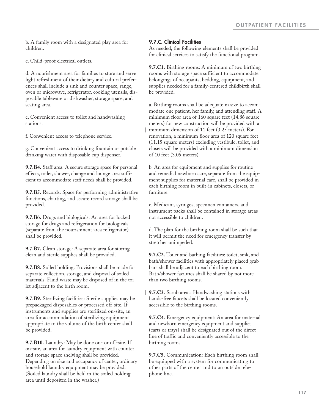b. A family room with a designated play area for children.

c. Child-proof electrical outlets.

d. A nourishment area for families to store and serve light refreshment of their dietary and cultural preferences shall include a sink and counter space, range, oven or microwave, refrigerator, cooking utensils, disposable tableware or dishwasher, storage space, and seating area.

e. Convenient access to toilet and handwashing stations.

f. Convenient access to telephone service.

g. Convenient access to drinking fountain or potable drinking water with disposable cup dispenser.

**9.7.B4.** Staff area: A secure storage space for personal effects, toilet, shower, change and lounge area sufficient to accommodate staff needs shall be provided.

**9.7.B5.** Records: Space for performing administrative functions, charting, and secure record storage shall be provided.

**9.7.B6.** Drugs and biologicals: An area for locked storage for drugs and refrigeration for biologicals (separate from the nourishment area refrigerator) shall be provided.

**9.7.B7.** Clean storage: A separate area for storing clean and sterile supplies shall be provided.

**9.7.B8.** Soiled holding: Provisions shall be made for separate collection, storage, and disposal of soiled materials. Fluid waste may be disposed of in the toilet adjacent to the birth room.

**9.7.B9.** Sterilizing facilities: Sterile supplies may be prepackaged disposables or processed off-site. If instruments and supplies are sterilized on-site, an area for accommodation of sterilizing equipment appropriate to the volume of the birth center shall be provided.

**9.7.B10.** Laundry: May be done on- or off-site. If on-site, an area for laundry equipment with counter and storage space shelving shall be provided. Depending on size and occupancy of center, ordinary household laundry equipment may be provided. (Soiled laundry shall be held in the soiled holding area until deposited in the washer.)

#### **9.7.C. Clinical Facilities**

As needed, the following elements shall be provided for clinical services to satisfy the functional program.

**9.7.C1.** Birthing rooms: A minimum of two birthing rooms with storage space sufficient to accommodate belongings of occupants, bedding, equipment, and supplies needed for a family-centered childbirth shall be provided.

a. Birthing rooms shall be adequate in size to accommodate one patient, her family, and attending staff. A minimum floor area of 160 square feet (14.86 square meters) for new construction will be provided with a minimum dimension of 11 feet (3.25 meters). For renovation, a minimum floor area of 120 square feet (11.15 square meters) excluding vestibule, toilet, and closets will be provided with a minimum dimension of 10 feet (3.05 meters).

b. An area for equipment and supplies for routine and remedial newborn care, separate from the equipment supplies for maternal care, shall be provided in each birthing room in built-in cabinets, closets, or furniture.

c. Medicant, syringes, specimen containers, and instrument packs shall be contained in storage areas not accessible to children.

d. The plan for the birthing room shall be such that it will permit the need for emergency transfer by stretcher unimpeded.

**9.7.C2.** Toilet and bathing facilities: toilet, sink, and bath/shower facilities with appropriately placed grab bars shall be adjacent to each birthing room. Bath/shower facilities shall be shared by not more than two birthing rooms.

**9.7.C3.** Scrub areas: Handwashing stations with hands-free faucets shall be located conveniently accessible to the birthing rooms.

**9.7.C4.** Emergency equipment: An area for maternal and newborn emergency equipment and supplies (carts or trays) shall be designated out of the direct line of traffic and conveniently accessible to the birthing rooms.

**9.7.C5.** Communication: Each birthing room shall be equipped with a system for communicating to other parts of the center and to an outside telephone line.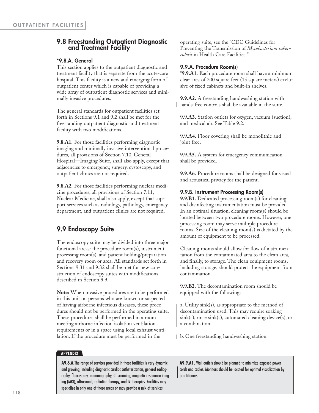# **9.8 Freestanding Outpatient Diagnostic and Treatment Facility**

#### **\*9.8.A. General**

This section applies to the outpatient diagnostic and treatment facility that is separate from the acute-care hospital. This facility is a new and emerging form of outpatient center which is capable of providing a wide array of outpatient diagnostic services and minimally invasive procedures.

The general standards for outpatient facilities set forth in Sections 9.1 and 9.2 shall be met for the freestanding outpatient diagnostic and treatment facility with two modifications.

**9.8.A1.** For those facilities performing diagnostic imaging and minimally invasive interventional procedures, all provisions of Section 7.10, General Hospital—Imaging Suite, shall also apply, except that adjacencies to emergency, surgery, cystoscopy, and outpatient clinics are not required.

**9.8.A2.** For those facilities performing nuclear medicine procedures, all provisions of Section 7.11, Nuclear Medicine, shall also apply, except that support services such as radiology, pathology, emergency department, and outpatient clinics are not required.

# **9.9 Endoscopy Suite**

The endoscopy suite may be divided into three major functional areas: the procedure room(s), instrument processing room(s), and patient holding/preparation and recovery room or area. All standards set forth in Sections 9.31 and 9.32 shall be met for new construction of endoscopy suites with modifications described in Section 9.9.

**Note:** When invasive procedures are to be performed in this unit on persons who are known or suspected of having airborne infectious diseases, these procedures should not be performed in the operating suite. These procedures shall be performed in a room meeting airborne infection isolation ventilation requirements or in a space using local exhaust ventilation. If the procedure must be performed in the

operating suite, see the "CDC Guidelines for Preventing the Transmission of *Mycobacterium tuberculosis* in Health Care Facilities."

#### **9.9.A. Procedure Room(s)**

**\*9.9.A1.** Each procedure room shall have a minimum clear area of 200 square feet (15 square meters) exclusive of fixed cabinets and built-in shelves.

**9.9.A2.** A freestanding handwashing station with hands-free controls shall be available in the suite.

**9.9.A3.** Station outlets for oxygen, vacuum (suction), and medical air. See Table 9.2.

**9.9.A4.** Floor covering shall be monolithic and joint free.

**9.9.A5.** A system for emergency communication shall be provided.

**9.9.A6.** Procedure rooms shall be designed for visual and acoustical privacy for the patient.

#### **9.9.B. Instrument Processing Room(s)**

**9.9.B1.** Dedicated processing room(s) for cleaning and disinfecting instrumentation must be provided. In an optimal situation, cleaning room(s) should be located between two procedure rooms. However, one processing room may serve multiple procedure rooms. Size of the cleaning room(s) is dictated by the amount of equipment to be processed.

Cleaning rooms should allow for flow of instrumentation from the contaminated area to the clean area, and finally, to storage. The clean equipment rooms, including storage, should protect the equipment from contamination.

**9.9.B2.** The decontamination room should be equipped with the following:

a. Utility sink(s), as appropriate to the method of decontamination used. This may require soaking sink(s), rinse sink(s), automated cleaning device(s), or a combination.

b. One freestanding handwashing station.

#### **APPENDIX**

**A9.8.A.**The range of services provided in these facilities is very dynamic and growing, including diagnostic cardiac catheterization, general radiography, fluoroscopy, mammography, CT scanning, magnetic resonance imaging (MRI), ultrasound, radiation therapy, and IV therapies. Facilities may specialize in only one of these areas or may provide a mix of services.

**A9.9.A1.** Wall outlets should be planned to minimize exposed power cords and cables. Monitors should be located for optimal visualization by practitioners.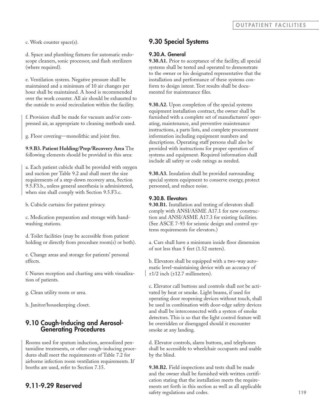c. Work counter space(s).

d. Space and plumbing fixtures for automatic endoscope cleaners, sonic processor, and flash sterilizers (where required).

e. Ventilation system. Negative pressure shall be maintained and a minimum of 10 air changes per hour shall be maintained. A hood is recommended over the work counter. All air should be exhausted to the outside to avoid recirculation within the facility.

f. Provision shall be made for vacuum and/or compressed air, as appropriate to cleaning methods used.

g. Floor covering—monolithic and joint free.

**9.9.B3. Patient Holding/Prep/Recovery Area** The following elements should be provided in this area:

a. Each patient cubicle shall be provided with oxygen and suction per Table 9.2 and shall meet the size requirements of a step-down recovery area, Section 9.5.F3.b., unless general anesthesia is administered, when size shall comply with Section 9.5.F3.c.

b. Cubicle curtains for patient privacy.

c. Medication preparation and storage with handwashing stations.

d. Toilet facilities (may be accessible from patient holding or directly from procedure room(s) or both).

e. Change areas and storage for patients' personal effects.

f. Nurses reception and charting area with visualization of patients.

g. Clean utility room or area.

h. Janitor/housekeeping closet.

# **9.10 Cough-Inducing and Aerosol- Generating Procedures**

Rooms used for sputum induction, aerosolized pentamidine treatments, or other cough-inducing procedures shall meet the requirements of Table 7.2 for airborne infection room ventilation requirements. If booths are used, refer to Section 7.15.

# **9.11-9.29 Reserved**

# **9.30 Special Systems**

#### **9.30.A. General**

**9.30.A1.** Prior to acceptance of the facility, all special systems shall be tested and operated to demonstrate to the owner or his designated representative that the installation and performance of these systems conform to design intent. Test results shall be documented for maintenance files.

**9.30.A2.** Upon completion of the special systems equipment installation contract, the owner shall be furnished with a complete set of manufacturers' operating, maintenance, and preventive maintenance instructions, a parts lists, and complete procurement information including equipment numbers and descriptions. Operating staff persons shall also be provided with instructions for proper operation of systems and equipment. Required information shall include all safety or code ratings as needed.

**9.30.A3.** Insulation shall be provided surrounding special system equipment to conserve energy, protect personnel, and reduce noise.

#### **9.30.B. Elevators**

**9.30.B1.** Installation and testing of elevators shall comply with ANSI/ASME A17.1 for new construction and ANSI/ASME A17.3 for existing facilities. (See ASCE 7-93 for seismic design and control systems requirements for elevators.)

a. Cars shall have a minimum inside floor dimension of not less than 5 feet (1.52 meters).

b. Elevators shall be equipped with a two-way automatic level-maintaining device with an accuracy of ±1/2 inch (±12.7 millimeters).

c. Elevator call buttons and controls shall not be activated by heat or smoke. Light beams, if used for operating door reopening devices without touch, shall be used in combination with door-edge safety devices and shall be interconnected with a system of smoke detectors. This is so that the light control feature will be overridden or disengaged should it encounter smoke at any landing.

d. Elevator controls, alarm buttons, and telephones shall be accessible to wheelchair occupants and usable by the blind.

**9.30.B2.** Field inspections and tests shall be made and the owner shall be furnished with written certification stating that the installation meets the requirements set forth in this section as well as all applicable safety regulations and codes.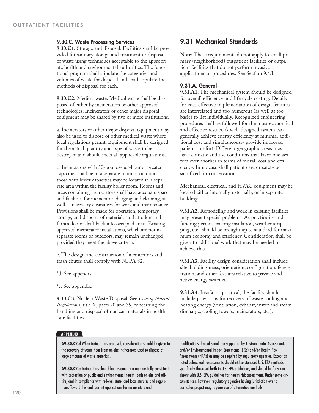#### **9.30.C. Waste Processing Services**

**9.30.C1.** Storage and disposal. Facilities shall be provided for sanitary storage and treatment or disposal of waste using techniques acceptable to the appropriate health and environmental authorities. The functional program shall stipulate the categories and volumes of waste for disposal and shall stipulate the methods of disposal for each.

**9.30.C2.** Medical waste. Medical waste shall be disposed of either by incineration or other approved technologies. Incinerators or other major disposal equipment may be shared by two or more institutions.

a. Incinerators or other major disposal equipment may also be used to dispose of other medical waste where local regulations permit. Equipment shall be designed for the actual quantity and type of waste to be destroyed and should meet all applicable regulations.

b. Incinerators with 50-pounds-per-hour or greater capacities shall be in a separate room or outdoors; those with lesser capacities may be located in a separate area within the facility boiler room. Rooms and areas containing incinerators shall have adequate space and facilities for incinerator charging and cleaning, as well as necessary clearances for work and maintenance. Provisions shall be made for operation, temporary storage, and disposal of materials so that odors and fumes do not drift back into occupied areas. Existing approved incinerator installations, which are not in separate rooms or outdoors, may remain unchanged provided they meet the above criteria.

c. The design and construction of incinerators and trash chutes shall comply with NFPA 82.

\*d. See appendix.

\*e. See appendix.

**9.30.C3.** Nuclear Waste Disposal. See *Code of Federal Regulations*, title X, parts 20 and 35, concerning the handling and disposal of nuclear materials in health care facilities.

# **9.31 Mechanical Standards**

**Note:** These requirements do not apply to small primary (neighborhood) outpatient facilities or outpatient facilities that do not perform invasive applications or procedures. See Section 9.4.I.

# **9.31.A. General**

**9.31.A1.** The mechanical system should be designed for overall efficiency and life cycle costing. Details for cost-effective implementation of design features are interrelated and too numerous (as well as too basic) to list individually. Recognized engineering procedures shall be followed for the most economical and effective results. A well-designed system can generally achieve energy efficiency at minimal additional cost and simultaneously provide improved patient comfort. Different geographic areas may have climatic and use conditions that favor one system over another in terms of overall cost and efficiency. In no case shall patient care or safety be sacrificed for conservation.

Mechanical, electrical, and HVAC equipment may be located either internally, externally, or in separate buildings.

**9.31.A2.** Remodeling and work in existing facilities may present special problems. As practicality and funding permit, existing insulation, weather stripping, etc., should be brought up to standard for maximum economy and efficiency. Consideration shall be given to additional work that may be needed to achieve this.

**9.31.A3.** Facility design consideration shall include site, building mass, orientation, configuration, fenestration, and other features relative to passive and active energy systems.

**9.31.A4.** Insofar as practical, the facility should include provisions for recovery of waste cooling and heating energy (ventilation, exhaust, water and steam discharge, cooling towers, incinerators, etc.).

#### **APPENDIX**

**A9.30.C2.d** When incinerators are used, consideration should be given to the recovery of waste heat from on-site incinerators used to dispose of large amounts of waste materials.

**A9.30.C2.e** Incinerators should be designed in a manner fully consistent with protection of public and environmental health, both on-site and offsite, and in compliance with federal, state, and local statutes and regulations. Toward this end, permit applications for incinerators and

modifications thereof should be supported by Environmental Assessments and/or Environmental Impact Statements (EISs) and/or Health Risk Assessments (HRAs) as may be required by regulatory agencies. Except as noted below, such assessments should utilize standard U.S. EPA methods, specifically those set forth in U.S. EPA guidelines, and should be fully consistent with U.S. EPA guidelines for health risk assessment. Under some circumstances, however, regulatory agencies having jurisdiction over a particular project may require use of alternative methods.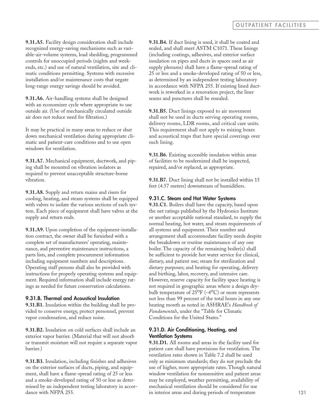**9.31.A5.** Facility design consideration shall include recognized energy-saving mechanisms such as variable-air-volume systems, load shedding, programmed controls for unoccupied periods (nights and weekends, etc.) and use of natural ventilation, site and climatic conditions permitting. Systems with excessive installation and/or maintenance costs that negate long-range energy savings should be avoided.

**9.31.A6.** Air-handling systems shall be designed with an economizer cycle where appropriate to use outside air. (Use of mechanically circulated outside air does not reduce need for filtration.)

It may be practical in many areas to reduce or shut down mechanical ventilation during appropriate climatic and patient-care conditions and to use open windows for ventilation.

**9.31.A7.** Mechanical equipment, ductwork, and piping shall be mounted on vibration isolators as required to prevent unacceptable structure-borne vibration.

**9.31.A8.** Supply and return mains and risers for cooling, heating, and steam systems shall be equipped with valves to isolate the various sections of each system. Each piece of equipment shall have valves at the supply and return ends.

**9.31.A9.** Upon completion of the equipment-installation contract, the owner shall be furnished with a complete set of manufacturers' operating, maintenance, and preventive maintenance instructions, a parts lists, and complete procurement information including equipment numbers and descriptions. Operating staff persons shall also be provided with instructions for properly operating systems and equipment. Required information shall include energy ratings as needed for future conservation calculations.

#### **9.31.B. Thermal and Acoustical Insulation**

**9.31.B1.** Insulation within the building shall be provided to conserve energy, protect personnel, prevent vapor condensation, and reduce noise.

**9.31.B2.** Insulation on cold surfaces shall include an exterior vapor barrier. (Material that will not absorb or transmit moisture will not require a separate vapor barrier.)

**9.31.B3.** Insulation, including finishes and adhesives on the exterior surfaces of ducts, piping, and equipment, shall have a flame-spread rating of 25 or less and a smoke-developed rating of 50 or less as determined by an independent testing laboratory in accordance with NFPA 255.

**9.31.B4.** If duct lining is used, it shall be coated and sealed, and shall meet ASTM C1071. These linings (including coatings, adhesives, and exterior surface insulation on pipes and ducts in spaces used as air supply plenums) shall have a flame-spread rating of 25 or less and a smoke-developed rating of 50 or less, as determined by an independent testing laboratory in accordance with NFPA 255. If existing lined ductwork is reworked in a renovation project, the liner seams and punctures shall be resealed.

**9.31.B5.** Duct linings exposed to air movement shall not be used in ducts serving operating rooms, delivery rooms, LDR rooms, and critical care units. This requirement shall not apply to mixing boxes and acoustical traps that have special coverings over such lining.

**9.31.B6.** Existing accessible insulation within areas of facilities to be modernized shall be inspected, repaired, and/or replaced, as appropriate.

**9.31.B7.** Duct lining shall not be installed within 15 feet (4.57 meters) downstream of humidifiers.

## **9.31.C. Steam and Hot Water Systems**

**9.31.C1.** Boilers shall have the capacity, based upon the net ratings published by the Hydronics Institute or another acceptable national standard, to supply the normal heating, hot water, and steam requirements of all systems and equipment. Their number and arrangement shall accommodate facility needs despite the breakdown or routine maintenance of any one boiler. The capacity of the remaining boiler(s) shall be sufficient to provide hot water service for clinical, dietary, and patient use; steam for sterilization and dietary purposes; and heating for operating, delivery and birthing, labor, recovery, and intensive care. However, reserve capacity for facility space heating is not required in geographic areas where a design drybulb temperature of  $25^{\circ}F(-4^{\circ}C)$  or more represents not less than 99 percent of the total hours in any one heating month as noted in ASHRAE's *Handbook of Fundamentals*, under the "Table for Climatic Conditions for the United States."

## **9.31.D. Air Conditioning, Heating, and Ventilation Systems**

**9.31.D1.** All rooms and areas in the facility used for patient care shall have provisions for ventilation. The ventilation rates shown in Table 7.2 shall be used only as minimum standards; they do not preclude the use of higher, more appropriate rates. Though natural window ventilation for nonsensitive and patient areas may be employed, weather permitting, availability of mechanical ventilation should be considered for use in interior areas and during periods of temperature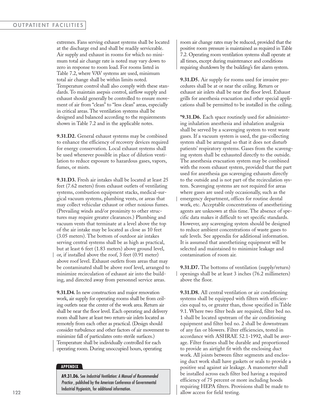extremes. Fans serving exhaust systems shall be located at the discharge end and shall be readily serviceable. Air supply and exhaust in rooms for which no minimum total air change rate is noted may vary down to zero in response to room load. For rooms listed in Table 7.2, where VAV systems are used, minimum total air change shall be within limits noted. Temperature control shall also comply with these standards. To maintain asepsis control, airflow supply and exhaust should generally be controlled to ensure movement of air from "clean" to "less clean" areas, especially in critical areas. The ventilation systems shall be designed and balanced according to the requirements shown in Table 7.2 and in the applicable notes.

**9.31.D2.** General exhaust systems may be combined to enhance the efficiency of recovery devices required for energy conservation. Local exhaust systems shall be used whenever possible in place of dilution ventilation to reduce exposure to hazardous gases, vapors, fumes, or mists.

**9.31.D3.** Fresh air intakes shall be located at least 25 feet (7.62 meters) from exhaust outlets of ventilating systems, combustion equipment stacks, medical-surgical vacuum systems, plumbing vents, or areas that may collect vehicular exhaust or other noxious fumes. (Prevailing winds and/or proximity to other structures may require greater clearances.) Plumbing and vacuum vents that terminate at a level above the top of the air intake may be located as close as 10 feet (3.05 meters). The bottom of outdoor air intakes serving central systems shall be as high as practical, but at least 6 feet (1.83 meters) above ground level,

or, if installed above the roof, 3 feet (0.91 meter) above roof level. Exhaust outlets from areas that may be contaminated shall be above roof level, arranged to minimize recirculation of exhaust air into the building, and directed away from personnel service areas.

**9.31.D4.** In new construction and major renovation work, air supply for operating rooms shall be from ceiling outlets near the center of the work area. Return air shall be near the floor level. Each operating and delivery room shall have at least two return-air inlets located as remotely from each other as practical. (Design should consider turbulence and other factors of air movement to minimize fall of particulates onto sterile surfaces.) Temperature shall be individually controlled for each operating room. During unoccupied hours, operating

#### **APPENDIX**

**A9.31.D6.** See Industrial Ventilation: A Manual of Recommended Practice , published by the American Conference of Governmental Industrial Hygienists, for additional information.

room air change rates may be reduced, provided that the positive room pressure is maintained as required in Table 7.2. Operating room ventilation systems shall operate at all times, except during maintenance and conditions requiring shutdown by the building's fire alarm system.

**9.31.D5.** Air supply for rooms used for invasive procedures shall be at or near the ceiling. Return or exhaust air inlets shall be near the floor level. Exhaust grills for anesthesia evacuation and other special applications shall be permitted to be installed in the ceiling.

**\*9.31.D6.** Each space routinely used for administering inhalation anesthesia and inhalation analgesia shall be served by a scavenging system to vent waste gases. If a vacuum system is used, the gas-collecting system shall be arranged so that it does not disturb patients' respiratory systems. Gases from the scavenging system shall be exhausted directly to the outside. The anesthesia evacuation system may be combined with the room exhaust system, provided that the part used for anesthesia gas scavenging exhausts directly to the outside and is not part of the recirculation system. Scavenging systems are not required for areas where gases are used only occasionally, such as the emergency department, offices for routine dental work, etc. Acceptable concentrations of anesthetizing agents are unknown at this time. The absence of specific data makes it difficult to set specific standards. However, any scavenging system should be designed to reduce ambient concentrations of waste gases to safe levels. See appendix for additional information. It is assumed that anesthetizing equipment will be selected and maintained to minimize leakage and contamination of room air.

**9.31.D7.** The bottoms of ventilation (supply/return) openings shall be at least 3 inches (76.2 millimeters) above the floor.

**9.31.D8.** All central ventilation or air conditioning systems shall be equipped with filters with efficiencies equal to, or greater than, those specified in Table 9.1. Where two filter beds are required, filter bed no. 1 shall be located upstream of the air conditioning equipment and filter bed no. 2 shall be downstream of any fan or blowers. Filter efficiencies, tested in accordance with ASHRAE 52.1-1992, shall be average. Filter frames shall be durable and proportioned to provide an airtight fit with the enclosing duct work. All joints between filter segments and enclosing duct work shall have gaskets or seals to provide a positive seal against air leakage. A manometer shall be installed across each filter bed having a required efficiency of 75 percent or more including hoods requiring HEPA filters. Provisions shall be made to allow access for field testing.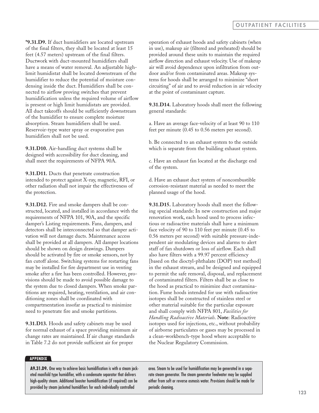**\*9.31.D9.** If duct humidifiers are located upstream of the final filters, they shall be located at least 15 feet (4.57 meters) upstream of the final filters. Ductwork with duct-mounted humidifiers shall have a means of water removal. An adjustable highlimit humidistat shall be located downstream of the humidifier to reduce the potential of moisture condensing inside the duct. Humidifiers shall be connected to airflow proving switches that prevent humidification unless the required volume of airflow is present or high limit humidistats are provided. All duct takeoffs should be sufficiently downstream of the humidifier to ensure complete moisture absorption. Steam humidifiers shall be used. Reservoir-type water spray or evaporative pan humidifiers shall not be used.

**9.31.D10.** Air-handling duct systems shall be designed with accessibility for duct cleaning, and shall meet the requirements of NFPA 90A.

**9.31.D11.** Ducts that penetrate construction intended to protect against X-ray, magnetic, RFI, or other radiation shall not impair the effectiveness of the protection.

**9.31.D12.** Fire and smoke dampers shall be constructed, located, and installed in accordance with the requirements of NFPA 101, 90A, and the specific damper's Listing requirements. Fans, dampers, and detectors shall be interconnected so that damper activation will not damage ducts. Maintenance access shall be provided at all dampers. All damper locations should be shown on design drawings. Dampers should be activated by fire or smoke sensors, not by fan cutoff alone. Switching systems for restarting fans may be installed for fire department use in venting smoke after a fire has been controlled. However, provisions should be made to avoid possible damage to the system due to closed dampers. When smoke partitions are required, heating, ventilation, and air conditioning zones shall be coordinated with compartmentation insofar as practical to minimize need to penetrate fire and smoke partitions.

**9.31.D13.** Hoods and safety cabinets may be used for normal exhaust of a space providing minimum air change rates are maintained. If air change standards in Table 7.2 do not provide sufficient air for proper

operation of exhaust hoods and safety cabinets (when in use), makeup air (filtered and preheated) should be provided around these units to maintain the required airflow direction and exhaust velocity. Use of makeup air will avoid dependence upon infiltration from outdoor and/or from contaminated areas. Makeup systems for hoods shall be arranged to minimize "short circuiting" of air and to avoid reduction in air velocity at the point of contaminant capture.

**9.31.D14.** Laboratory hoods shall meet the following general standards:

a. Have an average face-velocity of at least 90 to 110 feet per minute (0.45 to 0.56 meters per second).

b. Be connected to an exhaust system to the outside which is separate from the building exhaust system.

c. Have an exhaust fan located at the discharge end of the system.

d. Have an exhaust duct system of noncombustible corrosion-resistant material as needed to meet the planned usage of the hood.

**9.31.D15.** Laboratory hoods shall meet the following special standards: In new construction and major renovation work, each hood used to process infectious or radioactive materials shall have a minimum face velocity of 90 to 110 feet per minute (0.45 to 0.56 meters per second) with suitable pressure-independent air modulating devices and alarms to alert staff of fan shutdown or loss of airflow. Each shall also have filters with a 99.97 percent efficiency [based on the dioctyl-phthalate (DOP) test method] in the exhaust stream, and be designed and equipped to permit the safe removal, disposal, and replacement of contaminated filters. Filters shall be as close to the hood as practical to minimize duct contamination. Fume hoods intended for use with radioactive isotopes shall be constructed of stainless steel or other material suitable for the particular exposure and shall comply with NFPA 801, *Facilities for Handling Radioactive Materials*. **Note**: Radioactive isotopes used for injections, etc., without probability of airborne particulates or gases may be processed in a clean-workbench-type hood where acceptable to the Nuclear Regulatory Commission.

#### **APPENDIX**

**A9.31.D9.** One way to achieve basic humidification is with a steam jacketed manifold type humidifier, with a condensate separator that delivers high-quality steam. Additional booster humidification (if required) can be provided by steam jacketed humidifiers for each individually controlled

area. Steam to be used for humidification may be generated in a separate steam generator. The steam generator feedwater may be supplied either from soft or reverse osmosis water. Provisions should be made for periodic cleaning.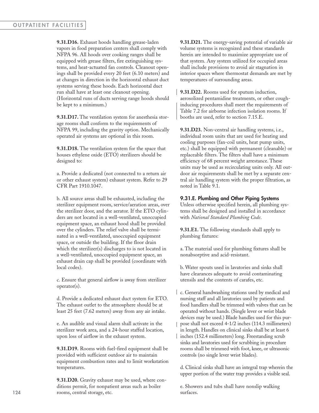**9.31.D16.** Exhaust hoods handling grease-laden vapors in food preparation centers shall comply with NFPA 96. All hoods over cooking ranges shall be equipped with grease filters, fire extinguishing systems, and heat-actuated fan controls. Cleanout openings shall be provided every 20 feet (6.10 meters) and at changes in direction in the horizontal exhaust duct systems serving these hoods. Each horizontal duct run shall have at least one cleanout opening. (Horizontal runs of ducts serving range hoods should be kept to a minimum.)

**9.31.D17.** The ventilation system for anesthesia storage rooms shall conform to the requirements of NFPA 99, including the gravity option. Mechanically operated air systems are optional in this room.

**9.31.D18.** The ventilation system for the space that houses ethylene oxide (ETO) sterilizers should be designed to:

a. Provide a dedicated (not connected to a return air or other exhaust system) exhaust system. Refer to 29 CFR Part 1910.1047.

b. All source areas shall be exhausted, including the sterilizer equipment room, service/aeration areas, over the sterilizer door, and the aerator. If the ETO cylinders are not located in a well-ventilated, unoccupied equipment space, an exhaust hood shall be provided over the cylinders. The relief valve shall be terminated in a well-ventilated, unoccupied equipment space, or outside the building. If the floor drain which the sterilizer(s) discharges to is not located in a well-ventilated, unoccupied equipment space, an exhaust drain cap shall be provided (coordinate with local codes).

c. Ensure that general airflow is away from sterilizer operator(s).

d. Provide a dedicated exhaust duct system for ETO. The exhaust outlet to the atmosphere should be at least 25 feet (7.62 meters) away from any air intake.

e. An audible and visual alarm shall activate in the sterilizer work area, and a 24-hour staffed location, upon loss of airflow in the exhaust system.

**9.31.D19.** Rooms with fuel-fired equipment shall be provided with sufficient outdoor air to maintain equipment combustion rates and to limit workstation temperatures.

**9.31.D20.** Gravity exhaust may be used, where conditions permit, for nonpatient areas such as boiler rooms, central storage, etc.

**9.31.D21.** The energy-saving potential of variable air volume systems is recognized and these standards herein are intended to maximize appropriate use of that system. Any system utilized for occupied areas shall include provisions to avoid air stagnation in interior spaces where thermostat demands are met by temperatures of surrounding areas.

**9.31.D22.** Rooms used for sputum induction, aerosolized pentamidine treatments, or other coughinducing procedures shall meet the requirements of Table 7.2 for airborne infection isolation rooms. If booths are used, refer to section 7.15.E.

**9.31.D23.** Non-central air handling systems, i.e., individual room units that are used for heating and cooling purposes (fan-coil units, heat pump units, etc.) shall be equipped with permanent (cleanable) or replaceable filters. The filters shall have a minimum efficiency of 68 percent weight arrestance. These units may be used as recirculating units only. All outdoor air requirements shall be met by a separate central air handling system with the proper filtration, as noted in Table 9.1.

#### **9.31.E. Plumbing and Other Piping Systems**

Unless otherwise specified herein, all plumbing systems shall be designed and installed in accordance with *National Standard Plumbing Code*.

**9.31.E1.** The following standards shall apply to plumbing fixtures:

a. The material used for plumbing fixtures shall be nonabsorptive and acid-resistant.

b. Water spouts used in lavatories and sinks shall have clearances adequate to avoid contaminating utensils and the contents of carafes, etc.

- c. General handwashing stations used by medical and nursing staff and all lavatories used by patients and food handlers shall be trimmed with valves that can be operated without hands. (Single lever or wrist blade devices may be used.) Blade handles used for this pur-
- pose shall not exceed 4-1/2 inches (114.3 millimeters) in length. Handles on clinical sinks shall be at least 6
- inches (152.4 millimeters) long. Freestanding scrub sinks and lavatories used for scrubbing in procedure rooms shall be trimmed with foot, knee, or ultrasonic controls (no single lever wrist blades).

d. Clinical sinks shall have an integral trap wherein the upper portion of the water trap provides a visible seal.

e. Showers and tubs shall have nonslip walking surfaces.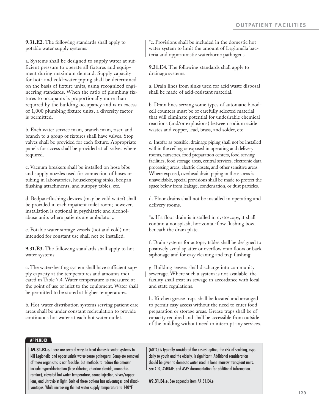**9.31.E2.** The following standards shall apply to potable water supply systems:

a. Systems shall be designed to supply water at sufficient pressure to operate all fixtures and equipment during maximum demand. Supply capacity for hot- and cold-water piping shall be determined on the basis of fixture units, using recognized engineering standards. When the ratio of plumbing fixtures to occupants is proportionally more than required by the building occupancy and is in excess of 1,000 plumbing fixture units, a diversity factor is permitted.

b. Each water service main, branch main, riser, and branch to a group of fixtures shall have valves. Stop valves shall be provided for each fixture. Appropriate panels for access shall be provided at all valves where required.

c. Vacuum breakers shall be installed on hose bibs and supply nozzles used for connection of hoses or tubing in laboratories, housekeeping sinks, bedpanflushing attachments, and autopsy tables, etc.

d. Bedpan-flushing devices (may be cold water) shall be provided in each inpatient toilet room; however, installation is optional in psychiatric and alcoholabuse units where patients are ambulatory.

e. Potable water storage vessels (hot and cold) not intended for constant use shall not be installed.

**9.31.E3.** The following standards shall apply to hot water systems:

a. The water-heating system shall have sufficient supply capacity at the temperatures and amounts indicated in Table 7.4. Water temperature is measured at the point of use or inlet to the equipment. Water shall be permitted to be stored at higher temperatures.

b. Hot-water distribution systems serving patient care areas shall be under constant recirculation to provide continuous hot water at each hot water outlet.

\*c. Provisions shall be included in the domestic hot water system to limit the amount of Legionella bacteria and opportunistic waterborne pathogens.

**9.31.E4.** The following standards shall apply to drainage systems:

a. Drain lines from sinks used for acid waste disposal shall be made of acid-resistant material.

b. Drain lines serving some types of automatic bloodcell counters must be of carefully selected material that will eliminate potential for undesirable chemical reactions (and/or explosions) between sodium azide wastes and copper, lead, brass, and solder, etc.

c. Insofar as possible, drainage piping shall not be installed within the ceiling or exposed in operating and delivery rooms, nurseries, food preparation centers, food serving facilities, food storage areas, central services, electronic data processing areas, electric closets, and other sensitive areas. Where exposed, overhead drain piping in these areas is unavoidable, special provisions shall be made to protect the space below from leakage, condensation, or dust particles.

d. Floor drains shall not be installed in operating and delivery rooms.

\*e. If a floor drain is installed in cystoscopy, it shall contain a nonsplash, horizontal-flow flushing bowl beneath the drain plate.

f. Drain systems for autopsy tables shall be designed to positively avoid splatter or overflow onto floors or back siphonage and for easy cleaning and trap flushing.

g. Building sewers shall discharge into community sewerage. Where such a system is not available, the facility shall treat its sewage in accordance with local and state regulations.

h. Kitchen grease traps shall be located and arranged to permit easy access without the need to enter food preparation or storage areas. Grease traps shall be of capacity required and shall be accessible from outside of the building without need to interrupt any services.

#### **APPENDIX**

**A9.31.E3.c.** There are several ways to treat domestic water systems to kill Legionella and opportunistic water-borne pathogens. Complete removal of these organisms is not feasible, but methods to reduce the amount include hyperchlorination (free chlorine, chlorine dioxide, monochloramine), elevated hot water temperature, ozone injection, silver/copper ions, and ultraviolet light. Each of these options has advantages and disadvantages. While increasing the hot water supply temperature to 140°F

(60°C) is typically considered the easiest option, the risk of scalding, especially to youth and the elderly, is significant. Additional consideration should be given to domestic water used in bone marrow transplant units. See CDC, ASHRAE, and ASPE documentation for additional information.

**A9.31.E4.e.** See appendix item A7.31.E4.e.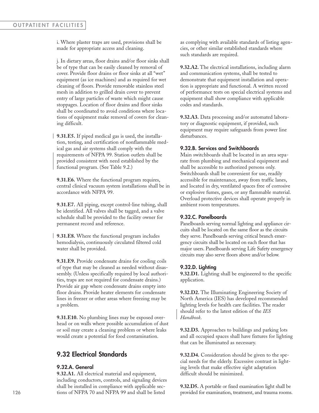i. Where plaster traps are used, provisions shall be made for appropriate access and cleaning.

j. In dietary areas, floor drains and/or floor sinks shall be of type that can be easily cleaned by removal of cover. Provide floor drains or floor sinks at all "wet" equipment (as ice machines) and as required for wet cleaning of floors. Provide removable stainless steel mesh in addition to grilled drain cover to prevent entry of large particles of waste which might cause stoppages. Location of floor drains and floor sinks shall be coordinated to avoid conditions where locations of equipment make removal of covers for cleaning difficult.

**9.31.E5.** If piped medical gas is used, the installation, testing, and certification of nonflammable medical gas and air systems shall comply with the requirements of NFPA 99. Station outlets shall be provided consistent with need established by the functional program. (See Table 9.2.)

**9.31.E6.** Where the functional program requires, central clinical vacuum system installations shall be in accordance with NFPA 99.

**9.31.E7.** All piping, except control-line tubing, shall be identified. All valves shall be tagged, and a valve schedule shall be provided to the facility owner for permanent record and reference.

**9.31.E8.** Where the functional program includes hemodialysis, continuously circulated filtered cold water shall be provided.

**9.31.E9.** Provide condensate drains for cooling coils of type that may be cleaned as needed without disassembly. (Unless specifically required by local authorities, traps are not required for condensate drains.) Provide air gap where condensate drains empty into floor drains. Provide heater elements for condensate lines in freezer or other areas where freezing may be a problem.

**9.31.E10.** No plumbing lines may be exposed overhead or on walls where possible accumulation of dust or soil may create a cleaning problem or where leaks would create a potential for food contamination.

# **9.32 Electrical Standards**

## **9.32.A. General**

**9.32.A1.** All electrical material and equipment, including conductors, controls, and signaling devices shall be installed in compliance with applicable sections of NFPA 70 and NFPA 99 and shall be listed

as complying with available standards of listing agencies, or other similar established standards where such standards are required.

**9.32.A2.** The electrical installations, including alarm and communication systems, shall be tested to demonstrate that equipment installation and operation is appropriate and functional. A written record of performance tests on special electrical systems and equipment shall show compliance with applicable codes and standards.

**9.32.A3.** Data processing and/or automated laboratory or diagnostic equipment, if provided, such equipment may require safeguards from power line disturbances.

#### **9.32.B. Services and Switchboards**

Main switchboards shall be located in an area separate from plumbing and mechanical equipment and shall be accessible to authorized persons only. Switchboards shall be convenient for use, readily accessible for maintenance, away from traffic lanes, and located in dry, ventilated spaces free of corrosive or explosive fumes, gases, or any flammable material. Overload protective devices shall operate properly in ambient room temperatures.

#### **9.32.C. Panelboards**

Panelboards serving normal lighting and appliance circuits shall be located on the same floor as the circuits they serve. Panelboards serving critical branch emergency circuits shall be located on each floor that has major users. Panelboards serving Life Safety emergency circuits may also serve floors above and/or below.

#### **9.32.D. Lighting**

**9.32.D1.** Lighting shall be engineered to the specific application.

**9.32.D2.** The Illuminating Engineering Society of North America (IES) has developed recommended lighting levels for health care facilities. The reader should refer to the latest edition of the *IES Handbook*.

**9.32.D3.** Approaches to buildings and parking lots and all occupied spaces shall have fixtures for lighting that can be illuminated as necessary.

**9.32.D4.** Consideration should be given to the special needs for the elderly. Excessive contrast in lighting levels that make effective sight adaptation difficult should be minimized.

**9.32.D5.** A portable or fixed examination light shall be provided for examination, treatment, and trauma rooms.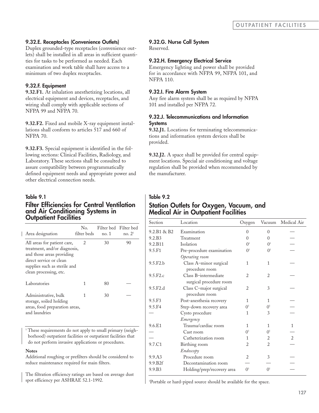## **9.32.E. Receptacles (Convenience Outlets)**

Duplex grounded-type receptacles (convenience outlets) shall be installed in all areas in sufficient quantities for tasks to be performed as needed. Each examination and work table shall have access to a minimum of two duplex receptacles.

# **9.32.F. Equipment**

**9.32.F1.** At inhalation anesthetizing locations, all electrical equipment and devices, receptacles, and wiring shall comply with applicable sections of NFPA 99 and NFPA 70.

**9.32.F2.** Fixed and mobile X-ray equipment installations shall conform to articles 517 and 660 of NFPA 70.

**9.32.F3.** Special equipment is identified in the following sections: Clinical Facilities, Radiology, and Laboratory. These sections shall be consulted to assure compatibility between programmatically defined equipment needs and appropriate power and other electrical connection needs.

# **Table 9.1 Filter Efficiencies for Central Ventilation and Air Conditioning Systems in Outpatient Facilities**

| Area designation                                                                                                                                                              | No.<br>filter beds | Filter bed Filter bed<br>no. 1 | no. $2^{1}$ |
|-------------------------------------------------------------------------------------------------------------------------------------------------------------------------------|--------------------|--------------------------------|-------------|
| All areas for patient care,<br>treatment, and/or diagnosis,<br>and those areas providing<br>direct service or clean<br>supplies such as sterile and<br>clean processing, etc. | 2                  | 30                             | 90          |
| Laboratories                                                                                                                                                                  | 1                  | 80                             |             |
| Administrative, bulk<br>storage, soiled holding<br>areas, food preparation areas,<br>and laundries                                                                            | 1                  | 30                             |             |

<sup>1</sup> These requirements do not apply to small primary (neighborhood) outpatient facilities or outpatient facilities that do not perform invasive applications or procedures.

#### **Notes**

Additional roughing or prefilters should be considered to reduce maintenance required for main filters.

The filtration efficiency ratings are based on average dust spot efficiency per ASHRAE 52.1-1992.

# **9.32.G. Nurse Call System**

Reserved.

# **9.32.H. Emergency Electrical Service**

Emergency lighting and power shall be provided for in accordance with NFPA 99, NFPA 101, and NFPA 110.

## **9.32.I. Fire Alarm System**

Any fire alarm system shall be as required by NFPA 101 and installed per NFPA 72.

## **9.32.J. Telecommunications and Information Systems**

**9.32.J1.** Locations for terminating telecommunications and information system devices shall be provided.

**9.32.J2.** A space shall be provided for central equipment locations. Special air conditioning and voltage regulation shall be provided when recommended by the manufacturer.

# **Table 9.2**

# **Station Outlets for Oxygen, Vacuum, and Medical Air in Outpatient Facilities**

| Section     | Location                                 | Oxygen            | Vacuum            | Medical Air    |  |
|-------------|------------------------------------------|-------------------|-------------------|----------------|--|
| 9.2.B1 & B2 | Examination                              | $\theta$          | $\mathbf{0}$      |                |  |
| 9.2.B3      | Treatment                                | $\theta$          | $\theta$          |                |  |
| 9.2.B11     | Isolation                                | $()$ <sup>1</sup> | $()$ <sup>1</sup> |                |  |
| 9.5.F1      | Pre-procedure examination                | 0 <sup>1</sup>    | 0 <sup>1</sup>    |                |  |
|             | Operating room                           |                   |                   |                |  |
| 9.5.F2.b    | Class A-minor surgical                   | $\mathbf{1}$      | $\mathbf{1}$      |                |  |
|             | procedure room                           |                   |                   |                |  |
| 9.5.F2.c    | Class B-intermediate                     | 2                 | 2                 |                |  |
|             | surgical procedure room                  |                   |                   |                |  |
| 9.5.F2.d    | Class C-major surgical<br>procedure room | 2                 | 3                 |                |  |
| 9.5.F3      | Post-anesthesia recovery                 | 1                 | 1                 |                |  |
| 9.5.F4      | Step-down recovery area                  | 0 <sup>1</sup>    | 0 <sup>1</sup>    |                |  |
|             | Cysto procedure                          | 1                 | 3                 |                |  |
|             | Emergency                                |                   |                   |                |  |
| 9.6.E1      | Trauma/cardiac room                      | 1                 | 1                 | $\mathbf{1}$   |  |
|             | Cast room                                | 0 <sup>1</sup>    | 0 <sup>1</sup>    |                |  |
|             | Catheterization room                     | 1                 | 2                 | $\overline{2}$ |  |
| 9.7.C1      | Birthing room                            | 2                 | $\overline{2}$    |                |  |
|             | Endoscopy                                |                   |                   |                |  |
| 9.9.A3      | Procedure room                           | $\overline{2}$    | 3                 |                |  |
| 9.9.B2f     | Decontamination room                     |                   |                   |                |  |
| 9.9.B3      | Holding/prep/recovery area               | 0 <sup>1</sup>    | 0 <sup>1</sup>    |                |  |
|             |                                          |                   |                   |                |  |

1 Portable or hard-piped source should be available for the space.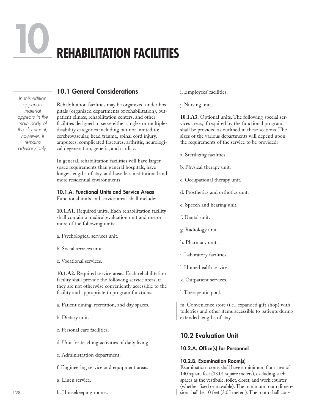In this edition appendix material appears in the main body of the document; however, it remains advisory only.

## **10.1 General Considerations**

Rehabilitation facilities may be organized under hospitals (organized departments of rehabilitation), outpatient clinics, rehabilitation centers, and other facilities designed to serve either single- or multipledisability categories including but not limited to: cerebrovascular, head trauma, spinal cord injury, amputees, complicated fractures, arthritis, neurological degeneration, genetic, and cardiac.

In general, rehabilitation facilities will have larger space requirements than general hospitals, have longer lengths of stay, and have less institutional and more residential environments.

#### **10.1.A. Functional Units and Service Areas**

Functional units and service areas shall include:

**10.1.A1.** Required units. Each rehabilitation facility shall contain a medical evaluation unit and one or more of the following units:

a. Psychological services unit.

b. Social services unit.

c. Vocational services.

**10.1.A2.** Required service areas. Each rehabilitation facility shall provide the following service areas, if they are not otherwise conveniently accessible to the facility and appropriate to program functions:

a. Patient dining, recreation, and day spaces.

- b. Dietary unit.
- c. Personal care facilities.
- d. Unit for teaching activities of daily living.
- e. Administration department.
- f. Engineering service and equipment areas.
- g. Linen service.
- h. Housekeeping rooms.
- i. Employees' facilities.
- j. Nursing unit.

**10.1.A3.** Optional units. The following special services areas, if required by the functional program, shall be provided as outlined in these sections. The sizes of the various departments will depend upon the requirements of the service to be provided:

- a. Sterilizing facilities.
- b. Physical therapy unit.
- c. Occupational therapy unit.
- d. Prosthetics and orthotics unit.
- e. Speech and hearing unit.
- f. Dental unit.
- g. Radiology unit.
- h. Pharmacy unit.
- i. Laboratory facilities.
- j. Home health service.
- k. Outpatient services.
- l. Therapeutic pool.

m. Convenience store (i.e., expanded gift shop) with toiletries and other items accessible to patients during extended lengths of stay.

## **10.2 Evaluation Unit**

#### **10.2.A. Office(s) for Personnel**

#### **10.2.B. Examination Room(s)**

Examination rooms shall have a minimum floor area of 140 square feet (13.01 square meters), excluding such spaces as the vestibule, toilet, closet, and work counter (whether fixed or movable). The minimum room dimension shall be 10 feet (3.05 meters). The room shall con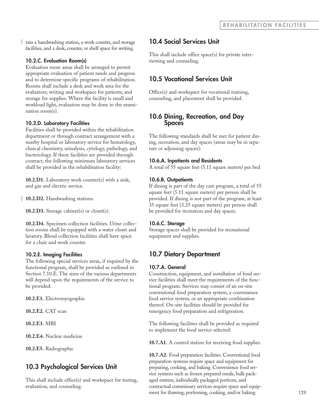tain a handwashing station, a work counter, and storage facilities, and a desk, counter, or shelf space for writing.

#### **10.2.C. Evaluation Room(s)**

Evaluation room areas shall be arranged to permit appropriate evaluation of patient needs and progress and to determine specific programs of rehabilitation. Rooms shall include a desk and work area for the evaluators; writing and workspace for patients; and storage for supplies. Where the facility is small and workload light, evaluation may be done in the examination room(s).

#### **10.2.D. Laboratory Facilities**

Facilities shall be provided within the rehabilitation department or through contract arrangement with a nearby hospital or laboratory service for hematology, clinical chemistry, urinalysis, cytology, pathology, and bacteriology. If these facilities are provided through contract, the following minimum laboratory services shall be provided in the rehabilitation facility:

**10.2.D1.** Laboratory work counter(s) with a sink, and gas and electric service.

**10.2.D2.** Handwashing stations.

**10.2.D3.** Storage cabinet(s) or closet(s).

**10.2.D4.** Specimen collection facilities. Urine collection rooms shall be equipped with a water closet and lavatory. Blood collection facilities shall have space for a chair and work counter.

#### **10.2.E. Imaging Facilities**

The following special services areas, if required by the functional program, shall be provided as outlined in Section 7.10.E. The sizes of the various departments will depend upon the requirements of the service to be provided:

**10.2.E1.** Electromyographic

**10.2.E2.** CAT scan

**10.2.E3.** MRI

**10.2.E4.** Nuclear medicine

**10.2.E5.** Radiographic

## **10.3 Psychological Services Unit**

This shall include office(s) and workspace for testing, evaluation, and counseling.

## **10.4 Social Services Unit**

This shall include office space(s) for private interviewing and counseling.

## **10.5 Vocational Services Unit**

Office(s) and workspace for vocational training, counseling, and placement shall be provided.

## **10.6 Dining, Recreation, and Day Spaces**

The following standards shall be met for patient dining, recreation, and day spaces (areas may be in separate or adjoining spaces):

#### **10.6.A. Inpatients and Residents**

A total of 55 square feet (5.11 square meters) per bed.

#### **10.6.B. Outpatients**

If dining is part of the day care program, a total of 55 square feet (5.11 square meters) per person shall be provided. If dining is not part of the program, at least 35 square feet (3.25 square meters) per person shall be provided for recreation and day spaces.

#### **10.6.C. Storage**

Storage spaces shall be provided for recreational equipment and supplies.

## **10.7 Dietary Department**

#### **10.7.A. General**

Construction, equipment, and installation of food service facilities shall meet the requirements of the functional program. Services may consist of an on-site conventional food preparation system, a convenience food service system, or an appropriate combination thereof. On-site facilities should be provided for emergency food preparation and refrigeration.

The following facilities shall be provided as required to implement the food service selected:

**10.7.A1.** A control station for receiving food supplies.

**10.7.A2.** Food preparation facilities. Conventional food preparation systems require space and equipment for preparing, cooking, and baking. Convenience food service systems such as frozen prepared meals, bulk packaged entrees, individually packaged portions, and contractual commissary services require space and equipment for thawing, portioning, cooking, and/or baking.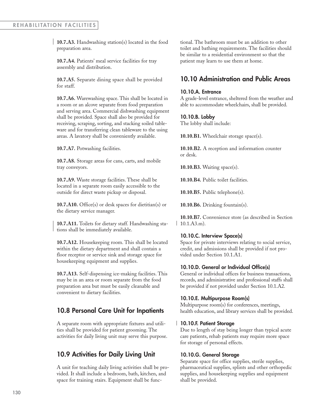**10.7.A3.** Handwashing station(s) located in the food preparation area.

**10.7.A4.** Patients' meal service facilities for tray assembly and distribution.

**10.7.A5.** Separate dining space shall be provided for staff.

**10.7.A6.** Warewashing space. This shall be located in a room or an alcove separate from food preparation and serving area. Commercial dishwashing equipment shall be provided. Space shall also be provided for receiving, scraping, sorting, and stacking soiled tableware and for transferring clean tableware to the using areas. A lavatory shall be conveniently available.

**10.7.A7.** Potwashing facilities.

**10.7.A8.** Storage areas for cans, carts, and mobile tray conveyors.

**10.7.A9.** Waste storage facilities. These shall be located in a separate room easily accessible to the outside for direct waste pickup or disposal.

**10.7.A10.** Office(s) or desk spaces for dietitian(s) or the dietary service manager.

**10.7.A11.** Toilets for dietary staff. Handwashing stations shall be immediately available.

**10.7.A12.** Housekeeping room. This shall be located within the dietary department and shall contain a floor receptor or service sink and storage space for housekeeping equipment and supplies.

**10.7.A13.** Self-dispensing ice-making facilities. This may be in an area or room separate from the food preparation area but must be easily cleanable and convenient to dietary facilities.

## **10.8 Personal Care Unit for Inpatients**

A separate room with appropriate fixtures and utilities shall be provided for patient grooming. The activities for daily living unit may serve this purpose.

## **10.9 Activities for Daily Living Unit**

A unit for teaching daily living activities shall be provided. It shall include a bedroom, bath, kitchen, and space for training stairs. Equipment shall be func-

tional. The bathroom must be an addition to other toilet and bathing requirements. The facilities should be similar to a residential environment so that the patient may learn to use them at home.

## **10.10 Administration and Public Areas**

#### **10.10.A. Entrance**

A grade-level entrance, sheltered from the weather and able to accommodate wheelchairs, shall be provided.

#### **10.10.B. Lobby**

The lobby shall include:

**10.10.B1.** Wheelchair storage space(s).

**10.10.B2.** A reception and information counter or desk.

**10.10.B3.** Waiting space(s).

**10.10.B4.** Public toilet facilities.

**10.10.B5.** Public telephone(s).

**10.10.B6.** Drinking fountain(s).

**10.10.B7.** Convenience store (as described in Section  $10.1.A3.m.$ 

#### **10.10.C. Interview Space(s)**

Space for private interviews relating to social service, credit, and admissions shall be provided if not provided under Section 10.1.A1.

#### **10.10.D. General or Individual Office(s)**

General or individual offices for business transactions, records, and administrative and professional staffs shall be provided if not provided under Section 10.1.A2.

#### **10.10.E. Multipurpose Room(s)**

Multipurpose room(s) for conferences, meetings, health education, and library services shall be provided.

#### **10.10.F. Patient Storage**

Due to length of stay being longer than typical acute care patients, rehab patients may require more space for storage of personal effects.

#### **10.10.G. General Storage**

Separate space for office supplies, sterile supplies, pharmaceutical supplies, splints and other orthopedic supplies, and housekeeping supplies and equipment shall be provided.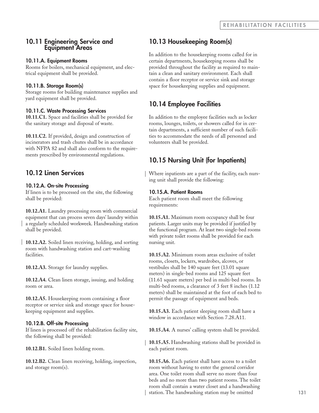## **10.11 Engineering Service and Equipment Areas**

#### **10.11.A. Equipment Rooms**

Rooms for boilers, mechanical equipment, and electrical equipment shall be provided.

#### **10.11.B. Storage Room(s)**

Storage rooms for building maintenance supplies and yard equipment shall be provided.

#### **10.11.C. Waste Processing Services**

**10.11.C1.** Space and facilities shall be provided for the sanitary storage and disposal of waste.

**10.11.C2.** If provided, design and construction of incinerators and trash chutes shall be in accordance with NFPA 82 and shall also conform to the requirements prescribed by environmental regulations.

## **10.12 Linen Services**

#### **10.12.A. On-site Processing**

If linen is to be processed on the site, the following shall be provided:

**10.12.A1.** Laundry processing room with commercial equipment that can process seven days' laundry within a regularly scheduled workweek. Handwashing station shall be provided.

**10.12.A2.** Soiled linen receiving, holding, and sorting room with handwashing station and cart-washing facilities.

**10.12.A3.** Storage for laundry supplies.

**10.12.A4.** Clean linen storage, issuing, and holding room or area.

**10.12.A5.** Housekeeping room containing a floor receptor or service sink and storage space for housekeeping equipment and supplies.

#### **10.12.B. Off-site Processing**

If linen is processed off the rehabilitation facility site, the following shall be provided:

**10.12.B1.** Soiled linen holding room.

**10.12.B2.** Clean linen receiving, holding, inspection, and storage room(s).

## **10.13 Housekeeping Room(s)**

In addition to the housekeeping rooms called for in certain departments, housekeeping rooms shall be provided throughout the facility as required to maintain a clean and sanitary environment. Each shall contain a floor receptor or service sink and storage space for housekeeping supplies and equipment.

## **10.14 Employee Facilities**

In addition to the employee facilities such as locker rooms, lounges, toilets, or showers called for in certain departments, a sufficient number of such facilities to accommodate the needs of all personnel and volunteers shall be provided.

## **10.15 Nursing Unit (for Inpatients)**

Where inpatients are a part of the facility, each nursing unit shall provide the following:

#### **10.15.A. Patient Rooms**

Each patient room shall meet the following requirements:

**10.15.A1.** Maximum room occupancy shall be four patients. Larger units may be provided if justified by the functional program. At least two single-bed rooms with private toilet rooms shall be provided for each nursing unit.

**10.15.A2.** Minimum room areas exclusive of toilet rooms, closets, lockers, wardrobes, alcoves, or vestibules shall be 140 square feet (13.01 square meters) in single-bed rooms and 125 square feet (11.61 square meters) per bed in multi-bed rooms. In multi-bed rooms, a clearance of 3 feet 8 inches (1.12 meters) shall be maintained at the foot of each bed to permit the passage of equipment and beds.

**10.15.A3.** Each patient sleeping room shall have a window in accordance with Section 7.28.A11.

**10.15.A4.** A nurses' calling system shall be provided.

**10.15.A5.** Handwashing stations shall be provided in each patient room.

**10.15.A6.** Each patient shall have access to a toilet room without having to enter the general corridor area. One toilet room shall serve no more than four beds and no more than two patient rooms. The toilet room shall contain a water closet and a handwashing station. The handwashing station may be omitted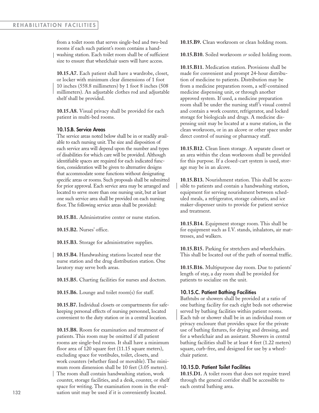from a toilet room that serves single-bed and two-bed rooms if each such patient's room contains a handwashing station. Each toilet room shall be of sufficient size to ensure that wheelchair users will have access.

**10.15.A7.** Each patient shall have a wardrobe, closet, or locker with minimum clear dimensions of 1 foot 10 inches (558.8 millimeters) by 1 foot 8 inches (508 millimeters). An adjustable clothes rod and adjustable shelf shall be provided.

**10.15.A8.** Visual privacy shall be provided for each patient in multi-bed rooms.

#### **10.15.B. Service Areas**

The service areas noted below shall be in or readily available to each nursing unit. The size and disposition of each service area will depend upon the number and types of disabilities for which care will be provided. Although identifiable spaces are required for each indicated function, consideration will be given to alternative designs that accommodate some functions without designating specific areas or rooms. Such proposals shall be submitted for prior approval. Each service area may be arranged and located to serve more than one nursing unit, but at least one such service area shall be provided on each nursing floor. The following service areas shall be provided:

**10.15.B1.** Administrative center or nurse station.

**10.15.B2.** Nurses' office.

**10.15.B3.** Storage for administrative supplies.

**10.15.B4.** Handwashing stations located near the nurse station and the drug distribution station. One lavatory may serve both areas.

**10.15.B5.** Charting facilities for nurses and doctors.

**10.15.B6.** Lounge and toilet room(s) for staff.

**10.15.B7.** Individual closets or compartments for safekeeping personal effects of nursing personnel, located convenient to the duty station or in a central location.

**10.15.B8.** Room for examination and treatment of patients. This room may be omitted if all patient rooms are single-bed rooms. It shall have a minimum floor area of 120 square feet (11.15 square meters), excluding space for vestibules, toilet, closets, and work counters (whether fixed or movable). The minimum room dimension shall be 10 feet (3.05 meters). The room shall contain handwashing station, work counter, storage facilities, and a desk, counter, or shelf space for writing. The examination room in the evaluation unit may be used if it is conveniently located.

**10.15.B9.** Clean workroom or clean holding room.

**10.15.B10.** Soiled workroom *or* soiled holding room.

**10.15.B11.** Medication station. Provisions shall be made for convenient and prompt 24-hour distribution of medicine to patients. Distribution may be from a medicine preparation room, a self-contained medicine dispensing unit, or through another approved system. If used, a medicine preparation room shall be under the nursing staff 's visual control and contain a work counter, refrigerator, and locked storage for biologicals and drugs. A medicine dispensing unit may be located at a nurse station, in the clean workroom, or in an alcove or other space under direct control of nursing or pharmacy staff.

**10.15.B12.** Clean linen storage. A separate closet or an area within the clean workroom shall be provided for this purpose. If a closed-cart system is used, storage may be in an alcove.

**10.15.B13.** Nourishment station. This shall be accessible to patients and contain a handwashing station, equipment for serving nourishment between scheduled meals, a refrigerator, storage cabinets, and ice maker-dispenser units to provide for patient service and treatment.

**10.15.B14.** Equipment storage room. This shall be for equipment such as I.V. stands, inhalators, air mattresses, and walkers.

**10.15.B15.** Parking for stretchers and wheelchairs. This shall be located out of the path of normal traffic.

**10.15.B16.** Multipurpose day room. Due to patients' length of stay, a day room shall be provided for patients to socialize on the unit.

#### **10.15.C. Patient Bathing Facilities**

Bathtubs or showers shall be provided at a ratio of one bathing facility for each eight beds not otherwise served by bathing facilities within patient rooms. Each tub or shower shall be in an individual room or privacy enclosure that provides space for the private use of bathing fixtures, for drying and dressing, and for a wheelchair and an assistant. Showers in central bathing facilities shall be at least 4 feet (1.22 meters) square, curb-free, and designed for use by a wheelchair patient.

#### **10.15.D. Patient Toilet Facilities**

**10.15.D1.** A toilet room that does not require travel through the general corridor shall be accessible to each central bathing area.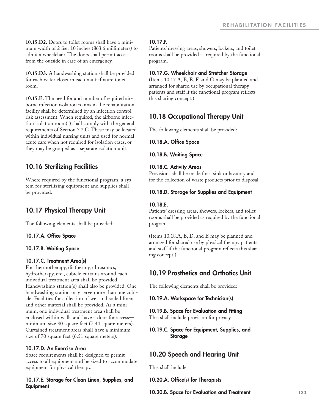**10.15.D2.** Doors to toilet rooms shall have a minimum width of 2 feet 10 inches (863.6 millimeters) to admit a wheelchair. The doors shall permit access from the outside in case of an emergency.

**10.15.D3.** A handwashing station shall be provided for each water closet in each multi-fixture toilet room.

**10.15.E.** The need for and number of required airborne infection isolation rooms in the rehabilitation facility shall be determined by an infection control risk assessment. When required, the airborne infection isolation room(s) shall comply with the general requirements of Section 7.2.C. These may be located within individual nursing units and used for normal acute care when not required for isolation cases, or they may be grouped as a separate isolation unit.

## **10.16 Sterilizing Facilities**

Where required by the functional program, a system for sterilizing equipment and supplies shall be provided.

## **10.17 Physical Therapy Unit**

The following elements shall be provided:

#### **10.17.A. Office Space**

#### **10.17.B. Waiting Space**

#### **10.17.C. Treatment Area(s)**

For thermotherapy, diathermy, ultrasonics, hydrotherapy, etc., cubicle curtains around each individual treatment area shall be provided. Handwashing station(s) shall also be provided. One handwashing station may serve more than one cubicle. Facilities for collection of wet and soiled linen and other material shall be provided. As a minimum, one individual treatment area shall be enclosed within walls and have a door for access minimum size 80 square feet (7.44 square meters). Curtained treatment areas shall have a minimum size of 70 square feet (6.51 square meters).

#### **10.17.D. An Exercise Area**

Space requirements shall be designed to permit access to all equipment and be sized to accommodate equipment for physical therapy.

**10.17.E. Storage for Clean Linen, Supplies, and Equipment**

#### **10.17.F.**

Patients' dressing areas, showers, lockers, and toilet rooms shall be provided as required by the functional program.

#### **10.17.G. Wheelchair and Stretcher Storage**

(Items 10.17.A, B, E, F, and G may be planned and arranged for shared use by occupational therapy patients and staff if the functional program reflects this sharing concept.)

## **10.18 Occupational Therapy Unit**

The following elements shall be provided:

#### **10.18.A. Office Space**

#### **10.18.B. Waiting Space**

#### **10.18.C. Activity Areas**

Provisions shall be made for a sink or lavatory and for the collection of waste products prior to disposal.

#### **10.18.D. Storage for Supplies and Equipment**

#### **10.18.E.**

Patients' dressing areas, showers, lockers, and toilet rooms shall be provided as required by the functional program.

(Items 10.18.A, B, D, and E may be planned and arranged for shared use by physical therapy patients and staff if the functional program reflects this sharing concept.)

## **10.19 Prosthetics and Orthotics Unit**

The following elements shall be provided:

#### **10.19.A. Workspace for Technician(s)**

## **10.19.B. Space for Evaluation and Fitting**

This shall include provision for privacy.

#### **10.19.C. Space for Equipment, Supplies, and Storage**

## **10.20 Speech and Hearing Unit**

This shall include:

**10.20.A. Office(s) for Therapists**

**10.20.B. Space for Evaluation and Treatment**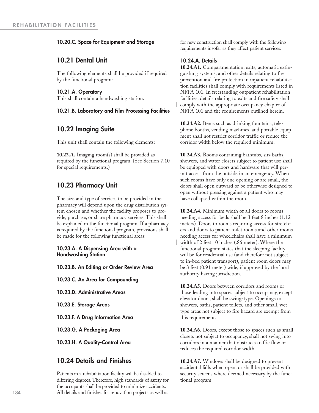#### **10.20.C. Space for Equipment and Storage**

## **10.21 Dental Unit**

The following elements shall be provided if required by the functional program:

#### **10.21.A. Operatory**

This shall contain a handwashing station.

#### **10.21.B. Laboratory and Film Processing Facilities**

### **10.22 Imaging Suite**

This unit shall contain the following elements:

**10.22.A.** Imaging room(s) shall be provided as required by the functional program. (See Section 7.10 for special requirements.)

## **10.23 Pharmacy Unit**

The size and type of services to be provided in the pharmacy will depend upon the drug distribution system chosen and whether the facility proposes to provide, purchase, or share pharmacy services. This shall be explained in the functional program. If a pharmacy is required by the functional program, provisions shall be made for the following functional areas:

**10.23.A. A Dispensing Area with a Handwashing Station**

**10.23.B. An Editing or Order Review Area**

**10.23.C. An Area for Compounding**

**10.23.D. Administrative Areas**

**10.23.E. Storage Areas**

**10.23.F. A Drug Information Area**

**10.23.G. A Packaging Area**

**10.23.H. A Quality-Control Area**

### **10.24 Details and Finishes**

Patients in a rehabilitation facility will be disabled to differing degrees. Therefore, high standards of safety for the occupants shall be provided to minimize accidents. All details and finishes for renovation projects as well as

for new construction shall comply with the following requirements insofar as they affect patient services:

#### **10.24.A. Details**

**10.24.A1.** Compartmentation, exits, automatic extinguishing systems, and other details relating to fire prevention and fire protection in inpatient rehabilitation facilities shall comply with requirements listed in NFPA 101. In freestanding outpatient rehabilitation facilities, details relating to exits and fire safety shall comply with the appropriate occupancy chapter of NFPA 101 and the requirements outlined herein.

**10.24.A2.** Items such as drinking fountains, telephone booths, vending machines, and portable equipment shall not restrict corridor traffic or reduce the corridor width below the required minimum.

**10.24.A3.** Rooms containing bathtubs, sitz baths, showers, and water closets subject to patient use shall be equipped with doors and hardware that will permit access from the outside in an emergency. When such rooms have only one opening or are small, the doors shall open outward or be otherwise designed to open without pressing against a patient who may have collapsed within the room.

**10.24.A4.** Minimum width of all doors to rooms needing access for beds shall be 3 feet 8 inches (1.12 meters). Doors to rooms requiring access for stretchers and doors to patient toilet rooms and other rooms needing access for wheelchairs shall have a minimum width of 2 feet 10 inches (.86 meter). Where the functional program states that the sleeping facility will be for residential use (and therefore not subject to in-bed patient transport), patient room doors may be 3 feet (0.91 meter) wide, if approved by the local authority having jurisdiction.

**10.24.A5.** Doors between corridors and rooms or those leading into spaces subject to occupancy, except elevator doors, shall be swing-type. Openings to showers, baths, patient toilets, and other small, wettype areas not subject to fire hazard are exempt from this requirement.

**10.24.A6.** Doors, except those to spaces such as small closets not subject to occupancy, shall not swing into corridors in a manner that obstructs traffic flow or reduces the required corridor width.

**10.24.A7.** Windows shall be designed to prevent accidental falls when open, or shall be provided with security screens where deemed necessary by the functional program.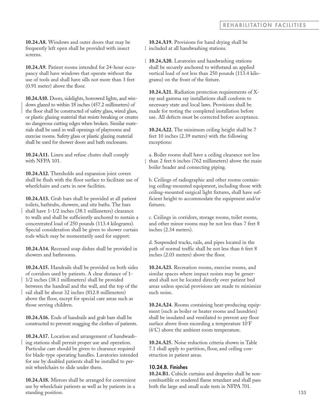**10.24.A8.** Windows and outer doors that may be frequently left open shall be provided with insect screens.

**10.24.A9.** Patient rooms intended for 24-hour occupancy shall have windows that operate without the use of tools and shall have sills not more than 3 feet (0.91 meter) above the floor.

**10.24.A10.** Doors, sidelights, borrowed lights, and windows glazed to within 18 inches (457.2 millimeters) of the floor shall be constructed of safety glass, wired glass, or plastic glazing material that resists breaking or creates no dangerous cutting edges when broken. Similar materials shall be used in wall openings of playrooms and exercise rooms. Safety glass or plastic glazing material shall be used for shower doors and bath enclosures.

**10.24.A11.** Linen and refuse chutes shall comply with NFPA 101.

**10.24.A12.** Thresholds and expansion joint covers shall be flush with the floor surface to facilitate use of wheelchairs and carts in new facilities.

**10.24.A13.** Grab bars shall be provided at all patient toilets, bathtubs, showers, and sitz baths. The bars shall have 1-1/2 inches (38.1 millimeters) clearance to walls and shall be sufficiently anchored to sustain a concentrated load of 250 pounds (113.4 kilograms). Special consideration shall be given to shower curtain rods which may be momentarily used for support.

**10.24.A14.** Recessed soap dishes shall be provided in showers and bathrooms.

**10.24.A15.** Handrails shall be provided on both sides of corridors used by patients. A clear distance of 1- 1/2 inches (38.1 millimeters) shall be provided between the handrail and the wall, and the top of the rail shall be about 32 inches (812.8 millimeters) above the floor, except for special care areas such as

those serving children.

**10.24.A16.** Ends of handrails and grab bars shall be constructed to prevent snagging the clothes of patients.

**10.24.A17.** Location and arrangement of handwashing stations shall permit proper use and operation. Particular care should be given to clearance required for blade-type operating handles. Lavatories intended for use by disabled patients shall be installed to permit wheelchairs to slide under them.

**10.24.A18.** Mirrors shall be arranged for convenient use by wheelchair patients as well as by patients in a standing position.

**10.24.A19.** Provisions for hand drying shall be included at all handwashing stations.

**10.24.A20.** Lavatories and handwashing stations shall be securely anchored to withstand an applied vertical load of not less than 250 pounds (113.4 kilograms) on the front of the fixture.

**10.24.A21.** Radiation protection requirements of Xray and gamma ray installations shall conform to necessary state and local laws. Provisions shall be made for testing the completed installation before use. All defects must be corrected before acceptance.

**10.24.A22.** The minimum ceiling height shall be 7 feet 10 inches (2.39 meters) with the following exceptions:

a. Boiler rooms shall have a ceiling clearance not less | than 2 feet 6 inches (762 millimeters) above the main boiler header and connecting piping.

b. Ceilings of radiographic and other rooms containing ceiling-mounted equipment, including those with ceiling-mounted surgical light fixtures, shall have sufficient height to accommodate the equipment and/or fixtures.

c. Ceilings in corridors, storage rooms, toilet rooms, and other minor rooms may be not less than 7 feet 8 inches (2.34 meters).

d. Suspended tracks, rails, and pipes located in the path of normal traffic shall be not less than 6 feet 8 inches (2.03 meters) above the floor.

**10.24.A23.** Recreation rooms, exercise rooms, and similar spaces where impact noises may be generated shall not be located directly over patient bed areas unless special provisions are made to minimize such noise.

**10.24.A24.** Rooms containing heat-producing equipment (such as boiler or heater rooms and laundries) shall be insulated and ventilated to prevent any floor surface above from exceeding a temperature 10˚F (6˚C) above the ambient room temperature.

**10.24.A25.** Noise reduction criteria shown in Table 7.1 shall apply to partition, floor, and ceiling construction in patient areas.

#### **10.24.B. Finishes**

**10.24.B1.** Cubicle curtains and draperies shall be noncombustible or rendered flame retardant and shall pass both the large and small scale tests in NFPA 701.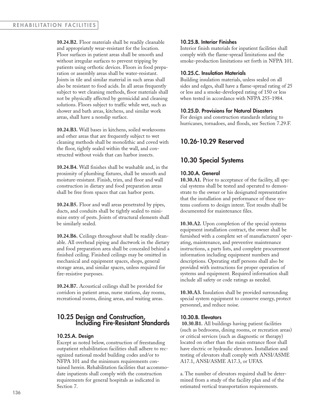**10.24.B2.** Floor materials shall be readily cleanable and appropriately wear-resistant for the location. Floor surfaces in patient areas shall be smooth and without irregular surfaces to prevent tripping by patients using orthotic devices. Floors in food preparation or assembly areas shall be water-resistant. Joints in tile and similar material in such areas shall also be resistant to food acids. In all areas frequently subject to wet cleaning methods, floor materials shall not be physically affected by germicidal and cleaning solutions. Floors subject to traffic while wet, such as shower and bath areas, kitchens, and similar work areas, shall have a nonslip surface.

**10.24.B3.** Wall bases in kitchens, soiled workrooms and other areas that are frequently subject to wet cleaning methods shall be monolithic and coved with the floor, tightly sealed within the wall, and constructed without voids that can harbor insects.

**10.24.B4.** Wall finishes shall be washable and, in the proximity of plumbing fixtures, shall be smooth and moisture-resistant. Finish, trim, and floor and wall construction in dietary and food preparation areas shall be free from spaces that can harbor pests.

**10.24.B5.** Floor and wall areas penetrated by pipes, ducts, and conduits shall be tightly sealed to minimize entry of pests. Joints of structural elements shall be similarly sealed.

**10.24.B6.** Ceilings throughout shall be readily cleanable. All overhead piping and ductwork in the dietary and food preparation area shall be concealed behind a finished ceiling. Finished ceilings may be omitted in mechanical and equipment spaces, shops, general storage areas, and similar spaces, unless required for fire-resistive purposes.

**10.24.B7.** Acoustical ceilings shall be provided for corridors in patient areas, nurse stations, day rooms, recreational rooms, dining areas, and waiting areas.

## **10.25 Design and Construction, Including Fire-Resistant Standards**

#### **10.25.A. Design**

Except as noted below, construction of freestanding outpatient rehabilitation facilities shall adhere to recognized national model building codes and/or to NFPA 101 and the minimum requirements contained herein. Rehabilitation facilities that accommodate inpatients shall comply with the construction requirements for general hospitals as indicated in Section 7.

#### **10.25.B. Interior Finishes**

Interior finish materials for inpatient facilities shall comply with the flame-spread limitations and the smoke-production limitations set forth in NFPA 101.

#### **10.25.C. Insulation Materials**

Building insulation materials, unless sealed on all sides and edges, shall have a flame-spread rating of 25 or less and a smoke-developed rating of 150 or less when tested in accordance with NFPA 255-1984.

#### **10.25.D. Provisions for Natural Disasters**

For design and construction standards relating to hurricanes, tornadoes, and floods, see Section 7.29.F.

## **10.26-10.29 Reserved**

## **10.30 Special Systems**

#### **10.30.A. General**

**10.30.A1.** Prior to acceptance of the facility, all special systems shall be tested and operated to demonstrate to the owner or his designated representative that the installation and performance of these systems conform to design intent. Test results shall be documented for maintenance files.

**10.30.A2.** Upon completion of the special systems equipment installation contract, the owner shall be furnished with a complete set of manufacturers' operating, maintenance, and preventive maintenance instructions, a parts lists, and complete procurement information including equipment numbers and descriptions. Operating staff persons shall also be provided with instructions for proper operation of systems and equipment. Required information shall include all safety or code ratings as needed.

**10.30.A3.** Insulation shall be provided surrounding special system equipment to conserve energy, protect personnel, and reduce noise.

#### **10.30.B. Elevators**

**10.30.B1.** All buildings having patient facilities (such as bedrooms, dining rooms, or recreation areas) or critical services (such as diagnostic or therapy) located on other than the main entrance floor shall have electric or hydraulic elevators. Installation and testing of elevators shall comply with ANSI/ASME A17.1, ANSI/ASME A17.3, or UFAS.

a. The number of elevators required shall be determined from a study of the facility plan and of the estimated vertical transportation requirements.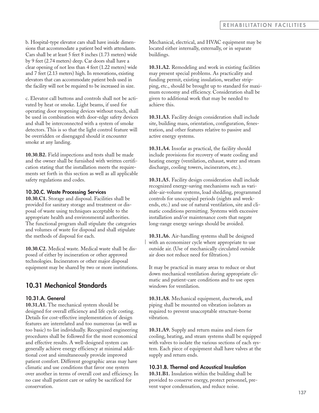b. Hospital-type elevator cars shall have inside dimensions that accommodate a patient bed with attendants. Cars shall be at least 5 feet 8 inches (1.73 meters) wide by 9 feet (2.74 meters) deep. Car doors shall have a clear opening of not less than 4 feet (1.22 meters) wide and 7 feet (2.13 meters) high. In renovations, existing elevators that can accommodate patient beds used in the facility will not be required to be increased in size.

c. Elevator call buttons and controls shall not be activated by heat or smoke. Light beams, if used for operating door reopening devices without touch, shall be used in combination with door-edge safety devices and shall be interconnected with a system of smoke detectors. This is so that the light control feature will be overridden or disengaged should it encounter smoke at any landing.

**10.30.B2.** Field inspections and tests shall be made and the owner shall be furnished with written certification stating that the installation meets the requirements set forth in this section as well as all applicable safety regulations and codes.

#### **10.30.C. Waste Processing Services**

**10.30.C1.** Storage and disposal. Facilities shall be provided for sanitary storage and treatment or disposal of waste using techniques acceptable to the appropriate health and environmental authorities. The functional program shall stipulate the categories and volumes of waste for disposal and shall stipulate the methods of disposal for each.

**10.30.C2.** Medical waste. Medical waste shall be disposed of either by incineration or other approved technologies. Incinerators or other major disposal equipment may be shared by two or more institutions.

### **10.31 Mechanical Standards**

#### **10.31.A. General**

**10.31.A1.** The mechanical system should be designed for overall efficiency and life cycle costing. Details for cost-effective implementation of design features are interrelated and too numerous (as well as too basic) to list individually. Recognized engineering procedures shall be followed for the most economical and effective results. A well-designed system can generally achieve energy efficiency at minimal additional cost and simultaneously provide improved patient comfort. Different geographic areas may have climatic and use conditions that favor one system over another in terms of overall cost and efficiency. In no case shall patient care or safety be sacrificed for conservation.

Mechanical, electrical, and HVAC equipment may be located either internally, externally, or in separate buildings.

**10.31.A2.** Remodeling and work in existing facilities may present special problems. As practicality and funding permit, existing insulation, weather stripping, etc., should be brought up to standard for maximum economy and efficiency. Consideration shall be given to additional work that may be needed to achieve this.

**10.31.A3.** Facility design consideration shall include site, building mass, orientation, configuration, fenestration, and other features relative to passive and active energy systems.

**10.31.A4.** Insofar as practical, the facility should include provisions for recovery of waste cooling and heating energy (ventilation, exhaust, water and steam discharge, cooling towers, incinerators, etc.).

**10.31.A5.** Facility design consideration shall include recognized energy-saving mechanisms such as variable-air-volume systems, load shedding, programmed controls for unoccupied periods (nights and weekends, etc.) and use of natural ventilation, site and climatic conditions permitting. Systems with excessive installation and/or maintenance costs that negate long-range energy savings should be avoided.

**10.31.A6.** Air-handling systems shall be designed with an economizer cycle where appropriate to use outside air. (Use of mechanically circulated outside air does not reduce need for filtration.)

It may be practical in many areas to reduce or shut down mechanical ventilation during appropriate climatic and patient-care conditions and to use open windows for ventilation.

**10.31.A8.** Mechanical equipment, ductwork, and piping shall be mounted on vibration isolators as required to prevent unacceptable structure-borne vibration.

**10.31.A9.** Supply and return mains and risers for cooling, heating, and steam systems shall be equipped with valves to isolate the various sections of each system. Each piece of equipment shall have valves at the supply and return ends.

#### **10.31.B. Thermal and Acoustical Insulation**

**10.31.B1.** Insulation within the building shall be provided to conserve energy, protect personnel, prevent vapor condensation, and reduce noise.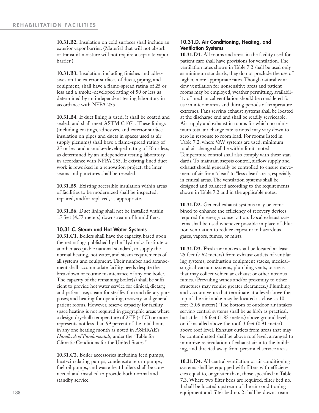#### **REHABILITATION FACILITIES**

**10.31.B2.** Insulation on cold surfaces shall include an exterior vapor barrier. (Material that will not absorb or transmit moisture will not require a separate vapor barrier.)

**10.31.B3.** Insulation, including finishes and adhesives on the exterior surfaces of ducts, piping, and equipment, shall have a flame-spread rating of 25 or less and a smoke-developed rating of 50 or less as determined by an independent testing laboratory in accordance with NFPA 255.

**10.31.B4.** If duct lining is used, it shall be coated and sealed, and shall meet ASTM C1071. These linings (including coatings, adhesives, and exterior surface insulation on pipes and ducts in spaces used as air supply plenums) shall have a flame-spread rating of 25 or less and a smoke-developed rating of 50 or less, as determined by an independent testing laboratory in accordance with NFPA 255. If existing lined ductwork is reworked in a renovation project, the liner seams and punctures shall be resealed.

**10.31.B5.** Existing accessible insulation within areas of facilities to be modernized shall be inspected, repaired, and/or replaced, as appropriate.

**10.31.B6.** Duct lining shall not be installed within 15 feet (4.57 meters) downstream of humidifiers.

#### **10.31.C. Steam and Hot Water Systems**

**10.31.C1.** Boilers shall have the capacity, based upon the net ratings published by the Hydronics Institute or another acceptable national standard, to supply the normal heating, hot water, and steam requirements of all systems and equipment. Their number and arrangement shall accommodate facility needs despite the breakdown or routine maintenance of any one boiler. The capacity of the remaining boiler(s) shall be sufficient to provide hot water service for clinical, dietary, and patient use; steam for sterilization and dietary purposes; and heating for operating, recovery, and general patient rooms. However, reserve capacity for facility space heating is not required in geographic areas where a design dry-bulb temperature of 25°F (-4°C) or more represents not less than 99 percent of the total hours in any one heating month as noted in ASHRAE's *Handbook of Fundamentals*, under the "Table for Climatic Conditions for the United States."

**10.31.C2.** Boiler accessories including feed pumps, heat-circulating pumps, condensate return pumps, fuel oil pumps, and waste heat boilers shall be connected and installed to provide both normal and standby service.

#### **10.31.D. Air Conditioning, Heating, and Ventilation Systems**

**10.31.D1.** All rooms and areas in the facility used for patient care shall have provisions for ventilation. The ventilation rates shown in Table 7.2 shall be used only as minimum standards; they do not preclude the use of higher, more appropriate rates. Though natural window ventilation for nonsensitive areas and patient rooms may be employed, weather permitting, availability of mechanical ventilation should be considered for use in interior areas and during periods of temperature extremes. Fans serving exhaust systems shall be located at the discharge end and shall be readily serviceable. Air supply and exhaust in rooms for which no minimum total air change rate is noted may vary down to zero in response to room load. For rooms listed in Table 7.2, where VAV systems are used, minimum total air change shall be within limits noted. Temperature control shall also comply with these standards. To maintain asepsis control, airflow supply and exhaust should generally be controlled to ensure movement of air from "clean" to "less clean" areas, especially in critical areas. The ventilation systems shall be designed and balanced according to the requirements shown in Table 7.2 and in the applicable notes.

**10.31.D2.** General exhaust systems may be combined to enhance the efficiency of recovery devices required for energy conservation. Local exhaust systems shall be used whenever possible in place of dilution ventilation to reduce exposure to hazardous gases, vapors, fumes, or mists.

**10.31.D3.** Fresh air intakes shall be located at least 25 feet (7.62 meters) from exhaust outlets of ventilating systems, combustion equipment stacks, medicalsurgical vacuum systems, plumbing vents, or areas that may collect vehicular exhaust or other noxious fumes. (Prevailing winds and/or proximity to other structures may require greater clearances.) Plumbing and vacuum vents that terminate at a level above the top of the air intake may be located as close as 10 feet (3.05 meters). The bottom of outdoor air intakes serving central systems shall be as high as practical, but at least 6 feet (1.83 meters) above ground level, or, if installed above the roof, 3 feet (0.91 meter) above roof level. Exhaust outlets from areas that may be contaminated shall be above roof level, arranged to minimize recirculation of exhaust air into the building, and directed away from personnel service areas.

**10.31.D4.** All central ventilation or air conditioning systems shall be equipped with filters with efficiencies equal to, or greater than, those specified in Table 7.3. Where two filter beds are required, filter bed no. 1 shall be located upstream of the air conditioning equipment and filter bed no. 2 shall be downstream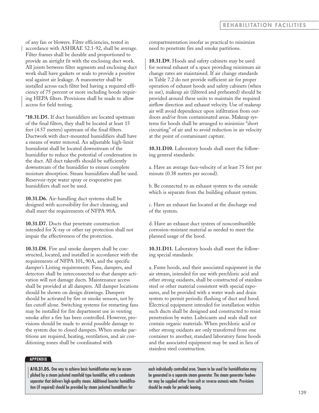of any fan or blowers. Filter efficiencies, tested in accordance with ASHRAE 52.1-92, shall be average. Filter frames shall be durable and proportioned to provide an airtight fit with the enclosing duct work. All joints between filter segments and enclosing duct work shall have gaskets or seals to provide a positive seal against air leakage. A manometer shall be installed across each filter bed having a required efficiency of 75 percent or more including hoods requiring HEPA filters. Provisions shall be made to allow access for field testing.

**\*10.31.D5.** If duct humidifiers are located upstream of the final filters, they shall be located at least 15 feet (4.57 meters) upstream of the final filters. Ductwork with duct-mounted humidifiers shall have a means of water removal. An adjustable high-limit humidistat shall be located downstream of the humidifier to reduce the potential of condensation in the duct. All duct takeoffs should be sufficiently downstream of the humidifier to ensure complete moisture absorption. Steam humidifiers shall be used. Reservoir-type water spray or evaporative pan humidifiers shall not be used.

**10.31.D6.** Air-handling duct systems shall be designed with accessibility for duct cleaning, and shall meet the requirements of NFPA 90A.

**10.31.D7.** Ducts that penetrate construction intended for X-ray or other ray protection shall not impair the effectiveness of the protection.

**10.31.D8.** Fire and smoke dampers shall be constructed, located, and installed in accordance with the requirements of NFPA 101, 90A, and the specific damper's Listing requirements. Fans, dampers, and detectors shall be interconnected so that damper activation will not damage ducts. Maintenance access shall be provided at all dampers. All damper locations should be shown on design drawings. Dampers should be activated by fire or smoke sensors, not by fan cutoff alone. Switching systems for restarting fans may be installed for fire department use in venting smoke after a fire has been controlled. However, provisions should be made to avoid possible damage to the system due to closed dampers. When smoke partitions are required, heating, ventilation, and air conditioning zones shall be coordinated with

compartmentation insofar as practical to minimize need to penetrate fire and smoke partitions.

**10.31.D9.** Hoods and safety cabinets may be used for normal exhaust of a space providing minimum air change rates are maintained. If air change standards in Table 7.2 do not provide sufficient air for proper operation of exhaust hoods and safety cabinets (when in use), makeup air (filtered and preheated) should be provided around these units to maintain the required airflow direction and exhaust velocity. Use of makeup air will avoid dependence upon infiltration from outdoors and/or from contaminated areas. Makeup systems for hoods shall be arranged to minimize "short circuiting" of air and to avoid reduction in air velocity at the point of contaminant capture.

**10.31.D10.** Laboratory hoods shall meet the following general standards:

a. Have an average face-velocity of at least 75 feet per minute (0.38 meters per second).

b. Be connected to an exhaust system to the outside which is separate from the building exhaust system.

c. Have an exhaust fan located at the discharge end of the system.

d. Have an exhaust duct system of noncombustible corrosion-resistant material as needed to meet the planned usage of the hood.

**10.31.D11.** Laboratory hoods shall meet the following special standards:

a. Fume hoods, and their associated equipment in the air stream, intended for use with perchloric acid and other strong oxidants, shall be constructed of stainless steel or other material consistent with special exposures, and be provided with a water wash and drain system to permit periodic flushing of duct and hood. Electrical equipment intended for installation within such ducts shall be designed and constructed to resist penetration by water. Lubricants and seals shall not contain organic materials. When perchloric acid or other strong oxidants are only transferred from one container to another, standard laboratory fume hoods and the associated equipment may be used in lieu of stainless steel construction.

#### **APPENDIX**

**A10.31.D5.** One way to achieve basic humidification may be accomplished by a steam jacketed manifold type humidifier, with a condensate separator that delivers high-quality steam. Additional booster humidification (if required) should be provided by steam jacketed humidifiers for

each individually controlled area. Steam to be used for humidification may be generated in a separate steam generator. The steam generator feedwater may be supplied either from soft or reverse osmosis water. Provisions should be made for periodic leaning.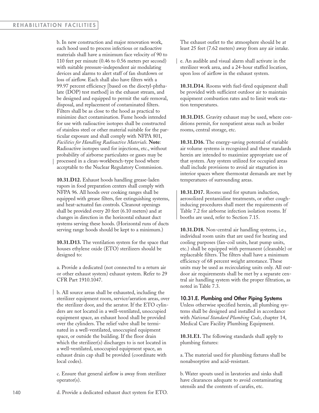b. In new construction and major renovation work, each hood used to process infectious or radioactive materials shall have a minimum face velocity of 90 to 110 feet per minute (0.46 to 0.56 meters per second) with suitable pressure-independent air modulating devices and alarms to alert staff of fan shutdown or loss of airflow. Each shall also have filters with a 99.97 percent efficiency [based on the dioctyl-phthalate (DOP) test method] in the exhaust stream, and be designed and equipped to permit the safe removal, disposal, and replacement of contaminated filters. Filters shall be as close to the hood as practical to minimize duct contamination. Fume hoods intended for use with radioactive isotopes shall be constructed of stainless steel or other material suitable for the particular exposure and shall comply with NFPA 801, *Facilities for Handling Radioactive Materials*. **Note**: Radioactive isotopes used for injections, etc., without probability of airborne particulates or gases may be processed in a clean-workbench-type hood where acceptable to the Nuclear Regulatory Commission.

**10.31.D12.** Exhaust hoods handling grease-laden vapors in food preparation centers shall comply with NFPA 96. All hoods over cooking ranges shall be equipped with grease filters, fire extinguishing systems, and heat-actuated fan controls. Cleanout openings shall be provided every 20 feet (6.10 meters) and at changes in direction in the horizontal exhaust duct systems serving these hoods. (Horizontal runs of ducts serving range hoods should be kept to a minimum.)

**10.31.D13.** The ventilation system for the space that houses ethylene oxide (ETO) sterilizers should be designed to:

a. Provide a dedicated (not connected to a return air or other exhaust system) exhaust system. Refer to 29 CFR Part 1910.1047.

b. All source areas shall be exhausted, including the sterilizer equipment room, service/aeration areas, over the sterilizer door, and the aerator. If the ETO cylinders are not located in a well-ventilated, unoccupied equipment space, an exhaust hood shall be provided over the cylinders. The relief valve shall be terminated in a well-ventilated, unoccupied equipment space, or outside the building. If the floor drain which the sterilizer(s) discharges to is not located in a well-ventilated, unoccupied equipment space, an exhaust drain cap shall be provided (coordinate with local codes).

c. Ensure that general airflow is away from sterilizer operator(s).

The exhaust outlet to the atmosphere should be at least 25 feet (7.62 meters) away from any air intake.

e. An audible and visual alarm shall activate in the sterilizer work area, and a 24-hour staffed location, upon loss of airflow in the exhaust system.

**10.31.D14.** Rooms with fuel-fired equipment shall be provided with sufficient outdoor air to maintain equipment combustion rates and to limit work station temperatures.

**10.31.D15.** Gravity exhaust may be used, where conditions permit, for nonpatient areas such as boiler rooms, central storage, etc.

**10.31.D16.** The energy-saving potential of variable air volume systems is recognized and these standards herein are intended to maximize appropriate use of that system. Any system utilized for occupied areas shall include provisions to avoid air stagnation in interior spaces where thermostat demands are met by temperatures of surrounding areas.

**10.31.D17.** Rooms used for sputum induction, aerosolized pentamidine treatments, or other coughinducing procedures shall meet the requirements of Table 7.2 for airborne infection isolation rooms. If booths are used, refer to Section 7.15.

**10.31.D18.** Non-central air handling systems, i.e., individual room units that are used for heating and cooling purposes (fan-coil units, heat pump units, etc.) shall be equipped with permanent (cleanable) or replaceable filters. The filters shall have a minimum efficiency of 68 percent weight arrestance. These units may be used as recirculating units only. All outdoor air requirements shall be met by a separate central air handling system with the proper filtration, as noted in Table 7.3.

#### **10.31.E. Plumbing and Other Piping Systems**

Unless otherwise specified herein, all plumbing systems shall be designed and installed in accordance with *National Standard Plumbing Code*, chapter 14, Medical Care Facility Plumbing Equipment.

**10.31.E1.** The following standards shall apply to plumbing fixtures:

a. The material used for plumbing fixtures shall be nonabsorptive and acid-resistant.

b. Water spouts used in lavatories and sinks shall have clearances adequate to avoid contaminating utensils and the contents of carafes, etc.

d. Provide a dedicated exhaust duct system for ETO.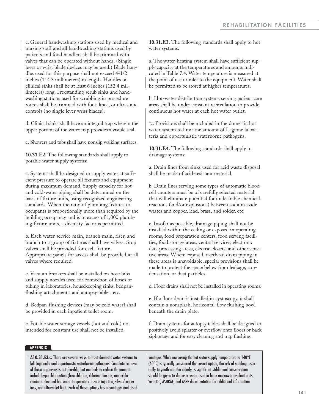c. General handwashing stations used by medical and nursing staff and all handwashing stations used by patients and food handlers shall be trimmed with valves that can be operated without hands. (Single lever or wrist blade devices may be used.) Blade handles used for this purpose shall not exceed 4-1/2 inches (114.3 millimeters) in length. Handles on clinical sinks shall be at least 6 inches (152.4 millimeters) long. Freestanding scrub sinks and handwashing stations used for scrubbing in procedure rooms shall be trimmed with foot, knee, or ultrasonic controls (no single lever wrist blades).

d. Clinical sinks shall have an integral trap wherein the upper portion of the water trap provides a visible seal.

e. Showers and tubs shall have nonslip walking surfaces.

**10.31.E2.** The following standards shall apply to potable water supply systems:

a. Systems shall be designed to supply water at sufficient pressure to operate all fixtures and equipment during maximum demand. Supply capacity for hotand cold-water piping shall be determined on the basis of fixture units, using recognized engineering standards. When the ratio of plumbing fixtures to occupants is proportionally more than required by the building occupancy and is in excess of 1,000 plumbing fixture units, a diversity factor is permitted.

b. Each water service main, branch main, riser, and branch to a group of fixtures shall have valves. Stop valves shall be provided for each fixture. Appropriate panels for access shall be provided at all valves where required.

c. Vacuum breakers shall be installed on hose bibs and supply nozzles used for connection of hoses or tubing in laboratories, housekeeping sinks, bedpanflushing attachments, and autopsy tables, etc.

d. Bedpan-flushing devices (may be cold water) shall be provided in each inpatient toilet room.

e. Potable water storage vessels (hot and cold) not intended for constant use shall not be installed.

**10.31.E3.** The following standards shall apply to hot water systems:

a. The water-heating system shall have sufficient supply capacity at the temperatures and amounts indicated in Table 7.4. Water temperature is measured at the point of use or inlet to the equipment. Water shall be permitted to be stored at higher temperatures.

b. Hot-water distribution systems serving patient care areas shall be under constant recirculation to provide continuous hot water at each hot water outlet.

\*c. Provisions shall be included in the domestic hot water system to limit the amount of Legionella bacteria and opportunistic waterborne pathogens.

**10.31.E4.** The following standards shall apply to drainage systems:

a. Drain lines from sinks used for acid waste disposal shall be made of acid-resistant material.

b. Drain lines serving some types of automatic bloodcell counters must be of carefully selected material that will eliminate potential for undesirable chemical reactions (and/or explosions) between sodium azide wastes and copper, lead, brass, and solder, etc.

c. Insofar as possible, drainage piping shall not be installed within the ceiling or exposed in operating rooms, food preparation centers, food serving facilities, food storage areas, central services, electronic data processing areas, electric closets, and other sensitive areas. Where exposed, overhead drain piping in these areas is unavoidable, special provisions shall be made to protect the space below from leakage, condensation, or dust particles.

d. Floor drains shall not be installed in operating rooms.

e. If a floor drain is installed in cystoscopy, it shall contain a nonsplash, horizontal-flow flushing bowl beneath the drain plate.

f. Drain systems for autopsy tables shall be designed to positively avoid splatter or overflow onto floors or back siphonage and for easy cleaning and trap flushing.

#### **APPENDIX**

**A10.31.E3.c.** There are several ways to treat domestic water systems to kill Legionella and opportunistic waterborne pathogens. Complete removal of these organisms is not feasible, but methods to reduce the amount include hyperchlorination (free chlorine, chlorine dioxide, monochloramine), elevated hot water temperature, ozone injection, silver/copper ions, and ultraviolet light. Each of these options has advantages and disad-

vantages. While increasing the hot water supply temperature to 140°F (60°C) is typically considered the easiest option, the risk of scalding, especially to youth and the elderly, is significant. Additional consideration should be given to domestic water used in bone marrow transplant units. See CDC, ASHRAE, and ASPE documentation for additional information.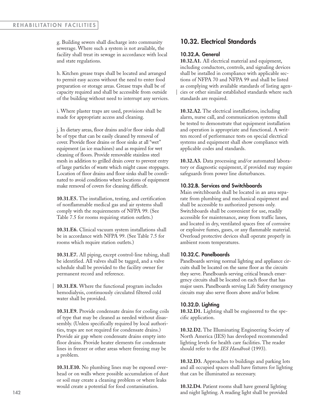#### **REHABILITATION FACILITIES**

g. Building sewers shall discharge into community sewerage. Where such a system is not available, the facility shall treat its sewage in accordance with local and state regulations.

h. Kitchen grease traps shall be located and arranged to permit easy access without the need to enter food preparation or storage areas. Grease traps shall be of capacity required and shall be accessible from outside of the building without need to interrupt any services.

i. Where plaster traps are used, provisions shall be made for appropriate access and cleaning.

j. In dietary areas, floor drains and/or floor sinks shall be of type that can be easily cleaned by removal of cover. Provide floor drains or floor sinks at all "wet" equipment (as ice machines) and as required for wet cleaning of floors. Provide removable stainless steel mesh in addition to grilled drain cover to prevent entry of large particles of waste which might cause stoppages. Location of floor drains and floor sinks shall be coordinated to avoid conditions where locations of equipment make removal of covers for cleaning difficult.

**10.31.E5.** The installation, testing, and certification of nonflammable medical gas and air systems shall comply with the requirements of NFPA 99. (See Table 7.5 for rooms requiring station outlets.)

**10.31.E6.** Clinical vacuum system installations shall be in accordance with NFPA 99. (See Table 7.5 for rooms which require station outlets.)

**10.31.E7.** All piping, except control-line tubing, shall be identified. All valves shall be tagged, and a valve schedule shall be provided to the facility owner for permanent record and reference.

**10.31.E8.** Where the functional program includes hemodialysis, continuously circulated filtered cold water shall be provided.

**10.31.E9.** Provide condensate drains for cooling coils of type that may be cleaned as needed without disassembly. (Unless specifically required by local authorities, traps are not required for condensate drains.) Provide air gap where condensate drains empty into floor drains. Provide heater elements for condensate lines in freezer or other areas where freezing may be a problem.

**10.31.E10.** No plumbing lines may be exposed overhead or on walls where possible accumulation of dust or soil may create a cleaning problem or where leaks would create a potential for food contamination.

## **10.32. Electrical Standards**

#### **10.32.A. General**

**10.32.A1.** All electrical material and equipment, including conductors, controls, and signaling devices shall be installed in compliance with applicable sections of NFPA 70 and NFPA 99 and shall be listed as complying with available standards of listing agencies or other similar established standards where such standards are required.

**10.32.A2.** The electrical installations, including alarm, nurse call, and communication systems shall be tested to demonstrate that equipment installation and operation is appropriate and functional. A written record of performance tests on special electrical systems and equipment shall show compliance with applicable codes and standards.

**10.32.A3.** Data processing and/or automated laboratory or diagnostic equipment, if provided may require safeguards from power line disturbances.

#### **10.32.B. Services and Switchboards**

Main switchboards shall be located in an area separate from plumbing and mechanical equipment and shall be accessible to authorized persons only. Switchboards shall be convenient for use, readily accessible for maintenance, away from traffic lanes, and located in dry, ventilated spaces free of corrosive or explosive fumes, gases, or any flammable material. Overload protective devices shall operate properly in ambient room temperatures.

#### **10.32.C. Panelboards**

Panelboards serving normal lighting and appliance circuits shall be located on the same floor as the circuits they serve. Panelboards serving critical branch emergency circuits shall be located on each floor that has major users. Panelboards serving Life Safety emergency circuits may also serve floors above and/or below.

#### **10.32.D. Lighting**

**10.32.D1.** Lighting shall be engineered to the specific application.

**10.32.D2.** The Illuminating Engineering Society of North America (IES) has developed recommended lighting levels for health care facilities. The reader should refer to the *IES Handbook* (1993).

**10.32.D3.** Approaches to buildings and parking lots and all occupied spaces shall have fixtures for lighting that can be illuminated as necessary.

**10.32.D4.** Patient rooms shall have general lighting and night lighting. A reading light shall be provided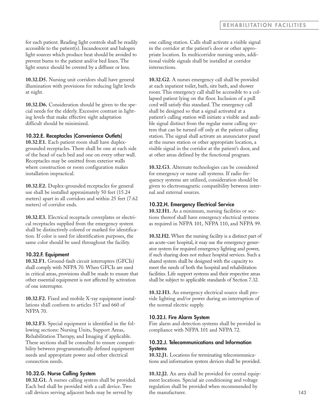for each patient. Reading light controls shall be readily accessible to the patient(s). Incandescent and halogen light sources which produce heat should be avoided to prevent burns to the patient and/or bed linen. The light source should be covered by a diffuser or lens.

**10.32.D5.** Nursing unit corridors shall have general illumination with provisions for reducing light levels at night.

**10.32.D6.** Consideration should be given to the special needs for the elderly. Excessive contrast in lighting levels that make effective sight adaptation difficult should be minimized.

#### **10.32.E. Receptacles (Convenience Outlets)**

**10.32.E1.** Each patient room shall have duplexgrounded receptacles. There shall be one at each side of the head of each bed and one on every other wall. Receptacles may be omitted from exterior walls where construction or room configuration makes installation impractical.

**10.32.E2.** Duplex-grounded receptacles for general use shall be installed approximately 50 feet (15.24 meters) apart in all corridors and within 25 feet (7.62 meters) of corridor ends.

**10.32.E3.** Electrical receptacle coverplates or electrical receptacles supplied from the emergency system shall be distinctively colored or marked for identification. If color is used for identification purposes, the same color should be used throughout the facility.

#### **10.32.F. Equipment**

**10.32.F1.** Ground-fault circuit interrupters (GFCIs) shall comply with NFPA 70. When GFCIs are used in critical areas, provisions shall be made to ensure that other essential equipment is not affected by activation of one interrupter.

**10.32.F2.** Fixed and mobile X-ray equipment installations shall conform to articles 517 and 660 of NFPA 70.

**10.32.F3.** Special equipment is identified in the following sections: Nursing Units, Support Areas, Rehabilitation Therapy, and Imaging if applicable. These sections shall be consulted to ensure compatibility between programmatically defined equipment needs and appropriate power and other electrical connection needs.

#### **10.32.G. Nurse Calling System**

**10.32.G1.** A nurses calling system shall be provided. Each bed shall be provided with a call device. Two call devices serving adjacent beds may be served by

one calling station. Calls shall activate a visible signal in the corridor at the patient's door or other appropriate location. In multicorridor nursing units, additional visible signals shall be installed at corridor intersections.

**10.32.G2.** A nurses emergency call shall be provided at each inpatient toilet, bath, sitz bath, and shower room. This emergency call shall be accessible to a collapsed patient lying on the floor. Inclusion of a pull cord will satisfy this standard. The emergency call shall be designed so that a signal activated at a patient's calling station will initiate a visible and audible signal distinct from the regular nurse calling system that can be turned off only at the patient calling station. The signal shall activate an annunciator panel at the nurses station or other appropriate location, a visible signal in the corridor at the patient's door, and at other areas defined by the functional program.

**10.32.G3.** Alternate technologies can be considered for emergency or nurse call systems. If radio frequency systems are utilized, consideration should be given to electromagnetic compatibility between internal and external sources.

#### **10.32.H. Emergency Electrical Service**

**10.32.H1.** As a minimum, nursing facilities or sections thereof shall have emergency electrical systems as required in NFPA 101, NFPA 110, and NFPA 99.

**10.32.H2.** When the nursing facility is a distinct part of an acute-care hospital, it may use the emergency generator system for required emergency lighting and power, if such sharing does not reduce hospital services. Such a shared system shall be designed with the capacity to meet the needs of both the hospital and rehabilitation facilities. Life support systems and their respective areas shall be subject to applicable standards of Section 7.32.

**10.32.H3.** An emergency electrical source shall provide lighting and/or power during an interruption of the normal electric supply.

#### **10.32.I. Fire Alarm System**

Fire alarm and detection systems shall be provided in compliance with NFPA 101 and NFPA 72.

#### **10.32.J. Telecommunications and Information Systems**

**10.32.J1.** Locations for terminating telecommunications and information system devices shall be provided.

**10.32.J2.** An area shall be provided for central equipment locations. Special air conditioning and voltage regulation shall be provided when recommended by the manufacturer.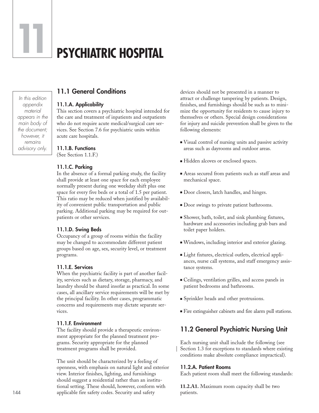

## **PSYCHIATRIC HOSPITAL**

In this edition appendix material appears in the main body of the document; however, it remains advisory only.

## **11.1 General Conditions**

#### **11.1.A. Applicability**

This section covers a psychiatric hospital intended for the care and treatment of inpatients and outpatients who do not require acute medical/surgical care services. See Section 7.6 for psychiatric units within acute care hospitals.

#### **11.1.B. Functions**

(See Section 1.1.F.)

#### **11.1.C. Parking**

In the absence of a formal parking study, the facility shall provide at least one space for each employee normally present during one weekday shift plus one space for every five beds or a total of 1.5 per patient. This ratio may be reduced when justified by availability of convenient public transportation and public parking. Additional parking may be required for outpatients or other services.

#### **11.1.D. Swing Beds**

Occupancy of a group of rooms within the facility may be changed to accommodate different patient groups based on age, sex, security level, or treatment programs.

#### **11.1.E. Services**

When the psychiatric facility is part of another facility, services such as dietary, storage, pharmacy, and laundry should be shared insofar as practical. In some cases, all ancillary service requirements will be met by the principal facility. In other cases, programmatic concerns and requirements may dictate separate services.

#### **11.1.F. Environment**

The facility should provide a therapeutic environment appropriate for the planned treatment programs. Security appropriate for the planned treatment programs shall be provided.

The unit should be characterized by a feeling of openness, with emphasis on natural light and exterior view. Interior finishes, lighting, and furnishings should suggest a residential rather than an institutional setting. These should, however, conform with applicable fire safety codes. Security and safety

devices should not be presented in a manner to attract or challenge tampering by patients. Design, finishes, and furnishings should be such as to minimize the opportunity for residents to cause injury to themselves or others. Special design considerations for injury and suicide prevention shall be given to the following elements:

- Visual control of nursing units and passive activity areas such as dayrooms and outdoor areas.
- Hidden alcoves or enclosed spaces.
- Areas secured from patients such as staff areas and mechanical space.
- Door closers, latch handles, and hinges.
- Door swings to private patient bathrooms.
- Shower, bath, toilet, and sink plumbing fixtures, hardware and accessories including grab bars and toilet paper holders.
- Windows, including interior and exterior glazing.
- Light fixtures, electrical outlets, electrical appliances, nurse call systems, and staff emergency assistance systems.
- Ceilings, ventilation grilles, and access panels in patient bedrooms and bathrooms.
- Sprinkler heads and other protrusions.
- Fire extinguisher cabinets and fire alarm pull stations.

## **11.2 General Psychiatric Nursing Unit**

Each nursing unit shall include the following (see Section 1.3 for exceptions to standards where existing conditions make absolute compliance impractical).

#### **11.2.A. Patient Rooms**

Each patient room shall meet the following standards:

**11.2.A1.** Maximum room capacity shall be two patients.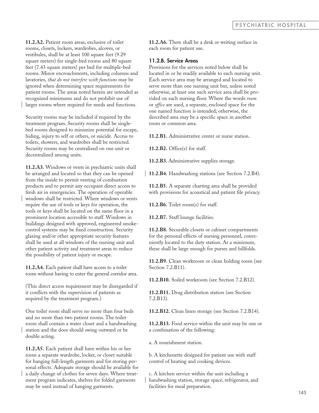**11.2.A2.** Patient room areas, exclusive of toilet rooms, closets, lockers, wardrobes, alcoves, or vestibules, shall be at least 100 square feet (9.29 square meters) for single-bed rooms and 80 square feet (7.43 square meters) per bed for multiple-bed rooms. Minor encroachments, including columns and lavatories, *that do not interfere with functions* may be ignored when determining space requirements for patient rooms. The areas noted herein are intended as recognized minimums and do not prohibit use of larger rooms where required for needs and functions.

Security rooms may be included if required by the treatment program. Security rooms shall be singlebed rooms designed to minimize potential for escape, hiding, injury to self or others, or suicide. Access to toilets, showers, and wardrobes shall be restricted. Security rooms may be centralized on one unit or decentralized among units.

**11.2.A3.** Windows or vents in psychiatric units shall be arranged and located so that they can be opened from the inside to permit venting of combustion products and to permit any occupant direct access to fresh air in emergencies. The operation of operable windows shall be restricted. Where windows or vents require the use of tools or keys for operation, the tools or keys shall be located on the same floor in a prominent location accessible to staff. Windows in buildings designed with approved, engineered smokecontrol systems may be fixed construction. Security glazing and/or other appropriate security features shall be used at all windows of the nursing unit and other patient activity and treatment areas to reduce the possibility of patient injury or escape.

**11.2.A4.** Each patient shall have access to a toilet room without having to enter the general corridor area.

(This direct access requirement may be disregarded if it conflicts with the supervision of patients as required by the treatment program.)

One toilet room shall serve no more than four beds and no more than two patient rooms. The toilet room shall contain a water closet and a handwashing station and the door should swing outward or be double acting.

**11.2.A5.** Each patient shall have within his or her room a separate wardrobe, locker, or closet suitable for hanging full-length garments and for storing personal effects. Adequate storage should be available for a daily change of clothes for seven days. Where treatment program indicates, shelves for folded garments may be used instead of hanging garments.

**11.2.A6.** There shall be a desk or writing surface in each room for patient use.

#### **11.2.B. Service Areas**

Provisions for the services noted below shall be located in or be readily available to each nursing unit. Each service area may be arranged and located to serve more than one nursing unit but, unless noted otherwise, at least one such service area shall be provided on each nursing floor. Where the words *room* or *office* are used, a separate, enclosed space for the one named function is intended; otherwise, the described area may be a specific space in another room or common area.

**11.2.B1.** Administrative center or nurse station.

**11.2.B2.** Office(s) for staff.

**11.2.B3.** Administrative supplies storage.

**11.2.B4.** Handwashing stations (see Section 7.2.B4).

**11.2.B5.** A separate charting area shall be provided with provisions for acoustical and patient file privacy.

**11.2.B6.** Toilet room(s) for staff.

**11.2.B7.** Staff lounge facilities.

**11.2.B8.** Securable closets or cabinet compartments for the personal effects of nursing personnel, conveniently located to the duty station. At a minimum, these shall be large enough for purses and billfolds.

**11.2.B9.** Clean workroom or clean holding room (see Section 7.2.B11).

**11.2.B10.** Soiled workroom (see Section 7.2.B12).

**11.2.B11.** Drug distribution station (see Section 7.2.B13).

**11.2.B12.** Clean linen storage (see Section 7.2.B14).

**11.2.B13.** Food service within the unit may be one or a combination of the following:

a. A nourishment station.

b. A kitchenette designed for patient use with staff control of heating and cooking devices.

c. A kitchen service within the unit including a handwashing station, storage space, refrigerator, and facilities for meal preparation.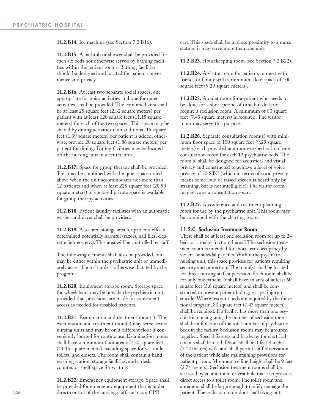**11.2.B14.** Ice machine (see Section 7.2.B16).

**11.2.B15.** A bathtub or shower shall be provided for each six beds not otherwise served by bathing facilities within the patient rooms. Bathing facilities should be designed and located for patient convenience and privacy.

**11.2.B16.** At least two separate social spaces, one appropriate for noisy activities and one for quiet activities, shall be provided. The combined area shall be at least 25 square feet (2.32 square meters) per patient with at least 120 square feet (11.15 square meters) for each of the two spaces. This space may be shared by dining activities if an additional 15 square feet (1.39 square meters) per patient is added; otherwise, provide 20 square feet (1.86 square meters) per patient for dining. Dining facilities may be located off the nursing unit in a central area.

**11.2.B17.** Space for group therapy shall be provided. This may be combined with the quiet space noted above when the unit accommodates not more than 12 patients and when at least 225 square feet (20.90

square meters) of enclosed private space is available for group therapy activities.

**11.2.B18.** Patient laundry facilities with an automatic washer and dryer shall be provided.

**11.2.B19.** A secured storage area for patients' effects determined potentially harmful (razors, nail files, cigarette lighters, etc.). This area will be controlled by staff.

The following elements shall also be provided, but may be either within the psychiatric unit or immediately accessible to it unless otherwise dictated by the program:

**11.2.B20.** Equipment storage room. Storage space for wheelchairs may be outside the psychiatric unit, provided that provisions are made for convenient access as needed for disabled patients.

**11.2.B21.** Examination and treatment room(s). The examination and treatment room(s) may serve several nursing units and may be on a different floor if conveniently located for routine use. Examination rooms shall have a minimum floor area of 120 square feet (11.15 square meters) excluding space for vestibule, toilets, and closets. The room shall contain a handwashing station; storage facilities; and a desk, counter, or shelf space for writing.

**11.2.B22.** Emergency equipment storage. Space shall be provided for emergency equipment that is under direct control of the nursing staff, such as a CPR

cart. This space shall be in close proximity to a nurse station; it may serve more than one unit.

**11.2.B23.** Housekeeping room (see Section 7.2.B22).

**11.2.B24.** A visitor room for patients to meet with friends or family with a minimum floor space of 100 square feet (9.29 square meters).

**11.2.B25.** A quiet room for a patient who needs to be alone for a short period of time but does not require a seclusion room. A minimum of 80 square feet (7.43 square meters) is required. The visitor room may serve this purpose.

**11.2.B26.** Separate consultation room(s) with minimum floor space of 100 square feet (9.29 square meters) each provided at a room-to-bed ratio of one consultation room for each 12 psychiatric beds. The room(s) shall be designed for acoustical and visual privacy and constructed to achieve a level of voice privacy of 50 STC (which in terms of vocal privacy means some loud or raised speech is heard only by straining, but is not intelligible). The visitor room may serve as a consultation room.

**11.2.B27.** A conference and treatment planning room for use by the psychiatric unit. This room may be combined with the charting room.

#### **11.2.C. Seclusion Treatment Room**

There shall be at least one seclusion room for up to 24 beds or a major fraction thereof. The seclusion treatment room is intended for short-term occupancy by violent or suicidal patients. Within the psychiatric nursing unit, this space provides for patients requiring security and protection. The room(s) shall be located for direct nursing staff supervision. Each room shall be for only one patient. It shall have an area of at least 60 square feet (5.6 square meters) and shall be con-

structed to prevent patient hiding, escape, injury, or suicide. Where restraint beds are required by the functional program, 80 square feet (7.43 square meters) shall be required. If a facility has more than one psychiatric nursing unit, the number of seclusion rooms shall be a function of the total number of psychiatric beds in the facility. Seclusion rooms may be grouped together. Special fixtures and hardware for electrical circuits shall be used. Doors shall be 3 feet 8 inches (1.12 meters) wide and shall permit staff observation of the patient while also maintaining provisions for patient privacy. Minimum ceiling height shall be 9 feet (2.74 meters). Seclusion treatment rooms shall be accessed by an anteroom or vestibule that also provides direct access to a toilet room. The toilet room and anteroom shall be large enough to safely manage the patient. The seclusion room door shall swing out.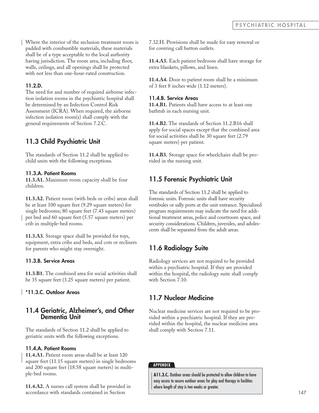Where the interior of the seclusion treatment room is padded with combustible materials, these materials shall be of a type acceptable to the local authority having jurisdiction. The room area, including floor, walls, ceilings, and all openings shall be protected with not less than one-hour-rated construction.

#### **11.2.D.**

The need for and number of required airborne infection isolation rooms in the psychiatric hospital shall be determined by an Infection Control Risk Assessment (ICRA). When required, the airborne infection isolation room(s) shall comply with the general requirements of Section 7.2.C.

## **11.3 Child Psychiatric Unit**

The standards of Section 11.2 shall be applied to child units with the following exceptions.

#### **11.3.A. Patient Rooms**

**11.3.A1.** Maximum room capacity shall be four children.

**11.3.A2.** Patient room (with beds or cribs) areas shall be at least 100 square feet (9.29 square meters) for single bedrooms; 80 square feet (7.43 square meters) per bed and 60 square feet (5.57 square meters) per crib in multiple-bed rooms.

**11.3.A3.** Storage space shall be provided for toys, equipment, extra cribs and beds, and cots or recliners for parents who might stay overnight.

#### **11.3.B. Service Areas**

**11.3.B1.** The combined area for social activities shall be 35 square feet (3.25 square meters) per patient.

#### **\*11.3.C. Outdoor Areas**

### **11.4 Geriatric, Alzheimer's, and Other Dementia Unit**

The standards of Section 11.2 shall be applied to geriatric units with the following exceptions.

#### **11.4.A. Patient Rooms**

**11.4.A1.** Patient room areas shall be at least 120 square feet (11.15 square meters) in single bedrooms and 200 square feet (18.58 square meters) in multiple-bed rooms.

**11.4.A2.** A nurses call system shall be provided in accordance with standards contained in Section

7.32.H. Provisions shall be made for easy removal or for covering call button outlets.

**11.4.A3.** Each patient bedroom shall have storage for extra blankets, pillows, and linen.

**11.4.A4.** Door to patient room shall be a minimum of 3 feet 8 inches wide (1.12 meters).

#### **11.4.B. Service Areas**

**11.4.B1.** Patients shall have access to at least one bathtub in each nursing unit.

**11.4.B2.** The standards of Section 11.2.B16 shall apply for social spaces except that the combined area for social activities shall be 30 square feet (2.79 square meters) per patient.

**11.4.B3.** Storage space for wheelchairs shall be provided in the nursing unit.

## **11.5 Forensic Psychiatric Unit**

The standards of Section 11.2 shall be applied to forensic units. Forensic units shall have security vestibules or sally ports at the unit entrance. Specialized program requirements may indicate the need for additional treatment areas, police and courtroom space, and security considerations. Children, juveniles, and adolescents shall be separated from the adult areas.

## **11.6 Radiology Suite**

Radiology services are not required to be provided within a psychiatric hospital. If they are provided within the hospital, the radiology suite shall comply with Section 7.10.

## **11.7 Nuclear Medicine**

Nuclear medicine services are not required to be provided within a psychiatric hospital. If they are provided within the hospital, the nuclear medicine area shall comply with Section 7.11.

#### **APPENDIX**

**A11.3.C.** Outdoor areas should be protected to allow children to have easy access to secure outdoor areas for play and therapy in facilities where length of stay is two weeks or greater.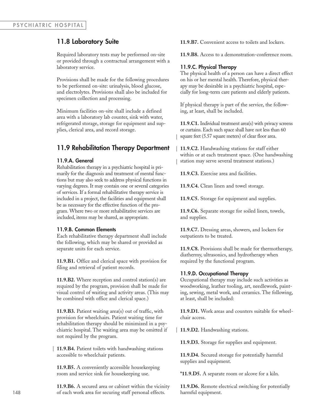## **11.8 Laboratory Suite**

Required laboratory tests may be performed on-site or provided through a contractual arrangement with a laboratory service.

Provisions shall be made for the following procedures to be performed on-site: urinalysis, blood glucose, and electrolytes. Provisions shall also be included for specimen collection and processing.

Minimum facilities on-site shall include a defined area with a laboratory lab counter, sink with water, refrigerated storage, storage for equipment and supplies, clerical area, and record storage.

## **11.9 Rehabilitation Therapy Department**

#### **11.9.A. General**

Rehabilitation therapy in a psychiatric hospital is primarily for the diagnosis and treatment of mental functions but may also seek to address physical functions in varying degrees. It may contain one or several categories of services. If a formal rehabilitative therapy service is included in a project, the facilities and equipment shall be as necessary for the effective function of the program. Where two or more rehabilitative services are included, items may be shared, as appropriate.

#### **11.9.B. Common Elements**

Each rehabilitative therapy department shall include the following, which may be shared or provided as separate units for each service.

**11.9.B1.** Office and clerical space with provision for filing and retrieval of patient records.

**11.9.B2.** Where reception and control station(s) are required by the program, provision shall be made for visual control of waiting and activity areas. (This may be combined with office and clerical space.)

**11.9.B3.** Patient waiting area(s) out of traffic, with provision for wheelchairs. Patient waiting time for rehabilitation therapy should be minimized in a psychiatric hospital. The waiting area may be omitted if not required by the program.

**11.9.B4.** Patient toilets with handwashing stations accessible to wheelchair patients.

**11.9.B5.** A conveniently accessible housekeeping room and service sink for housekeeping use.

**11.9.B6.** A secured area or cabinet within the vicinity of each work area for securing staff personal effects.

**11.9.B7.** Convenient access to toilets and lockers.

**11.9.B8.** Access to a demonstration-conference room.

#### **11.9.C. Physical Therapy**

The physical health of a person can have a direct effect on his or her mental health. Therefore, physical therapy may be desirable in a psychiatric hospital, especially for long-term care patients and elderly patients.

If physical therapy is part of the service, the following, at least, shall be included.

**11.9.C1.** Individual treatment area(s) with privacy screens or curtains. Each such space shall have not less than 60 square feet (5.57 square meters) of clear floor area.

**11.9.C2.** Handwashing stations for staff either within or at each treatment space. (One handwashing station may serve several treatment stations.)

**11.9.C3.** Exercise area and facilities.

**11.9.C4.** Clean linen and towel storage.

**11.9.C5.** Storage for equipment and supplies.

**11.9.C6.** Separate storage for soiled linen, towels, and supplies.

**11.9.C7.** Dressing areas, showers, and lockers for outpatients to be treated.

**11.9.C8.** Provisions shall be made for thermotherapy, diathermy, ultrasonics, and hydrotherapy when required by the functional program.

#### **11.9.D. Occupational Therapy**

Occupational therapy may include such activities as woodworking, leather tooling, art, needlework, painting, sewing, metal work, and ceramics. The following, at least, shall be included:

**11.9.D1.** Work areas and counters suitable for wheelchair access.

**11.9.D2.** Handwashing stations.

**11.9.D3.** Storage for supplies and equipment.

**11.9.D4.** Secured storage for potentially harmful supplies and equipment.

**\*11.9.D5.** A separate room or alcove for a kiln.

**11.9.D6.** Remote electrical switching for potentially harmful equipment.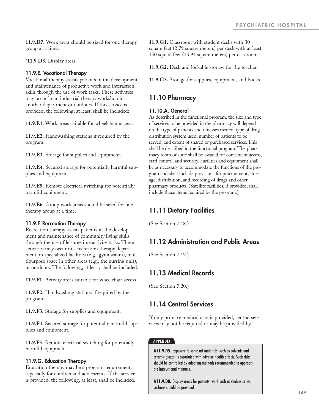**11.9.D7.** Work areas should be sized for one therapy group at a time.

**\*11.9.D8.** Display areas.

#### **11.9.E. Vocational Therapy**

Vocational therapy assists patients in the development and maintenance of productive work and interaction skills through the use of work tasks. These activities may occur in an industrial therapy workshop in another department or outdoors. If this service is provided, the following, at least, shall be included:

**11.9.E1.** Work areas suitable for wheelchair access.

**11.9.E2.** Handwashing stations if required by the program.

**11.9.E3.** Storage for supplies and equipment.

**11.9.E4.** Secured storage for potentially harmful supplies and equipment.

**11.9.E5.** Remote electrical switching for potentially harmful equipment.

**11.9.E6.** Group work areas should be sized for one therapy group at a time.

#### **11.9.F. Recreation Therapy**

Recreation therapy assists patients in the development and maintenance of community living skills through the use of leisure-time activity tasks. These activities may occur in a recreation therapy department, in specialized facilities (e.g., gymnasium), multipurpose space in other areas (e.g., the nursing unit), or outdoors. The following, at least, shall be included:

**11.9.F1.** Activity areas suitable for wheelchair access.

**11.9.F2.** Handwashing stations if required by the program.

**11.9.F3.** Storage for supplies and equipment.

**11.9.F4.** Secured storage for potentially harmful supplies and equipment.

**11.9.F5.** Remote electrical switching for potentially harmful equipment.

#### **11.9.G. Education Therapy**

Education therapy may be a program requirement, especially for children and adolescents. If the service is provided, the following, at least, shall be included. **11.9.G1.** Classroom with student desks with 30 square feet (2.79 square meters) per desk with at least 150 square feet (13.94 square meters) per classroom.

**11.9.G2.** Desk and lockable storage for the teacher.

**11.9.G3.** Storage for supplies, equipment, and books.

## **11.10 Pharmacy**

#### **11.10.A. General**

As described in the functional program, the size and type of services to be provided in the pharmacy will depend on the type of patients and illnesses treated, type of drug distribution system used, number of patients to be served, and extent of shared or purchased services. This shall be described in the functional program. The pharmacy room or suite shall be located for convenient access, staff control, and security. Facilities and equipment shall be as necessary to accommodate the functions of the program and shall include provisions for procurement, storage, distribution, and recording of drugs and other pharmacy products. (Satellite facilities, if provided, shall include those items required by the program.)

## **11.11 Dietary Facilities**

(See Section 7.18.)

## **11.12 Administration and Public Areas**

(See Section 7.19.)

## **11.13 Medical Records**

(See Section 7.20.)

## **11.14 Central Services**

If only primary medical care is provided, central services may not be required or may be provided by

#### **APPENDIX**

**A11.9.D5.** Exposure to some art materials, such as solvents and ceramic glazes, is associated with adverse health effects. Such risks should be controlled by adopting methods recommended in appropriate instructional manuals.

**A11.9.D8.** Display areas for patients' work such as shelves or wall surfaces should be provided.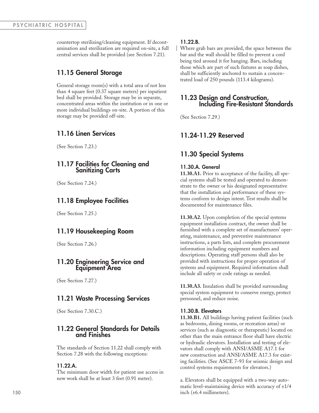countertop sterilizing/cleaning equipment. If decontamination and sterilization are required on-site, a full central services shall be provided (see Section 7.21).

## **11.15 General Storage**

General storage room(s) with a total area of not less than 4 square feet (0.37 square meters) per inpatient bed shall be provided. Storage may be in separate, concentrated areas within the institution or in one or more individual buildings on-site. A portion of this storage may be provided off-site.

## **11.16 Linen Services**

(See Section 7.23.)

## **11.17 Facilities for Cleaning and Sanitizing Carts**

(See Section 7.24.)

## **11.18 Employee Facilities**

(See Section 7.25.)

### **11.19 Housekeeping Room**

(See Section 7.26.)

## **11.20 Engineering Service and Equipment Area**

(See Section 7.27.)

#### **11.21 Waste Processing Services**

(See Section 7.30.C.)

### **11.22 General Standards for Details and Finishes**

The standards of Section 11.22 shall comply with Section 7.28 with the following exceptions:

#### **11.22.A.**

The minimum door width for patient use access in new work shall be at least 3 feet (0.91 meter).

#### **11.22.B.**

Where grab bars are provided, the space between the bar and the wall should be filled to prevent a cord being tied around it for hanging. Bars, including those which are part of such fixtures as soap dishes, shall be sufficiently anchored to sustain a concentrated load of 250 pounds (113.4 kilograms).

## **11.23 Design and Construction, Including Fire-Resistant Standards**

(See Section 7.29.)

## **11.24-11.29 Reserved**

## **11.30 Special Systems**

#### **11.30.A. General**

**11.30.A1.** Prior to acceptance of the facility, all special systems shall be tested and operated to demonstrate to the owner or his designated representative that the installation and performance of these systems conform to design intent. Test results shall be documented for maintenance files.

**11.30.A2.** Upon completion of the special systems equipment installation contract, the owner shall be furnished with a complete set of manufacturers' operating, maintenance, and preventive maintenance instructions, a parts lists, and complete procurement information including equipment numbers and descriptions. Operating staff persons shall also be provided with instructions for proper operation of systems and equipment. Required information shall include all safety or code ratings as needed.

**11.30.A3.** Insulation shall be provided surrounding special system equipment to conserve energy, protect personnel, and reduce noise.

#### **11.30.B. Elevators**

**11.30.B1.** All buildings having patient facilities (such as bedrooms, dining rooms, or recreation areas) or services (such as diagnostic or therapeutic) located on other than the main entrance floor shall have electric or hydraulic elevators. Installation and testing of elevators shall comply with ANSI/ASME A17.1 for new construction and ANSI/ASME A17.3 for existing facilities. (See ASCE 7-93 for seismic design and control systems requirements for elevators.)

a. Elevators shall be equipped with a two-way automatic level-maintaining device with accuracy of  $\pm 1/4$ inch (±6.4 millimeters).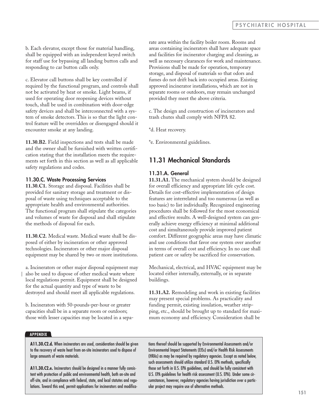b. Each elevator, except those for material handling, shall be equipped with an independent keyed switch for staff use for bypassing all landing button calls and responding to car button calls only.

c. Elevator call buttons shall be key controlled if required by the functional program, and controls shall not be activated by heat or smoke. Light beams, if used for operating door reopening devices without touch, shall be used in combination with door-edge safety devices and shall be interconnected with a system of smoke detectors. This is so that the light control feature will be overridden or disengaged should it encounter smoke at any landing.

**11.30.B2.** Field inspections and tests shall be made and the owner shall be furnished with written certification stating that the installation meets the requirements set forth in this section as well as all applicable safety regulations and codes.

#### **11.30.C. Waste Processing Services**

**11.30.C1.** Storage and disposal. Facilities shall be provided for sanitary storage and treatment or disposal of waste using techniques acceptable to the appropriate health and environmental authorities. The functional program shall stipulate the categories and volumes of waste for disposal and shall stipulate the methods of disposal for each.

**11.30.C2.** Medical waste. Medical waste shall be disposed of either by incineration or other approved technologies. Incinerators or other major disposal equipment may be shared by two or more institutions.

a. Incinerators or other major disposal equipment may also be used to dispose of other medical waste where local regulations permit. Equipment shall be designed for the actual quantity and type of waste to be destroyed and should meet all applicable regulations.

b. Incinerators with 50-pounds-per-hour or greater capacities shall be in a separate room or outdoors; those with lesser capacities may be located in a separate area within the facility boiler room. Rooms and areas containing incinerators shall have adequate space and facilities for incinerator charging and cleaning, as well as necessary clearances for work and maintenance. Provisions shall be made for operation, temporary storage, and disposal of materials so that odors and fumes do not drift back into occupied areas. Existing approved incinerator installations, which are not in separate rooms or outdoors, may remain unchanged provided they meet the above criteria.

c. The design and construction of incinerators and trash chutes shall comply with NFPA 82.

\*d. Heat recovery.

\*e. Environmental guidelines.

## **11.31 Mechanical Standards**

#### **11.31.A. General**

**11.31.A1.** The mechanical system should be designed for overall efficiency and appropriate life cycle cost. Details for cost-effective implementation of design features are interrelated and too numerous (as well as too basic) to list individually. Recognized engineering procedures shall be followed for the most economical and effective results. A well-designed system can generally achieve energy efficiency at minimal additional cost and simultaneously provide improved patient comfort. Different geographic areas may have climatic and use conditions that favor one system over another in terms of overall cost and efficiency. In no case shall patient care or safety be sacrificed for conservation.

Mechanical, electrical, and HVAC equipment may be located either internally, externally, or in separate buildings.

**11.31.A2.** Remodeling and work in existing facilities may present special problems. As practicality and funding permit, existing insulation, weather stripping, etc., should be brought up to standard for maximum economy and efficiency. Consideration shall be

#### **APPENDIX**

**A11.30.C2.d.** When incinerators are used, consideration should be given to the recovery of waste heat from on-site incinerators used to dispose of large amounts of waste materials.

**A11.30.C2.e.** Incinerators should be designed in a manner fully consistent with protection of public and environmental health, both on-site and off-site, and in compliance with federal, state, and local statutes and regulations. Toward this end, permit applications for incinerators and modifica-

tions thereof should be supported by Environmental Assessments and/or Environmental Impact Statements (EISs) and/or Health Risk Assessments (HRAs) as may be required by regulatory agencies. Except as noted below, such assessments should utilize standard U.S. EPA methods, specifically those set forth in U.S. EPA guidelines, and should be fully consistent with U.S. EPA guidelines for health risk assessment (U.S. EPA). Under some circumstances, however, regulatory agencies having jurisdiction over a particular project may require use of alternative methods.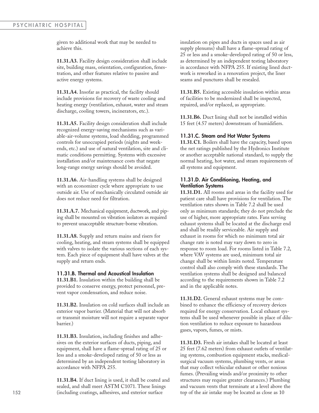given to additional work that may be needed to achieve this.

**11.31.A3.** Facility design consideration shall include site, building mass, orientation, configuration, fenestration, and other features relative to passive and active energy systems.

**11.31.A4.** Insofar as practical, the facility should include provisions for recovery of waste cooling and heating energy (ventilation, exhaust, water and steam discharge, cooling towers, incinerators, etc.).

**11.31.A5.** Facility design consideration shall include recognized energy-saving mechanisms such as variable-air-volume systems, load shedding, programmed controls for unoccupied periods (nights and weekends, etc.) and use of natural ventilation, site and climatic conditions permitting. Systems with excessive installation and/or maintenance costs that negate long-range energy savings should be avoided.

**11.31.A6.** Air-handling systems shall be designed with an economizer cycle where appropriate to use outside air. Use of mechanically circulated outside air does not reduce need for filtration.

**11.31.A.7.** Mechanical equipment, ductwork, and piping shall be mounted on vibration isolators as required to prevent unacceptable structure-borne vibration.

**11.31.A8.** Supply and return mains and risers for cooling, heating, and steam systems shall be equipped with valves to isolate the various sections of each system. Each piece of equipment shall have valves at the supply and return ends.

#### **11.31.B. Thermal and Acoustical Insulation**

**11.31.B1.** Insulation within the building shall be provided to conserve energy, protect personnel, prevent vapor condensation, and reduce noise.

**11.31.B2.** Insulation on cold surfaces shall include an exterior vapor barrier. (Material that will not absorb or transmit moisture will not require a separate vapor barrier.)

**11.31.B3.** Insulation, including finishes and adhesives on the exterior surfaces of ducts, piping, and equipment, shall have a flame-spread rating of 25 or less and a smoke-developed rating of 50 or less as determined by an independent testing laboratory in accordance with NFPA 255.

**11.31.B4.** If duct lining is used, it shall be coated and sealed, and shall meet ASTM C1071. These linings (including coatings, adhesives, and exterior surface

insulation on pipes and ducts in spaces used as air supply plenums) shall have a flame-spread rating of 25 or less and a smoke-developed rating of 50 or less, as determined by an independent testing laboratory in accordance with NFPA 255. If existing lined ductwork is reworked in a renovation project, the liner seams and punctures shall be resealed.

**11.31.B5.** Existing accessible insulation within areas of facilities to be modernized shall be inspected, repaired, and/or replaced, as appropriate.

**11.31.B6.** Duct lining shall not be installed within 15 feet (4.57 meters) downstream of humidifiers.

#### **11.31.C. Steam and Hot Water Systems**

**11.31.C1.** Boilers shall have the capacity, based upon the net ratings published by the Hydronics Institute or another acceptable national standard, to supply the normal heating, hot water, and steam requirements of all systems and equipment.

#### **11.31.D. Air Conditioning, Heating, and Ventilation Systems**

**11.31.D1.** All rooms and areas in the facility used for patient care shall have provisions for ventilation. The ventilation rates shown in Table 7.2 shall be used only as minimum standards; they do not preclude the use of higher, more appropriate rates. Fans serving exhaust systems shall be located at the discharge end and shall be readily serviceable. Air supply and exhaust in rooms for which no minimum total air change rate is noted may vary down to zero in response to room load. For rooms listed in Table 7.2, where VAV systems are used, minimum total air change shall be within limits noted. Temperature control shall also comply with these standards. The ventilation systems shall be designed and balanced according to the requirements shown in Table 7.2 and in the applicable notes.

**11.31.D2.** General exhaust systems may be combined to enhance the efficiency of recovery devices required for energy conservation. Local exhaust systems shall be used whenever possible in place of dilution ventilation to reduce exposure to hazardous gases, vapors, fumes, or mists.

**11.31.D3.** Fresh air intakes shall be located at least 25 feet (7.62 meters) from exhaust outlets of ventilating systems, combustion equipment stacks, medicalsurgical vacuum systems, plumbing vents, or areas that may collect vehicular exhaust or other noxious fumes. (Prevailing winds and/or proximity to other structures may require greater clearances.) Plumbing and vacuum vents that terminate at a level above the top of the air intake may be located as close as 10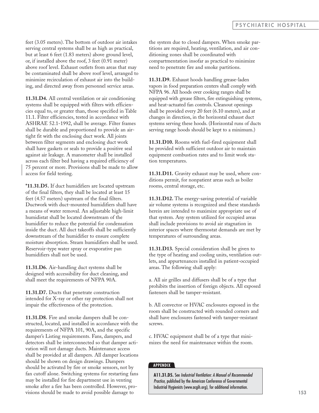feet (3.05 meters). The bottom of outdoor air intakes serving central systems shall be as high as practical, but at least 6 feet (1.83 meters) above ground level, or, if installed above the roof, 3 feet (0.91 meter) above roof level. Exhaust outlets from areas that may be contaminated shall be above roof level, arranged to minimize recirculation of exhaust air into the building, and directed away from personnel service areas.

**11.31.D4.** All central ventilation or air conditioning systems shall be equipped with filters with efficiencies equal to, or greater than, those specified in Table 11.1. Filter efficiencies, tested in accordance with ASHRAE 52.1-1992, shall be average. Filter frames shall be durable and proportioned to provide an airtight fit with the enclosing duct work. All joints between filter segments and enclosing duct work shall have gaskets or seals to provide a positive seal against air leakage. A manometer shall be installed across each filter bed having a required efficiency of 75 percent or more. Provisions shall be made to allow access for field testing.

**\*11.31.D5.** If duct humidifiers are located upstream of the final filters, they shall be located at least 15 feet (4.57 meters) upstream of the final filters. Ductwork with duct-mounted humidifiers shall have a means of water removal. An adjustable high-limit humidistat shall be located downstream of the humidifier to reduce the potential for condensation inside the duct. All duct takeoffs shall be sufficiently downstream of the humidifier to ensure complete moisture absorption. Steam humidifiers shall be used. Reservoir-type water spray or evaporative pan humidifiers shall not be used.

**11.31.D6.** Air-handling duct systems shall be designed with accessibility for duct cleaning, and shall meet the requirements of NFPA 90A.

**11.31.D7.** Ducts that penetrate construction intended for X-ray or other ray protection shall not impair the effectiveness of the protection.

**11.31.D8.** Fire and smoke dampers shall be constructed, located, and installed in accordance with the requirements of NFPA 101, 90A, and the specific damper's Listing requirements. Fans, dampers, and detectors shall be interconnected so that damper activation will not damage ducts. Maintenance access shall be provided at all dampers. All damper locations should be shown on design drawings. Dampers should be activated by fire or smoke sensors, not by fan cutoff alone. Switching systems for restarting fans may be installed for fire department use in venting smoke after a fire has been controlled. However, provisions should be made to avoid possible damage to

the system due to closed dampers. When smoke partitions are required, heating, ventilation, and air conditioning zones shall be coordinated with compartmentation insofar as practical to minimize need to penetrate fire and smoke partitions.

**11.31.D9.** Exhaust hoods handling grease-laden vapors in food preparation centers shall comply with NFPA 96. All hoods over cooking ranges shall be equipped with grease filters, fire extinguishing systems, and heat-actuated fan controls. Cleanout openings shall be provided every 20 feet (6.10 meters), and at changes in direction, in the horizontal exhaust duct systems serving these hoods. (Horizontal runs of ducts serving range hoods should be kept to a minimum.)

**11.31.D10.** Rooms with fuel-fired equipment shall be provided with sufficient outdoor air to maintain equipment combustion rates and to limit work station temperatures.

**11.31.D11.** Gravity exhaust may be used, where conditions permit, for nonpatient areas such as boiler rooms, central storage, etc.

**11.31.D12.** The energy-saving potential of variable air volume systems is recognized and these standards herein are intended to maximize appropriate use of that system. Any system utilized for occupied areas shall include provisions to avoid air stagnation in interior spaces where thermostat demands are met by temperatures of surrounding areas.

**11.31.D13.** Special consideration shall be given to the type of heating and cooling units, ventilation outlets, and appurtenances installed in patient-occupied areas. The following shall apply:

a. All air grilles and diffusers shall be of a type that prohibits the insertion of foreign objects. All exposed fasteners shall be tamper-resistant.

b. All convector or HVAC enclosures exposed in the room shall be constructed with rounded corners and shall have enclosures fastened with tamper-resistant screws.

c. HVAC equipment shall be of a type that minimizes the need for maintenance within the room.

#### **APPENDIX**

**A11.31.D5.** See Industrial Ventilation: A Manual of Recommended Practice, published by the American Conference of Governmental Industrial Hygienists (www.acgih.org), for additional information.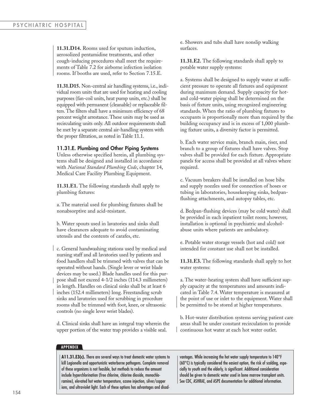**11.31.D14.** Rooms used for sputum induction, aerosolized pentamidine treatments, and other cough-inducing procedures shall meet the requirements of Table 7.2 for airborne infection isolation rooms. If booths are used, refer to Section 7.15.E.

**11.31.D15.** Non-central air handling systems, i.e., individual room units that are used for heating and cooling purposes (fan-coil units, heat pump units, etc.) shall be equipped with permanent (cleanable) or replaceable filters. The filters shall have a minimum efficiency of 68 percent weight arrestance. These units may be used as recirculating units only. All outdoor requirements shall be met by a separate central air-handling system with the proper filtration, as noted in Table 11.1.

#### **11.31.E. Plumbing and Other Piping Systems**

Unless otherwise specified herein, all plumbing systems shall be designed and installed in accordance with *National Standard Plumbing Code*, chapter 14, Medical Care Facility Plumbing Equipment.

**11.31.E1.** The following standards shall apply to plumbing fixtures:

a. The material used for plumbing fixtures shall be nonabsorptive and acid-resistant.

b. Water spouts used in lavatories and sinks shall have clearances adequate to avoid contaminating utensils and the contents of carafes, etc.

c. General handwashing stations used by medical and nursing staff and all lavatories used by patients and food handlers shall be trimmed with valves that can be operated without hands. (Single lever or wrist blade devices may be used.) Blade handles used for this purpose shall not exceed 4-1/2 inches (114.3 millimeters) in length. Handles on clinical sinks shall be at least 6 inches (152.4 millimeters) long. Freestanding scrub sinks and lavatories used for scrubbing in procedure rooms shall be trimmed with foot, knee, or ultrasonic controls (no single lever wrist blades).

d. Clinical sinks shall have an integral trap wherein the upper portion of the water trap provides a visible seal.

e. Showers and tubs shall have nonslip walking surfaces.

**11.31.E2.** The following standards shall apply to potable water supply systems:

a. Systems shall be designed to supply water at sufficient pressure to operate all fixtures and equipment during maximum demand. Supply capacity for hotand cold-water piping shall be determined on the basis of fixture units, using recognized engineering standards. When the ratio of plumbing fixtures to occupants is proportionally more than required by the building occupancy and is in excess of 1,000 plumbing fixture units, a diversity factor is permitted.

b. Each water service main, branch main, riser, and branch to a group of fixtures shall have valves. Stop valves shall be provided for each fixture. Appropriate panels for access shall be provided at all valves where required.

c. Vacuum breakers shall be installed on hose bibs and supply nozzles used for connection of hoses or tubing in laboratories, housekeeping sinks, bedpanflushing attachments, and autopsy tables, etc.

d. Bedpan-flushing devices (may be cold water) shall be provided in each inpatient toilet room; however, installation is optional in psychiatric and alcoholabuse units where patients are ambulatory.

e. Potable water storage vessels (hot and cold) not intended for constant use shall not be installed.

**11.31.E3.** The following standards shall apply to hot water systems:

a. The water-heating system shall have sufficient supply capacity at the temperatures and amounts indicated in Table 7.4. Water temperature is measured at the point of use or inlet to the equipment. Water shall be permitted to be stored at higher temperatures.

b. Hot-water distribution systems serving patient care areas shall be under constant recirculation to provide continuous hot water at each hot water outlet.

#### **APPENDIX**

**A11.31.E3(c).** There are several ways to treat domestic water systems to kill Legionella and opportunistic waterborne pathogens. Complete removal of these organisms is not feasible, but methods to reduce the amount include hyperchlorination (free chlorine, chlorine dioxide, monochloramine), elevated hot water temperature, ozone injection, silver/copper ions, and ultraviolet light. Each of these options has advantages and disad-

vantages. While increasing the hot water supply temperature to 140°F (60°C) is typically considered the easiest option, the risk of scalding, especially to youth and the elderly, is significant. Additional consideration should be given to domestic water used in bone marrow transplant units. See CDC, ASHRAE, and ASPE documentation for additional information.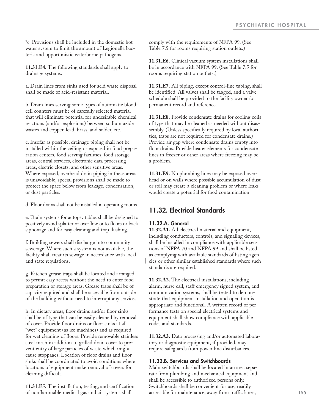\*c. Provisions shall be included in the domestic hot water system to limit the amount of Legionella bacteria and opportunistic waterborne pathogens.

**11.31.E4.** The following standards shall apply to drainage systems:

a. Drain lines from sinks used for acid waste disposal shall be made of acid-resistant material.

b. Drain lines serving some types of automatic bloodcell counters must be of carefully selected material that will eliminate potential for undesirable chemical reactions (and/or explosions) between sodium azide wastes and copper, lead, brass, and solder, etc.

c. Insofar as possible, drainage piping shall not be installed within the ceiling or exposed in food preparation centers, food serving facilities, food storage areas, central services, electronic data processing areas, electric closets, and other sensitive areas. Where exposed, overhead drain piping in these areas is unavoidable, special provisions shall be made to protect the space below from leakage, condensation, or dust particles.

d. Floor drains shall not be installed in operating rooms.

e. Drain systems for autopsy tables shall be designed to positively avoid splatter or overflow onto floors or back siphonage and for easy cleaning and trap flushing.

f. Building sewers shall discharge into community sewerage. Where such a system is not available, the facility shall treat its sewage in accordance with local and state regulations.

g. Kitchen grease traps shall be located and arranged to permit easy access without the need to enter food preparation or storage areas. Grease traps shall be of capacity required and shall be accessible from outside of the building without need to interrupt any services.

h. In dietary areas, floor drains and/or floor sinks shall be of type that can be easily cleaned by removal of cover. Provide floor drains or floor sinks at all "wet" equipment (as ice machines) and as required for wet cleaning of floors. Provide removable stainless steel mesh in addition to grilled drain cover to prevent entry of large particles of waste which might cause stoppages. Location of floor drains and floor sinks shall be coordinated to avoid conditions where locations of equipment make removal of covers for cleaning difficult.

**11.31.E5.** The installation, testing, and certification of nonflammable medical gas and air systems shall

comply with the requirements of NFPA 99. (See Table 7.5 for rooms requiring station outlets.)

**11.31.E6.** Clinical vacuum system installations shall be in accordance with NFPA 99. (See Table 7.5 for rooms requiring station outlets.)

**11.31.E7.** All piping, except control-line tubing, shall be identified. All valves shall be tagged, and a valve schedule shall be provided to the facility owner for permanent record and reference.

**11.31.E8.** Provide condensate drains for cooling coils of type that may be cleaned as needed without disassembly. (Unless specifically required by local authorities, traps are not required for condensate drains.) Provide air gap where condensate drains empty into floor drains. Provide heater elements for condensate lines in freezer or other areas where freezing may be a problem.

**11.31.E9.** No plumbing lines may be exposed overhead or on walls where possible accumulation of dust or soil may create a cleaning problem or where leaks would create a potential for food contamination.

## **11.32. Electrical Standards**

#### **11.32.A. General**

**11.32.A1.** All electrical material and equipment, including conductors, controls, and signaling devices, shall be installed in compliance with applicable sections of NFPA 70 and NFPA 99 and shall be listed as complying with available standards of listing agencies or other similar established standards where such standards are required.

**11.32.A2.** The electrical installations, including alarm, nurse call, staff emergency signed system, and communication systems, shall be tested to demonstrate that equipment installation and operation is appropriate and functional. A written record of performance tests on special electrical systems and equipment shall show compliance with applicable codes and standards.

**11.32.A3.** Data processing and/or automated laboratory or diagnostic equipment, if provided, may require safeguards from power line disturbances.

#### **11.32.B. Services and Switchboards**

Main switchboards shall be located in an area separate from plumbing and mechanical equipment and shall be accessible to authorized persons only. Switchboards shall be convenient for use, readily accessible for maintenance, away from traffic lanes,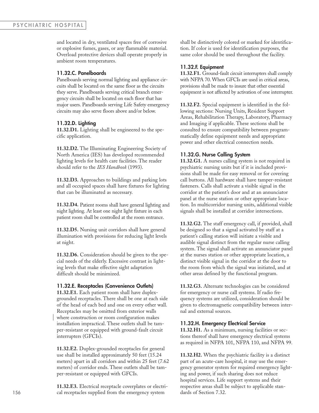and located in dry, ventilated spaces free of corrosive or explosive fumes, gases, or any flammable material. Overload protective devices shall operate properly in ambient room temperatures.

#### **11.32.C. Panelboards**

Panelboards serving normal lighting and appliance circuits shall be located on the same floor as the circuits they serve. Panelboards serving critical branch emergency circuits shall be located on each floor that has major users. Panelboards serving Life Safety emergency circuits may also serve floors above and/or below.

#### **11.32.D. Lighting**

**11.32.D1.** Lighting shall be engineered to the specific application.

**11.32.D2.** The Illuminating Engineering Society of North America (IES) has developed recommended lighting levels for health care facilities. The reader should refer to the *IES Handbook* (1993).

**11.32.D3.** Approaches to buildings and parking lots and all occupied spaces shall have fixtures for lighting that can be illuminated as necessary.

**11.32.D4.** Patient rooms shall have general lighting and night lighting. At least one night light fixture in each patient room shall be controlled at the room entrance.

**11.32.D5.** Nursing unit corridors shall have general illumination with provisions for reducing light levels at night.

**11.32.D6.** Consideration should be given to the special needs of the elderly. Excessive contrast in lighting levels that make effective sight adaptation difficult should be minimized.

#### **11.32.E. Receptacles (Convenience Outlets)**

**11.32.E1.** Each patient room shall have duplexgrounded receptacles. There shall be one at each side of the head of each bed and one on every other wall. Receptacles may be omitted from exterior walls where construction or room configuration makes installation impractical. These outlets shall be tamper-resistant or equipped with ground-fault circuit interrupters (GFCIs).

**11.32.E2.** Duplex-grounded receptacles for general use shall be installed approximately 50 feet (15.24 meters) apart in all corridors and within 25 feet (7.62 meters) of corridor ends. These outlets shall be tamper-resistant or equipped with GFCIs.

**11.32.E3.** Electrical receptacle coverplates or electrical receptacles supplied from the emergency system

shall be distinctively colored or marked for identification. If color is used for identification purposes, the same color should be used throughout the facility.

#### **11.32.F. Equipment**

**11.32.F1.** Ground-fault circuit interrupters shall comply with NFPA 70. When GFCIs are used in critical areas, provisions shall be made to insure that other essential equipment is not affected by activation of one interrupter.

**11.32.F2.** Special equipment is identified in the following sections: Nursing Units, Resident Support Areas, Rehabilitation Therapy, Laboratory, Pharmacy and Imaging if applicable. These sections shall be consulted to ensure compatibility between programmatically define equipment needs and appropriate power and other electrical connection needs.

#### **11.32.G. Nurse Calling System**

**11.32.G1.** A nurses calling system is not required in psychiatric nursing units but if it is included provisions shall be made for easy removal or for covering call buttons. All hardware shall have tamper-resistant fasteners. Calls shall activate a visible signal in the corridor at the patient's door and at an annunciator panel at the nurse station or other appropriate location. In multicorridor nursing units, additional visible signals shall be installed at corridor intersections.

**11.32.G2.** The staff emergency call, if provided, shall be designed so that a signal activated by staff at a patient's calling station will initiate a visible and audible signal distinct from the regular nurse calling system. The signal shall activate an annunciator panel at the nurses station or other appropriate location, a distinct visible signal in the corridor at the door to the room from which the signal was initiated, and at other areas defined by the functional program.

**11.32.G3.** Alternate technologies can be considered for emergency or nurse call systems. If radio frequency systems are utilized, consideration should be given to electromagnetic compatibility between internal and external sources.

#### **11.32.H. Emergency Electrical Service**

**11.32.H1.** As a minimum, nursing facilities or sections thereof shall have emergency electrical systems as required in NFPA 101, NFPA 110, and NFPA 99.

**11.32.H2.** When the psychiatric facility is a distinct part of an acute-care hospital, it may use the emergency generator system for required emergency lighting and power, if such sharing does not reduce hospital services. Life support systems and their respective areas shall be subject to applicable standards of Section 7.32.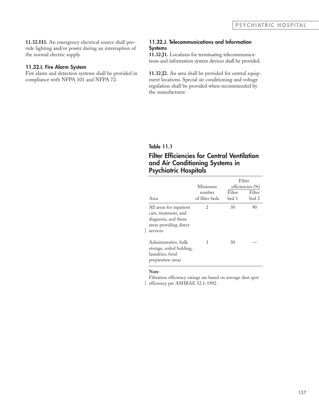**11.32.H3.** An emergency electrical source shall provide lighting and/or power during an interruption of the normal electric supply.

#### **11.32.I. Fire Alarm System**

Fire alarm and detection systems shall be provided in compliance with NFPA 101 and NFPA 72.

#### **11.32.J. Telecommunications and Information Systems**

**11.32.J1.** Locations for terminating telecommunications and information system devices shall be provided.

**11.32.J2.** An area shall be provided for central equipment locations. Special air conditioning and voltage regulation shall be provided when recommended by the manufacturer.

#### **Table 11.1**

## **Filter Efficiencies for Central Ventilation and Air Conditioning Systems in Psychiatric Hospitals**

|                                                                                                               | Minimum                  | Filter<br>efficiencies (%) |                 |
|---------------------------------------------------------------------------------------------------------------|--------------------------|----------------------------|-----------------|
| Area                                                                                                          | number<br>of filter beds | Filter<br>bed 1            | Filter<br>bed 2 |
| All areas for inpatient<br>care, treatment, and<br>diagnosis, and those<br>areas providing direct<br>services | 2                        | 30                         | 90              |
| Administrative, bulk<br>storage, soiled holding,<br>laundries, food<br>preparation areas                      | 1                        | 30                         |                 |

#### **Note**

Filtration efficiency ratings are based on average dust spot efficiency per ASHRAE 52.1-1992.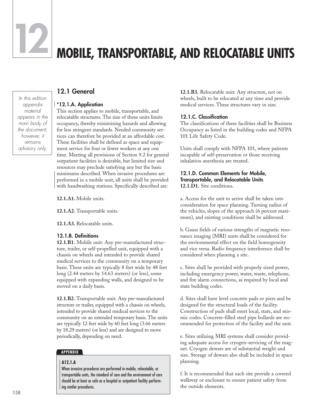## **MOBILE, TRANSPORTABLE, AND RELOCATABLE UNITS**

In this edition appendix material appears in the main body of the document; however, it remains advisory only.

## **12.1 General**

### **\*12.1.A. Application**

This section applies to mobile, transportable, and relocatable structures. The size of these units limits occupancy, thereby minimizing hazards and allowing for less stringent standards. Needed community services can therefore be provided at an affordable cost. These facilities shall be defined as space and equipment service for four or fewer workers at any one time. Meeting all provisions of Section 9.2 for general outpatient facilities is desirable, but limited size and resources may preclude satisfying any but the basic minimums described. When invasive procedures are performed in a mobile unit, all units shall be provided with handwashing stations. Specifically described are:

**12.1.A1.** Mobile units.

**12.1.A2.** Transportable units.

**12.1.A3.** Relocatable units.

#### **12.1.B. Definitions**

**12.1.B1.** Mobile unit: Any pre-manufactured structure, trailer, or self-propelled unit, equipped with a chassis on wheels and intended to provide shared medical services to the community on a temporary basis. These units are typically 8 feet wide by 48 feet long (2.44 meters by 14.63 meters) (or less), some equipped with expanding walls, and designed to be moved on a daily basis.

**12.1.B2.** Transportable unit: Any pre-manufactured structure or trailer, equipped with a chassis on wheels, intended to provide shared medical services to the community on an extended temporary basis. The units are typically 12 feet wide by 60 feet long (3.66 meters by 18.29 meters) (or less) and are designed to move periodically, depending on need.

#### **APPENDIX**

#### **A12.1.A**

When invasive procedures are performed in mobile, relocatable, or transportable units, the standard of care and the environment of care should be at least as safe as a hospital or outpatient facility performing similar procedures.

**12.1.B3.** Relocatable unit: Any structure, not on wheels, built to be relocated at any time and provide medical services. These structures vary in size.

#### **12.1.C. Classification**

The classifications of these facilities shall be Business Occupancy as listed in the building codes and NFPA 101 Life Safety Code.

Units shall comply with NFPA 101, where patients incapable of self-preservation or those receiving inhalation anesthesia are treated.

#### **12.1.D. Common Elements for Mobile, Transportable, and Relocatable Units 12.1.D1.** Site conditions.

a. Access for the unit to arrive shall be taken into consideration for space planning. Turning radius of the vehicles, slopes of the approach (6 percent maximum), and existing conditions shall be addressed.

b. Gauss fields of various strengths of magnetic resonance imaging (MRI) units shall be considered for the environmental effect on the field homogeneity and vice versa. Radio frequency interference shall be considered when planning a site.

c. Sites shall be provided with properly sized power, including emergency power, water, waste, telephone, and fire alarm connections, as required by local and state building codes.

d. Sites shall have level concrete pads or piers and be designed for the structural loads of the facility. Construction of pads shall meet local, state, and seismic codes. Concrete-filled steel pipe bollards are recommended for protection of the facility and the unit.

e. Sites utilizing MRI systems shall consider providing adequate access for cryogen-servicing of the magnet. Cryogen dewars are of substantial weight and size. Storage of dewars also shall be included in space planning.

f. It is recommended that each site provide a covered walkway or enclosure to ensure patient safety from the outside elements.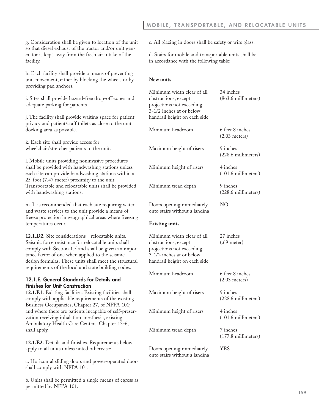g. Consideration shall be given to location of the unit so that diesel exhaust of the tractor and/or unit generator is kept away from the fresh air intake of the facility.

h. Each facility shall provide a means of preventing unit movement, either by blocking the wheels or by providing pad anchors.

i. Sites shall provide hazard-free drop-off zones and adequate parking for patients.

j. The facility shall provide waiting space for patient privacy and patient/staff toilets as close to the unit docking area as possible.

k. Each site shall provide access for wheelchair/stretcher patients to the unit.

l. Mobile units providing noninvasive procedures shall be provided with handwashing stations unless each site can provide handwashing stations within a 25-foot (7.47 meter) proximity to the unit.

Transportable and relocatable units shall be provided with handwashing stations.

m. It is recommended that each site requiring water and waste services to the unit provide a means of freeze protection in geographical areas where freezing temperatures occur.

**12.1.D2.** Site considerations—relocatable units. Seismic force resistance for relocatable units shall comply with Section 1.5 and shall be given an importance factor of one when applied to the seismic design formulas. These units shall meet the structural requirements of the local and state building codes.

#### **12.1.E. General Standards for Details and Finishes for Unit Construction**

**12.1.E1.** Existing facilities. Existing facilities shall comply with applicable requirements of the existing Business Occupancies, Chapter 27, of NFPA 101; and where there are patients incapable of self-preservation receiving inhalation anesthesia, existing Ambulatory Health Care Centers, Chapter 13-6, shall apply.

**12.1.E2.** Details and finishes. Requirements below apply to all units unless noted otherwise:

a. Horizontal sliding doors and power-operated doors shall comply with NFPA 101.

c. All glazing in doors shall be safety or wire glass.

d. Stairs for mobile and transportable units shall be in accordance with the following table:

#### **New units**

| Minimum width clear of all<br>obstructions, except<br>projections not exceeding<br>3-1/2 inches at or below<br>handrail height on each side | 34 inches<br>(863.6 millimeters)   |  |
|---------------------------------------------------------------------------------------------------------------------------------------------|------------------------------------|--|
| Minimum headroom                                                                                                                            | 6 feet 8 inches<br>$(2.03$ meters) |  |
| Maximum height of risers                                                                                                                    | 9 inches<br>(228.6 millimeters)    |  |
| Minimum height of risers                                                                                                                    | 4 inches<br>(101.6 millimeters)    |  |
| Minimum tread depth                                                                                                                         | 9 inches<br>(228.6 millimeters)    |  |
| Doors opening immediately<br>onto stairs without a landing                                                                                  | NO                                 |  |
| <b>Existing units</b>                                                                                                                       |                                    |  |
| Minimum width clear of all<br>obstructions, except<br>projections not exceeding<br>3-1/2 inches at or below<br>handrail height on each side | 27 inches<br>$(.69$ meter)         |  |
| Minimum headroom                                                                                                                            | 6 feet 8 inches<br>$(2.03$ meters) |  |
| Maximum height of risers                                                                                                                    | 9 inches<br>(228.6 millimeters)    |  |
| Minimum height of risers                                                                                                                    | 4 inches<br>(101.6 millimeters)    |  |
| Minimum tread depth                                                                                                                         | 7 inches<br>(177.8 millimeters)    |  |
| Doors opening immediately<br>onto stairs without a landing                                                                                  | YES                                |  |

b. Units shall be permitted a single means of egress as permitted by NFPA 101.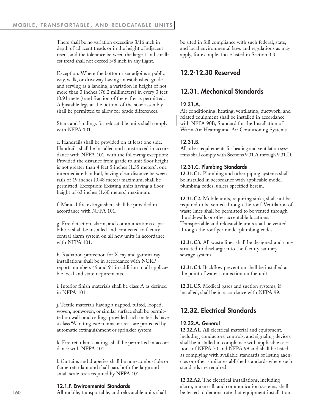There shall be no variation exceeding 3/16 inch in depth of adjacent treads or in the height of adjacent risers, and the tolerance between the largest and smallest tread shall not exceed 3/8 inch in any flight.

Exception: Where the bottom riser adjoins a public way, walk, or driveway having an established grade and serving as a landing, a variation in height of not more than 3 inches (76.2 millimeters) in every 3 feet (0.91 meter) and fraction of thereafter is permitted. Adjustable legs at the bottom of the stair assembly shall be permitted to allow for grade differences.

Stairs and landings for relocatable units shall comply with NFPA 101.

e. Handrails shall be provided on at least one side. Handrails shall be installed and constructed in accordance with NFPA 101, with the following exception: Provided the distance from grade to unit floor height is not greater than 4 feet 5 inches (1.35 meters), one intermediate handrail, having clear distance between rails of 19 inches (0.48 meter) maximum, shall be permitted. Exception: Existing units having a floor height of 63 inches (1.60 meters) maximum.

f. Manual fire extinguishers shall be provided in accordance with NFPA 101.

g. Fire detection, alarm, and communications capabilities shall be installed and connected to facility central alarm system on all new units in accordance with NFPA 101.

h. Radiation protection for X-ray and gamma ray installations shall be in accordance with NCRP reports numbers 49 and 91 in addition to all applicable local and state requirements.

i. Interior finish materials shall be class A as defined in NFPA 101.

j. Textile materials having a napped, tufted, looped, woven, nonwoven, or similar surface shall be permitted on walls and ceilings provided such materials have a class "A" rating *and* rooms or areas are protected by automatic extinguishment or sprinkler system.

k. Fire retardant coatings shall be permitted in accordance with NFPA 101.

l. Curtains and draperies shall be non-combustible or flame retardant and shall pass both the large and small scale tests required by NFPA 101.

#### **12.1.F. Environmental Standards**

All mobile, transportable, and relocatable units shall

be sited in full compliance with such federal, state, and local environmental laws and regulations as may apply, for example, those listed in Section 3.3.

### **12.2-12.30 Reserved**

#### **12.31. Mechanical Standards**

#### **12.31.A.**

Air conditioning, heating, ventilating, ductwork, and related equipment shall be installed in accordance with NFPA 90B, Standard for the Installation of Warm Air Heating and Air Conditioning Systems.

#### **12.31.B.**

All other requirements for heating and ventilation systems shall comply with Sections 9.31.A through 9.31.D.

#### **12.31.C. Plumbing Standards**

**12.31.C1.** Plumbing and other piping systems shall be installed in accordance with applicable model plumbing codes, unless specified herein.

**12.31.C2.** Mobile units, requiring sinks, shall not be required to be vented through the roof. Ventilation of waste lines shall be permitted to be vented through the sidewalls or other acceptable locations. Transportable and relocatable units shall be vented through the roof per model plumbing codes.

**12.31.C3.** All waste lines shall be designed and constructed to discharge into the facility sanitary sewage system.

**12.31.C4.** Backflow prevention shall be installed at the point of water connection on the unit.

**12.31.C5.** Medical gases and suction systems, if installed, shall be in accordance with NFPA 99.

## **12.32. Electrical Standards**

#### **12.32.A. General**

**12.32.A1.** All electrical material and equipment, including conductors, controls, and signaling devices, shall be installed in compliance with applicable sections of NFPA 70 and NFPA 99 and shall be listed as complying with available standards of listing agencies or other similar established standards where such standards are required.

**12.32.A2.** The electrical installations, including alarm, nurse call, and communication systems, shall be tested to demonstrate that equipment installation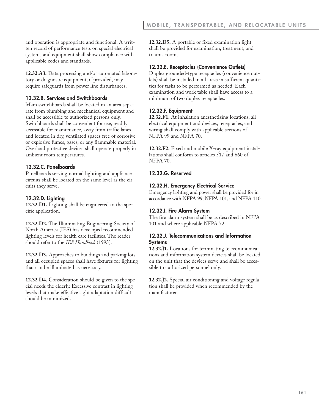and operation is appropriate and functional. A written record of performance tests on special electrical systems and equipment shall show compliance with applicable codes and standards.

**12.32.A3.** Data processing and/or automated laboratory or diagnostic equipment, if provided, may require safeguards from power line disturbances.

#### **12.32.B. Services and Switchboards**

Main switchboards shall be located in an area separate from plumbing and mechanical equipment and shall be accessible to authorized persons only. Switchboards shall be convenient for use, readily accessible for maintenance, away from traffic lanes, and located in dry, ventilated spaces free of corrosive or explosive fumes, gases, or any flammable material. Overload protective devices shall operate properly in ambient room temperatures.

#### **12.32.C. Panelboards**

Panelboards serving normal lighting and appliance circuits shall be located on the same level as the circuits they serve.

#### **12.32.D. Lighting**

**12.32.D1.** Lighting shall be engineered to the specific application.

**12.32.D2.** The Illuminating Engineering Society of North America (IES) has developed recommended lighting levels for health care facilities. The reader should refer to the *IES Handbook* (1993).

**12.32.D3.** Approaches to buildings and parking lots and all occupied spaces shall have fixtures for lighting that can be illuminated as necessary.

**12.32.D4.** Consideration should be given to the special needs the elderly. Excessive contrast in lighting levels that make effective sight adaptation difficult should be minimized.

**12.32.D5.** A portable or fixed examination light shall be provided for examination, treatment, and trauma rooms.

#### **12.32.E. Receptacles (Convenience Outlets)**

Duplex grounded-type receptacles (convenience outlets) shall be installed in all areas in sufficient quantities for tasks to be performed as needed. Each examination and work table shall have access to a minimum of two duplex receptacles.

#### **12.32.F. Equipment**

**12.32.F1.** At inhalation anesthetizing locations, all electrical equipment and devices, receptacles, and wiring shall comply with applicable sections of NFPA 99 and NFPA 70.

**12.32.F2.** Fixed and mobile X-ray equipment installations shall conform to articles 517 and 660 of NFPA 70.

#### **12.32.G. Reserved**

#### **12.32.H. Emergency Electrical Service**

Emergency lighting and power shall be provided for in accordance with NFPA 99, NFPA 101, and NFPA 110.

#### **12.32.I. Fire Alarm System**

The fire alarm system shall be as described in NFPA 101 and where applicable NFPA 72.

#### **12.32.J. Telecommunications and Information Systems**

**12.32.J1.** Locations for terminating telecommunications and information system devices shall be located on the unit that the devices serve and shall be accessible to authorized personnel only.

**12.32.J2.** Special air conditioning and voltage regulation shall be provided when recommended by the manufacturer.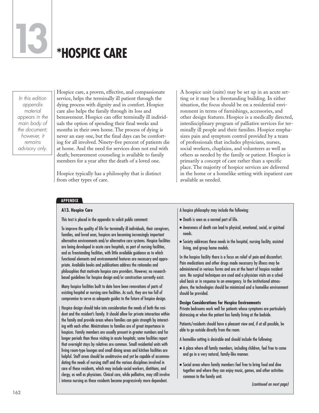# **13 \*HOSPICE CARE**

In this edition appendix material appears in the main body of the document; however, it remains advisory only.

Hospice care, a proven, effective, and compassionate service, helps the terminally ill patient through the dying process with dignity and in comfort. Hospice care also helps the family through its loss and bereavement. Hospice can offer terminally ill individuals the option of spending their final weeks and months in their own home. The process of dying is never an easy one, but the final days can be comforting for all involved. Ninety-five percent of patients die at home. And the need for services does not end with death; bereavement counseling is available to family members for a year after the death of a loved one.

Hospice typically has a philosophy that is distinct from other types of care.

A hospice unit (suite) may be set up in an acute setting or it may be a freestanding building. In either situation, the focus should be on a residential environment in terms of furnishings, accessories, and other design features. Hospice is a medically directed, interdisciplinary program of palliative services for terminally ill people and their families. Hospice emphasizes pain and symptom control provided by a team of professionals that includes physicians, nurses, social workers, chaplains, and volunteers as well as others as needed by the family or patient. Hospice is primarily a concept of care rather than a specific place. The majority of hospice services are delivered in the home or a homelike setting with inpatient care available as needed.

#### **APPENDIX**

#### **A13. Hospice Care**

This text is placed in the appendix to solicit public comment:

To improve the quality of life for terminally ill individuals, their caregivers, families, and loved ones, hospices are becoming increasingly important alternative environments and/or alternative care systems. Hospice facilities are being developed in acute care hospitals, as part of nursing facilities, and as freestanding facilities, with little available guidance as to which functional elements and environmental features are necessary and appropriate. Available books and publications address the rationales and philosophies that motivate hospice care providers. However, no researchbased guidelines for hospice design and/or construction currently exist.

Many hospice facilities built to date have been renovations of parts of existing hospital or nursing care facilities. As such, they are too full of compromise to serve as adequate guides to the future of hospice design.

Hospice design should take into consideration the needs of both the resident and the resident's family. It should allow for private interaction within the family and provide areas where families can gain strength by interacting with each other. Ministrations to families are of great importance in hospices. Family members are usually present in greater numbers and for longer periods than those visiting in acute hospitals; some facilities report that overnight stays by relatives are common. Small residential units with living room-type lounges and small dining areas and kitchen facilities are helpful. Staff areas should be unobtrusive and yet be capable of accommodating the needs of nursing staff and the various disciplines involved in care of these residents, which may include social workers, dietitians, and clergy, as well as physicians. Clinical care, while palliative, may still involve intense nursing as these residents become progressively more dependent.

- A hospice philosophy may include the following:
- Death is seen as a normal part of life.
- Awareness of death can lead to physical, emotional, social, or spiritual needs.
- Society addresses these needs in the hospital, nursing facility, assisted living, and group home models.

In the hospice facility there is a focus on relief of pain and discomfort. Pain medications and other drugs made necessary by illness may be administered in various forms and are at the heart of hospice resident care. No surgical techniques are used and a physician visits on a scheduled basis or in response to an emergency. In the institutional atmosphere, the technologies should be minimized and a homelike environment should be provided.

#### **Design Considerations for Hospice Environments**

Private bedrooms work well for patients whose symptoms are particularly distressing or when the patient has family living at the bedside.

Patients/residents should have a pleasant view and, if at all possible, be able to go outside directly from the room.

A homelike setting is desirable and should include the following:

- A place where all family members, including children, feel free to come and go in a very natural, family-like manner.
- Social areas where family members feel free to bring food and dine together and where they can enjoy music, games, and other activities common to the family unit.

(continued on next page)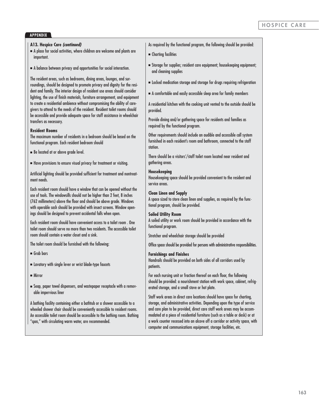#### **APPENDIX**

#### **A13. Hospice Care (continued)**

- A place for social activities, where children are welcome and plants are important.
- A balance between privacy and opportunities for social interaction.

The resident areas, such as bedrooms, dining areas, lounges, and surroundings, should be designed to promote privacy and dignity for the resident and family. The interior design of resident use areas should consider lighting, the use of finish materials, furniture arrangement, and equipment to create a residential ambience without compromising the ability of caregivers to attend to the needs of the resident. Resident toilet rooms should be accessible and provide adequate space for staff assistance in wheelchair transfers as necessary.

#### **Resident Rooms**

The maximum number of residents in a bedroom should be based on the functional program. Each resident bedroom should

- Be located at or above grade level.
- Have provisions to ensure visual privacy for treatment or visiting.

Artificial lighting should be provided sufficient for treatment and nontreatment needs.

Each resident room should have a window that can be opened without the use of tools. The windowsills should not be higher than 2 feet, 8 inches (762 millimeters) above the floor and should be above grade. Windows with operable sash should be provided with insect screens. Window openings should be designed to prevent accidental falls when open.

Each resident room should have convenient access to a toilet room . One toilet room should serve no more than two residents. The accessible toilet room should contain a water closet and a sink.

The toilet room should be furnished with the following:

- Grab bars
- Lavatory with single lever or wrist blade-type faucets
- Mirror
- Soap, paper towel dispensers, and wastepaper receptacle with a removable impervious liner

A bathing facility containing either a bathtub or a shower accessible to a wheeled shower chair should be conveniently accessible to resident rooms. An accessible toilet room should be accessible to the bathing room. Bathing "spas," with circulating warm water, are recommended.

As required by the functional program, the following should be provided:

- Charting facilities
- Storage for supplies; resident care equipment; housekeeping equipment; and cleaning supplies
- Locked medication storage and storage for drugs requiring refrigeration
- A comfortable and easily accessible sleep area for family members

A residential kitchen with the cooking unit vented to the outside should be provided.

Provide dining and/or gathering space for residents and families as required by the functional program.

Other requirements should include an audible and accessible call system furnished in each resident's room and bathroom, connected to the staff station.

There should be a visitors'/staff toilet room located near resident and gathering areas.

#### **Housekeeping**

Housekeeping space should be provided convenient to the resident and service areas.

#### **Clean Linen and Supply**

A space sized to store clean linen and supplies, as required by the functional program, should be provided.

#### **Soiled Utility Room**

A soiled utility or work room should be provided in accordance with the functional program.

Stretcher and wheelchair storage should be provided

Office space should be provided for persons with administrative responsibilities.

#### **Furnishings and Finishes**

Handrails should be provided on both sides of all corridors used by patients.

For each nursing unit or fraction thereof on each floor, the following should be provided: a nourishment station with work space, cabinet, refrigerated storage, and a small stove or hot plate.

Staff work areas in direct care locations should have space for charting, storage, and administrative activities. Depending upon the type of service and care plan to be provided, direct care staff work areas may be accommodated at a piece of residential furniture (such as a table or desk) or at a work counter recessed into an alcove off a corridor or activity space, with computer and communications equipment, storage facilities, etc.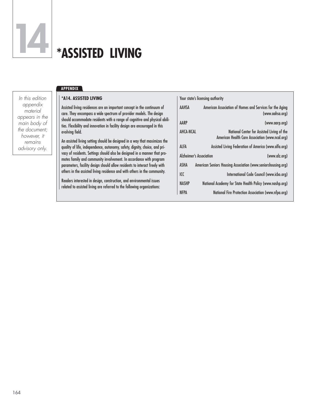

## **\*ASSISTED LIVING**

### In this edition appendix material appears in the main body of the document; however, it remains advisory only.

### **APPENDIX**

### **\*A14. ASSISTED LIVING**

Assisted living residences are an important concept in the continuum of care. They encompass a wide spectrum of provider models. The design should accommodate residents with a range of cognitive and physical abilities. Flexibility and innovation in facility design are encouraged in this evolving field.

An assisted living setting should be designed in a way that maximizes the quality of life, independence, autonomy, safety, dignity, choice, and privacy of residents. Settings should also be designed in a manner that promotes family and community involvement. In accordance with program parameters, facility design should allow residents to interact freely with others in the assisted living residence and with others in the community.

Readers interested in design, construction, and environmental issues related to assisted living are referred to the following organizations:

| Your state's licensing authority |                                                                                               |  |
|----------------------------------|-----------------------------------------------------------------------------------------------|--|
| AAHSA                            | American Association of Homes and Services for the Aging<br>(www.aahsa.org)                   |  |
| AARP                             | (www.aarp.org)                                                                                |  |
| AHCA-NCAL                        | National Center for Assisted Living of the<br>American Health Care Association (www.ncal.org) |  |
| ALFA                             | Assisted Living Federation of America (www.alfa.org)                                          |  |
|                                  | <b>Alzheimer's Association</b><br>(www.alz.org)                                               |  |
| ASHA                             | American Seniors Housing Association (www.seniorshousing.org)                                 |  |
| ICC                              | International Code Council (www.icbo.org)                                                     |  |
| <b>NASHP</b>                     | National Academy for State Health Policy (www.nashp.org)                                      |  |
| <b>NFPA</b>                      | National Fire Protection Association (www.nfpa.org)                                           |  |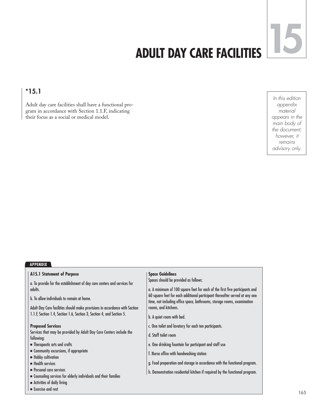# **15 ADULT DAY CARE FACILITIES**

### **\*15.1**

Adult day care facilities shall have a functional program in accordance with Section 1.1.F, indicating their focus as a social or medical model.

In this edition appendix material appears in the main body of the document; however, it remains advisory only.

### **APPENDIX**

|                                                                | A15.1 Statement of Purpose                                                  | <b>Space Guidelines</b>                                                                                                                                                        |
|----------------------------------------------------------------|-----------------------------------------------------------------------------|--------------------------------------------------------------------------------------------------------------------------------------------------------------------------------|
| adults.                                                        | a. To provide for the establishment of day care centers and services for    | Spaces should be provided as follows:                                                                                                                                          |
|                                                                |                                                                             | a. A minimum of 100 square feet for each of the first five participants and                                                                                                    |
|                                                                | b. To allow individuals to remain at home.                                  | 60 square feet for each additional participant thereafter served at any one<br>time, not including office space, bathrooms, storage rooms, examination<br>rooms, and kitchens. |
|                                                                | Adult Day Care facilities should make provisions in accordance with Section |                                                                                                                                                                                |
|                                                                | 1.1.F, Section 1.4, Section 1.6, Section 3, Section 4, and Section 5.       | b. A quiet room with bed.                                                                                                                                                      |
|                                                                | <b>Proposed Services</b>                                                    | c. One toilet and lavatory for each ten participants.                                                                                                                          |
|                                                                | Services that may be provided by Adult Day Care Centers include the         | d. Staff toilet room                                                                                                                                                           |
|                                                                | following:                                                                  |                                                                                                                                                                                |
|                                                                | - Therapeutic arts and crafts                                               | e. One drinking fountain for participant and staff use                                                                                                                         |
|                                                                | Community excursions, if appropriate<br>- Hobby cultivation                 | f. Nurse office with handwashing station                                                                                                                                       |
|                                                                | $\blacksquare$ Health services                                              | g. Food preparation and storage in accordance with the functional program.                                                                                                     |
|                                                                | Personal care services                                                      | h. Demonstration residential kitchen if required by the functional program.                                                                                                    |
| Counseling services for elderly individuals and their families |                                                                             |                                                                                                                                                                                |
| Activities of daily living                                     |                                                                             |                                                                                                                                                                                |
|                                                                | $\blacksquare$ Exercise and rest                                            |                                                                                                                                                                                |
|                                                                |                                                                             |                                                                                                                                                                                |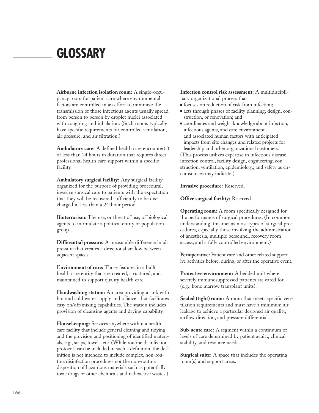### **GLOSSARY**

**Airborne infection isolation room:** A single-occupancy room for patient care where environmental factors are controlled in an effort to minimize the transmission of those infectious agents usually spread from person to person by droplet nuclei associated with coughing and inhalation. (Such rooms typically have specific requirements for controlled ventilation, air pressure, and air filtration.)

**Ambulatory care:** A defined health care encounter(s) of less than 24 hours in duration that requires direct professional health care support within a specific facility.

**Ambulatory surgical facility:** Any surgical facility organized for the purpose of providing procedural, invasive surgical care to patients with the expectation that they will be recovered sufficiently to be discharged in less than a 24-hour period.

**Bioterrorism:** The use, or threat of use, of biological agents to intimidate a political entity or population group.

**Differential pressure:** A measurable difference in air pressure that creates a directional airflow between adjacent spaces.

**Environment of care:** Those features in a built health care entity that are created, structured, and maintained to support quality health care.

**Handwashing station:** An area providing a sink with hot and cold water supply and a faucet that facilitates easy on/off/mixing capabilities. The station includes provision of cleansing agents and drying capability.

**Housekeeping:** Services anywhere within a health care facility that include general cleaning and tidying and the provision and positioning of identified materials, e.g., soaps, towels, etc. (While routine disinfection protocols can be included in such a definition, the definition is not intended to include complex, non-routine disinfection procedures nor the non-routine disposition of hazardous materials such as potentially toxic drugs or other chemicals and radioactive wastes.)

### **Infection control risk assessment:** A multidisciplinary organizational process that

- focuses on reduction of risk from infection;
- acts through phases of facility planning, design, construction, or renovation; and
- coordinates and weighs knowledge about infection, infectious agents, and care environment and associated human factors with anticipated impacts from site changes and related projects for

leadership and other organizational customers. (This process utilizes expertise in infectious disease, infection control, facility design, engineering, construction, ventilation, epidemiology, and safety as circumstances may indicate.)

**Invasive procedure:** Reserved.

**Office surgical facility:** Reserved.

**Operating room:** A room specifically designed for the performance of surgical procedures. (In common understanding, this means most types of surgical procedures, especially those involving the administration of anesthesia, multiple personnel, recovery room access, and a fully controlled environment.)

**Perioperative:** Patient care and other related supportive activities before, during, or after the operative event.

**Protective environment:** A bedded unit where severely immunosuppressed patients are cared for (e.g*.*, bone marrow transplant units).

**Sealed (tight) room:** A room that meets specific ventilation requirements and must have a minimum air leakage to achieve a particular designed air quality, airflow direction, and pressure differential.

**Sub-acute care:** A segment within a continuum of levels of care determined by patient acuity, clinical stability, and resource needs.

**Surgical suite:** A space that includes the operating room(s) and support areas.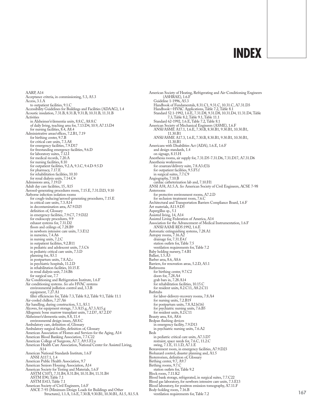AARP, A14 Acceptance criteria, in commissioning, 5.3, A5.3 Access, 3.1.A to outpatient facilities, 9.1.C Accessibility Guidelines for Buildings and Facilities (ADAAG), 1.4 Acoustic insulation, 7.31.B, 8.31.B, 9.31.B, 10.31.B, 11.31.B **Activities** in Alzheimer's/dementia units, 8.8.C, A8.8.C of daily living, teaching area for, 7.13.D4, 10.9, A7.13.D4 for nursing facilities, 8.4, A8.4 Administrative areas/offices, 7.2.B1, 7.19 for birthing center, 9.7.B for critical care units, 7.3.A8 for emergency facilities, 7.9.D17 for freestanding emergency facilities, 9.6.D for laboratory suites, 7.12.I for medical records, 7.20.A for nursing facilities, 8.10 for outpatient facilities, 9.2.A, 9.3.C, 9.4.D-9.5.D for pharmacy, 7.17.E for rehabilitation facilities, 10.10 for renal dialysis units, 7.14.C4 Admissions area, 7.19.D Adult day care facilities, 15, A15 Aerosol-generating procedures room, 7.15.E, 7.31.D23, 9.10 Airborne infection isolation rooms for cough-inducing/aerosol-generating procedures, 7.15.E in critical care units, 7.3.A14 in decontamination area, A7.9.D25 definition of, Glossary in emergency facilities, 7.9.C7, 7.9.D22 for endoscopy procedures, 9.9 exhaust systems for, 7.31.D2 floors and ceilings of, 7.28.B9 in newborn intensive care units, 7.3.E12 in nurseries, 7.4.A6 in nursing units, 7.2.C in outpatient facilities, 9.2.B11 in pediatric and adolescent units, 7.5.C6 in pediatric critical care units, 7.3.D planning for, A5.1 in postpartum units, 7.8.A2.c in psychiatric hospitals, 11.2.D in rehabilitation facilities, 10.15.E in renal dialysis unit, 7.14.B6 for surgical use, 7.7 Air Conditioning and Refrigeration Institute, 1.6.F Air conditioning systems. *See also* HVAC systems environmental pollution control and, 3.3.B equipment, 7.27.A1 filter efficiencies for, Table 7.3, Table 8.2, Table 9.1, Table 11.1 Air-cooled chillers, 7.27.A6 Air handling, during construction, 5.1, A5.1 Alcoves, for equipment storage, 7.3.A15.g, A7.3.A15.g Allogeneic bone marrow transplant units, 7.2.D7, A7.2.D7 Alzheimer's/dementia units, 8.8, 11.4 environmental design issues, A8.8.C Ambulatory care, definition of, Glossary Ambulatory surgical facility, definition of, Glossary American Association of Homes and Services for the Aging, A14 American Blood Banking Association, 7.7.C22 American College of Surgeons, A7.7, A9.5.F2.a American Health Care Association, National Center for Assisted Living, A14 American National Standards Institute, 1.6.F ANSI A117.1, 1.4 American Public Health Association, 9.7 American Seniors Housing Association, A14 American Society for Testing and Materials, 1.6.F ASTM C1071, 7.31.B4, 8.31.B4, 10.31.B4, 11.31.B4 ASTM E90, Table 7.1 ASTM E413, Table 7.1 American Society of Civil Engineers, 1.6.F ASCE 7-93 (Minimum Design Loads for Buildings and Other Structures), 1.1.A, 1.6.E, 7.30.B, 9.30.B1, 10.30.B1, A1.5, A1.5.A

American Society of Heating, Refrigerating and Air-Conditioning Engineers (ASHRAE), 1.6.F Guideline 1-1996, A5.3 Handbook of Fundamentals, 8.31.C1, 9.31.C, 10.31.C, A7.31.D3 Handbook—HVAC Applications, Table 7.2, Table 8.1 Standard 52.1-1992, 1.6.E, 7.31.D8, 9.31.D8, 10.31.D4, 11.31.D4, Table 7.3, Table 8.2, Table 9.1, Table 11.1 Standard 62-1992, 1.6.E, Table 7.2, Table 8.1 American Society of Mechanical Engineers (ASME), 1.6.F ANSI/ASME A17.1, 1.6.E, 7.30.B, 8.30.B1, 9.30.B1, 10.30.B1, 11.30.B1 ANSI/ASME A17.3, 1.6.E, 7.30.B, 8.30.B1, 9.30.B1, 10.30.B1, 11.30.B1 Americans with Disabilities Act (ADA), 1.6.E, 1.6.F and design standards, 1.4 on signage, 8.15.H Anesthesia rooms, air supply for, 7.31.D5-7.31.D6, 7.31.D17, A7.31.D6 Anesthesia workrooms for cesarean/delivery suite, 7.8.A3.f(3)i for outpatient facilities, 9.5.F5.f in surgical suites, 7.7.C9 Angiography, 7.10.B cardiac catheterization lab and, 7.10.H1 ANSI A58, A1.5.A. *See* American Society of Civil Engineers, ACSE 7-98 Anterooms for protective environment rooms, A7.2.D for seclusion treatment room, 7.6.C Architectural and Transportation Barriers Compliance Board, 1.6.F Art materials, A11.9.D5 Aspergillus sp., 5.1 Assisted living, 14, A14 Assisted Living Federation of America, A14 Association for the Advancement of Medical Instrumentation, 1.6.F ANSI/AAMI RD5:1992, 1.6.E Automatic extinguishing systems, 7.28.A1 Autopsy rooms, 7.16.A2 drainage for, 7.31.E4.f station outlets for, Table 7.5 ventilation requirements for, Table 7.2 Baby holding nursery, 7.4.B1 Ballast, 1.5.A3 Barber area, 8.6, A8.6 Barriers, for renovation areas, 5.2.D, A5.1 Bathrooms for birthing center, 9.7.C2 doors for, 7.28.A4 grab bars in, 7.28.A14 for rehabilitation facilities, 10.15.C for resident units, 8.2.C11, A8.2.C11 Bathtubs for labor-delivery-recovery rooms, 7.8.A4 for nursing units, 7.2.B19 for postpartum units, 7.8.A2.b(16) for psychiatric nursing units, 7.6.B5 for resident units, 8.2.C11 Beauty area, 8.6, A8.6 Bedpan flushing devices in emergency facility, 7.9.D13 in psychiatric nursing units, 7.6.A2 Beds in pediatric critical care units, A7.3.D7 restraint, space needs for, 7.6.C, 11.2.C swing, 7.1.E, 11.1.D, A7.1.E Bereavement room, in emergency facilities, A7.9.D23 Biohazard control, disaster planning and, A1.5 Bioterrorism, definition of, Glossary Birthing center, 9.7, A9.7 Birthing rooms, 9.7.C station outlets for, Table 9.2 Block room, 7.11.K2 Blood bank storage, refrigerated, in surgical suites, 7.7.C22 Blood gas laboratory, for newborn intensive care units, 7.3.E13 Blood laboratory, for positron emission tomography, A7.11.F Body-holding room, 7.16.B

ventilation requirements for, Table 7.2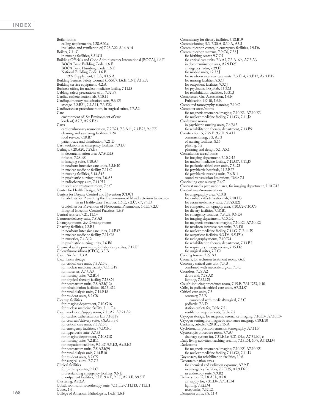Boiler rooms ceiling requirements, 7.28.A20.a insulation and ventilation of, 7.28.A22, 8.14.A14 Boilers, 7.31.C in nursing facilities, 8.31.C1 Building Officials and Code Administrators International (BOCA), 1.6.F BOCA Basic Building Code, 1.6.E BOCA Basic Plumbing Code, 1.6.E National Building Code, 1.6.E 1992 Supplement, 1.5.A, A1.5.A Building Seismic Safety Council (BSSC), 1.6.E, 1.6.F, A1.5.A Building service equipment, 4.2.A Business office, for nuclear medicine facility, 7.11.I5 Cabling, safety precautions with, 7.32.F7 Cardiac catheterization lab, 7.10.H Cardiopulmonary resuscitation carts, 9.6.E5 storage, 7.2.B21, 7.3.A11, 7.3.E22 Cardiovascular procedure room, in surgical suites, 7.7.A2 Care environment of. *See* Environment of care levels of, A7.7, A9.5.F2.a Carts cardiopulmonary resuscitation, 7.2.B21, 7.3.A11, 7.3.E22, 9.6.E5 cleaning and sanitizing facilities, 7.24 food service, 7.18.B7 patient care and distribution, 7.21.D Cast workroom, in emergency facilities, 7.9.D9 Ceilings, 7.28.A20, 7.28.B9 in decontamination area, A7.9.D25 finishes, 7.28.B8 in imaging suite, 7.10.A4 in newborn intensive care units, 7.3.E10 in nuclear medicine facility, 7.11.C in nursing facilities, 8.14.A13 in psychiatric nursing units, 7.6.A5 in radiotherapy suite, 7.11.H5 in seclusion treatment room, 7.6.C Center for Health Design, A2 Centers for Disease Control and Prevention (CDC) Guidelines for Preventing the Transmission of Mycobacterium tuberculo-sis in Health-Care Facilities, 1.6.E, 7.2.C, 7.7, 7.9.D Guidelines for Prevention of Nosocomial Pneumonia, 1.6.E, 7.2.C Hospital Infection Control Practices, 1.6.F Central services, 7.21, 11.14 Cesarean/delivery suite, 7.8.A3 Changing rooms. *See* Dressing rooms Charting facilities, 7.2.B5 in newborn intensive care units, 7.3.E17 in nuclear medicine facility, 7.11.G8 in nurseries, 7.4.A12 in psychiatric nursing units, 7.6.B6 Chemical safety provisions, for laboratory suites, 7.12.F Chlorofluorocarbons (CFCs), 3.3.B Clean Air Act, 3.3.A Clean linen storage for critical care units, 7.3.A15.c for nuclear medicine facility, 7.11.G18 for nurseries, A7.4.A3 for nursing units, 7.2.B14 for physical therapy facility, 7.13.C4 for postpartum units, 7.8.A2.b(12) for rehabilitation facilities, 10.15.B12 for renal dialysis units, 7.14.B18 for resident units, 8.2.C8 Cleanup facilities for imaging department, 7.10.G16 for nuclear medicine facility, 7.11.G4 Clean workroom/supply room, 7.21.A2, A7.21.A2 for cardiac catheterization lab, 7.10.H8 for cesarean/delivery suite, 7.8.A3.f(3)f for critical care units, 7.3.A15.b for emergency facilities, 7.9.D16.b for hyperbaric suite, A7.33 for imaging department, 7.10.G18 for nursing units, 7.2.B11 for outpatient facilities, 9.2.B7, 9.5.E2, A9.5.E2 for postpartum units, 7.8.A2.b(9) for renal dialysis unit, 7.14.B10 for resident units, 8.2.C5 for surgical suites, 7.7.C7 Clinical facilities for birthing center, 9.7.C in freestanding emergency facilities, 9.6.E in outpatient facilities, 9.2.B, 9.4.E, 9.5.F, A9.3.F, A9.5.F Clustering, A8.2.A Cobalt rooms, for radiotherapy suite, 7.11.H2-7.11.H3, 7.11.L1 Codes, 1.6 College of American Pathologists, 1.6.E, 1.6.F

Commissary, for dietary facilities, 7.18.B19 Commissioning, 5.3, 7.30.A, 8.30.A, A5.3 Communication center, in emergency facilities, 7.9.D6 Communication systems, 7.9.C6, 7.32.J for birthing center, 9.7.C5 for critical care units, 7.3.A7, 7.3.A16.b, A7.3.A3 in decontamination area, A7.9.D25 emergency radio, 7.29.F1 for mobile units, 12.32.J for newborn intensive care units, 7.3.E14, 7.3.E17, A7.3.E15 for nursing facilities, 8.32.J for outpatient facilities, 9.32.J for psychiatric hospitals, 11.32.J for rehabilitation facilities, 10.31.J Compressed Gas Association, 1.6.F Publication #E-10, 1.6.E Computed tomography scanning, 7.10.C Computer areas/rooms for magnetic resonance imaging, 7.10.E3, A7.10.E3 for nuclear medicine facility, 7.11.G3, 7.11.J2 Conference rooms in psychiatric nursing units, 7.6.B13 for rehabilitation therapy department, 7.13.B9 Construction, 5, 7.29.B, 9.2.I1, 9.4.H commissioning, 5.3, A5.3 of nursing facilities, 8.16 phasing, 5.2 planning and design, 5.1, A5.1 Consultation areas/rooms for imaging department, 7.10.G12 for nuclear medicine facility, 7.11.G7, 7.11.J5 for pediatric critical care units, 7.3.D3 for psychiatric hospitals, 11.2.B27 for psychiatric nursing units, 7.6.B11 sound transmission limitations, Table 7.1 Continuing care nursery, 7.4.C Contrast media preparation area, for imaging department, 7.10.G13 Control areas/rooms/stations for angiography area, 7.10.B for cardiac catheterization lab, 7.10.H3 for cesarean/delivery suite, 7.8.A3.f(2) for computed tomography area, 7.10.C2-7.10.C3 for dietary facilities, 7.18.B1 for emergency facilities, 7.9.D3, 9.6.E4 for imaging department, 7.10.G2 for magnetic resonance imaging, 7.10.E2, A7.10.E2 for newborn intensive care units, 7.3.E8 for nuclear medicine facility, 7.11.G17, 7.11.I5 for outpatient facilities, 9.3.D6, 9.5.F5.a for radiography rooms, 7.10.D4 for rehabilitation therapy department, 7.13.B2 for respiratory therapy service, 7.15.D2 for surgical suites, 7.7.C1 Cooling towers, 7.27.A3 Corners, for seclusion treatment room, 7.6.C Coronary critical care unit, 7.3.B combined with medical/surgical, 7.3.C Corridors, 7.28.A2 doors and, 7.28.A8 lighting, 7.32.D5 Cough-inducing procedures room, 7.15.E, 7.31.D23, 9.10 Cribs, in pediatric critical care units, A7.3.D7 Critical care units, 7.3 coronary, 7.3.B combined with medical/surgical, 7.3.C pediatric, 7.3.D station outlets for, Table 7.5 ventilation requirements, Table 7.2 Cryogen storage, for magnetic resonance imaging, 7.10.E4, A7.10.E4 Cryogen venting, for magnetic resonance imaging, 7.10.E10 Curtains, cubicle, 7.28.B1, 8.15.A Cyclotron, for positron emission tomography, A7.11.F Cystoscopic procedure room, 7.7.A4 drainage system for, 7.31.E4.e, 9.31.E4.e, A7.31.E4, e Daily living activities, teaching area for, 7.13.D4, 10.9, A7.13.D4 Darkrooms for magnetic resonance imaging, 7.10.E5, A7.10.E5 for nuclear medicine facility, 7.11.G2, 7.11.I3 Day spaces, for rehabilitation facilities, 10.6 Decontamination areas for chemical and radiation exposure, A7.9.E in emergency facilities, 7.9.D25, A7.9.D25 in endoscopy suite, 9.9.B2 Delivery rooms, 7.8.A3.b, A7.8 air supply for, 7.31.D4, A7.31.D4 lighting, 7.32.D4 receptacles, 7.32.E1 Dementia units, 8.8, 11.4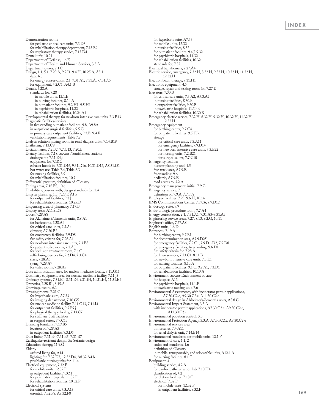Demonstration rooms for pediatric critical care units, 7.3.D3 for rehabilitation therapy department, 7.13.B9 for respiratory therapy service, 7.15.D4 Dental unit, 10.21 Department of Defense, 1.6.E Department of Health and Human Services, 3.3.A Departments, sizes, 7.1.C Design, 1.1, 5.1, 7.29.A, 9.2.I1, 9.4.H, 10.25.A, A5.1 data, 6.3 for energy conservation, 2.1, 7.31.A1, 7.31.A3-7.31.A5 for equipment, 4.2.C1, A4.1.B Details, 7.28.A standards for, 7.28 in mobile units, 12.1.E in nursing facilities, 8.14.A in outpatient facilities, 9.2.H1, 9.5.H1 in psychiatric hospitals, 11.22 in rehabilitation facilities, 10.24.A1 Developmental therapy, for newborn intensive care units, 7.3.E13 Diagnostic facilities/services in freestanding outpatient facilities, 9.8, A9.8A in outpatient surgical facilities, 9.5.G in primary care outpatient facilities, 9.3.E, 9.4.F ventilation requirements, Table 7.2 Dialysis solution mixing room, in renal dialysis units, 7.14.B19 Diathermy, 7.13.C8 Dictation area, 7.2.B2, 7.7.C13, 7.20.B Dietary facilities, 7.18. *See also* Nourishment stations drainage for, 7.31.E4.j equipment for, 7.18.C exhaust hoods in, 7.31.D16, 9.31.D16, 10.31.D12, A8.31.D1 hot water use, Table 7.4, Table 8.3 for nursing facilities, 8.9 for rehabilitation facilities, 10.7 Differential pressure, definition of, Glossary Dining areas, 7.18.B8, 10.6 Disabilities, persons with, design standards for, 1.4 Disaster planning, 1.5, 7.29.F, A1.5 for outpatient facilities, 9.2.J for rehabilitation facilities, 10.25.D Dispensing area, of pharmacy, 7.17.B Display areas, A11.9.D8 Doors, 7.28.A8 for Alzheimer's/dementia units, 8.8.A1 for bathrooms, 7.28.A4 for critical care units, 7.3.A4 elevator, A7.30.B2 for emergency facilities, 7.9.D8 fire safety criteria for, 7.28.A1 for newborn intensive care units, 7.3.E3 for patient toilet rooms, 7.2.A5 for seclusion treatment room, 7.6.C self-closing devices for, 7.2.D4, 7.3.C4 sizes, 7.28.A6 swing, 7.28.A7 for toilet rooms, 7.28.A5 Dose administration area, for nuclear medicine facility, 7.11.G11 Dosimetry equipment area, for nuclear medicine facility, 7.11.J3 Drainage systems, 7.31.E4, 8.31.E4, 9.31.E4, 10.31.E4, 11.31.E4 Draperies, 7.28.B1, 8.15.A Drawings, record, 6.1 Dressing rooms, 7.21.C for hyperbaric suite, A7.33 for imaging department, 7.10.G5 for nuclear medicine facility, 7.11.G13, 7.11.I4 for outpatient facilities, 9.5.F5.j for physical therapy facility, 7.13.C7 for staff. *See* Staff facilities in surgical suites, 7.7.C15 Drinking fountains, 7.19.B5 location of, 7.28.A3 in outpatient facilities, 9.3.D5 Duct lining, 7.31.B4-7.31.B5, 7.31.B7 Earthquake-resistant design. *See* Seismic design Education therapy, 11.9.G Elderly assisted living for, A14 lighting for, 7.32.D7, 12.32.D4, A8.32.A4.b psychiatric nursing units for, 11.4 Electrical equipment, 7.32.F for mobile units, 12.32.F in outpatient facilities, 9.32.F for psychiatric hospitals, 11.32.F for rehabilitation facilities, 10.32.F Electrical systems for critical care units, 7.3.A13 essential, 7.32.F8, A7.32.F8

for hyperbaric suite, A7.33 for mobile units, 12.32 in nursing facilities, 8.32 for outpatient facilities, 9.4.J, 9.32 for psychiatric hospitals, 11.32 for rehabilitation facilities, 10.32 standards for, 7.32 Electrical transformers, 7.27.A4 Electric service, emergency, 7.32.H, 8.32.H, 9.32.H, 10.32.H, 11.32.H, 12.32.H Electron beam therapy, 7.11.H1 Electronic equipment, 4.5 storage, repair and testing room for, 7.27.E Elevators, 7.30.B for critical care units, 7.3.A2, A7.3.A2 in nursing facilities, 8.30.B in outpatient facilities, 9.30.B in psychiatric hospitals, 11.30.B for rehabilitation facilities, 10.30.B Emergency electric service, 7.32.H, 8.32.H, 9.32.H, 10.32.H, 11.32.H, 12.32.H Emergency equipment for birthing center, 9.7.C4 for outpatient facilities, 9.5.F5.o storage for critical care units, 7.3.A11 for emergency facilities, 7.9.D14 for newborn intensive care units, 7.3.E22 for nursing units, 7.2.B21 for surgical suites, 7.7.C10 Emergency facilities disaster planning and, 1.5 fast-track area, A7.9.E freestanding, 9.6 pediatric, A7.9.E road access to, 3.2.A Emergency management, initial, 7.9.C Emergency service, 7.9 definition of, 7.9.A, A7.9.A Employee facilities, 7.25, 9.6.H, 10.14 EMS Communications Center, 7.9.C6, 7.9.D12 Endoscopy suite, 9.9 Endo-urologic procedure room, 7.7.A4 Energy conservation, 2.1, 7.31.A1, 7.31.A3-7.31.A5 Engineering service areas, 7.27, 8.13, 9.2.G, 10.11 Engineer's office, 7.27.A8 English units, 1.6.D Entrances, 7.19.A for birthing center, 9.7.B1 for decontamination area, A7.9.D25 for emergency facilities, 7.9.C1, 7.9.D1-D2, 7.9.D8 for emergency facilities, freestanding, 9.6.D1 fire safety criteria for, 7.28.A1 for linen services, 7.23.C1, 8.11.B for newborn intensive care units, 7.3.E1 for nursing facilities, 8.10.A for outpatient facilities, 9.1.C, 9.2.A1, 9.3.D1 for rehabilitation facilities, 10.10.A Environment. *See also* Environment of care for hospice, A13 for psychiatric hospitals, 11.1.F of psychiatric nursing unit, 7.6 Environmental Assessments, with incinerator permit applications, A7.30.C2.e, A9.30.C2.e, A11.30.C2.e Environmental design in Alzheimer's/dementia units, A8.8.C Environmental Impact Statement, 3.3.A with incinerator permit applications, A7.30.C2.e, A9.30.C2.e, A11.30.C2.e Environmental pollution control, 3.3 Environmental Protection Agency, 3.3.A, A7.30.C2.e, A9.30.C2.e Environmental services area in nurseries, 7.4.A11 for renal dialysis unit, 7.14.B14 Environmental standards, for mobile units, 12.1.F Environment of care, 1.1, 2 codes and standards, 1.6 definition of, Glossary in mobile, transportable, and relocatable units, A12.1.A for nursing facilities, 8.1.C Equipment, 4 building service, 4.2.A for cardiac catheterization lab, 7.10.H4 classification of, 4.2 for dietary facilities, 7.18.C electrical, 7.32.F for mobile units, 12.32.F in outpatient facilities, 9.32.F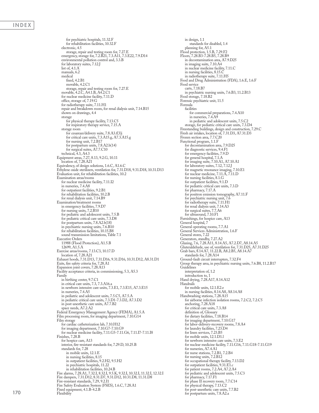for psychiatric hospitals, 11.32.F for rehabilitation facilities, 10.32.F electronic, 4.5 storage, repair and testing room for, 7.27.E emergency, storage for, 7.2.B21, 7.3.A11, 7.3.E22, 7.9.D14 environmental pollution control and, 3.3.B for laboratory suites, 7.12.J list of, 4.1.A manuals, 6.2 medical fixed, 4.2.B1 movable, 4.2.C1 storage, repair and testing room for, 7.27.E movable, 4.2.C, A4.1.B, A4.2.C1 for nuclear medicine facility, 7.11.D office, storage of, 7.19.G for radiotherapy suite, 7.11.H1 repair and breakdown room, for renal dialysis unit, 7.14.B15 shown on drawings, 4.4 storage for physical therapy facility, 7.13.C5 for respiratory therapy service, 7.15.A storage room for cesarean/delivery suite, 7.8.A3.f(3)j for critical care units, 7.3.A15.g, A7.3.A15.g for nursing unit, 7.2.B17 for postpartum units, 7.8.A2.b(14) for surgical suites, A7.7.C10 technical, 4.3, A4.3 Equipment areas, 7.27, 8.13, 9.2.G, 10.11 location of, 7.28.A21 Equivalency, of design solutions, 1.6.C, A1.6.C Ethylene oxide sterilizers, ventilation for, 7.31.D18, 9.31.D18, 10.31.D13 Evaluation unit, for rehabilitation facilities, 10.2 Examination areas/rooms for nuclear medicine facility, 7.11.I2 in nurseries, 7.4.A8 for outpatient facilities, 9.2.B1 for rehabilitation facilities, 10.2.B for renal dialysis unit, 7.14.B9 Examination/treatment rooms in emergency facilities, 7.9.D7 for nursing units, 7.2.B10 for pediatric and adolescent units, 7.5.B for pediatric critical care units, 7.3.D8 for postpartum units, 7.8.A2.b(18) in psychiatric nursing units, 7.6.B10 for rehabilitation facilities, 10.15.B8 sound transmission limitations, Table 7.1 Executive Orders 11988 (Flood Protection), A1.5.B 12699, A1.5.A Exercise areas/rooms, 7.13.C3, 10.17.D<br>location of, 7.28.A21<br>Exhaust hoods, 7.31.D13, 7.31.D16, 9.31.D16, 10.31.D12, A8.31.D1<br>Exhaust hoods, 7.31.D13, 7.28.A13<br>Expansion joint covers, 7.28.A13 Facility acceptance criteria, in commissioning, 5.3, A5.3 Family in birthing center, 9.7.C1 in critical care units, 7.3, 7.3.A16.a in newborn intensive care units, 7.3.E1, 7.3.E15, A7.3.E15 in nurseries, 7.4.A5 in pediatric and adolescent units, 7.5.C5, A7.5.A in pediatric critical care units, 7.3.D1-7.3.D2, A7.3.D2 in post-anesthetic care units, A7.7.B2 space needs, A7.2.A2 Federal Emergency Management Agency (FEMA), A1.5.A Film processing room, for imaging department, 7.10.G14 Film storage for cardiac catheterization lab, 7.10.H12 for imaging department, 7.10.G7-7.10.G9 for nuclear medicine facility, 7.11.G5-7.11.G6, 7.11.I7-7.11.I8 Finishes, 7.28.B for hospice care, A13 interior, fire-resistant standards for, 7.29.D, 10.25.B standards for, 7.28 in mobile units, 12.1.E in nursing facilities, 8.15 in outpatient facilities, 9.2.H2, 9.5.H2 in psychiatric hospitals, 11.22 in rehabilitation facilities, 10.24.B Fire alarms, 7.28.A1, 7.32.I, 8.32.I, 9.5.K, 9.32.I, 10.32.I, 11.32.I, 12.32.I Fire dampers, 7.31.D12, 8.31.D7, 9.31.D12, 10.31.D8, 11.31.D8 Fire-resistant standards, 7.29, 9.2.I1 Fire Safety Evaluation System (FSES), 1.6.C, 7.28.A1

in design, 1.1 standards for disabled, 1.4 planning for, A5.1 Flood protection, 1.5.B, 7.29.F2 Floors, 7.28.B3-7.28.B5, 7.28.B9 in decontamination area, A7.9.D25 in imaging suite, 7.10.A4 in nuclear medicine facility, 7.11.C in nursing facilities, 8.15.C in radiotherapy suite, 7.11.H5 Food and Drug Administration (FDA), 1.6.E, 1.6.F Food service carts, 7.18.B7 in psychiatric nursing units, 7.6.B3, 11.2.B13 Food storage, 7.18.B2 Forensic psychiatric unit, 11.5 Formula facilities for commercial preparations, 7.4.A10 in nurseries, 7.4.A9 in pediatric and adolescent units, 7.5.C2 storage, for pediatric critical care units, 7.3.D4 Freestanding buildings, design and construction, 7.29.C Fresh air intakes, location of, 7.31.D3, A7.31.D3 Frozen section area, 7.7.C20 Functional program, 1.1.F for decontamination area, 7.9.D25 for diagnostic services, 9.4.F1 for emergency facilities, 7.9.D for general hospital, 7.1.A for imaging suite, 7.10.A1, A7.10.A1 for laboratory suites, 7.12, 7.12.J for magnetic resonance imaging, 7.10.E1 for nuclear medicine, 7.11.A, 7.11.D for nursing facilities, 8.1.G for outpatient facilities, 9.1.D for pediatric critical care units, 7.3.D for pharmacy, 7.17.A for positron emission tomography, A7.11.F for psychiatric nursing unit, 7. for radiotherapy suite, 7.11.H1 for renal dialysis unit, 7.14.A3 for surgical suites, 7.7.A6 for ultrasound, 7.10.F1 Furnishings, for hospice care, A13 General hospital, 7 General operating rooms, 7.7.A1 General Services Administration, 1.6.F General stores, 7.22 Generators, standby, 7.27.A2 Glazing, 7.6, 7.28.A11, 8.14.A5, A7.2.D7, A8.14.A5 Gluteraldehyde, use of, ventilation for, 7.31.D25, A7.31.D25 Grab bars, 8.14.A7, 11.22.B, A8.2.B5, A8.14.A7 standards for, 7.28.A14 Ground-fault circuit interrupters, 7.32.F4 Group therapy area, in psychiatric nursing units, 7.6.B8, 11.2.B17 Guidelines interpretation of, 1.2 introduction to, 1 Hand drying, 7.28.A17, 8.14.A12 Handrails for mobile units, 12.1.E2.e in nursing facilities, 8.14.A8, A8.14.A8 Handwashing stations, 7.28.A15 for airborne infection isolation rooms, 7.2.C2, 7.2.C5 anchoring, 7.28.A18 for critical care units, 7.3.A8 definition of, Glossary for dietary facilities, 7.18.B14 for imaging department, 7.10.G17 for labor-delivery-recovery rooms, 7.8.A4 for laundry facilities, 7.23.D4 for linen services, 7.23.B5 for mobile units, 12.1.D1.l for newborn intensive care units, 7.3.E2 for nuclear medicine facility, 7.11.G16, 7.11.G18-7.11.G19 for nurseries, A7.4.A1 for nurse stations, 7.2.B1, 7.2.B4<br>for nursing units, 7.2.B12<br>for occupational therapy facility, 7.13.D2<br>for octupational therapy facility, 7.13.D2<br>for patient rooms, 7.2.A4, A7.2.A4<br>for pediatric and adolescent units, 7.5 for physical therapy, 7.13.C2 for post-anesthetic care units, 7.7.B2 for postpartum units, 7.8.A2.a

Fixed equipment, 4.1.B-4.2.B

Flexibility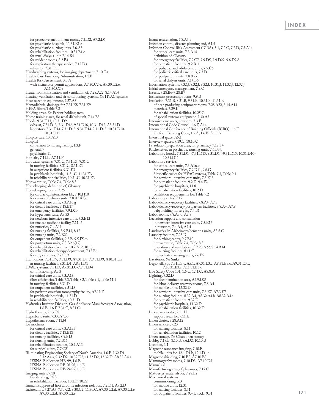for protective environment rooms, 7.2.D2, A7.2.D5 for psychiatric hospitals, 11.31.E1.c for psychiatric nursing units, 7.6.A3 for rehabilitation facilities, 10.31.E1.c for renal dialysis unit, 7.14.B4 for resident rooms, 8.2.B4 for respiratory therapy service, 7.15.D3 valves for, 7.31.E1.c Handwashing systems, for imaging department, 7.10.G4 Health Care Financing Administration, 1.1.E Health Risk Assessment, 3.3.A with incinerator permit applications, A7.30.C2.e, A9.30.C2.e, A11.30.C2.e Heater rooms, insulation and ventilation of, 7.28.A22, 8.14.A14 Heating, ventilation, and air conditioning systems. *See* HVAC systems Heat rejection equipment, 7.27.A3 Hemodialysis, drainage for, 7.31.E8-7.31.E9 HEPA filters, Table 7.2 Holding areas. *See* Patient holding areas Home training area, for renal dialysis unit, 7.14.B8 Hoods, 9.31.D13, 10.31.D9 exhaust, 7.31.D13, 7.31.D16, 9.31.D16, 10.31.D12, A8.31.D1 laboratory, 7.31.D14-7.31.D15, 9.31.D14-9.31.D15, 10.31.D10- 10.31.D11 Hospice care, 13, A13 Hospital conversion to nursing facility, 1.3.F general, 7 psychiatric, 11 Hot labs, 7.11.L, A7.11.F Hot water systems, 7.31.C, 7.31.E3, 9.31.C in nursing facilities, 8.31.C, 8.31.E3 in outpatient facilities, 9.31.E3 in psychiatric hospitals, 11.31.C, 11.31.E3 in rehabilitation facilities, 10.31.C, 10.31.E3 Hot water use, Table 7.4, Table 8.3 Housekeeping, definition of, Glossary Housekeeping rooms, 7.26 for cardiac catheterization lab, 7.10.H10 for cesarean/delivery suite, 7.8.A3.f(3)o for critical care units, 7.3.A16.g for dietary facilities, 7.18.B17 for emergency facilities, 7.9.D20 for hyperbaric suite, A7.33 for newborn intensive care units, 7.3.E12 for nuclear medicine facility, 7.11.I6 for nurseries, 7.4.A11 for nursing facilities, 8.9.B13, 8.12 for nursing units, 7.2.B22 for outpatient facilities, 9.2.E, 9.5.F5.m for postpartum units, 7.8.A2.b(17) for rehabilitation facilities, 10.7.A12, 10.13 for rehabilitation therapy department, 7.13.B6 for surgical suites, 7.7.C19 Humidifiers, 7.31.D9, 9.31.D9, A7.31.D9, A9.31.D9, A10.31.D5 in nursing facilities, 8.31.D1, A8.31.D1 HVAC systems, 7.31.D, A7.31.D3-A7.31.D4 commissioning, A5.3 for critical care units, 7.3.A13 filter efficiencies, Table 7.3, Table 8.2, Table 9.1, Table 11.1 in nursing facilities, 8.31.D for outpatient facilities, 9.31.D for positron emission tomography facility, A7.11.F in psychiatric hospitals, 11.31.D in rehabilitation facilities, 10.31.D Hydronics Institute Division, Gas Appliance Manufacturers Association, 1.6.E, 1.6.F, 7.31.C, 8.31.C1 Hydrotherapy, 7.13.C8 Hyperbaric suite, 7.33, A7.33 Hypothermia room, 7.11.J4 Ice machines for critical care units, 7.3.A15.f for dietary facilities, 7.18.B18 for nursing facilities, 8.9.B13 for nursing units, 7.2.B16 for rehabilitation facilities, 10.7.A13 for surgical suites, 7.7.C21 Illuminating Engineering Society of North America, 1.6.F, 7.32.D1, 8.32.A4.a, 9.32.D2, 10.32.D2, 11.32.D2, 12.32.D, A8.32.A4.a IESNA Publication HB-99, 1.6.E IESNA Publication RP-28-98, 1.6.E IESNA Publication RP-29-95, 1.6.E Imaging suites, 7.10 freestanding, 9.8A1 in rehabilitation facilities, 10.2.E, 10.22 Immunosuppressed host airborne infection isolation, 7.2.D1, A7.2.D Incinerators, 7.27.A7, 7.30.C2, 9.30.C2, 11.30.C, A7.30.C2.d, A7.30.C2.e, A9.30.C2.d, A9.30.C2.e

Infection control, disaster planning and, A1.5 Infection Control Risk Assessment (ICRA), 5.1, 7.2.C, 7.2.D, 7.3.A14 for critical care units, 7.3.A14 definition of, Glossary for emergency facilities, 7.9.C7, 7.9.D5, 7.9.D22, 9.6.D2.d for outpatient facilities, 9.2.B11 for pediatric and adolescent units, 7.5.C6 for pediatric critical care units, 7.3.D for postpartum units, 7.8.A2.c for renal dialysis units, 7.14.B6 Information systems, 7.32.J, 8.32.J, 9.32.J, 10.31.J, 11.32.J, 12.32.J Initial emergency management, 7.9.C Insects, 7.28.B6-7.28.B7 Instrument processing rooms, 9.9.B Insulation, 7.31.B, 8.31.B, 9.31.B, 10.31.B, 11.31.B of heat-producing equipment rooms, 7.28.A22, 8.14.A14 materials, 7.29.E for rehabilitation facilities, 10.25.C of special systems equipment, 7.30.A3 Intensive care units, newborn, 7.3.E International Code Council, 1.6.F, A14 International Conference of Building Officials (ICBO), 1.6.F Uniform Building Code, 1.5.A, 1.6.E, A1.5.A Interstitial space, A5.1 Interview spaces, 7.19.C, 10.10.C IV solution preparation area, for pharmacy, 7.17.F4 Kitchenettes, in psychiatric nursing units, 7.6.B3.b Laboratory hoods, 7.31.D14-7.31.D15, 9.31.D14-9.31.D15, 10.31.D10- 10.31.D11 Laboratory services for critical care units, 7.3.A16.g for emergency facilities, 7.9.D11, 9.6.G filter efficiencies for HVAC systems, Table 7.3, Table 9.1 for newborn intensive care units, 7.3.E13 for outpatient facilities, 9.2.D, 9.4.F2 for psychiatric hospitals, 11.8 for rehabilitation facilities, 10.2.D ventilation requirements for, Table 7.2 Laboratory suites, 7.12 Labor-delivery-recovery facilities, 7.8.A4, A7.8 Labor-delivery-recovery-postpartum facilities, 7.8.A4, A7.8 baby holding nursery in, 7.4.B1 Labor rooms, 7.8.A3.d, A7.8 Lactation support and consultation in newborn intensive care units, 7.3.E16 in nurseries, 7.4.A4, A7.4 Landmarks, in Alzheimer's/dementia units, A8.8.C Laundry facilities, 7.23.D for birthing center, 9.7.B10 hot water use, Table 7.4, Table 8.3 insulation and ventilation of, 7.28.A22, 8.14.A14 for nursing facilities, 8.11.C in psychiatric nursing units, 7.6.B9<br>Lavatories. *See* Sinks<br>Legionella sp., 7.31.E3.c, A5.1, A7.31.E3.c, A8.31.E3.c, A9.31.E3.c,<br>A10.31.E3.c, A11.31.E3.c<br>Life Safety Code 101, 1.6.C, 12.1.C, A8.8.A<br>Lighting, 7.32.D<br>for de for labor-delivery-recovery rooms, 7.8.A4 for mobile units, 12.32.D for newborn intensive care units, 7.3.E7, A7.3.E7 for nursing facilities, 8.32.A4, A8.32.A4.b, A8.32.A4.c for outpatient facilities, 9.32.D for psychiatric hospitals, 11.32.D for rehabilitation facilities, 10.32.D Linear accelerator, 7.11.H support areas for, 7.11.K Linen chutes, 7.28.A12 Linen services, 7.23 for nursing facilities, 8.11 for rehabilitation facilities, 10.12 Linen storage. *See* Clean linen storage Lobby, 7.19.B, 8.10.B, 9.6.D2, 10.10.B Location, 3.1 Magnetic resonance imaging, 7.10.E mobile units for, 12.1.D1.b, 12.1.D1.e Magnetic shielding, 7.10.E8, A7.10.E8 Mammography rooms, 7.10.D3, A7.10.D3 Manuals<sub>, 6</sub> Manufacturing area, of pharmacy, 7.17.C Mattresses, materials for, 7.28.B2 Mechanical systems commissioning, 5.3 for mobile units, 12.31 for nursing facilities, 8.31 for outpatient facilities, 9.4.I, 9.5.L, 9.31

Infant resuscitation, 7.8.A3.c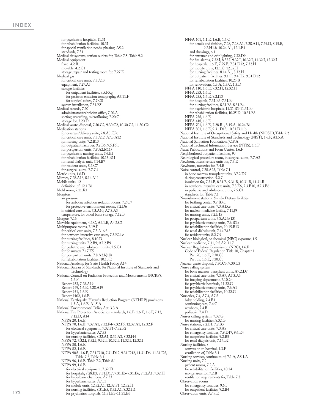for psychiatric hospitals, 11.31 for rehabilitation facilities, 10.31 for special ventilation needs, phasing, A5.2 standards, 7.31 Medical air systems, station outlets for, Table 7.5, Table 9.2 Medical equipment fixed, 4.2.B1 movable, 4.2.C1 storage, repair and testing room for, 7.27.E Medical gas for critical care units, 7.3.A13 equipment, 7.27.A5 storage facilities for outpatient facilities, 9.5.F5.g for positron emission tomography, A7.11.F for surgical suites, 7.7.C8 system installation, 7.31.E5 Medical records, 7.20 administrator/technician office, 7.20.A sorting, recording, microfilming, 7.20.C storage for, 7.20.D Medical waste, disposal, 7.30.C2, 9.30.C2, 10.30.C2, 11.30.C2 Medication stations for cesarean/delivery suite, 7.8.A3.f(3)d for critical care units, 7.3.A12, A7.3.A12 for nursing units, 7.2.B13 for outpatient facilities, 9.2.B6, 9.5.F5.b for postpartum units, 7.8.A2.b(11) for psychiatric nursing units, 7.6.B2 for rehabilitation facilities, 10.15.B11 for renal dialysis unit, 7.14.B7 for resident units, 8.2.C7 for surgical suites, 7.7.C4 Metric units, 1.6.D Mirrors, 7.28.A16, 8.14.A11 Mobile units, 12 definition of, 12.1.B1 Mold room, 7.11.K1 Monitors air pressure for airborne infection isolation rooms, 7.2.C7 for protective environment rooms, 7.2.D6 in critical care units, 7.3.A10, A7.3.A3 temperature, for blood bank storage, 7.12.B Morgue, 7.16 Movable equipment, 4.2.C, A4.1.B, A4.2.C1 Multipurpose rooms, 7.19.F for critical care units, 7.3.A16.f for newborn intensive care units, 7.3.E24.c for nursing facilities, 8.10.D for nursing units, 7.2.B9, A7.2.B9 for pediatric and adolescent units, 7.5.C1 for pharmacy, 7.17.E5 for postpartum units, 7.8.A2.b(18) for rehabilitation facilities, 10.10.E National Academy for State Health Policy, A14 National Bureau of Standards. *See* National Institute of Standards and Technology<sub>1</sub> National Council on Radiation Protection and Measurements (NCRP), 1.6.F Report #33, 7.28.A19 Report #49, 1.6.E, 7.28.A19 Report #51, 1.6.E Report #102, 1.6.E National Earthquake Hazards Reduction Program (NEHRP) provisions, 1.5.A, 1.6.E, A1.5.A National Environmental Policy Act, 3.3.A National Fire Protection Association standards, 1.6.B, 1.6.E, 1.6.F, 7.12, 7.12.D, A14 NFPA 20, 1.6.E NFPA 70, 1.6.E, 7.32.A1, 7.32.F4-7.32.F5, 12.32.A1, 12.32.F for electrical equipment, 7.32.F1-7.32.F2 for hyperbaric suites, A7.33 for nursing facilities, 8.32.A1, 8.32.A3, 8.32.H4 NFPA 72, 7.32.I, 8.32.I, 9.32.I, 10.32.I, 11.32.I, 12.32.I NFPA 80, 1.6.E NFPA 82, 1.6.E NFPA 90A, 1.6.E, 7.31.D10, 7.31.D12, 9.31.D12, 11.31.D6, 11.31.D8, Table 7.2, Table 8.1 NFPA 96, 1.6.E, Table 7.2, Table 8.1 NFPA 99, 1.6.E for electrical equipment, 7.32.F1 for hospitals, 7.28.B3, 7.31.D17, 7.31.E5-7.31.E6, 7.32.A1, 7.32.H for hyperbaric chambers, A7.33 for hyperbaric suites, A7.33 for mobile units, 12.32.A1, 12.32.F1, 12.32.H for nursing facilities, 8.31.E5, 8.32.A1, 8.32.H1

for psychiatric hospitals, 11.31.E5-11.31.E6

NFPA 101, 1.1.E, 1.6.B, 1.6.C for details and finishes, 7.28, 7.28.A1, 7.28.A11, 7.29.D, 8.15.B, 9.2.H1.b, 10.24.A1, 12.1.E1 and drawings, 6.1 for entrance and exit lighting, 7.32.D9<br>for fire alarms, 7.32.I, 8.32.I, 9.32.I, 10.32.I, 11.32.I, 12.32.I<br>for hospitals, 1.6.E, 7.29.B, 7.31.D12, 7.32.H<br>for mobile units, 12.1.C, 12.32.H for nursing facilities, 8.14.A1, 8.32.H1 for outpatient facilities, 9.1.C, 9.4.H2, 9.31.D12 for rehabilitation facilities, 10.25.B for renovations, 1.3.A, 1.3.C, 1.3.D NFPA 110, 1.6.E, 7.32.H, 12.32.H NFPA 253, 1.6.E NFPA 255, 1.6.E, 9.2.I13 for hospitals, 7.31.B3-7.31.B4 for nursing facilities, 8.31.B3-8.31.B4 for psychiatric hospitals, 11.31.B3-11.31.B4 for rehabilitation facilities, 10.25.D, 10.31.B3 NFPA 258, 1.6.E NFPA 418, 1.6.E NFPA 701, 1.6.E, 7.28.B1, 8.15.A, 10.24.B1 NFPA 801, 1.6.E, 9.31.D15, 10.31.D11.b National Institute of Occupational Safety and Health (NIOSH), Table 7.2 National Institute of Standards and Technology (NIST), 1.6.F, A1.5.A National Sanitation Foundation, 7.18.A National Technical Information Service (NTIS), 1.6.F Naval Publications and Form Center, 1.6.F Neighborhood outpatient facilities, 9.4 Neurological procedure room, in surgical suites, 7.7.A2 Newborn, intensive care units for, 7.3.E Newborns, nurseries for, 7.4.B Noise control, 7.28.A23, Table 7.1 in bone marrow transplant units, A7.2.D7 during construction, 5.2.C insulation for, 7.31.B, 8.31.B, 9.31.B, 10.31.B, 11.31.B in newborn intensive care units, 7.3.E6, 7.3.E10, A7.3.E6 in pediatric and adolescent units, 7.5.C1 standards for, Table 7.1 Nourishment stations. *See also* Dietary facilities for birthing center, 9.7.B3.d for critical care units, 7.3.A15.e for nuclear medicine facility, 7.11.J9 for nursing units, 7.2.B15 for postpartum units, 7.8.A2.b(13) for psychiatric nursing units, 7.6.B3.a for rehabilitation facilities, 10.15.B13 for renal dialysis unit, 7.14.B13 for resident units, 8.2.C9 Nuclear, biological, or chemical (NBC) exposure, 1.5 Nuclear medicine, 7.11, 9.8.A2, 11.7 Nuclear Regulatory Commission (NRC), 1.6.F Code of Federal Regulation Title 10, Chapter 1 Part 20, 1.6.E, 9.30.C3 Part 35, 1.6.E, 9.30.C3 Nuclear waste disposal, 7.30.C3, 9.30.C3 Nurse calling system for bone marrow transplant units, A7.2.D7 for critical care units, 7.3.A7, A7.3.A3 for imaging department, 7.10.G4 for psychiatric hospitals, 11.32.G for psychiatric nursing units, 7.6.A1 for rehabilitation facilities, 10.32.G Nurseries, 7.4, A7.4, A7.8 baby holding, 7.4.B1 continuing care, 7.4.C newborn, 7.4.B pediatric, 7.4.D Nurses calling system, 7.32.G for nursing facilities, 8.32.G Nurse stations, 7.2.B1, 7.2.B3 for critical care units, 7.3.A8 for emergency facilities, 7.9.D17, 9.6.E4 for outpatient facilities, 9.2.B5 for renal dialysis unit, 7.14.B2 Nursing facilities, 8 conversion to hospital, 1.3.F ventilation of, Table 8.1 Nursing services, continuum of, 7.1.A, A8.1.A Nursing units, 7.2 patient rooms, 7.2.A for rehabilitation facilities, 10.14 service areas for, 7.2.B ventilation requirements for, Table 7.2 Observation rooms for emergency facilities, 9.6.I for outpatient facilities, 9.2.B4 Observation units, A7.9.E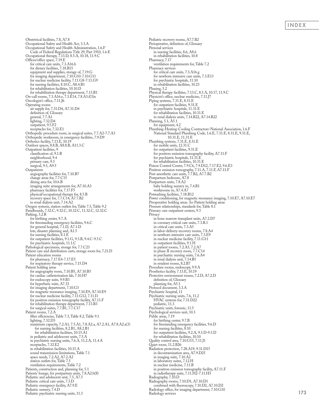Obstetrical facilities, 7.8, A7.8 Occupational Safety and Health Act, 3.3.A Occupational Safety and Health Administration, 1.6.F Code of Federal Regulations Title 29, Part 1910, 1.6.E Occupational therapy, 7.13.D, 8.5.A, 10.18, 11.9.C Offices/office space, 7.19.E for critical care units, 7.3.A16.b for dietary facilities, 7.18.B15 equipment and supplies, storage of, 7.19.G for imaging department, 7.10.G10-7.10.G11 for nuclear medicine facility, 7.11.G8-7.11.G9 for nursing facilities, 8.10.C, A8.4.B1 for rehabilitation facilities, 10.10.D for rehabilitation therapy department, 7.13.B1 On-call rooms, 7.3.A16.e, 7.3.E14, 7.8.A3.f(3)n Oncologist's office, 7.11.J6 Operating rooms air supply for, 7.31.D4, A7.31.D4 definition of, Glossary general, 7.7.A1 lighting, 7.32.D4 outpatient, 9.5.F2 receptacles for, 7.32.E1 Orthopedic procedure room, in surgical suites, 7.7.A2-7.7.A3 Orthopedic workroom, in emergency facilities, 7.9.D9 Orthotics facility, 7.13.E, 10.19 Outdoor spaces, 8.8.B, A8.8.B, A11.3.C Outpatient facilities, 9 classification of, 9.1.B neighborhood, 9.4 primary care, 9.3 surgical, 9.5, A9.5 **Outpatients** angiography facilities for, 7.10.B7 change areas for, 7.7.C15 dining area for, 10.6.B imaging suite arrangements for, A7.10.A3 pharmacy facilities for, 7.17.F5 physical/occupational therapy for, 8.5.B recovery space for, 7.7.C14, A7.7.B2 in renal dialysis unit, 7.14.A2 Oxygen systems, station outlets for, Table 7.5, Table 9.2 Panelboards, 7.32.C, 9.32.C, 10.32.C, 11.32.C, 12.32.C Parking, 3.2.B for birthing center, 9.7.A for freestanding emergency facilities, 9.6.C for general hospital, 7.1.D, A7.1.D lots, disaster planning and, A1.5 for nursing facilities, 8.1.E for outpatient facilities, 9.1.G, 9.3.B, 9.4.C-9.5.C for psychiatric hospitals, 11.1.C Pathological specimens, storage for, 7.7.C23 Patient care and distribution carts, storage room for, 7.21.D Patient education rooms for pharmacy, 7.17.E4-7.17.E5 for respiratory therapy service, 7.15.D4 Patient holding areas for angiography room, 7.10.B5, A7.10.B5 for cardiac catheterization lab, 7.10.H7 for endoscopy suite, 9.9.B3 for hyperbaric suite, A7.33 for imaging department, 7.10.G3 for magnetic resonance imaging, 7.10.E9, A7.10.E9 for nuclear medicine facility, 7.11.G12, 7.11.I1 for positron emission tomography facility, A7.11.F for rehabilitation therapy department, 7.13.B3 for surgical suites, 7.7.B1, 7.7.C17 Patient rooms, 7.2.A filter efficiencies, Table 7.3, Table 8.2, Table 9.1 lighting, 7.32.D3 maximum capacity, 7.2.A1, 7.5.A1, 7.8.A2.a, A7.2.A1, A7.8.A2.a(3) for nursing facilities, 8.2.B1, A8.2.B1 for rehabilitation facilities, 10.15.A1 in pediatric and adolescent units, 7.5.A in psychiatric nursing units, 7.6.A, 11.2.A, 11.4.A receptacles, 7.32.E2 in rehabilitation facilities, 10.15.A sound transmission limitations, Table 7.1 space needs, 7.2.A2, A7.2.A2 station outlets for, Table 7.5 ventilation requirements, Table 7.2 Patients, construction and, planning for, 5.1 Patients' lounge, for postpartum units, 7.8.A2.b(8) Pediatric and adolescent unit, 7.5, A7.5 Pediatric critical care units, 7.3.D Pediatric emergency facility, A7.9.E Pediatric nursery, 7.4.D Pediatric psychiatric nursing units, 11.3

Pediatric recovery rooms, A7.7.B2 Perioperative, definition of, Glossary Personal services in nursing facilities, 8.6, A8.6 in rehabilitation facilities, 10.8 Pharmacy, 7.17 ventilation requirements for, Table 7.2 Pharmacy services for critical care units, 7.3.A16.g for newborn intensive care units, 7.3.E13 for psychiatric hospitals, 11.10 in rehabilitation facilities, 10.23 Phasing, 5.2 Physical therapy facilities, 7.13.C, 8.5.A, 10.17, 11.9.C Physicist's office, nuclear medicine, 7.11.J7 Piping systems, 7.31.E, 8.31.E for outpatient facilities, 9.31.E in psychiatric hospitals, 11.31.E for rehabilitation facilities, 10.31.E in renal dialysis units, 7.14.B22, A7.14.B22 Planning, 5.1, A5.1 for equipment, 4.2 Plumbing-Heating-Cooling Contractors–National Association, 1.6.F National Standard Plumbing Code, 1.6.E, 7.31.E, 8.31.E, 9.31.E, 10.31.E, 11.31.E Plumbing systems, 7.31.E, 8.31.E for mobile units, 12.31.C for outpatient facilities, 9.31.E for positron emission tomography facility, A7.11.F for psychiatric hospitals, 11.31.E for rehabilitation facilities, 10.31.E Poison Control Center, 7.9.C6, 7.9.D12, 7.17.E2, 9.6.E3 Positron emission tomography, 7.11.A, 7.11.F, A7.11.F Post-anesthetic care units, 7.7.B2, A7.7.B2 Postpartum bedroom, A7.8 Postpartum units, 7.8.A2 baby holding nursery in, 7.4.B1 workrooms in, A7.4.A7 Potwashing facilities, 7.18.B12 Power conditioning, for magnetic resonance imaging, 7.10.E7, A7.10.E7 Preoperative holding areas. *See* Patient holding areas Pressure relationships, standards for, Table 8.1 Primary care outpatient centers, 9.3 Privacy in bone marrow transplant units, A7.2.D7 in coronary critical care units, 7.3.B.1 in critical care units, 7.3.A5 in labor-delivery-recovery rooms, 7.8.A4 in newborn intensive care units, 7.3.E9 in nuclear medicine facility, 7.11.G11 in outpatient facilities, 9.1.H in patient rooms, 7.2.A5, 7.2.A7 in phase II recovery room, 7.7.C14 in psychiatric nursing units, 7.6.A4 in renal dialysis unit, 7.14.B5 in resident rooms, 8.2.B7 Procedure rooms, endoscopy, 9.9.A Prosthetics facility, 7.13.E, 10.19 Protective environment rooms, 7.2.D, A7.2.D definition of, Glossary planning for, A5.1 Protocol document, 3.3.A Psychiatric hospital, 11 Psychiatric nursing units, 7.6, 11.2 HVAC systems for, 7.31.D22 pediatric, 11.3 Psychiatric units, forensic, 11.5 Psychological services unit, 10.3 Public areas, 7.19 for birthing center, 9.7.B for freestanding emergency facilities, 9.6.D for nursing facilities, 8.10 for outpatient facilities, 9.2.A, 9.3.D-9.5.D for rehabilitation facilities, 10.10 Quality control area, 7.10.G15, 7.11.J1 Quiet room, 11.2.B26 Radiation protection, 7.28.A19, 9.31.D15 in decontamination area, A7.9.D25 in imaging suite, 7.10.A2 in laboratory suites, 7.12.H in nuclear medicine, 7.11.B in positron emission tomography facility, A7.11.F in radiotherapy suite, 7.11.H2-7.11.H3 Radiography, 7.10.D Radiography rooms, 7.10.D1, A7.10.D1 combined with fluoroscopy, 7.10.D2, A7.10.D2 Radiology office, for imaging department, 7.10.G10 Radiology services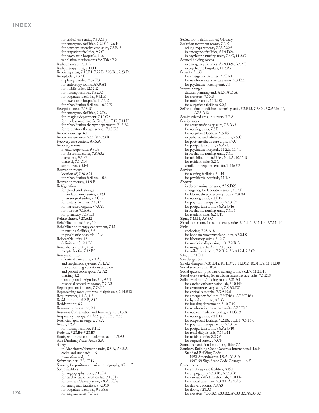for critical care units, 7.3.A16.g for emergency facilities, 7.9.D11, 9.6.F for newborn intensive care units, 7.3.E13 for outpatient facilities, 9.2.C for psychiatric hospitals, 11.6 ventilation requirements for, Table 7.2 Radiopharmacy, 7.11.E Radiotherapy suite, 7.11.H Receiving areas, 7.18.B1, 7.22.B, 7.23.B1, 7.23.D1 Receptacles, 7.32.E duplex-grounded, 7.32.E3 for endoscopy rooms, A9.9.A1 for mobile units, 12.32.E for nursing facilities, 8.32.A5 for outpatient facilities, 9.32.E for psychiatric hospitals, 11.32.E for rehabilitation facilities, 10.32.E Reception areas, 7.19.B1 for emergency facilities, 7.9.D3 for imaging department, 7.10.G2 for nuclear medicine facility, 7.11.G17, 7.11.I5 for rehabilitation therapy department, 7.13.B2 for respiratory therapy service, 7.15.D2 Record drawings, 6.1 Record review areas, 7.11.J8, 7.20.B Recovery care centers, A9.5.A Recovery rooms in endoscopy suite, 9.9.B3 for obstetrical suites, 7.8.A3.e outpatient, 9.5.F3 phase II, 7.7.C14 step-down, 9.5.F4 Recreation rooms location of, 7.28.A21 for rehabilitation facilities, 10.6 Recreation therapy, 11.9.F Refrigeration for blood bank storage for laboratory suites, 7.12.B in surgical suites, 7.7.C22 for dietary facilities, 7.18.C for harvested organs, 7.7.C23 for morgue, 7.16.A1 for pharmacy, 7.17.D3 Refuse chutes, 7.28.A12 Rehabilitation facilities, 10 Rehabilitation therapy department, 7.13 in nursing facilities, 8.5 in psychiatric hospitals, 11.9 Relocatable units, 12 definition of, 12.1.B3 Renal dialysis units, 7.14 receptacles for, 7.32.E5 Renovation, 1.3 of critical care units, 7.3.A3 and mechanical systems, 7.31.A2 nonconforming conditions and, 5.4 and patient room space, 7.2.A2 phasing, 5.2 planning and design for, 5.1, A5.1 of special procedure rooms, 7.7.A2 Report preparation area, 7.7.C13 Reprocessing room, for renal dialysis unit, 7.14.B12 Requirements, 1.1.A, 1.2 Resident rooms, 8.2.B, A13 Resident unit, 8.2 Resource conservation, 2.1 Resource Conservation and Recovery Act, 3.3.A Respiratory therapy, 7.3.A16.g, 7.3.E13, 7.15 Restricted area, in surgery, 7.7.A Roads, 3.2.A for nursing facilities, 8.1.E Rodents, 7.28.B6-7.28.B7 Roofs, wind- and earthquake-resistant, 1.5.A3 Safe Drinking Water Act, 3.3.A Safety in Alzheimer's/dementia units, 8.8.A, A8.8.A codes and standards, 1.6 renovation and, 1.3 Safety cabinets, 7.31.D13 Scanner, for positron emission tomography, A7.11.F Scrub facilities for angiography room, 7.10.B4 for cardiac catheterization lab, 7.10.H5 for cesarean/delivery suite, 7.8.A3.f(3)e for emergency facilities, 7.9.D10 for outpatient facilities, 9.5.F5.c for surgical suites, 7.7.C5

Sealed room, definition of, Glossary Seclusion treatment rooms, 7.2.E ceiling requirements, 7.28.A20.f in emergency facilities, A7.9.D24 in psychiatric nursing units, 7.6.C, 11.2.C Secured holding rooms in emergency facilities, A7.9.D24, A7.9.E in psychiatric hospitals, 11.2.A2 Security, 3.1.C for emergency facilities, 7.9.D21 for newborn intensive care units, 7.3.E11 for psychiatric nursing unit, 7.6 Seismic design disaster planning and, A1.5, A1.5.A for elevators, 7.30.B for mobile units, 12.1.D2 for outpatient facilities, 9.2.J Self-contained medicine dispensing unit, 7.2.B13, 7.7.C4, 7.8.A2.b(11), A7.3.A12 Semirestricted area, in surgery, 7.7.A Service areas for cesarean/delivery suite, 7.8.A3.f for nursing units, 7.2.B for outpatient facilities, 9.5.F5 in pediatric and adolescent units, 7.5.C for post-anesthetic care units, 7.7.C for postpartum units, 7.8.A2.b for psychiatric hospitals, 11.2.B, 11.4.B in psychiatric nursing units, 7.6.B for rehabilitation facilities, 10.1.A, 10.15.B for resident units, 8.2.C ventilation requirements for, Table 7.2 Services for nursing facilities, 8.1.H for psychiatric hospitals, 11.1.E **Showers** in decontamination area, A7.9.D25 emergency, for laboratory suites, 7.12.F for labor-delivery-recovery rooms, 7.8.A4 for nursing units, 7.2.B19 for physical therapy facility, 7.13.C7 for postpartum units, 7.8.A2.b(16) in psychiatric nursing units, 7.6.B5 for resident units, 8.2.C11 Signs, 8.15.H, A8.8.C Simulation room, for radiotherapy suite, 7.11.H1, 7.11.H4, A7.11.H4 Sinks anchoring, 7.28.A18 for bone marrow transplant units, A7.2.D7 for laboratory suites, 7.12.C for medicine dispensing unit, 7.2.B13 for morgue, 7.16.A2.d, 7.16.A3 for soiled workroom, 7.2.B12, 7.3.A15.d, 7.7.C6 Site, 3, 12.1.D1 Site design, 3.2 Smoke dampers, 7.31.D12, 8.31.D7, 9.31.D12, 10.31.D8, 11.31.D8 Social services unit, 10.4 Social spaces, in psychiatric nursing units, 7.6.B7, 11.2.B16<br>Social work services, for newborn intensive care units, 7.3.E13<br>Soiled workroom/holding room, 7.21.A1<br>for cardiac catheterization lab, 7.10.H9 for cesarean/delivery suite, 7.8.A3.f(2) for critical care units, 7.3.A15.d for emergency facilities, 7.9.D16.a, A7.9.D16.a for hyperbaric suite, A7.33 for imaging department, 7.10.G19 for newborn intensive care units, A7.3.E19 for nuclear medicine facility, 7.11.G19 for nursing units, 7.2.B12 for outpatient facilities, 9.2.B8, 9.5.E1, 9.5.F5.d for physical therapy facility, 7.13.C6 for postpartum units, 7.8.A2.b(10) for renal dialysis unit, 7.14.B11 for resident units, 8.2.C6 for surgical suites, 7.7.C6 Sound transmission limitations, Table 7.1 Southern Building Code Congress International, 1.6.F Standard Building Code 1992 Amendments, 1.5.A, A1.5.A 1997-99 Significant Code Changes, 1.6.E Space needs for adult day care facilities, A15.1 for angiography, 7.10.B1, A7.10.B1 for cardiac catheterization lab, 7.10.H2 for critical care units, 7.3.A3, A7.3.A3 for delivery rooms, 7.8.A3 for doors, 7.28.A6 for elevators, 7.30.B2, 8.30.B2, A7.30.B2, A8.30.B2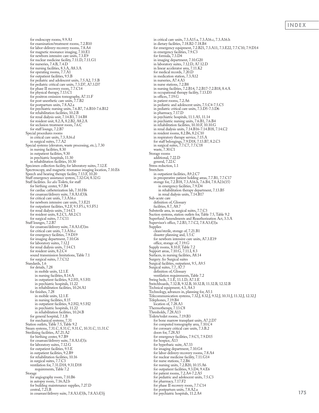for endoscopy rooms, 9.9.A1 for examination/treatment rooms, 7.2.B10 for labor-delivery-recovery rooms, 7.8.A4 for magnetic resonance imaging, 7.10.E1 for newborn intensive care units, 7.3.E9 for nuclear medicine facility, 7.11.D, 7.11.G1 for nurseries, 7.4.B, 7.4.D for nursing facilities, 8.3.A, A8.3.A for operating rooms, 7.7.A1 for outpatient facilities, 9.5.B for pediatric and adolescent units, 7.5.A2, 7.5.B for pediatric critical care units, 7.3.D7, A7.3.D7 for phase II recovery room, 7.7.C14 for physical therapy, 7.13.C1 for positron emission tomography, A7.11.F for post-anesthetic care units, 7.7.B2 for postpartum units, 7.8.A2.a for psychiatric nursing units, 7.6.B7, 7.6.B10-7.6.B12 for rehabilitation facilities, 10.2.B for renal dialysis unit, 7.14.B3, 7.14.B8 for resident unit, 8.2.A, 8.2.B2, A8.2.A for seclusion treatment room, 7.6.C for staff lounge, 7.2.B7 Special procedures rooms in critical care units, 7.3.A16.d in surgical suites, 7.7.A2 Special systems (elevators, waste processing, etc.), 7.30 in nursing facilities, 8.30 in outpatient facilities, 9.30 in psychiatric hospitals, 11.30 in rehabilitation facilities, 10.30 Specimen collection facility, for laboratory suites, 7.12.E Spectroscopy, and magnetic resonance imaging location, 7.10.E6 Speech and hearing therapy facility, 7.13.F, 10.20 Staff emergency assistance system, 7.32.G4, 8.32.G Staff facilities. *See also* Toilets, for staff for birthing center, 9.7.B4 for cardiac catheterization lab, 7.10.H6 for cesarean/delivery suite, 7.8.A3.f(3)k for critical care units, 7.3.A16.e for newborn intensive care units, 7.3.E21 for outpatient facilities, 9.2.F, 9.5.F5.i, 9.5.F5.l for renal dialysis units, 7.14.C1 for resident units, 8.2.C1, A8.2.C1 for surgical suites, 7.7.C11 Staff lounges, 7.2.B7 for cesarean/delivery suite, 7.8.A3.f(3)m for critical care units, 7.3.A16.c for emergency facilities, 7.9.D19 for imaging department, 7.10.G6 for laboratory suites, 7.12.J for renal dialysis units, 7.14.C1 for resident units, 8.2.C4 sound transmission limitations, Table 7.1 for surgical suites, 7.7.C12 Standards, 1.6 for details, 7.28 in mobile units, 12.1.E in nursing facilities, 8.14.A in outpatient facilities, 9.2.H1, 9.5.H1 in psychiatric hospitals, 11.22 in rehabilitation facilities, 10.24.A1 for finishes, 7.28 in mobile units, 12.1.E in nursing facilities, 8.15 in outpatient facilities, 9.2.H2, 9.5.H2 in psychiatric hospitals, 11.22 in rehabilitation facilities, 10.24.B for general hospital, 7.1.B for mechanical systems, 7.31 Station outlets, Table 7.5, Table 9.2 Steam systems, 7.31.C, 8.31.C, 9.31.C, 10.31.C, 11.31.C Sterilizing facilities, A7.21.A2 for birthing center, 9.7.B9 for cesarean/delivery suite, 7.8.A3.f(3)c for laboratory suites, 7.12.G for outpatient facilities, 9.5.E in outpatient facilities, 9.2.B9 for rehabilitation facilities, 10.16 in surgical suites, 7.7.C3 ventilation for, 7.31.D18, 9.31.D18 requirements, Table 7.2 Storage for angiography room, 7.10.B6 in autopsy room, 7.16.A2.b for building maintenance supplies, 7.27.D central, 7.21.B in cesarean/delivery suite, 7.8.A3.f(3)h, 7.8.A3.f(3)j

in critical care units, 7.3.A15.a, 7.3.A16.c, 7.3.A16.h in dietary facilities, 7.18.B2-7.18.B4 for emergency equipment, 7.2.B21, 7.3.A11, 7.3.E22, 7.7.C10, 7.9.D14 in emergency facilities, 7.9.C3 for formula, 7.3.D4 in imaging department, 7.10.G20 in laboratory suites, 7.12.D, A7.12.D in linear accelerator area, 7.11.K2 for medical records, 7.20.D in medication station, 7.3.A12 in nurseries, A7.4.A3 in nurse stations, 7.2.B8 in nursing facilities, 7.2.B14, 7.2.B17-7.2.B18, 8.4.A in occupational therapy facility, 7.13.D3 in offices, 7.19.G in patient rooms, 7.2.A6 in pediatric and adolescent units, 7.5.C4-7.5.C5 in pediatric critical care units, 7.3.D5-7.3.D6 in pharmacy, 7.17.D in psychiatric hospitals, 11.1.A5, 11.14 in psychiatric nursing units, 7.6.B1, 7.6.B4 in rehabilitation facilities, 10.10.F, 10.10.G in renal dialysis units, 7.14.B16-7.14.B18, 7.14.C2 in resident rooms, 8.2.B6, 8.2.C10 in respiratory therapy service, 7.15.A for staff belongings, 7.9.D18, 7.13.B7, 8.2.C3 in surgical suites, 7.7.C7, 7.7.C18 waste, 7.30.C1 Storage rooms additional, 7.22.D general, 7.22.C Stress reduction, 1.1 **Stretchers** in outpatient facilities, A9.2.C7 in preoperative patient holding areas, 7.7.B1, 7.7.C17 storage for, 7.2.B18, 7.3.A16.h, 7.6.B4, 7.8.A2.b(15) in emergency facilities, 7.9.D4 in rehabilitation therapy department, 7.13.B5 in renal dialysis units, 7.14.B17 Sub-acute care definition of, Glossary facilities, 8.7, A8.7 Substerile area, in surgical suites, 7.7.C3 Suction systems, station outlets for, Table 7.5, Table 9.2 Superfund Amendments and Reauthorization Act, 3.3.A Supervisor's office, 7.2.B3, 7.7.C2, 7.8.A3.f(3)a Supplies clean/sterile, storage of, 7.21.B1 disaster planning and, 1.5.C for newborn intensive care units, A7.3.E19 office, storage of, 7.19.G Supply rooms, 8.10.F, Table 7.2 Support areas, 7.10.G, 7.11.I, 8.3 Surfaces, in nursing facilities, A8.14 Surgery. *See* Surgical suites Surgical facilities, outpatient, 9.5, A9.5 Surgical suites, 7.7, A7.7 definition of, Glossary ventilation requirements, Table 7.2 Swing beds, 7.1.E, 11.1.D, A7.1.E Switchboards, 7.32.B, 9.32.B, 10.32.B, 11.32.B, 12.32.B Technical equipment, 4.3, A4.3 Technology, advances in, planning for, A5.1 Telecommunication systems, 7.32.J, 8.32.J, 9.32.J, 10.31.J, 11.32.J, 12.32.J Telephones, 7.19.B4 location of, 7.28.A3 Thermotherapy, 7.13.C8 Thresholds, 7.28.A13 Toilets/toilet rooms, 7.19.B3 for bone marrow transplant units, A7.2.D7 for computed tomography area, 7.10.C4 for coronary critical care units, 7.3.B.2 doors for, 7.28.A5 for emergency facilities, 7.9.C5, 7.9.D15 for hospice, A13 for hyperbaric suite, A7.33 for imaging department, 7.10.G4 for labor-delivery-recovery rooms, 7.8.A4 for nuclear medicine facility, 7.11.G14 for nurse stations, 7.2.B6 for nursing units, 7.2.B20, 10.15.A6 for outpatient facilities, 9.3.D4, 9.4.E6 for patient rooms, 7.2.A4-7.2.A5 for pediatric and adolescent units, 7.5.C3 for pharmacy, 7.17.F2 for phase II recovery room, 7.7.C14 for postpartum units, 7.8.A2.a for psychiatric hospitals, 11.2.A4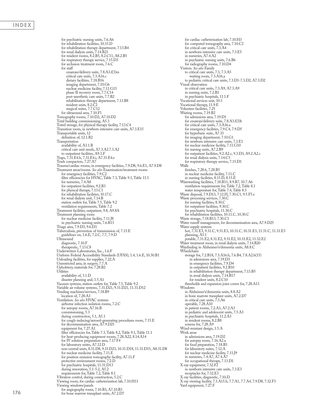for psychiatric nursing units, 7.6.A6 for rehabilitation facilities, 10.15.D for rehabilitation therapy department, 7.13.B4 for renal dialysis units, 7.14.B21 for resident rooms, 8.2.B5, 8.2.C11, A8.2.B5 for respiratory therapy service, 7.15.D3 for seclusion treatment room, 7.6.C for staff cesarean/delivery suite, 7.8.A3.f(3)m critical care units, 7.3.A16.c dietary facilities, 7.18.B16 imaging department, 7.10.G6 nuclear medicine facility, 7.11.G15 phase II recovery room, 7.7.C14 post-anesthetic care units, 7.7.B2 rehabilitation therapy department, 7.13.B8 resident units, 8.2.C2 surgical suites, 7.7.C12 for ultrasound area, 7.10.F1 Tomography rooms, 7.10.D2, A7.10.D2 Total building commissioning, A5.3 Towel storage, for physical therapy facility, 7.13.C4 Transition room, in newborn intensive care units, A7.3.E15 Transportable units, 12 definition of, 12.1.B2 Transportation availability of, A3.1.B critical care unit needs, A7.3.A2.7.3.A2 to outpatient facilities, A9.1.F Traps, 7.31.E4.h, 7.31.E4.i, A7.31.E4.e Trash compactors, 7.27.A7 Trauma/cardiac rooms, in emergency facilities, 7.9.D8, 9.6.E1, A7.9.D8<br>Treatment areas/rooms. *See also* Examination/treatment rooms<br>for emergency facilities, 7.9.C2<br>filter efficiencies for HVAC, Table 7.3, Table 9.1, Tabl for nurseries, 7.4.A8 for outpatient facilities, 9.2.B3 for physical therapy, 7.13.C1 for rehabilitation facilities, 10.17.C for renal dialysis unit, 7.14.B station outlets for, Table 7.5, Table 9.2 ventilation requirements, Table 7.2 Treatment facilities, outpatient, 9.8, A9.8A Treatment planning room for nuclear medicine facility, 7.11.J8 in psychiatric nursing units, 7.6.B13 Triage area, 7.9.D3, 9.6.D3 Tuberculosis, prevention of transmission of, 7.15.E guidelines on, 1.6.E, 7.2.C, 7.7, 7.9.D Ultrasound diagnostic, 7.10.F therapeutic, 7.13.C8 Underwriters Laboratories, Inc., 1.6.F<br>Uniform Federal Accessibility Standards (UFAS), 1.4, 1.6.E, 10.30.B1<br>Unloading facilities, for supplies, 7.22.A<br>Unrestricted area, in surgery, 7.7.A<br>Upholstery, materials for, 7.28.B2 **Unilities** availability of, 3.1.D disaster planning and, 1.5.A1 Vacuum systems, station outlets for, Table 7.5, Table 9.2 Variable air volume systems, 7.31.D21, 9.31.D21, 11.31.D12 Vending machines/services, 7.18.B9 location of, 7.28.A3 Ventilation. *See also* HVAC systems airborne infection isolation rooms, 7.2.C for autopsy rooms, A7.16.B commissioning, 5.3 during construction, 5.1, A5.1 for cough-inducing/aerosol-generating procedures room, 7.15.E for decontamination area, A7.9.D25 equipment for, 7.27.A1 filter efficiencies for, Table 7.3, Table 8.2, Table 9.1, Table 11.1 for heat-producing equipment rooms, 7.28.A22, 8.14.A14 for IV solution preparation area, 7.17.F4 for laboratory suites, A7.12.D non-central units, 8.31.D8, 9.31.D23, 10.31.D18, 11.31.D15, A8.31.D8 for nuclear medicine facility, 7.11.E for positron emission tomography facility, A7.11.F protective environment rooms, 7.2.D for psychiatric hospitals, 11.31.D13 during renovation, 5.1-5.2, A5.2 requirements for, Table 7.2, Table 8.1 Vibration control, during construction, 5.2.C Viewing room, for cardiac catheterization lab, 7.10.H11 Viewing windows/panels for angiography room, 7.10.B3, A7.10.B3

for bone marrow transplant units, A7.2.D7

for cardiac catheterization lab, 7.10.H3 for computed tomography area, 7.10.C2 for critical care units, 7.3.A4 in newborn intensive care units, 7.3.E5 in nurseries, A7.4.A2 in psychiatric nursing units, 7.6.B6 for radiography rooms, 7.10.D4 Visitors. *See also* Family<br>to critical care units, 7.3, 7.3.A5<br>waiting room, 7.3.A16.a<br>to pediatric critical care units, 7.3.D1-7.3.D2, A7.3.D2<br>Visual observation in critical care units, 7.3.A9, A7.3.A9 in nursing units, 7.2.B1 in psychiatric hospitals, 11.1.F Vocational services unit, 10.5 Vocational therapy, 11.9.E Volunteer facilities, 7.25 Waiting rooms, 7.19.B2 for admissions area, 7.19.D1 for cesarean/delivery suite, 7.8.A3.f(3)b for critical care units, 7.3.A16.a for emergency facilities, 7.9.C4, 7.9.D5 for hyperbaric suite, A7.33 for imaging department, 7.10.G1 for newborn intensive care units, 7.3.E1 for nuclear medicine facility, 7.11.G10 for nursing units, A7.2.B9 for outpatient facilities, 9.2.A2.c, 9.3.D3, A9.2.A2.c for renal dialysis units, 7.14.C3 for respiratory therapy service, 7.15.D1 Walls finishes, 7.28.6, 7.28.B5 in nuclear medicine facility, 7.11.C in nursing facilities, 8.15.D, 8.15.E Warewashing facilities, 7.18.B11, 8.9.B7, 10.7.A6<br>ventilation requirements for, Table 7.2, Table 8.1<br>water temperature for, Table 7.4, Table 8.3<br>Waste disposal, 7.9.D13, 7.12.H, 7.30.C1, 9.5.F5.e<br>Waste processing services, for nursing facilities, 8.30.C for outpatient facilities, 9.30.C for psychiatric hospitals, 11.30.C for rehabilitation facilities, 10.11.C, 10.30.C Waste storage, 7.18.B13, 7.30.C1 Water runoff management, for decontamination area, A7.9.D25 Water supply systems hot, 7.31.E3, 9.31.C, 9.31.E3, 10.31.C, 10.31.E3, 11.31.C, 11.31.E3 planning, A5.1 potable, 7.31.E2, 8.31.E2, 9.31.E2, 10.31.E2, 11.32.E2 Water treatment room, in renal dialysis units, 7.14.B20 Wayfinding in Alzheimer's/dementia units, A8.8.C Wheelchairs storage for, 7.2.B18, 7.3.A16.h, 7.6.B4, 7.8.A2.b(15) in admissions area, 7.19.D3 in emergency facilities, 7.9.D4 in outpatient facilities, 9.2.B10 in rehabilitation therapy department, 7.13.B5 in renal dialysis units, 7.14.B17 for resident units, 8.2.C10 thresholds and expansion joint covers for, 7.28.A13 Windows in Alzheimer's/dementia units, 8.8.A2 in bone marrow transplant units, A7.2.D7 in critical care units, 7.3.A6 operable, 7.28.A10 in patient rooms, 7.2.A3, A7.2.A3 in pediatric and adolescent units, 7.5.A3 in psychiatric hospitals, 11.2.A3 in resident rooms, 8.2.B8 screens for, 7.28.A9 Wind-resistant design, 1.5.A Work areas in admissions area, 7.19.D2 for autopsy room, 7.16.A2.a for food preparation, 7.18.B5<br>for laboratory suites, 7.12.A<br>for nuclear medicine facility, 7.11.J9<br>in nusreies, 7.4.A7, A7.A4.A7<br>for occupational therapy, 7.13.D1<br>X-ray equipment, 7.32.F2<br>in newborn intensive care units, 7 receptacles for, 7.32.E3 X-ray facilities, diagnostic, 7.10.D X-ray viewing facility, 7.3.A15.h, 7.7.A1, 7.7.A4, 7.9.D8, 7.32.F3 Yard equipment, 7.27.F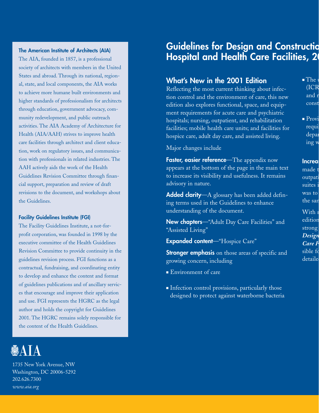**The American Institute of Architects (AIA)**<br>The AIA, founded in 1857, is a professional society of architects with members in the United States and abroad. Through its national, regional, state, and local components, the AIA works to achieve more humane built environments and higher standards of professionalism for architects through education, government advocacy, community redevelopment, and public outreach activities. The AIA Academy of Architecture for Health (AIA/AAH) strives to improve health care facilities through architect and client education, work on regulatory issues, and communication with professionals in related industries. The AAH actively aids the work of the Health Guidelines Revision Committee through financial support, preparation and review of draft revisions to the document, and workshops about the Guidelines.

### **Facility Guidelines Institute (FGI)**

The Facility Guidelines Institute, a not-forprofit corporation, was founded in 1998 by the executive committee of the Health Guidelines Revision Committee to provide continuity in the guidelines revision process. FGI functions as a contractual, fundraising, and coordinating entity to develop and enhance the content and format of guidelines publications and of ancillary services that encourage and improve their application and use. FGI represents the HGRC as the legal author and holds the copyright for Guidelines 2001. The HGRC remains solely responsible for the content of the Health Guidelines.



1735 New York Avenue, NW Washington, DC 20006-5292 202.626.7300 *www.aia.org*